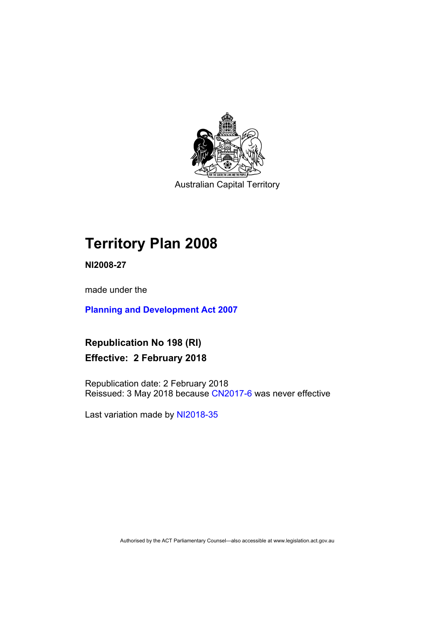

Australian Capital Territory

# **Territory Plan 2008**

**NI2008-27** 

made under the

**[Planning and Development Act 2007](http://www.legislation.act.gov.au/a/2007-24/default.asp)**

**Republication No 198 (RI) Effective: 2 February 2018** 

Republication date: 2 February 2018 Reissued: 3 May 2018 because [CN2017-6](http://www.legislation.act.gov.au/cn/2017-6/default.asp) was never effective

Last variation made by [NI2018-35](http://www.legislation.act.gov.au/ni/2018-35/default.asp)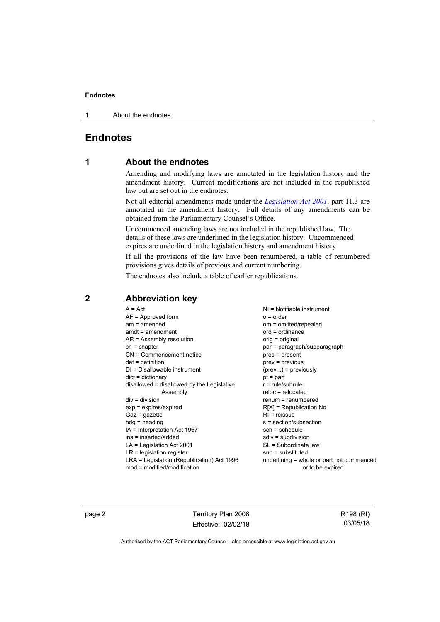1 About the endnotes

## **Endnotes**

## **1 About the endnotes**

Amending and modifying laws are annotated in the legislation history and the amendment history. Current modifications are not included in the republished law but are set out in the endnotes.

Not all editorial amendments made under the *[Legislation Act 2001](http://www.legislation.act.gov.au/a/2001-14/default.asp)*, part 11.3 are annotated in the amendment history. Full details of any amendments can be obtained from the Parliamentary Counsel's Office.

Uncommenced amending laws are not included in the republished law. The details of these laws are underlined in the legislation history. Uncommenced expires are underlined in the legislation history and amendment history.

If all the provisions of the law have been renumbered, a table of renumbered provisions gives details of previous and current numbering.

The endnotes also include a table of earlier republications.

| $A = Act$                                  | $NI = Notifiable$ instrument              |
|--------------------------------------------|-------------------------------------------|
| $AF =$ Approved form                       | $o = order$                               |
| $am = amended$                             | om = omitted/repealed                     |
| $amdt = amendment$                         | $ord = ordinance$                         |
| $AR = Assembly resolution$                 | orig = original                           |
| $ch = chapter$                             | par = paragraph/subparagraph              |
| CN = Commencement notice                   | pres = present                            |
| $def = definition$                         | $prev = previous$                         |
| $DI = Disallowable instrument$             | $(\text{prev})$ = previously              |
| $dict = dictionary$                        | $pt =$ part                               |
| disallowed = disallowed by the Legislative | $r = rule/subrule$                        |
| Assembly                                   | $reloc = relocated$                       |
| $div = division$                           | renum = renumbered                        |
| $exp = expires/expired$                    | $R[X]$ = Republication No                 |
| $Gaz = gazette$                            | $RI = reissue$                            |
| $h dq =$ heading                           | s = section/subsection                    |
| $IA = Interpretation Act 1967$             | $sch = schedule$                          |
| ins = inserted/added                       | $sdiv = subdivision$                      |
| $LA =$ Legislation Act 2001                | SL = Subordinate law                      |
| $LR =$ legislation register                | $sub =$ substituted                       |
| LRA = Legislation (Republication) Act 1996 | underlining = whole or part not commenced |
| $mod = modified/modification$              | or to be expired                          |
|                                            |                                           |

## **2 Abbreviation key**

page 2 Territory Plan 2008 Effective: 02/02/18 R198 (RI) 03/05/18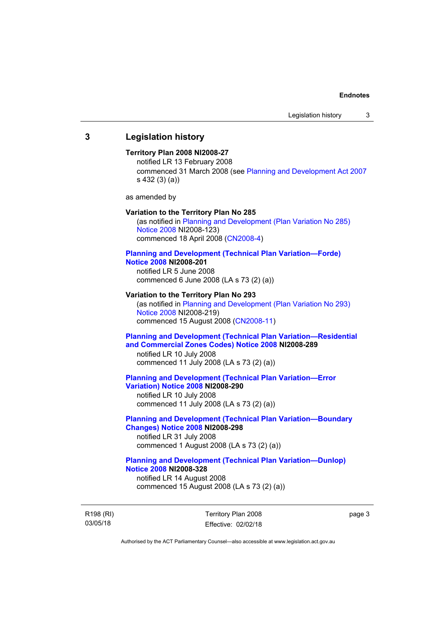## **3 Legislation history**

## **Territory Plan 2008 NI2008-27**

notified LR 13 February 2008 commenced 31 March 2008 (see [Planning and Development Act 2007](http://www.legislation.act.gov.au/a/2007-24/default.asp) s 432 (3) (a))

as amended by

#### **Variation to the Territory Plan No 285**

(as notified in [Planning and Development \(Plan Variation No 285\)](http://www.legislation.act.gov.au/ni/2008-123/)  [Notice 2008](http://www.legislation.act.gov.au/ni/2008-123/) NI2008-123) commenced 18 April 2008 [\(CN2008-4\)](http://www.legislation.act.gov.au/cn/2008-4/)

#### **[Planning and Development \(Technical Plan Variation—Forde\)](http://www.legislation.act.gov.au/ni/2008-201/)  [Notice 2008](http://www.legislation.act.gov.au/ni/2008-201/) NI2008-201**

notified LR 5 June 2008 commenced 6 June 2008 (LA s 73 (2) (a))

### **Variation to the Territory Plan No 293**

(as notified in [Planning and Development \(Plan Variation No 293\)](http://www.legislation.act.gov.au/ni/2008-219/)  [Notice 2008](http://www.legislation.act.gov.au/ni/2008-219/) NI2008-219) commenced 15 August 2008 [\(CN2008-11\)](http://www.legislation.act.gov.au/cn/2008-11/)

## **[Planning and Development \(Technical Plan Variation—Residential](http://www.legislation.act.gov.au/ni/2008-289/)  [and Commercial Zones Codes\) Notice 2008](http://www.legislation.act.gov.au/ni/2008-289/) NI2008-289**

notified LR 10 July 2008 commenced 11 July 2008 (LA s 73 (2) (a))

### **[Planning and Development \(Technical Plan Variation—Error](http://www.legislation.act.gov.au/ni/2008-290/)  [Variation\) Notice 2008](http://www.legislation.act.gov.au/ni/2008-290/) NI2008-290**

notified LR 10 July 2008 commenced 11 July 2008 (LA s 73 (2) (a))

## **[Planning and Development \(Technical Plan Variation—Boundary](http://www.legislation.act.gov.au/ni/2008-298/)  [Changes\) Notice 2008](http://www.legislation.act.gov.au/ni/2008-298/) NI2008-298**  notified LR 31 July 2008

commenced 1 August 2008 (LA s 73 (2) (a))

## **[Planning and Development \(Technical Plan Variation—Dunlop\)](http://www.legislation.act.gov.au/ni/2008-328/)  [Notice 2008](http://www.legislation.act.gov.au/ni/2008-328/) NI2008-328**

notified LR 14 August 2008 commenced 15 August 2008 (LA s 73 (2) (a))

R198 (RI) 03/05/18

Territory Plan 2008 Effective: 02/02/18 page 3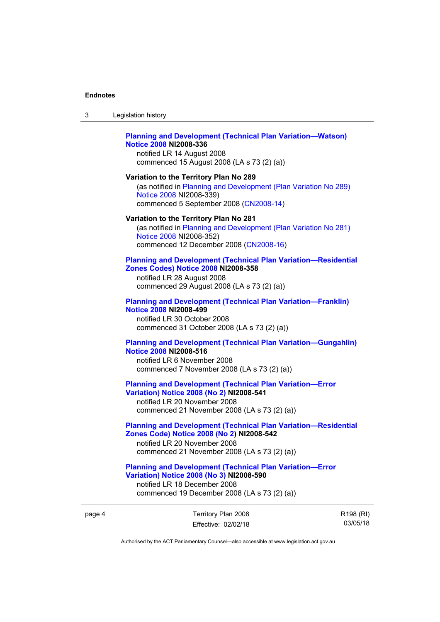| Legislation history |  |
|---------------------|--|
|---------------------|--|

## **[Planning and Development \(Technical Plan Variation—Watson\)](http://www.legislation.act.gov.au/ni/2008-336/)  [Notice 2008](http://www.legislation.act.gov.au/ni/2008-336/) NI2008-336**

notified LR 14 August 2008 commenced 15 August 2008 (LA s 73 (2) (a))

## **Variation to the Territory Plan No 289**

(as notified in [Planning and Development \(Plan Variation No 289\)](http://www.legislation.act.gov.au/ni/2008-339/)  [Notice 2008](http://www.legislation.act.gov.au/ni/2008-339/) NI2008-339) commenced 5 September 2008 ([CN2008-14\)](http://www.legislation.act.gov.au/cn/2008-14/)

#### **Variation to the Territory Plan No 281**

(as notified in [Planning and Development \(Plan Variation No 281\)](http://www.legislation.act.gov.au/ni/2008-352/)  [Notice 2008](http://www.legislation.act.gov.au/ni/2008-352/) NI2008-352) commenced 12 December 2008 [\(CN2008-16\)](http://www.legislation.act.gov.au/cn/2008-16/)

## **[Planning and Development \(Technical Plan Variation—Residential](http://www.legislation.act.gov.au/ni/2008-358/)  [Zones Codes\) Notice 2008](http://www.legislation.act.gov.au/ni/2008-358/) NI2008-358**

notified LR 28 August 2008 commenced 29 August 2008 (LA s 73 (2) (a))

### **[Planning and Development \(Technical Plan Variation—Franklin\)](http://www.legislation.act.gov.au/ni/2008-499/)  [Notice 2008](http://www.legislation.act.gov.au/ni/2008-499/) NI2008-499**

notified LR 30 October 2008 commenced 31 October 2008 (LA s 73 (2) (a))

## **[Planning and Development \(Technical Plan Variation—Gungahlin\)](http://www.legislation.act.gov.au/ni/2008-516/)  [Notice 2008](http://www.legislation.act.gov.au/ni/2008-516/) NI2008-516**

notified LR 6 November 2008 commenced 7 November 2008 (LA s 73 (2) (a))

## **[Planning and Development \(Technical Plan Variation—Error](http://www.legislation.act.gov.au/ni/2008-541/)  [Variation\) Notice 2008 \(No 2\)](http://www.legislation.act.gov.au/ni/2008-541/) NI2008-541**

notified LR 20 November 2008 commenced 21 November 2008 (LA s 73 (2) (a))

## **[Planning and Development \(Technical Plan Variation—Residential](http://www.legislation.act.gov.au/ni/2008-542/)  [Zones Code\) Notice 2008 \(No 2\)](http://www.legislation.act.gov.au/ni/2008-542/) NI2008-542**

notified LR 20 November 2008 commenced 21 November 2008 (LA s 73 (2) (a))

### **[Planning and Development \(Technical Plan Variation—Error](http://www.legislation.act.gov.au/ni/2008-590/)  [Variation\) Notice 2008 \(No 3\)](http://www.legislation.act.gov.au/ni/2008-590/) NI2008-590**

notified LR 18 December 2008 commenced 19 December 2008 (LA s 73 (2) (a))

page 4 Territory Plan 2008 Effective: 02/02/18 R198 (RI) 03/05/18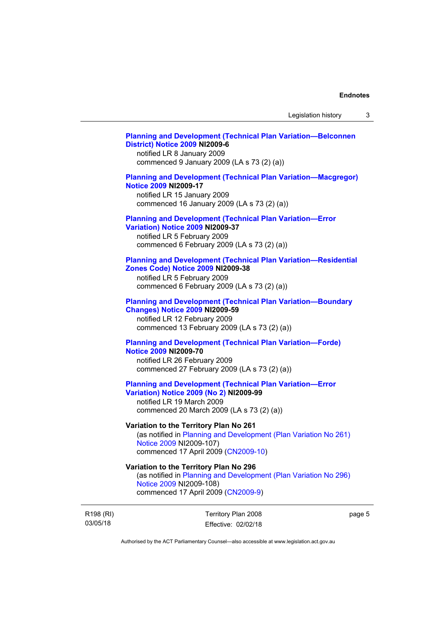## **[Planning and Development \(Technical Plan Variation—Belconnen](http://www.legislation.act.gov.au/ni/2009-6/)  [District\) Notice 2009](http://www.legislation.act.gov.au/ni/2009-6/) NI2009-6**

notified LR 8 January 2009 commenced 9 January 2009 (LA s 73 (2) (a))

## **[Planning and Development \(Technical Plan Variation—Macgregor\)](http://www.legislation.act.gov.au/ni/2009-17/)  [Notice 2009](http://www.legislation.act.gov.au/ni/2009-17/) NI2009-17**

notified LR 15 January 2009 commenced 16 January 2009 (LA s 73 (2) (a))

### **[Planning and Development \(Technical Plan Variation—Error](http://www.legislation.act.gov.au/ni/2009-37/)  [Variation\) Notice 2009](http://www.legislation.act.gov.au/ni/2009-37/) NI2009-37**

notified LR 5 February 2009 commenced 6 February 2009 (LA s 73 (2) (a))

## **[Planning and Development \(Technical Plan Variation—Residential](http://www.legislation.act.gov.au/ni/2009-38/)  [Zones Code\) Notice 2009](http://www.legislation.act.gov.au/ni/2009-38/) NI2009-38**

notified LR 5 February 2009 commenced 6 February 2009 (LA s 73 (2) (a))

### **[Planning and Development \(Technical Plan Variation—Boundary](http://www.legislation.act.gov.au/ni/2009-59/)  [Changes\) Notice 2009](http://www.legislation.act.gov.au/ni/2009-59/) NI2009-59**

notified LR 12 February 2009 commenced 13 February 2009 (LA s 73 (2) (a))

## **[Planning and Development \(Technical Plan Variation—Forde\)](http://www.legislation.act.gov.au/ni/2009-70/)  [Notice 2009](http://www.legislation.act.gov.au/ni/2009-70/) NI2009-70**

notified LR 26 February 2009 commenced 27 February 2009 (LA s 73 (2) (a))

## **[Planning and Development \(Technical Plan Variation—Error](http://www.legislation.act.gov.au/ni/2009-99/)  [Variation\) Notice 2009 \(No 2\)](http://www.legislation.act.gov.au/ni/2009-99/) NI2009-99**

notified LR 19 March 2009 commenced 20 March 2009 (LA s 73 (2) (a))

## **Variation to the Territory Plan No 261**

(as notified in [Planning and Development \(Plan Variation No 261\)](http://www.legislation.act.gov.au/ni/2009-107/)  [Notice 2009](http://www.legislation.act.gov.au/ni/2009-107/) NI2009-107) commenced 17 April 2009 [\(CN2009-10\)](http://www.legislation.act.gov.au/cn/2009-10/)

## **Variation to the Territory Plan No 296**

(as notified in [Planning and Development \(Plan Variation No 296\)](http://www.legislation.act.gov.au/ni/2009-108/)  [Notice 2009](http://www.legislation.act.gov.au/ni/2009-108/) NI2009-108) commenced 17 April 2009 [\(CN2009-9\)](http://www.legislation.act.gov.au/cn/2009-9/)

R198 (RI) 03/05/18

Territory Plan 2008 Effective: 02/02/18 page 5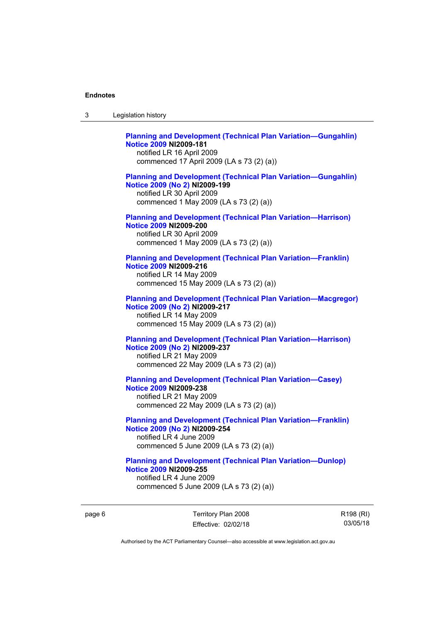| 3 | Legislation history                                                                                                                                                             |
|---|---------------------------------------------------------------------------------------------------------------------------------------------------------------------------------|
|   | <b>Planning and Development (Technical Plan Variation-Gungahlin)</b><br><b>Notice 2009 NI2009-181</b><br>notified LR 16 April 2009<br>commenced 17 April 2009 (LA s 73 (2) (a)) |
|   | <b>Planning and Development (Technical Plan Variation-Gungahlin)</b><br>Notice 2009 (No 2) NI2009-199<br>notified LR 30 April 2009<br>commenced 1 May 2009 (LA s 73 (2) (a))    |
|   | <b>Planning and Development (Technical Plan Variation-Harrison)</b><br><b>Notice 2009 NI2009-200</b><br>notified LR 30 April 2009<br>commenced 1 May 2009 (LA s 73 (2) (a))     |
|   | <b>Planning and Development (Technical Plan Variation-Franklin)</b><br>Notice 2009 NI2009-216<br>notified LR 14 May 2009<br>commenced 15 May 2009 (LA s 73 (2) (a))             |
|   | <b>Planning and Development (Technical Plan Variation-Macgregor)</b><br>Notice 2009 (No 2) NI2009-217<br>notified LR 14 May 2009<br>commenced 15 May 2009 (LA s 73 (2) (a))     |
|   | <b>Planning and Development (Technical Plan Variation-Harrison)</b><br>Notice 2009 (No 2) NI2009-237<br>notified LR 21 May 2009<br>commenced 22 May 2009 (LA s 73 (2) (a))      |
|   | <b>Planning and Development (Technical Plan Variation-Casey)</b><br>Notice 2009 NI2009-238<br>notified LR 21 May 2009<br>commenced 22 May 2009 (LA s 73 (2) (a))                |
|   | <b>Planning and Development (Technical Plan Variation-Franklin)</b><br>Notice 2009 (No 2) NI2009-254<br>notified LR 4 June 2009<br>commenced 5 June 2009 (LA s 73 (2) (a))      |
|   | <b>Planning and Development (Technical Plan Variation-Dunlop)</b><br><b>Notice 2009 NI2009-255</b><br>notified LR 4 June 2009<br>commenced 5 June 2009 (LA s 73 (2) (a))        |

page 6 Territory Plan 2008 Effective: 02/02/18 R198 (RI) 03/05/18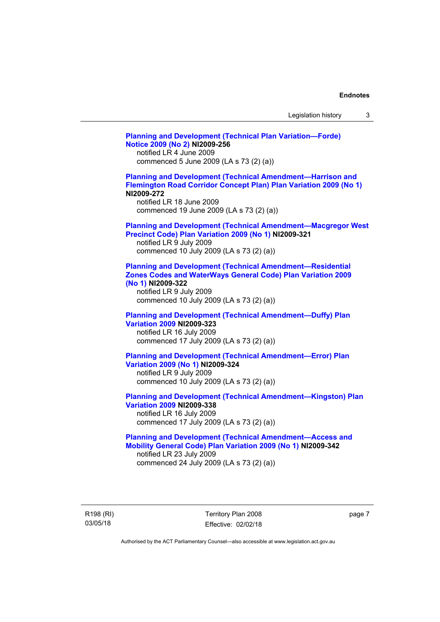| Legislation history |  |
|---------------------|--|
|---------------------|--|

**[Planning and Development \(Technical Plan Variation—Forde\)](http://www.legislation.act.gov.au/ni/2009-256/)  [Notice 2009 \(No 2\)](http://www.legislation.act.gov.au/ni/2009-256/) NI2009-256**  notified LR 4 June 2009 commenced 5 June 2009 (LA s 73 (2) (a)) **[Planning and Development \(Technical Amendment—Harrison and](http://www.legislation.act.gov.au/ni/2009-272/)  [Flemington Road Corridor Concept Plan\) Plan Variation 2009 \(No 1\)](http://www.legislation.act.gov.au/ni/2009-272/) NI2009-272**  notified LR 18 June 2009 commenced 19 June 2009 (LA s 73 (2) (a)) **[Planning and Development \(Technical Amendment—Macgregor West](http://www.legislation.act.gov.au/ni/2009-321/)  [Precinct Code\) Plan Variation 2009 \(No 1\)](http://www.legislation.act.gov.au/ni/2009-321/) NI2009-321**  notified LR 9 July 2009 commenced 10 July 2009 (LA s 73 (2) (a)) **[Planning and Development \(Technical Amendment—Residential](http://www.legislation.act.gov.au/ni/2009-322/)  [Zones Codes and WaterWays General Code\) Plan Variation 2009](http://www.legislation.act.gov.au/ni/2009-322/)  [\(No 1\)](http://www.legislation.act.gov.au/ni/2009-322/) NI2009-322**  notified LR 9 July 2009 commenced 10 July 2009 (LA s 73 (2) (a)) **[Planning and Development \(Technical Amendment—Duffy\) Plan](http://www.legislation.act.gov.au/ni/2009-323/)  [Variation 2009](http://www.legislation.act.gov.au/ni/2009-323/) NI2009-323**  notified LR 16 July 2009 commenced 17 July 2009 (LA s 73 (2) (a)) **[Planning and Development \(Technical Amendment—Error\) Plan](http://www.legislation.act.gov.au/ni/2009-324/)  [Variation 2009 \(No 1\)](http://www.legislation.act.gov.au/ni/2009-324/) NI2009-324**  notified LR 9 July 2009 commenced 10 July 2009 (LA s 73 (2) (a)) **[Planning and Development \(Technical Amendment—Kingston\) Plan](http://www.legislation.act.gov.au/ni/2009-338/)  [Variation 2009](http://www.legislation.act.gov.au/ni/2009-338/) NI2009-338**  notified LR 16 July 2009 commenced 17 July 2009 (LA s 73 (2) (a)) **[Planning and Development \(Technical Amendment—Access and](http://www.legislation.act.gov.au/ni/2009-342/)  [Mobility General Code\) Plan Variation 2009 \(No 1\)](http://www.legislation.act.gov.au/ni/2009-342/) NI2009-342**  notified LR 23 July 2009 commenced 24 July 2009 (LA s 73 (2) (a))

R198 (RI) 03/05/18

Territory Plan 2008 Effective: 02/02/18 page 7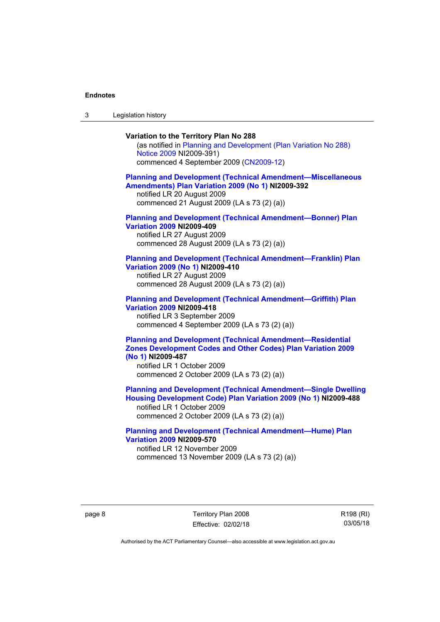3 Legislation history

## **Variation to the Territory Plan No 288**

(as notified in [Planning and Development \(Plan Variation No 288\)](http://www.legislation.act.gov.au/ni/2009-391/)  [Notice 2009](http://www.legislation.act.gov.au/ni/2009-391/) NI2009-391) commenced 4 September 2009 ([CN2009-12\)](http://www.legislation.act.gov.au/cn/2009-12/)

### **[Planning and Development \(Technical Amendment—Miscellaneous](http://www.legislation.act.gov.au/ni/2009-392/)  [Amendments\) Plan Variation 2009 \(No 1\)](http://www.legislation.act.gov.au/ni/2009-392/) NI2009-392**  notified LR 20 August 2009

commenced 21 August 2009 (LA s 73 (2) (a))

## **[Planning and Development \(Technical Amendment—Bonner\) Plan](http://www.legislation.act.gov.au/ni/2009-409/)  [Variation 2009](http://www.legislation.act.gov.au/ni/2009-409/) NI2009-409**

notified LR 27 August 2009 commenced 28 August 2009 (LA s 73 (2) (a))

#### **[Planning and Development \(Technical Amendment—Franklin\) Plan](http://www.legislation.act.gov.au/ni/2009-410/)  [Variation 2009 \(No 1\)](http://www.legislation.act.gov.au/ni/2009-410/) NI2009-410**

notified LR 27 August 2009 commenced 28 August 2009 (LA s 73 (2) (a))

### **[Planning and Development \(Technical Amendment—Griffith\) Plan](http://www.legislation.act.gov.au/ni/2009-418/)  [Variation 2009](http://www.legislation.act.gov.au/ni/2009-418/) NI2009-418**  notified LR 3 September 2009

commenced 4 September 2009 (LA s 73 (2) (a))

## **[Planning and Development \(Technical Amendment—Residential](http://www.legislation.act.gov.au/ni/2009-487/)  [Zones Development Codes and Other Codes\) Plan Variation 2009](http://www.legislation.act.gov.au/ni/2009-487/)  [\(No 1\)](http://www.legislation.act.gov.au/ni/2009-487/) NI2009-487**

notified LR 1 October 2009 commenced 2 October 2009 (LA s 73 (2) (a))

## **[Planning and Development \(Technical Amendment—Single Dwelling](http://www.legislation.act.gov.au/ni/2009-488/)  [Housing Development Code\) Plan Variation 2009 \(No 1\)](http://www.legislation.act.gov.au/ni/2009-488/) NI2009-488**

notified LR 1 October 2009 commenced 2 October 2009 (LA s 73 (2) (a))

## **[Planning and Development \(Technical Amendment—Hume\) Plan](http://www.legislation.act.gov.au/ni/2009-570/)  [Variation 2009](http://www.legislation.act.gov.au/ni/2009-570/) NI2009-570**

notified LR 12 November 2009 commenced 13 November 2009 (LA s 73 (2) (a))

page 8 Territory Plan 2008 Effective: 02/02/18 R198 (RI) 03/05/18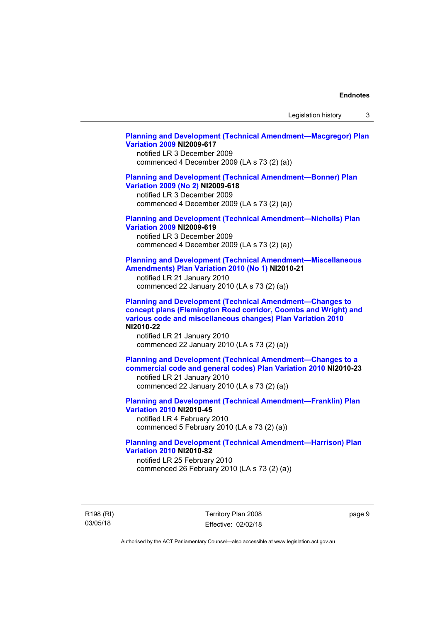Legislation history 3

## **[Planning and Development \(Technical Amendment—Macgregor\) Plan](http://www.legislation.act.gov.au/ni/2009-617/)  [Variation 2009](http://www.legislation.act.gov.au/ni/2009-617/) NI2009-617**

notified LR 3 December 2009 commenced 4 December 2009 (LA s 73 (2) (a))

## **[Planning and Development \(Technical Amendment—Bonner\) Plan](http://www.legislation.act.gov.au/ni/2009-618/)  [Variation 2009 \(No 2\)](http://www.legislation.act.gov.au/ni/2009-618/) NI2009-618**

notified LR 3 December 2009 commenced 4 December 2009 (LA s 73 (2) (a))

## **[Planning and Development \(Technical Amendment—Nicholls\) Plan](http://www.legislation.act.gov.au/ni/2009-619/)  [Variation 2009](http://www.legislation.act.gov.au/ni/2009-619/) NI2009-619**

notified LR 3 December 2009 commenced 4 December 2009 (LA s 73 (2) (a))

## **[Planning and Development \(Technical Amendment—Miscellaneous](http://www.legislation.act.gov.au/ni/2010-21/)  [Amendments\) Plan Variation 2010 \(No 1\)](http://www.legislation.act.gov.au/ni/2010-21/) NI2010-21**

notified LR 21 January 2010 commenced 22 January 2010 (LA s 73 (2) (a))

**[Planning and Development \(Technical Amendment—Changes to](http://www.legislation.act.gov.au/ni/2010-22/)  [concept plans \(Flemington Road corridor, Coombs and Wright\) and](http://www.legislation.act.gov.au/ni/2010-22/)  [various code and miscellaneous changes\) Plan Variation 2010](http://www.legislation.act.gov.au/ni/2010-22/) NI2010-22** 

notified LR 21 January 2010 commenced 22 January 2010 (LA s 73 (2) (a))

**[Planning and Development \(Technical Amendment—Changes to a](http://www.legislation.act.gov.au/ni/2010-23/)  [commercial code and general codes\) Plan Variation 2010](http://www.legislation.act.gov.au/ni/2010-23/) NI2010-23**  notified LR 21 January 2010

commenced 22 January 2010 (LA s 73 (2) (a))

**[Planning and Development \(Technical Amendment—Franklin\) Plan](http://www.legislation.act.gov.au/ni/2010-45/)  [Variation 2010](http://www.legislation.act.gov.au/ni/2010-45/) NI2010-45**  notified LR 4 February 2010 commenced 5 February 2010 (LA s 73 (2) (a))

## **[Planning and Development \(Technical Amendment—Harrison\) Plan](http://www.legislation.act.gov.au/ni/2010-82/)  [Variation 2010](http://www.legislation.act.gov.au/ni/2010-82/) NI2010-82**

notified LR 25 February 2010 commenced 26 February 2010 (LA s 73 (2) (a))

R198 (RI) 03/05/18

Territory Plan 2008 Effective: 02/02/18 page 9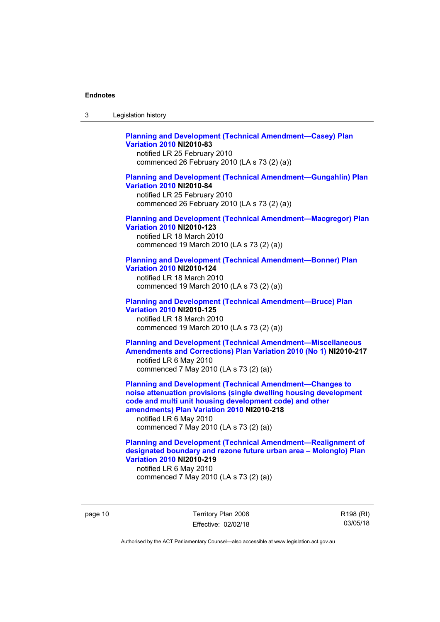| ు | Legislation history |  |
|---|---------------------|--|
|---|---------------------|--|

## **[Planning and Development \(Technical Amendment—Casey\) Plan](http://www.legislation.act.gov.au/ni/2010-83/)  [Variation 2010](http://www.legislation.act.gov.au/ni/2010-83/) NI2010-83**

notified LR 25 February 2010 commenced 26 February 2010 (LA s 73 (2) (a))

## **[Planning and Development \(Technical Amendment—Gungahlin\) Plan](http://www.legislation.act.gov.au/ni/2010-84/)  [Variation 2010](http://www.legislation.act.gov.au/ni/2010-84/) NI2010-84**

notified LR 25 February 2010 commenced 26 February 2010 (LA s 73 (2) (a))

## **[Planning and Development \(Technical Amendment—Macgregor\) Plan](http://www.legislation.act.gov.au/ni/2010-123/)  [Variation 2010](http://www.legislation.act.gov.au/ni/2010-123/) NI2010-123**

notified LR 18 March 2010 commenced 19 March 2010 (LA s 73 (2) (a))

### **[Planning and Development \(Technical Amendment—Bonner\) Plan](http://www.legislation.act.gov.au/ni/2010-124/)  [Variation 2010](http://www.legislation.act.gov.au/ni/2010-124/) NI2010-124**

notified LR 18 March 2010 commenced 19 March 2010 (LA s 73 (2) (a))

### **[Planning and Development \(Technical Amendment—Bruce\) Plan](http://www.legislation.act.gov.au/ni/2010-125/)  [Variation 2010](http://www.legislation.act.gov.au/ni/2010-125/) NI2010-125**

notified LR 18 March 2010 commenced 19 March 2010 (LA s 73 (2) (a))

## **[Planning and Development \(Technical Amendment—Miscellaneous](http://www.legislation.act.gov.au/ni/2010-217/)  [Amendments and Corrections\) Plan Variation 2010 \(No 1\)](http://www.legislation.act.gov.au/ni/2010-217/) NI2010-217**  notified LR 6 May 2010 commenced 7 May 2010 (LA s 73 (2) (a))

**[Planning and Development \(Technical Amendment—Changes to](http://www.legislation.act.gov.au/ni/2010-218/)  [noise attenuation provisions \(single dwelling housing development](http://www.legislation.act.gov.au/ni/2010-218/)  [code and multi unit housing development code\) and other](http://www.legislation.act.gov.au/ni/2010-218/)  [amendments\) Plan Variation 2010](http://www.legislation.act.gov.au/ni/2010-218/) NI2010-218** 

notified LR 6 May 2010 commenced 7 May 2010 (LA s 73 (2) (a))

## **[Planning and Development \(Technical Amendment—Realignment of](http://www.legislation.act.gov.au/ni/2010-219/)  [designated boundary and rezone future urban area – Molonglo\) Plan](http://www.legislation.act.gov.au/ni/2010-219/)  [Variation 2010](http://www.legislation.act.gov.au/ni/2010-219/) NI2010-219**

notified LR 6 May 2010 commenced 7 May 2010 (LA s 73 (2) (a))

page 10 Territory Plan 2008 Effective: 02/02/18 R198 (RI) 03/05/18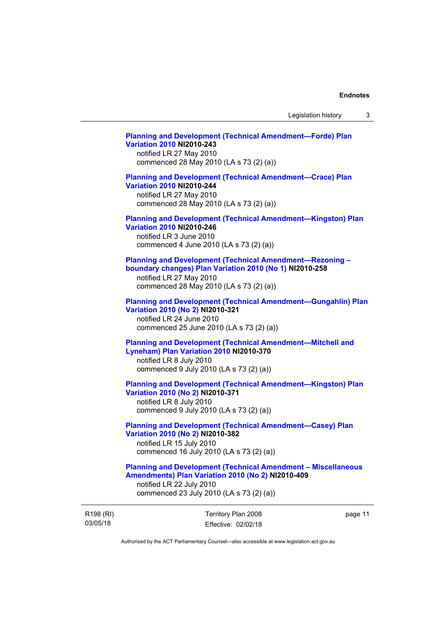## **[Planning and Development \(Technical Amendment—Forde\) Plan](http://www.legislation.act.gov.au/ni/2010-243/)  [Variation 2010](http://www.legislation.act.gov.au/ni/2010-243/) NI2010-243**  notified LR 27 May 2010

commenced 28 May 2010 (LA s 73 (2) (a))

## **[Planning and Development \(Technical Amendment—Crace\) Plan](http://www.legislation.act.gov.au/ni/2010-244/)  [Variation 2010](http://www.legislation.act.gov.au/ni/2010-244/) NI2010-244**

notified LR 27 May 2010 commenced 28 May 2010 (LA s 73 (2) (a))

## **[Planning and Development \(Technical Amendment—Kingston\) Plan](http://www.legislation.act.gov.au/ni/2010-246/)  [Variation 2010](http://www.legislation.act.gov.au/ni/2010-246/) NI2010-246**

notified LR 3 June 2010 commenced 4 June 2010 (LA s 73 (2) (a))

## **[Planning and Development \(Technical Amendment—Rezoning –](http://www.legislation.act.gov.au/ni/2010-258/)  [boundary changes\) Plan Variation 2010 \(No 1\)](http://www.legislation.act.gov.au/ni/2010-258/) NI2010-258**

notified LR 27 May 2010 commenced 28 May 2010 (LA s 73 (2) (a))

### **[Planning and Development \(Technical Amendment—Gungahlin\) Plan](http://www.legislation.act.gov.au/ni/2010-321/)  [Variation 2010 \(No 2\)](http://www.legislation.act.gov.au/ni/2010-321/) NI2010-321**

notified LR 24 June 2010 commenced 25 June 2010 (LA s 73 (2) (a))

## **[Planning and Development \(Technical Amendment—Mitchell and](http://www.legislation.act.gov.au/ni/2010-370/)  [Lyneham\) Plan Variation 2010](http://www.legislation.act.gov.au/ni/2010-370/) NI2010-370**

notified LR 8 July 2010 commenced 9 July 2010 (LA s 73 (2) (a))

## **[Planning and Development \(Technical Amendment—Kingston\) Plan](http://www.legislation.act.gov.au/ni/2010-371/)  [Variation 2010 \(No 2\)](http://www.legislation.act.gov.au/ni/2010-371/) NI2010-371**

notified LR 8 July 2010 commenced 9 July 2010 (LA s 73 (2) (a))

## **[Planning and Development \(Technical Amendment—Casey\) Plan](http://www.legislation.act.gov.au/ni/2010-382/)  [Variation 2010 \(No 2\)](http://www.legislation.act.gov.au/ni/2010-382/) NI2010-382**

notified LR 15 July 2010 commenced 16 July 2010 (LA s 73 (2) (a))

## **[Planning and Development \(Technical Amendment – Miscellaneous](http://www.legislation.act.gov.au/ni/2010-409/)  [Amendments\) Plan Variation 2010 \(No 2\)](http://www.legislation.act.gov.au/ni/2010-409/) NI2010-409**

notified LR 22 July 2010 commenced 23 July 2010 (LA s 73 (2) (a))

R198 (RI) 03/05/18

Territory Plan 2008 Effective: 02/02/18 page 11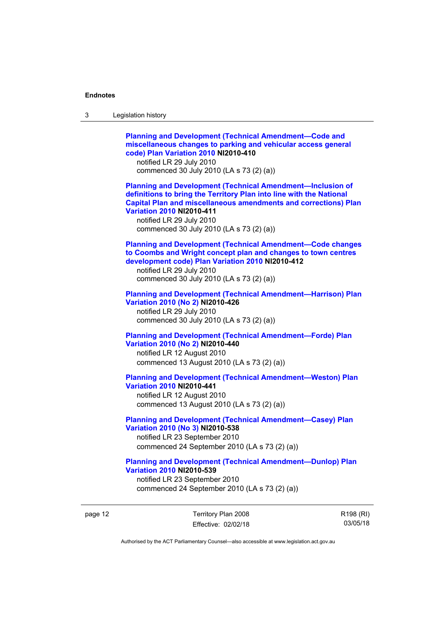| 3       | Legislation history                                                                                                                                                                                                                                                                                                            |
|---------|--------------------------------------------------------------------------------------------------------------------------------------------------------------------------------------------------------------------------------------------------------------------------------------------------------------------------------|
|         | <b>Planning and Development (Technical Amendment-Code and</b><br>miscellaneous changes to parking and vehicular access general<br>code) Plan Variation 2010 NI2010-410<br>notified LR 29 July 2010<br>commenced 30 July 2010 (LA s 73 (2) (a))                                                                                 |
|         | <b>Planning and Development (Technical Amendment-Inclusion of</b><br>definitions to bring the Territory Plan into line with the National<br><b>Capital Plan and miscellaneous amendments and corrections) Plan</b><br><b>Variation 2010 NI2010-411</b><br>notified LR 29 July 2010<br>commenced 30 July 2010 (LA s 73 (2) (a)) |
|         | <b>Planning and Development (Technical Amendment-Code changes</b><br>to Coombs and Wright concept plan and changes to town centres<br>development code) Plan Variation 2010 NI2010-412<br>notified LR 29 July 2010<br>commenced 30 July 2010 (LA s 73 (2) (a))                                                                 |
|         | <b>Planning and Development (Technical Amendment-Harrison) Plan</b><br>Variation 2010 (No 2) NI2010-426<br>notified LR 29 July 2010<br>commenced 30 July 2010 (LA s 73 (2) (a))                                                                                                                                                |
|         | <b>Planning and Development (Technical Amendment-Forde) Plan</b><br>Variation 2010 (No 2) NI2010-440<br>notified LR 12 August 2010<br>commenced 13 August 2010 (LA s 73 (2) (a))                                                                                                                                               |
|         | <b>Planning and Development (Technical Amendment-Weston) Plan</b><br><b>Variation 2010 NI2010-441</b><br>notified LR 12 August 2010<br>commenced 13 August 2010 (LA s 73 (2) (a))                                                                                                                                              |
|         | <b>Planning and Development (Technical Amendment-Casey) Plan</b><br>Variation 2010 (No 3) NI2010-538<br>notified LR 23 September 2010<br>commenced 24 September 2010 (LA s 73 (2) (a))                                                                                                                                         |
|         | <b>Planning and Development (Technical Amendment-Dunlop) Plan</b><br><b>Variation 2010 NI2010-539</b><br>notified LR 23 September 2010<br>commenced 24 September 2010 (LA s 73 (2) (a))                                                                                                                                        |
| page 12 | Territory Plan 2008<br>R <sub>198</sub> (RI)                                                                                                                                                                                                                                                                                   |

Authorised by the ACT Parliamentary Counsel—also accessible at www.legislation.act.gov.au

Effective: 02/02/18

R198 (RI) 03/05/18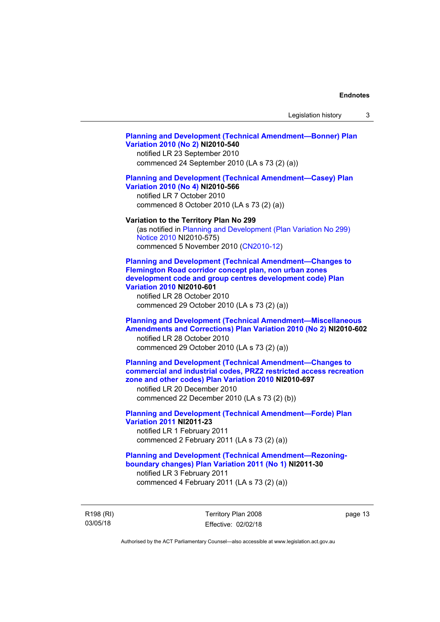Legislation history 3

## **[Planning and Development \(Technical Amendment—Bonner\) Plan](http://www.legislation.act.gov.au/ni/2010-540/)  [Variation 2010 \(No 2\)](http://www.legislation.act.gov.au/ni/2010-540/) NI2010-540**

notified LR 23 September 2010 commenced 24 September 2010 (LA s 73 (2) (a))

## **[Planning and Development \(Technical Amendment—Casey\) Plan](http://www.legislation.act.gov.au/ni/2010-566/)  [Variation 2010 \(No 4\)](http://www.legislation.act.gov.au/ni/2010-566/) NI2010-566**

notified LR 7 October 2010 commenced 8 October 2010 (LA s 73 (2) (a))

### **Variation to the Territory Plan No 299**

(as notified in [Planning and Development \(Plan Variation No 299\)](http://www.legislation.act.gov.au/ni/2010-575/)  [Notice 2010](http://www.legislation.act.gov.au/ni/2010-575/) NI2010-575) commenced 5 November 2010 ([CN2010-12](http://www.legislation.act.gov.au/cn/2010-12/))

**[Planning and Development \(Technical Amendment—Changes to](http://www.legislation.act.gov.au/ni/2010-601/)  [Flemington Road corridor concept plan, non urban zones](http://www.legislation.act.gov.au/ni/2010-601/)  [development code and group centres development code\) Plan](http://www.legislation.act.gov.au/ni/2010-601/)  [Variation 2010](http://www.legislation.act.gov.au/ni/2010-601/) NI2010-601** 

notified LR 28 October 2010 commenced 29 October 2010 (LA s 73 (2) (a))

## **[Planning and Development \(Technical Amendment—Miscellaneous](http://www.legislation.act.gov.au/ni/2010-602/)  [Amendments and Corrections\) Plan Variation 2010 \(No 2\)](http://www.legislation.act.gov.au/ni/2010-602/) NI2010-602**

notified LR 28 October 2010 commenced 29 October 2010 (LA s 73 (2) (a))

## **[Planning and Development \(Technical Amendment—Changes to](http://www.legislation.act.gov.au/ni/2010-697/)  [commercial and industrial codes, PRZ2 restricted access recreation](http://www.legislation.act.gov.au/ni/2010-697/)  [zone and other codes\) Plan Variation 2010](http://www.legislation.act.gov.au/ni/2010-697/) NI2010-697**

notified LR 20 December 2010 commenced 22 December 2010 (LA s 73 (2) (b))

## **[Planning and Development \(Technical Amendment—Forde\) Plan](http://www.legislation.act.gov.au/ni/2011-23/)  [Variation 2011](http://www.legislation.act.gov.au/ni/2011-23/) NI2011-23**  notified LR 1 February 2011 commenced 2 February 2011 (LA s 73 (2) (a))

## **[Planning and Development \(Technical Amendment—Rezoning](http://www.legislation.act.gov.au/ni/2011-30/)[boundary changes\) Plan Variation 2011 \(No 1\)](http://www.legislation.act.gov.au/ni/2011-30/) NI2011-30**  notified LR 3 February 2011 commenced 4 February 2011 (LA s 73 (2) (a))

R198 (RI) 03/05/18

Territory Plan 2008 Effective: 02/02/18 page 13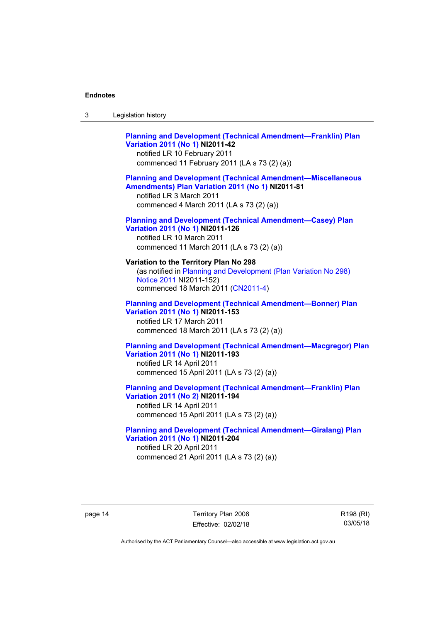| Legislation history<br>-3 |  |
|---------------------------|--|
|---------------------------|--|

## **[Planning and Development \(Technical Amendment—Franklin\) Plan](http://www.legislation.act.gov.au/ni/2011-42/)  [Variation 2011 \(No 1\)](http://www.legislation.act.gov.au/ni/2011-42/) NI2011-42**  notified LR 10 February 2011 commenced 11 February 2011 (LA s 73 (2) (a)) **[Planning and Development \(Technical Amendment—Miscellaneous](http://www.legislation.act.gov.au/ni/2011-81/)  [Amendments\) Plan Variation 2011 \(No 1\)](http://www.legislation.act.gov.au/ni/2011-81/) NI2011-81**  notified LR 3 March 2011 commenced 4 March 2011 (LA s 73 (2) (a)) **[Planning and Development \(Technical Amendment—Casey\) Plan](http://www.legislation.act.gov.au/ni/2011-126/)  [Variation 2011 \(No 1\)](http://www.legislation.act.gov.au/ni/2011-126/) NI2011-126**  notified LR 10 March 2011 commenced 11 March 2011 (LA s 73 (2) (a)) **Variation to the Territory Plan No 298**  (as notified in [Planning and Development \(Plan Variation No 298\)](http://www.legislation.act.gov.au/ni/2011-152/)  [Notice 2011](http://www.legislation.act.gov.au/ni/2011-152/) NI2011-152) commenced 18 March 2011 [\(CN2011-4\)](http://www.legislation.act.gov.au/cn/2011-4/) **[Planning and Development \(Technical Amendment—Bonner\) Plan](http://www.legislation.act.gov.au/ni/2011-153/)  [Variation 2011 \(No 1\)](http://www.legislation.act.gov.au/ni/2011-153/) NI2011-153**  notified LR 17 March 2011 commenced 18 March 2011 (LA s 73 (2) (a)) **[Planning and Development \(Technical Amendment—Macgregor\) Plan](http://www.legislation.act.gov.au/ni/2011-193/)  [Variation 2011 \(No 1\)](http://www.legislation.act.gov.au/ni/2011-193/) NI2011-193**  notified LR 14 April 2011 commenced 15 April 2011 (LA s 73 (2) (a)) **[Planning and Development \(Technical Amendment—Franklin\) Plan](http://www.legislation.act.gov.au/ni/2011-194/)  [Variation 2011 \(No 2\)](http://www.legislation.act.gov.au/ni/2011-194/) NI2011-194**  notified LR 14 April 2011 commenced 15 April 2011 (LA s 73 (2) (a))

## **[Planning and Development \(Technical Amendment—Giralang\) Plan](http://www.legislation.act.gov.au/ni/2011-204/)  [Variation 2011 \(No 1\)](http://www.legislation.act.gov.au/ni/2011-204/) NI2011-204**  notified LR 20 April 2011

commenced 21 April 2011 (LA s 73 (2) (a))

page 14 Territory Plan 2008 Effective: 02/02/18 R198 (RI) 03/05/18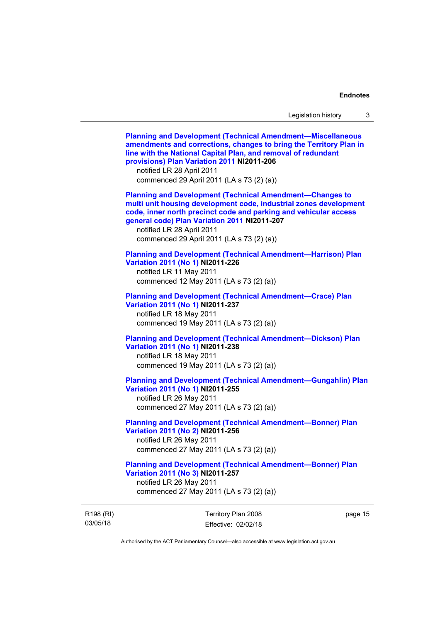R198 (RI) 03/05/18 Territory Plan 2008 Effective: 02/02/18 page 15 **[Planning and Development \(Technical Amendment—Miscellaneous](http://www.legislation.act.gov.au/ni/2011-206/)  [amendments and corrections, changes to bring the Territory Plan in](http://www.legislation.act.gov.au/ni/2011-206/)  [line with the National Capital Plan, and removal of redundant](http://www.legislation.act.gov.au/ni/2011-206/)  [provisions\) Plan Variation 2011](http://www.legislation.act.gov.au/ni/2011-206/) NI2011-206**  notified LR 28 April 2011 commenced 29 April 2011 (LA s 73 (2) (a)) **[Planning and Development \(Technical Amendment—Changes to](http://www.legislation.act.gov.au/ni/2011-207/)  [multi unit housing development code, industrial zones development](http://www.legislation.act.gov.au/ni/2011-207/)  [code, inner north precinct code and parking and vehicular access](http://www.legislation.act.gov.au/ni/2011-207/)  [general code\) Plan Variation 2011](http://www.legislation.act.gov.au/ni/2011-207/) NI2011-207**  notified LR 28 April 2011 commenced 29 April 2011 (LA s 73 (2) (a)) **[Planning and Development \(Technical Amendment—Harrison\) Plan](http://www.legislation.act.gov.au/ni/2011-226/)  [Variation 2011 \(No 1\)](http://www.legislation.act.gov.au/ni/2011-226/) NI2011-226**  notified LR 11 May 2011 commenced 12 May 2011 (LA s 73 (2) (a)) **[Planning and Development \(Technical Amendment—Crace\) Plan](http://www.legislation.act.gov.au/ni/2011-237/)  [Variation 2011 \(No 1\)](http://www.legislation.act.gov.au/ni/2011-237/) NI2011-237**  notified LR 18 May 2011 commenced 19 May 2011 (LA s 73 (2) (a)) **[Planning and Development \(Technical Amendment—Dickson\) Plan](http://www.legislation.act.gov.au/ni/2011-238/)  [Variation 2011 \(No 1\)](http://www.legislation.act.gov.au/ni/2011-238/) NI2011-238**  notified LR 18 May 2011 commenced 19 May 2011 (LA s 73 (2) (a)) **[Planning and Development \(Technical Amendment—Gungahlin\) Plan](http://www.legislation.act.gov.au/ni/2011-255/)  [Variation 2011 \(No 1\)](http://www.legislation.act.gov.au/ni/2011-255/) NI2011-255**  notified LR 26 May 2011 commenced 27 May 2011 (LA s 73 (2) (a)) **[Planning and Development \(Technical Amendment—Bonner\) Plan](http://www.legislation.act.gov.au/ni/2011-256/)  [Variation 2011 \(No 2\)](http://www.legislation.act.gov.au/ni/2011-256/) NI2011-256**  notified LR 26 May 2011 commenced 27 May 2011 (LA s 73 (2) (a)) **[Planning and Development \(Technical Amendment—Bonner\) Plan](http://www.legislation.act.gov.au/ni/2011-257/)  [Variation 2011 \(No 3\)](http://www.legislation.act.gov.au/ni/2011-257/) NI2011-257**  notified LR 26 May 2011 commenced 27 May 2011 (LA s 73 (2) (a))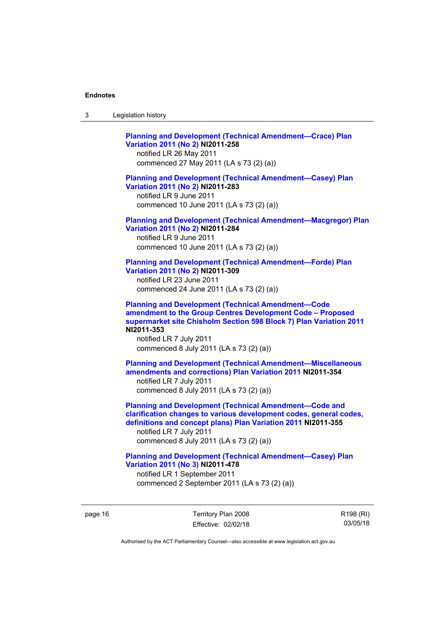| ు | Legislation history |
|---|---------------------|
|---|---------------------|

**[Planning and Development \(Technical Amendment—Crace\) Plan](http://www.legislation.act.gov.au/ni/2011-258/)  [Variation 2011 \(No 2\)](http://www.legislation.act.gov.au/ni/2011-258/) NI2011-258**  notified LR 26 May 2011 commenced 27 May 2011 (LA s 73 (2) (a)) **[Planning and Development \(Technical Amendment—Casey\) Plan](http://www.legislation.act.gov.au/ni/2011-283/)  [Variation 2011 \(No 2\)](http://www.legislation.act.gov.au/ni/2011-283/) NI2011-283**  notified LR 9 June 2011 commenced 10 June 2011 (LA s 73 (2) (a)) **[Planning and Development \(Technical Amendment—Macgregor\) Plan](http://www.legislation.act.gov.au/ni/2011-284/)  [Variation 2011 \(No 2\)](http://www.legislation.act.gov.au/ni/2011-284/) NI2011-284**  notified LR 9 June 2011 commenced 10 June 2011 (LA s 73 (2) (a)) **[Planning and Development \(Technical Amendment—Forde\) Plan](http://www.legislation.act.gov.au/ni/2011-309/)  [Variation 2011 \(No 2\)](http://www.legislation.act.gov.au/ni/2011-309/) NI2011-309**  notified LR 23 June 2011 commenced 24 June 2011 (LA s 73 (2) (a)) **[Planning and Development \(Technical Amendment—Code](http://www.legislation.act.gov.au/ni/2011-353/)  [amendment to the Group Centres Development Code – Proposed](http://www.legislation.act.gov.au/ni/2011-353/)  [supermarket site Chisholm Section 598 Block 7\) Plan Variation 2011](http://www.legislation.act.gov.au/ni/2011-353/) NI2011-353**  notified LR 7 July 2011 commenced 8 July 2011 (LA s 73 (2) (a)) **[Planning and Development \(Technical Amendment—Miscellaneous](http://www.legislation.act.gov.au/ni/2011-354/)  [amendments and corrections\) Plan Variation 2011](http://www.legislation.act.gov.au/ni/2011-354/) NI2011-354**  notified LR 7 July 2011 commenced 8 July 2011 (LA s 73 (2) (a)) **[Planning and Development \(Technical Amendment—Code and](http://www.legislation.act.gov.au/ni/2011-355/)  [clarification changes to various development codes, general codes,](http://www.legislation.act.gov.au/ni/2011-355/)  [definitions and concept plans\) Plan Variation 2011](http://www.legislation.act.gov.au/ni/2011-355/) NI2011-355**  notified LR 7 July 2011 commenced 8 July 2011 (LA s 73 (2) (a)) **[Planning and Development \(Technical Amendment—Casey\) Plan](http://www.legislation.act.gov.au/ni/2011-478/)  [Variation 2011 \(No 3\)](http://www.legislation.act.gov.au/ni/2011-478/) NI2011-478** 

notified LR 1 September 2011 commenced 2 September 2011 (LA s 73 (2) (a))

page 16 Territory Plan 2008 Effective: 02/02/18 R198 (RI) 03/05/18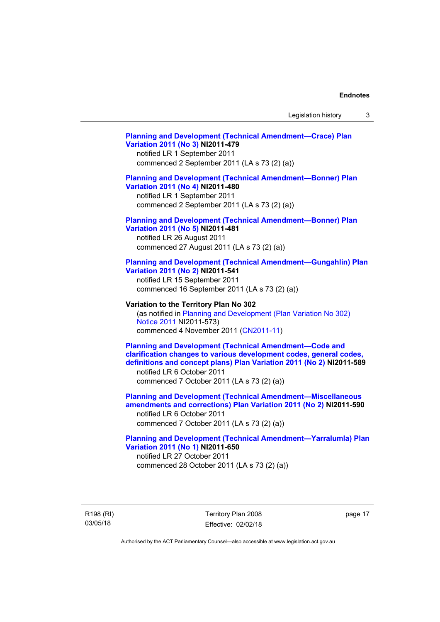## **[Planning and Development \(Technical Amendment—Crace\) Plan](http://www.legislation.act.gov.au/ni/2011-479/)  [Variation 2011 \(No 3\)](http://www.legislation.act.gov.au/ni/2011-479/) NI2011-479**  notified LR 1 September 2011 commenced 2 September 2011 (LA s 73 (2) (a)) **[Planning and Development \(Technical Amendment—Bonner\) Plan](http://www.legislation.act.gov.au/ni/2011-480/)  [Variation 2011 \(No 4\)](http://www.legislation.act.gov.au/ni/2011-480/) NI2011-480**  notified LR 1 September 2011 commenced 2 September 2011 (LA s 73 (2) (a)) **[Planning and Development \(Technical Amendment—Bonner\) Plan](http://www.legislation.act.gov.au/ni/2011-481/)  [Variation 2011 \(No 5\)](http://www.legislation.act.gov.au/ni/2011-481/) NI2011-481**  notified LR 26 August 2011 commenced 27 August 2011 (LA s 73 (2) (a)) **[Planning and Development \(Technical Amendment—Gungahlin\) Plan](http://www.legislation.act.gov.au/ni/2011-541/)  [Variation 2011 \(No 2\)](http://www.legislation.act.gov.au/ni/2011-541/) NI2011-541**  notified LR 15 September 2011 commenced 16 September 2011 (LA s 73 (2) (a)) **Variation to the Territory Plan No 302**  (as notified in [Planning and Development \(Plan Variation No 302\)](http://www.legislation.act.gov.au/ni/2011-573/)  [Notice 2011](http://www.legislation.act.gov.au/ni/2011-573/) NI2011-573) commenced 4 November 2011 ([CN2011-11](http://www.legislation.act.gov.au/cn/2011-11/)) **[Planning and Development \(Technical Amendment—Code and](http://www.legislation.act.gov.au/ni/2011-589/)  [clarification changes to various development codes, general codes,](http://www.legislation.act.gov.au/ni/2011-589/)  [definitions and concept plans\) Plan Variation 2011 \(No 2\)](http://www.legislation.act.gov.au/ni/2011-589/) NI2011-589**  notified LR 6 October 2011 commenced 7 October 2011 (LA s 73 (2) (a)) **[Planning and Development \(Technical Amendment—Miscellaneous](http://www.legislation.act.gov.au/ni/2011-590/)  [amendments and corrections\) Plan Variation 2011 \(No 2\)](http://www.legislation.act.gov.au/ni/2011-590/) NI2011-590**  notified LR 6 October 2011 commenced 7 October 2011 (LA s 73 (2) (a)) **[Planning and Development \(Technical Amendment—Yarralumla\) Plan](http://www.legislation.act.gov.au/ni/2011-650/)  [Variation 2011 \(No 1\)](http://www.legislation.act.gov.au/ni/2011-650/) NI2011-650**

notified LR 27 October 2011 commenced 28 October 2011 (LA s 73 (2) (a))

R198 (RI) 03/05/18

Territory Plan 2008 Effective: 02/02/18 page 17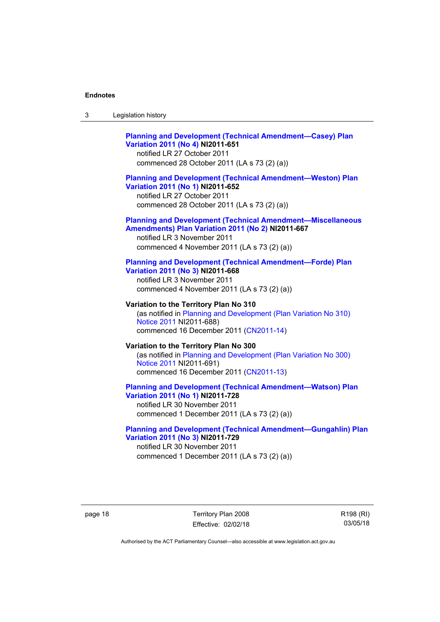| -3 | Legislation history |
|----|---------------------|
|----|---------------------|

## **[Planning and Development \(Technical Amendment—Casey\) Plan](http://www.legislation.act.gov.au/ni/2011-651/)  [Variation 2011 \(No 4\)](http://www.legislation.act.gov.au/ni/2011-651/) NI2011-651**

notified LR 27 October 2011 commenced 28 October 2011 (LA s 73 (2) (a))

## **[Planning and Development \(Technical Amendment—Weston\) Plan](http://www.legislation.act.gov.au/ni/2011-652/)  [Variation 2011 \(No 1\)](http://www.legislation.act.gov.au/ni/2011-652/) NI2011-652**

notified LR 27 October 2011 commenced 28 October 2011 (LA s 73 (2) (a))

## **[Planning and Development \(Technical Amendment—Miscellaneous](http://www.legislation.act.gov.au/ni/2011-667/)  [Amendments\) Plan Variation 2011 \(No 2\)](http://www.legislation.act.gov.au/ni/2011-667/) NI2011-667**

notified LR 3 November 2011 commenced 4 November 2011 (LA s 73 (2) (a))

### **[Planning and Development \(Technical Amendment—Forde\) Plan](http://www.legislation.act.gov.au/ni/2011-668/)  [Variation 2011 \(No 3\)](http://www.legislation.act.gov.au/ni/2011-668/) NI2011-668**

notified LR 3 November 2011 commenced 4 November 2011 (LA s 73 (2) (a))

**Variation to the Territory Plan No 310**  (as notified in [Planning and Development \(Plan Variation No 310\)](http://www.legislation.act.gov.au/ni/2011-688/)  [Notice 2011](http://www.legislation.act.gov.au/ni/2011-688/) NI2011-688) commenced 16 December 2011 [\(CN2011-14\)](http://www.legislation.act.gov.au/cn/2011-14/)

## **Variation to the Territory Plan No 300**  (as notified in [Planning and Development \(Plan Variation No 300\)](http://www.legislation.act.gov.au/ni/2011-691/)  [Notice 2011](http://www.legislation.act.gov.au/ni/2011-691/) NI2011-691) commenced 16 December 2011 [\(CN2011-13\)](http://www.legislation.act.gov.au/cn/2011-13/)

### **[Planning and Development \(Technical Amendment—Watson\) Plan](http://www.legislation.act.gov.au/ni/2011-728/)  [Variation 2011 \(No 1\)](http://www.legislation.act.gov.au/ni/2011-728/) NI2011-728**

notified LR 30 November 2011 commenced 1 December 2011 (LA s 73 (2) (a))

## **[Planning and Development \(Technical Amendment—Gungahlin\) Plan](http://www.legislation.act.gov.au/ni/2011-729/)  [Variation 2011 \(No 3\)](http://www.legislation.act.gov.au/ni/2011-729/) NI2011-729**

notified LR 30 November 2011 commenced 1 December 2011 (LA s 73 (2) (a))

page 18 Territory Plan 2008 Effective: 02/02/18 R198 (RI) 03/05/18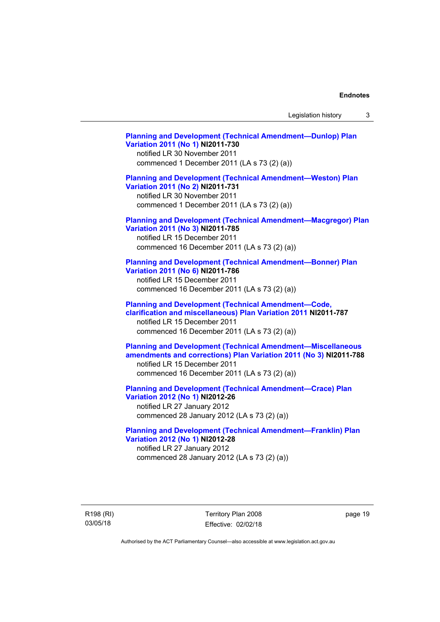Legislation history 3

**[Planning and Development \(Technical Amendment—Dunlop\) Plan](http://www.legislation.act.gov.au/ni/2011-730/)  [Variation 2011 \(No 1\)](http://www.legislation.act.gov.au/ni/2011-730/) NI2011-730**  notified LR 30 November 2011 commenced 1 December 2011 (LA s 73 (2) (a)) **[Planning and Development \(Technical Amendment—Weston\) Plan](http://www.legislation.act.gov.au/ni/2011-731/)  [Variation 2011 \(No 2\)](http://www.legislation.act.gov.au/ni/2011-731/) NI2011-731**  notified LR 30 November 2011 commenced 1 December 2011 (LA s 73 (2) (a)) **[Planning and Development \(Technical Amendment—Macgregor\) Plan](http://www.legislation.act.gov.au/ni/2011-785/)  [Variation 2011 \(No 3\)](http://www.legislation.act.gov.au/ni/2011-785/) NI2011-785**  notified LR 15 December 2011 commenced 16 December 2011 (LA s 73 (2) (a)) **[Planning and Development \(Technical Amendment—Bonner\) Plan](http://www.legislation.act.gov.au/ni/2011-786/)  [Variation 2011 \(No 6\)](http://www.legislation.act.gov.au/ni/2011-786/) NI2011-786**  notified LR 15 December 2011 commenced 16 December 2011 (LA s 73 (2) (a)) **[Planning and Development \(Technical Amendment—Code,](http://www.legislation.act.gov.au/ni/2011-787/)  [clarification and miscellaneous\) Plan Variation 2011](http://www.legislation.act.gov.au/ni/2011-787/) NI2011-787**  notified LR 15 December 2011 commenced 16 December 2011 (LA s 73 (2) (a)) **[Planning and Development \(Technical Amendment—Miscellaneous](http://www.legislation.act.gov.au/ni/2011-788/)  [amendments and corrections\) Plan Variation 2011 \(No 3\)](http://www.legislation.act.gov.au/ni/2011-788/) NI2011-788**  notified LR 15 December 2011 commenced 16 December 2011 (LA s 73 (2) (a)) **[Planning and Development \(Technical Amendment—Crace\) Plan](http://www.legislation.act.gov.au/ni/2012-26/)  [Variation 2012 \(No 1\)](http://www.legislation.act.gov.au/ni/2012-26/) NI2012-26**  notified LR 27 January 2012 commenced 28 January 2012 (LA s 73 (2) (a)) **[Planning and Development \(Technical Amendment—Franklin\) Plan](http://www.legislation.act.gov.au/ni/2012-28/)  [Variation 2012 \(No 1\)](http://www.legislation.act.gov.au/ni/2012-28/) NI2012-28**  notified LR 27 January 2012 commenced 28 January 2012 (LA s 73 (2) (a))

R198 (RI) 03/05/18

Territory Plan 2008 Effective: 02/02/18 page 19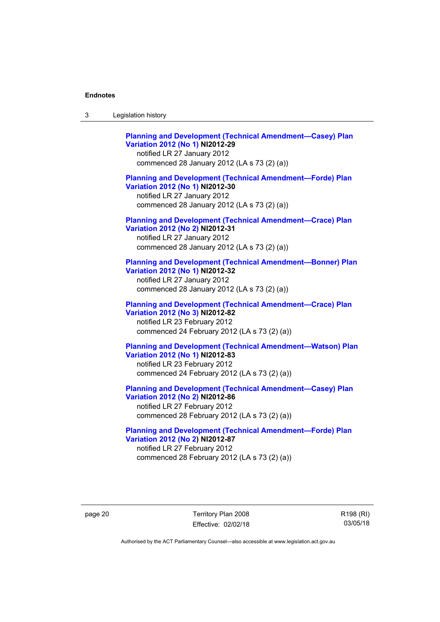**[Planning and Development \(Technical Amendment—Casey\) Plan](http://www.legislation.act.gov.au/ni/2012-29/)  [Variation 2012 \(No 1\)](http://www.legislation.act.gov.au/ni/2012-29/) NI2012-29**  notified LR 27 January 2012 commenced 28 January 2012 (LA s 73 (2) (a)) **[Planning and Development \(Technical Amendment—Forde\) Plan](http://www.legislation.act.gov.au/ni/2012-30/)  [Variation 2012 \(No 1\)](http://www.legislation.act.gov.au/ni/2012-30/) NI2012-30**  notified LR 27 January 2012 commenced 28 January 2012 (LA s 73 (2) (a)) **[Planning and Development \(Technical Amendment—Crace\) Plan](http://www.legislation.act.gov.au/ni/2012-31/)  [Variation 2012 \(No 2\)](http://www.legislation.act.gov.au/ni/2012-31/) NI2012-31**  notified LR 27 January 2012 commenced 28 January 2012 (LA s 73 (2) (a)) **[Planning and Development \(Technical Amendment—Bonner\) Plan](http://www.legislation.act.gov.au/ni/2012-32/)  [Variation 2012 \(No 1\)](http://www.legislation.act.gov.au/ni/2012-32/) NI2012-32**  notified LR 27 January 2012 commenced 28 January 2012 (LA s 73 (2) (a)) **[Planning and Development \(Technical Amendment—Crace\) Plan](http://www.legislation.act.gov.au/ni/2012-82/)  [Variation 2012 \(No 3\)](http://www.legislation.act.gov.au/ni/2012-82/) NI2012-82**  notified LR 23 February 2012 commenced 24 February 2012 (LA s 73 (2) (a)) **[Planning and Development \(Technical Amendment—Watson\) Plan](http://www.legislation.act.gov.au/ni/2012-83/)  [Variation 2012 \(No 1\)](http://www.legislation.act.gov.au/ni/2012-83/) NI2012-83**  notified LR 23 February 2012 commenced 24 February 2012 (LA s 73 (2) (a)) **[Planning and Development \(Technical Amendment—Casey\) Plan](http://www.legislation.act.gov.au/ni/2012-86/)  [Variation 2012 \(No 2\)](http://www.legislation.act.gov.au/ni/2012-86/) NI2012-86** 

notified LR 27 February 2012 commenced 28 February 2012 (LA s 73 (2) (a))

**[Planning and Development \(Technical Amendment—Forde\) Plan](http://www.legislation.act.gov.au/ni/2012-87/)  [Variation 2012 \(No 2\)](http://www.legislation.act.gov.au/ni/2012-87/) NI2012-87**  notified LR 27 February 2012 commenced 28 February 2012 (LA s 73 (2) (a))

page 20 Territory Plan 2008 Effective: 02/02/18 R198 (RI) 03/05/18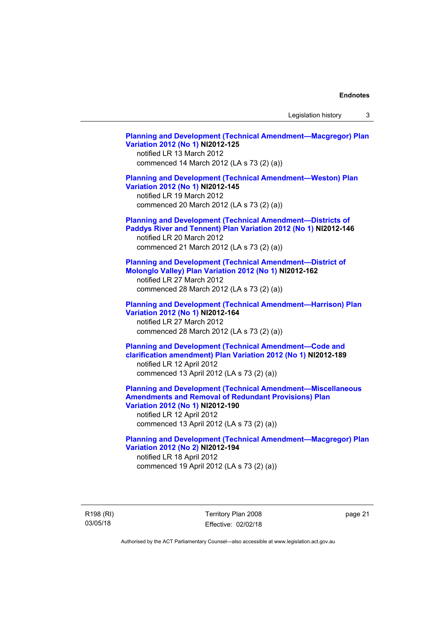Legislation history 3

**[Planning and Development \(Technical Amendment—Macgregor\) Plan](http://www.legislation.act.gov.au/ni/2012-125/)  [Variation 2012 \(No 1\)](http://www.legislation.act.gov.au/ni/2012-125/) NI2012-125**  notified LR 13 March 2012 commenced 14 March 2012 (LA s 73 (2) (a)) **[Planning and Development \(Technical Amendment—Weston\) Plan](http://www.legislation.act.gov.au/ni/2012-145/)  [Variation 2012 \(No 1\)](http://www.legislation.act.gov.au/ni/2012-145/) NI2012-145**  notified LR 19 March 2012 commenced 20 March 2012 (LA s 73 (2) (a)) **[Planning and Development \(Technical Amendment—Districts of](http://www.legislation.act.gov.au/ni/2012-146/)  [Paddys River and Tennent\) Plan Variation 2012 \(No 1\)](http://www.legislation.act.gov.au/ni/2012-146/) NI2012-146**  notified LR 20 March 2012 commenced 21 March 2012 (LA s 73 (2) (a)) **[Planning and Development \(Technical Amendment—District of](http://www.legislation.act.gov.au/ni/2012-162/)  [Molonglo Valley\) Plan Variation 2012 \(No 1\)](http://www.legislation.act.gov.au/ni/2012-162/) NI2012-162**  notified LR 27 March 2012 commenced 28 March 2012 (LA s 73 (2) (a)) **[Planning and Development \(Technical Amendment—Harrison\) Plan](http://www.legislation.act.gov.au/ni/2012-164/)  [Variation 2012 \(No 1\)](http://www.legislation.act.gov.au/ni/2012-164/) NI2012-164**  notified LR 27 March 2012 commenced 28 March 2012 (LA s 73 (2) (a)) **[Planning and Development \(Technical Amendment—Code and](http://www.legislation.act.gov.au/ni/2012-189/)  [clarification amendment\) Plan Variation 2012 \(No 1\)](http://www.legislation.act.gov.au/ni/2012-189/) NI2012-189**  notified LR 12 April 2012 commenced 13 April 2012 (LA s 73 (2) (a)) **[Planning and Development \(Technical Amendment—Miscellaneous](http://www.legislation.act.gov.au/ni/2012-190/)  [Amendments and Removal of Redundant Provisions\) Plan](http://www.legislation.act.gov.au/ni/2012-190/)  [Variation 2012 \(No 1\)](http://www.legislation.act.gov.au/ni/2012-190/) NI2012-190**  notified LR 12 April 2012 commenced 13 April 2012 (LA s 73 (2) (a)) **[Planning and Development \(Technical Amendment—Macgregor\) Plan](http://www.legislation.act.gov.au/ni/2012-194/)  [Variation 2012 \(No 2\)](http://www.legislation.act.gov.au/ni/2012-194/) NI2012-194**  notified LR 18 April 2012 commenced 19 April 2012 (LA s 73 (2) (a))

R198 (RI) 03/05/18

Territory Plan 2008 Effective: 02/02/18 page 21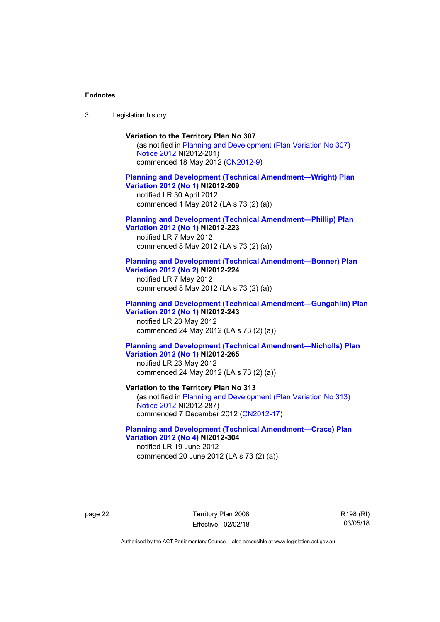3 Legislation history

## **Variation to the Territory Plan No 307**

(as notified in [Planning and Development \(Plan Variation No 307\)](http://www.legislation.act.gov.au/ni/2012-201/)  [Notice 2012](http://www.legislation.act.gov.au/ni/2012-201/) NI2012-201) commenced 18 May 2012 [\(CN2012-9\)](http://www.legislation.act.gov.au/cn/2012-9/)

## **[Planning and Development \(Technical Amendment—Wright\) Plan](http://www.legislation.act.gov.au/ni/2012-209/)  [Variation 2012 \(No 1\)](http://www.legislation.act.gov.au/ni/2012-209/) NI2012-209**

notified LR 30 April 2012 commenced 1 May 2012 (LA s 73 (2) (a))

### **[Planning and Development \(Technical Amendment—Phillip\) Plan](http://www.legislation.act.gov.au/ni/2012-223/)  [Variation 2012 \(No 1\)](http://www.legislation.act.gov.au/ni/2012-223/) NI2012-223**

notified LR 7 May 2012 commenced 8 May 2012 (LA s 73 (2) (a))

## **[Planning and Development \(Technical Amendment—Bonner\) Plan](http://www.legislation.act.gov.au/ni/2012-224/)  [Variation 2012 \(No 2\)](http://www.legislation.act.gov.au/ni/2012-224/) NI2012-224**

notified LR 7 May 2012 commenced 8 May 2012 (LA s 73 (2) (a))

## **[Planning and Development \(Technical Amendment—Gungahlin\) Plan](http://www.legislation.act.gov.au/ni/2012-243/)  [Variation 2012 \(No 1\)](http://www.legislation.act.gov.au/ni/2012-243/) NI2012-243**  notified LR 23 May 2012

commenced 24 May 2012 (LA s 73 (2) (a))

## **[Planning and Development \(Technical Amendment—Nicholls\) Plan](http://www.legislation.act.gov.au/ni/2012-265/)  [Variation 2012 \(No 1\)](http://www.legislation.act.gov.au/ni/2012-265/) NI2012-265**

notified LR 23 May 2012 commenced 24 May 2012 (LA s 73 (2) (a))

## **Variation to the Territory Plan No 313**

(as notified in [Planning and Development \(Plan Variation No 313\)](http://www.legislation.act.gov.au/ni/2012-287/default.asp)  [Notice 2012](http://www.legislation.act.gov.au/ni/2012-287/default.asp) NI2012-287) commenced 7 December 2012 ([CN2012-17](http://www.legislation.act.gov.au/cn/2012-17/default.asp))

## **[Planning and Development \(Technical Amendment—Crace\) Plan](http://www.legislation.act.gov.au/ni/2012-304/)  [Variation 2012 \(No 4\)](http://www.legislation.act.gov.au/ni/2012-304/) NI2012-304**

notified LR 19 June 2012 commenced 20 June 2012 (LA s 73 (2) (a))

page 22 Territory Plan 2008 Effective: 02/02/18 R198 (RI) 03/05/18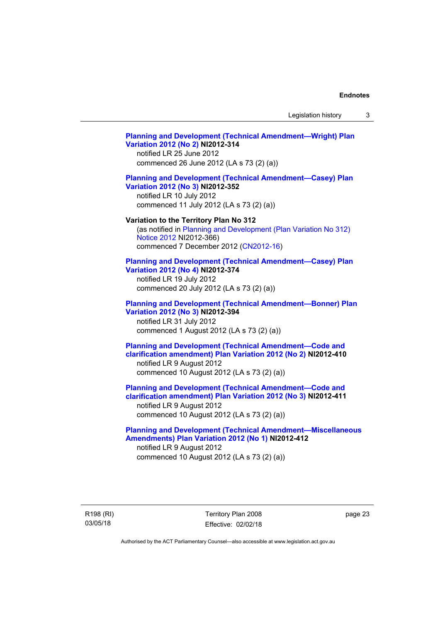Legislation history 3

## **[Planning and Development \(Technical Amendment—Wright\) Plan](http://www.legislation.act.gov.au/ni/2012-314/)  [Variation 2012 \(No 2\)](http://www.legislation.act.gov.au/ni/2012-314/) NI2012-314**  notified LR 25 June 2012 commenced 26 June 2012 (LA s 73 (2) (a)) **[Planning and Development \(Technical Amendment—Casey\) Plan](http://www.legislation.act.gov.au/ni/2012-352/)  [Variation 2012 \(No 3\)](http://www.legislation.act.gov.au/ni/2012-352/) NI2012-352**  notified LR 10 July 2012 commenced 11 July 2012 (LA s 73 (2) (a)) **Variation to the Territory Plan No 312**  (as notified in [Planning and Development \(Plan Variation No 312\)](http://www.legislation.act.gov.au/ni/2012-366/default.asp)  [Notice 2012](http://www.legislation.act.gov.au/ni/2012-366/default.asp) NI2012-366) commenced 7 December 2012 ([CN2012-16](http://www.legislation.act.gov.au/cn/2012-16/default.asp)) **[Planning and Development \(Technical Amendment—Casey\) Plan](http://www.legislation.act.gov.au/ni/2012-374/)  [Variation 2012 \(No 4\)](http://www.legislation.act.gov.au/ni/2012-374/) NI2012-374**  notified LR 19 July 2012 commenced 20 July 2012 (LA s 73 (2) (a)) **[Planning and Development \(Technical Amendment—Bonner\) Plan](http://www.legislation.act.gov.au/ni/2012-394/)  [Variation 2012 \(No 3\)](http://www.legislation.act.gov.au/ni/2012-394/) NI2012-394**  notified LR 31 July 2012 commenced 1 August 2012 (LA s 73 (2) (a)) **[Planning and Development \(Technical Amendment—Code and](http://www.legislation.act.gov.au/ni/2012-410/)  [clarification amendment\) Plan Variation 2012 \(No 2\)](http://www.legislation.act.gov.au/ni/2012-410/) NI2012-410**  notified LR 9 August 2012 commenced 10 August 2012 (LA s 73 (2) (a)) **[Planning and Development \(Technical Amendment—Code and](http://www.legislation.act.gov.au/ni/2012-411/)  [clarification amendment\) Plan Variation 2012 \(No 3\)](http://www.legislation.act.gov.au/ni/2012-411/) NI2012-411**  notified LR 9 August 2012 commenced 10 August 2012 (LA s 73 (2) (a)) **[Planning and Development \(Technical Amendment—Miscellaneous](http://www.legislation.act.gov.au/ni/2012-412/)  [Amendments\) Plan Variation 2012 \(No 1\)](http://www.legislation.act.gov.au/ni/2012-412/) NI2012-412**  notified LR 9 August 2012 commenced 10 August 2012 (LA s 73 (2) (a))

R198 (RI) 03/05/18

Territory Plan 2008 Effective: 02/02/18 page 23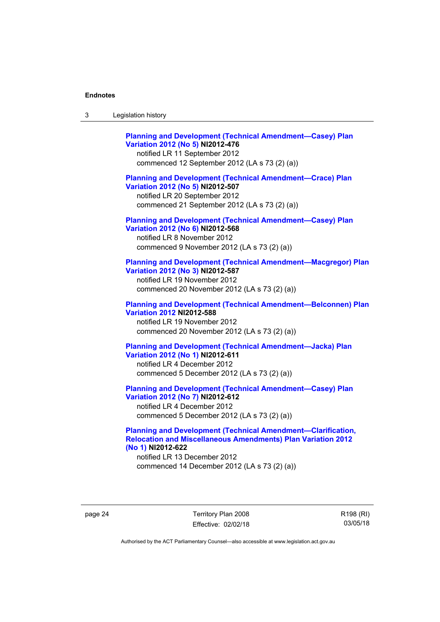**[Planning and Development \(Technical Amendment—Casey\) Plan](http://www.legislation.act.gov.au/ni/2012-476/)  [Variation 2012 \(No 5\)](http://www.legislation.act.gov.au/ni/2012-476/) NI2012-476**  notified LR 11 September 2012 commenced 12 September 2012 (LA s 73 (2) (a)) **[Planning and Development \(Technical Amendment—Crace\) Plan](http://www.legislation.act.gov.au/ni/2012-507/)  [Variation 2012 \(No 5\)](http://www.legislation.act.gov.au/ni/2012-507/) NI2012-507**  notified LR 20 September 2012 commenced 21 September 2012 (LA s 73 (2) (a)) **[Planning and Development \(Technical Amendment—Casey\) Plan](http://www.legislation.act.gov.au/ni/2012-568/default.asp)  [Variation 2012 \(No 6\)](http://www.legislation.act.gov.au/ni/2012-568/default.asp) NI2012-568**  notified LR 8 November 2012 commenced 9 November 2012 (LA s 73 (2) (a)) **[Planning and Development \(Technical Amendment—Macgregor\) Plan](http://www.legislation.act.gov.au/ni/2012-587/default.asp)  [Variation 2012 \(No 3\)](http://www.legislation.act.gov.au/ni/2012-587/default.asp) NI2012-587**  notified LR 19 November 2012 commenced 20 November 2012 (LA s 73 (2) (a)) **[Planning and Development \(Technical Amendment—Belconnen\) Plan](http://www.legislation.act.gov.au/ni/2012-588/default.asp)  [Variation 2012](http://www.legislation.act.gov.au/ni/2012-588/default.asp) NI2012-588**  notified LR 19 November 2012 commenced 20 November 2012 (LA s 73 (2) (a)) **[Planning and Development \(Technical Amendment—Jacka\) Plan](http://www.legislation.act.gov.au/ni/2012-611/default.asp)  [Variation 2012 \(No 1\)](http://www.legislation.act.gov.au/ni/2012-611/default.asp) NI2012-611**  notified LR 4 December 2012 commenced 5 December 2012 (LA s 73 (2) (a)) **[Planning and Development \(Technical Amendment—Casey\) Plan](http://www.legislation.act.gov.au/ni/2012-612/default.asp)  [Variation 2012 \(No 7\)](http://www.legislation.act.gov.au/ni/2012-612/default.asp) NI2012-612**  notified LR 4 December 2012

commenced 5 December 2012 (LA s 73 (2) (a))

## **[Planning and Development \(Technical Amendment—Clarification,](http://www.legislation.act.gov.au/ni/2012-622/default.asp)  [Relocation and Miscellaneous Amendments\) Plan Variation 2012](http://www.legislation.act.gov.au/ni/2012-622/default.asp)  [\(No 1\)](http://www.legislation.act.gov.au/ni/2012-622/default.asp) NI2012-622**

notified LR 13 December 2012 commenced 14 December 2012 (LA s 73 (2) (a))

page 24 Territory Plan 2008 Effective: 02/02/18 R198 (RI) 03/05/18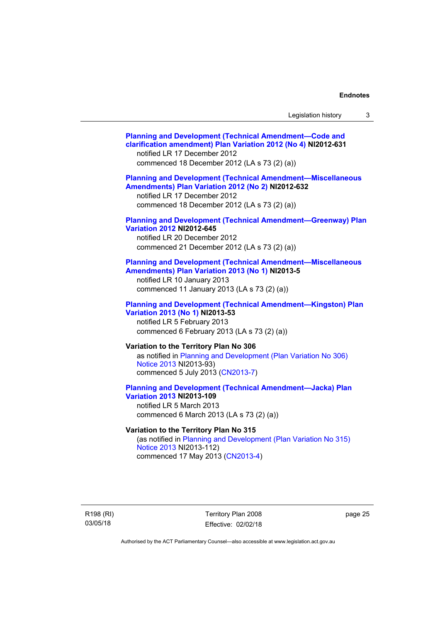| Legislation history |  |  |
|---------------------|--|--|
|---------------------|--|--|

## **[Planning and Development \(Technical Amendment—Code and](http://www.legislation.act.gov.au/ni/2012-631/default.asp)  [clarification amendment\) Plan Variation 2012 \(No 4\)](http://www.legislation.act.gov.au/ni/2012-631/default.asp) NI2012-631**  notified LR 17 December 2012 commenced 18 December 2012 (LA s 73 (2) (a)) **[Planning and Development \(Technical Amendment—Miscellaneous](http://www.legislation.act.gov.au/ni/2012-632/default.asp)  [Amendments\) Plan Variation 2012 \(No 2\)](http://www.legislation.act.gov.au/ni/2012-632/default.asp) NI2012-632**  notified LR 17 December 2012 commenced 18 December 2012 (LA s 73 (2) (a)) **[Planning and Development \(Technical Amendment—Greenway\) Plan](http://www.legislation.act.gov.au/ni/2012-645/default.asp)  [Variation 2012](http://www.legislation.act.gov.au/ni/2012-645/default.asp) NI2012-645**  notified LR 20 December 2012 commenced 21 December 2012 (LA s 73 (2) (a)) **[Planning and Development \(Technical Amendment—Miscellaneous](http://www.legislation.act.gov.au/ni/2013-5/default.asp)  [Amendments\) Plan Variation 2013 \(No 1\)](http://www.legislation.act.gov.au/ni/2013-5/default.asp) NI2013-5**  notified LR 10 January 2013 commenced 11 January 2013 (LA s 73 (2) (a)) **[Planning and Development \(Technical Amendment—Kingston\) Plan](http://www.legislation.act.gov.au/ni/2013-53/default.asp)  [Variation 2013 \(No 1\)](http://www.legislation.act.gov.au/ni/2013-53/default.asp) NI2013-53**  notified LR 5 February 2013 commenced 6 February 2013 (LA s 73 (2) (a)) **Variation to the Territory Plan No 306**  as notified in [Planning and Development \(Plan Variation No 306\)](http://www.legislation.act.gov.au/ni/2013-93/default.asp)  [Notice 2013](http://www.legislation.act.gov.au/ni/2013-93/default.asp) NI2013-93) commenced 5 July 2013 ([CN2013-7](http://www.legislation.act.gov.au/cn/2013-7/default.asp)) **[Planning and Development \(Technical Amendment—Jacka\) Plan](http://www.legislation.act.gov.au/ni/2013-109/default.asp)  [Variation 2013](http://www.legislation.act.gov.au/ni/2013-109/default.asp) NI2013-109**  notified LR 5 March 2013 commenced 6 March 2013 (LA s 73 (2) (a)) **Variation to the Territory Plan No 315**  (as notified in [Planning and Development \(Plan Variation No 315\)](http://www.legislation.act.gov.au/ni/2013-112/default.asp)  [Notice 2013](http://www.legislation.act.gov.au/ni/2013-112/default.asp) NI2013-112) commenced 17 May 2013 [\(CN2013-4\)](http://www.legislation.act.gov.au/cn/2013-4/default.asp)

R198 (RI) 03/05/18

Territory Plan 2008 Effective: 02/02/18 page 25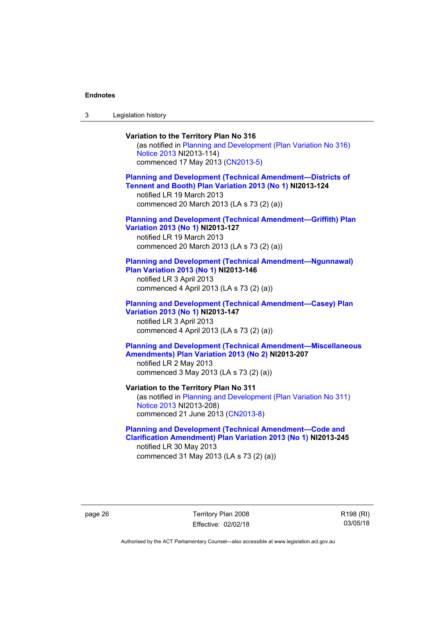3 Legislation history

## **Variation to the Territory Plan No 316**  (as notified in [Planning and Development \(Plan Variation No 316\)](http://www.legislation.act.gov.au/ni/2013-114/default.asp)  [Notice 2013](http://www.legislation.act.gov.au/ni/2013-114/default.asp) NI2013-114) commenced 17 May 2013 [\(CN2013-5\)](http://www.legislation.act.gov.au/cn/2013-5/default.asp) **[Planning and Development \(Technical Amendment—Districts of](http://www.legislation.act.gov.au/ni/2013-124/default.asp)  [Tennent and Booth\) Plan Variation 2013 \(No 1\)](http://www.legislation.act.gov.au/ni/2013-124/default.asp) NI2013-124**  notified LR 19 March 2013 commenced 20 March 2013 (LA s 73 (2) (a)) **[Planning and Development \(Technical Amendment—Griffith\) Plan](http://www.legislation.act.gov.au/ni/2013-127/default.asp)  [Variation 2013 \(No 1\)](http://www.legislation.act.gov.au/ni/2013-127/default.asp) NI2013-127**  notified LR 19 March 2013 commenced 20 March 2013 (LA s 73 (2) (a)) **[Planning and Development \(Technical Amendment—Ngunnawal\)](http://www.legislation.act.gov.au/ni/2013-146/default.asp)  [Plan Variation 2013 \(No 1\)](http://www.legislation.act.gov.au/ni/2013-146/default.asp) NI2013-146**  notified LR 3 April 2013 commenced 4 April 2013 (LA s 73 (2) (a)) **[Planning and Development \(Technical Amendment—Casey\) Plan](http://www.legislation.act.gov.au/ni/2013-147/default.asp)  [Variation 2013 \(No 1\)](http://www.legislation.act.gov.au/ni/2013-147/default.asp) NI2013-147**  notified LR 3 April 2013 commenced 4 April 2013 (LA s 73 (2) (a)) **[Planning and Development \(Technical Amendment—Miscellaneous](http://www.legislation.act.gov.au/ni/2013-207/default.asp)  [Amendments\) Plan Variation 2013 \(No 2\)](http://www.legislation.act.gov.au/ni/2013-207/default.asp) NI2013-207**  notified LR 2 May 2013 commenced 3 May 2013 (LA s 73 (2) (a)) **Variation to the Territory Plan No 311**  (as notified in [Planning and Development \(Plan Variation No 311\)](http://www.legislation.act.gov.au/ni/2013-208/default.asp)  [Notice 2013](http://www.legislation.act.gov.au/ni/2013-208/default.asp) NI2013-208) commenced 21 June 2013 ([CN2013-8\)](http://www.legislation.act.gov.au/cn/2013-8/default.asp) **[Planning and Development \(Technical Amendment—Code and](http://www.legislation.act.gov.au/ni/2013-245/default.asp)  [Clarification Amendment\) Plan Variation 2013 \(No 1\)](http://www.legislation.act.gov.au/ni/2013-245/default.asp) NI2013-245**

notified LR 30 May 2013 commenced 31 May 2013 (LA s 73 (2) (a))

page 26 Territory Plan 2008 Effective: 02/02/18 R198 (RI) 03/05/18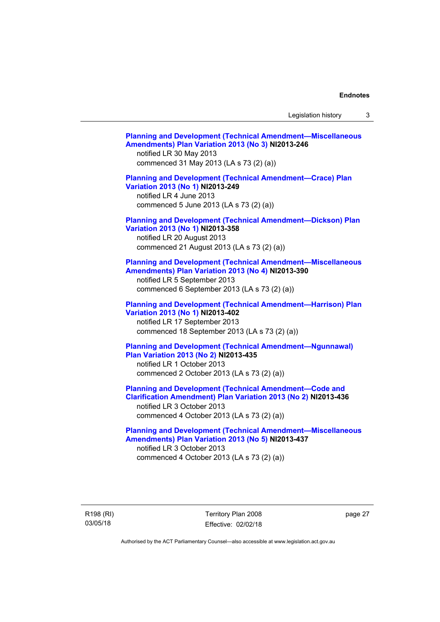Legislation history 3

| <b>Planning and Development (Technical Amendment-Miscellaneous</b><br>Amendments) Plan Variation 2013 (No 3) NI2013-246<br>notified LR 30 May 2013<br>commenced 31 May 2013 (LA s 73 (2) (a))               |  |
|-------------------------------------------------------------------------------------------------------------------------------------------------------------------------------------------------------------|--|
| <b>Planning and Development (Technical Amendment-Crace) Plan</b><br>Variation 2013 (No 1) NI2013-249<br>notified LR 4 June 2013<br>commenced 5 June 2013 (LA s 73 (2) (a))                                  |  |
| <b>Planning and Development (Technical Amendment-Dickson) Plan</b><br>Variation 2013 (No 1) NI2013-358<br>notified LR 20 August 2013<br>commenced 21 August 2013 (LA s 73 (2) (a))                          |  |
| <b>Planning and Development (Technical Amendment-Miscellaneous</b><br>Amendments) Plan Variation 2013 (No 4) NI2013-390<br>notified LR 5 September 2013<br>commenced 6 September 2013 (LA s 73 (2) (a))     |  |
| <b>Planning and Development (Technical Amendment-Harrison) Plan</b><br>Variation 2013 (No 1) NI2013-402<br>notified LR 17 September 2013<br>commenced 18 September 2013 (LA s 73 (2) (a))                   |  |
| <b>Planning and Development (Technical Amendment-Ngunnawal)</b><br>Plan Variation 2013 (No 2) NI2013-435<br>notified LR 1 October 2013<br>commenced 2 October 2013 (LA s 73 (2) (a))                        |  |
| <b>Planning and Development (Technical Amendment-Code and</b><br>Clarification Amendment) Plan Variation 2013 (No 2) NI2013-436<br>notified LR 3 October 2013<br>commenced 4 October 2013 (LA s 73 (2) (a)) |  |
| <b>Planning and Development (Technical Amendment-Miscellaneous</b><br>Amendments) Plan Variation 2013 (No 5) NI2013-437<br>notified LR 3 October 2013<br>commenced 4 October 2013 (LA s 73 (2) (a))         |  |

R198 (RI) 03/05/18

Territory Plan 2008 Effective: 02/02/18

page 27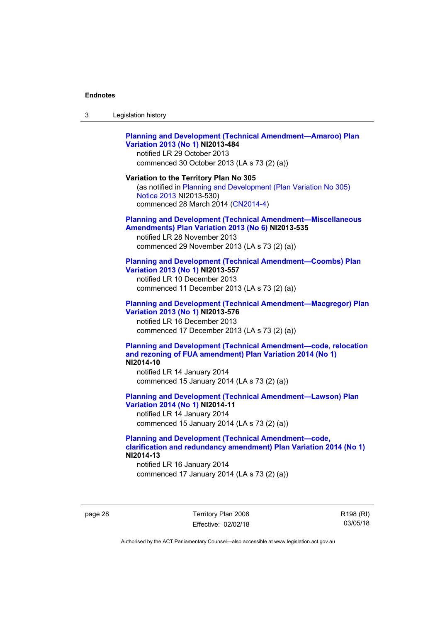| Legislation history<br>-3 |  |
|---------------------------|--|
|---------------------------|--|

## **[Planning and Development \(Technical Amendment—Amaroo\) Plan](http://www.legislation.act.gov.au/ni/2013-484/default.asp)  [Variation 2013 \(No 1\)](http://www.legislation.act.gov.au/ni/2013-484/default.asp) NI2013-484**

notified LR 29 October 2013 commenced 30 October 2013 (LA s 73 (2) (a))

#### **Variation to the Territory Plan No 305**

(as notified in [Planning and Development \(Plan Variation No 305\)](http://www.legislation.act.gov.au/ni/2013-530/default.asp)  [Notice 2013](http://www.legislation.act.gov.au/ni/2013-530/default.asp) NI2013-530) commenced 28 March 2014 [\(CN2014-4\)](http://www.legislation.act.gov.au/cn/2014-4/default.asp)

#### **[Planning and Development \(Technical Amendment—Miscellaneous](http://www.legislation.act.gov.au/ni/2013-535/default.asp)  [Amendments\) Plan Variation 2013 \(No 6\)](http://www.legislation.act.gov.au/ni/2013-535/default.asp) NI2013-535**

notified LR 28 November 2013 commenced 29 November 2013 (LA s 73 (2) (a))

## **[Planning and Development \(Technical Amendment—Coombs\) Plan](http://www.legislation.act.gov.au/ni/2013-557/default.asp)  [Variation 2013 \(No 1\)](http://www.legislation.act.gov.au/ni/2013-557/default.asp) NI2013-557**

notified LR 10 December 2013 commenced 11 December 2013 (LA s 73 (2) (a))

## **[Planning and Development \(Technical Amendment—Macgregor\) Plan](http://www.legislation.act.gov.au/ni/2013-576/default.asp)  [Variation 2013 \(No 1\)](http://www.legislation.act.gov.au/ni/2013-576/default.asp) NI2013-576**  notified LR 16 December 2013

commenced 17 December 2013 (LA s 73 (2) (a))

#### **[Planning and Development \(Technical Amendment—code, relocation](http://www.legislation.act.gov.au/ni/2014-10/default.asp)  [and rezoning of FUA amendment\) Plan Variation 2014 \(No 1\)](http://www.legislation.act.gov.au/ni/2014-10/default.asp) NI2014-10**

notified LR 14 January 2014 commenced 15 January 2014 (LA s 73 (2) (a))

## **[Planning and Development \(Technical Amendment—Lawson\) Plan](http://www.legislation.act.gov.au/ni/2014-11/default.asp)  [Variation 2014 \(No 1\)](http://www.legislation.act.gov.au/ni/2014-11/default.asp) NI2014-11**

notified LR 14 January 2014 commenced 15 January 2014 (LA s 73 (2) (a))

## **[Planning and Development \(Technical Amendment—code,](http://www.legislation.act.gov.au/ni/2014-13/default.asp)  [clarification and redundancy amendment\) Plan Variation 2014 \(No 1\)](http://www.legislation.act.gov.au/ni/2014-13/default.asp) NI2014-13**

notified LR 16 January 2014 commenced 17 January 2014 (LA s 73 (2) (a))

page 28 Territory Plan 2008 Effective: 02/02/18 R198 (RI) 03/05/18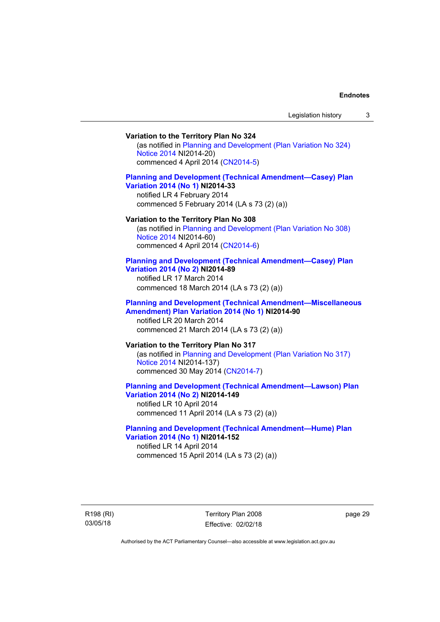## **Variation to the Territory Plan No 324**

(as notified in [Planning and Development \(Plan Variation No 324\)](http://www.legislation.act.gov.au/ni/2014-20/default.asp)  [Notice 2014](http://www.legislation.act.gov.au/ni/2014-20/default.asp) NI2014-20) commenced 4 April 2014 ([CN2014-5](http://www.legislation.act.gov.au/cn/2014-5/default.asp))

## **[Planning and Development \(Technical Amendment—Casey\) Plan](http://www.legislation.act.gov.au/ni/2014-33/default.asp)  [Variation 2014 \(No 1\)](http://www.legislation.act.gov.au/ni/2014-33/default.asp) NI2014-33**

notified LR 4 February 2014 commenced 5 February 2014 (LA s 73 (2) (a))

#### **Variation to the Territory Plan No 308**

(as notified in [Planning and Development \(Plan Variation No 308\)](http://www.legislation.act.gov.au/ni/2014-60/default.asp)  [Notice 2014](http://www.legislation.act.gov.au/ni/2014-60/default.asp) NI2014-60) commenced 4 April 2014 ([CN2014-6](http://www.legislation.act.gov.au/cn/2014-6/default.asp))

#### **[Planning and Development \(Technical Amendment—Casey\) Plan](http://www.legislation.act.gov.au/ni/2014-89/default.asp)  [Variation 2014 \(No 2\)](http://www.legislation.act.gov.au/ni/2014-89/default.asp) NI2014-89**

notified LR 17 March 2014 commenced 18 March 2014 (LA s 73 (2) (a))

## **[Planning and Development \(Technical Amendment—Miscellaneous](http://www.legislation.act.gov.au/ni/2014-90/default.asp)  [Amendment\) Plan Variation 2014 \(No 1\)](http://www.legislation.act.gov.au/ni/2014-90/default.asp) NI2014-90**  notified LR 20 March 2014

commenced 21 March 2014 (LA s 73 (2) (a))

## **Variation to the Territory Plan No 317**

(as notified in [Planning and Development \(Plan Variation No 317\)](http://www.legislation.act.gov.au/ni/2014-137/default.asp)  [Notice 2014](http://www.legislation.act.gov.au/ni/2014-137/default.asp) NI2014-137) commenced 30 May 2014 [\(CN2014-7\)](http://www.legislation.act.gov.au/cn/2014-7/default.asp)

## **[Planning and Development \(Technical Amendment—Lawson\) Plan](http://www.legislation.act.gov.au/ni/2014-149/default.asp)  [Variation 2014 \(No 2\)](http://www.legislation.act.gov.au/ni/2014-149/default.asp) NI2014-149**

notified LR 10 April 2014 commenced 11 April 2014 (LA s 73 (2) (a))

## **[Planning and Development \(Technical Amendment—Hume\) Plan](http://www.legislation.act.gov.au/ni/2014-152/default.asp)  [Variation 2014 \(No 1\)](http://www.legislation.act.gov.au/ni/2014-152/default.asp) NI2014-152**

notified LR 14 April 2014 commenced 15 April 2014 (LA s 73 (2) (a))

R198 (RI) 03/05/18

Territory Plan 2008 Effective: 02/02/18 page 29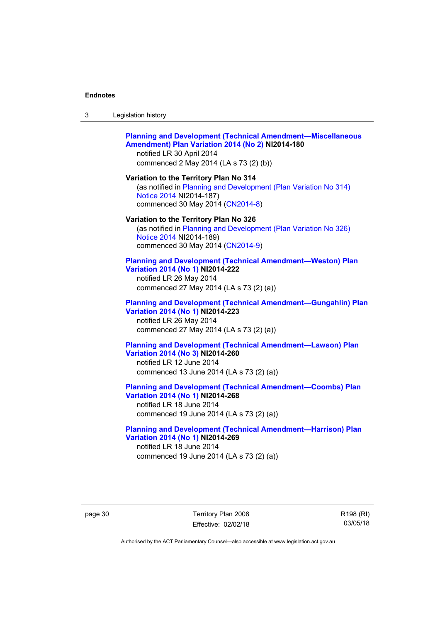## **[Planning and Development \(Technical Amendment—Miscellaneous](http://www.legislation.act.gov.au/ni/2014-180/default.asp)  [Amendment\) Plan Variation 2014 \(No 2\)](http://www.legislation.act.gov.au/ni/2014-180/default.asp) NI2014-180**  notified LR 30 April 2014

commenced 2 May 2014 (LA s 73 (2) (b))

**Variation to the Territory Plan No 314**  (as notified in [Planning and Development \(Plan Variation No 314\)](http://www.legislation.act.gov.au/ni/2014-187/default.asp)  [Notice 2014](http://www.legislation.act.gov.au/ni/2014-187/default.asp) NI2014-187) commenced 30 May 2014 [\(CN2014-8\)](http://www.legislation.act.gov.au/cn/2014-8/default.asp)

#### **Variation to the Territory Plan No 326**

(as notified in [Planning and Development \(Plan Variation No 326\)](http://www.legislation.act.gov.au/ni/2014-189/default.asp)  [Notice 2014](http://www.legislation.act.gov.au/ni/2014-189/default.asp) NI2014-189) commenced 30 May 2014 [\(CN2014-9\)](http://www.legislation.act.gov.au/cn/2014-9/default.asp)

#### **[Planning and Development \(Technical Amendment—Weston\) Plan](http://www.legislation.act.gov.au/ni/2014-222/default.asp)  [Variation 2014 \(No 1\)](http://www.legislation.act.gov.au/ni/2014-222/default.asp) NI2014-222**

notified LR 26 May 2014 commenced 27 May 2014 (LA s 73 (2) (a))

## **[Planning and Development \(Technical Amendment—Gungahlin\) Plan](http://www.legislation.act.gov.au/ni/2014-223/default.asp)  [Variation 2014 \(No 1\)](http://www.legislation.act.gov.au/ni/2014-223/default.asp) NI2014-223**  notified LR 26 May 2014

commenced 27 May 2014 (LA s 73 (2) (a))

## **[Planning and Development \(Technical Amendment—Lawson\) Plan](http://www.legislation.act.gov.au/ni/2014-260/default.asp)  [Variation 2014 \(No 3\)](http://www.legislation.act.gov.au/ni/2014-260/default.asp) NI2014-260**

notified LR 12 June 2014 commenced 13 June 2014 (LA s 73 (2) (a))

**[Planning and Development \(Technical Amendment—Coombs\) Plan](http://www.legislation.act.gov.au/ni/2014-268/default.asp)  [Variation 2014 \(No 1\)](http://www.legislation.act.gov.au/ni/2014-268/default.asp) NI2014-268** 

notified LR 18 June 2014 commenced 19 June 2014 (LA s 73 (2) (a))

## **[Planning and Development \(Technical Amendment—Harrison\) Plan](http://www.legislation.act.gov.au/ni/2014-269/default.asp)  [Variation 2014 \(No 1\)](http://www.legislation.act.gov.au/ni/2014-269/default.asp) NI2014-269**  notified LR 18 June 2014

commenced 19 June 2014 (LA s 73 (2) (a))

page 30 Territory Plan 2008 Effective: 02/02/18 R198 (RI) 03/05/18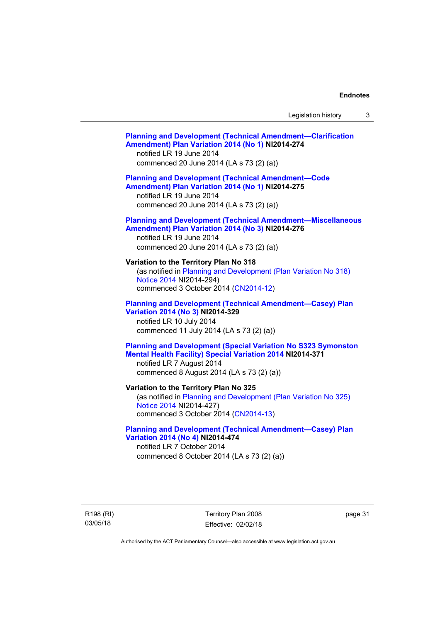# **[Planning and Development \(Technical Amendment—Clarification](http://www.legislation.act.gov.au/ni/2014-274/default.asp)  [Amendment\) Plan Variation 2014 \(No 1\)](http://www.legislation.act.gov.au/ni/2014-274/default.asp) NI2014-274**  notified LR 19 June 2014 commenced 20 June 2014 (LA s 73 (2) (a)) **[Planning and Development \(Technical Amendment—Code](http://www.legislation.act.gov.au/ni/2014-275/default.asp)  [Amendment\) Plan Variation 2014 \(No 1\)](http://www.legislation.act.gov.au/ni/2014-275/default.asp) NI2014-275**  notified LR 19 June 2014 commenced 20 June 2014 (LA s 73 (2) (a)) **[Planning and Development \(Technical Amendment—Miscellaneous](http://www.legislation.act.gov.au/ni/2014-276/default.asp)  [Amendment\) Plan Variation 2014 \(No 3\)](http://www.legislation.act.gov.au/ni/2014-276/default.asp) NI2014-276**  notified LR 19 June 2014 commenced 20 June 2014 (LA s 73 (2) (a)) **Variation to the Territory Plan No 318**  (as notified in [Planning and Development \(Plan Variation No 318\)](http://www.legislation.act.gov.au/ni/2014-294/default.asp)  [Notice 2014](http://www.legislation.act.gov.au/ni/2014-294/default.asp) NI2014-294) commenced 3 October 2014 [\(CN2014-12\)](http://www.legislation.act.gov.au/cn/2014-12/default.asp) **[Planning and Development \(Technical Amendment—Casey\) Plan](http://www.legislation.act.gov.au/ni/2014-329/default.asp)  [Variation 2014 \(No 3\)](http://www.legislation.act.gov.au/ni/2014-329/default.asp) NI2014-329**  notified LR 10 July 2014 commenced 11 July 2014 (LA s 73 (2) (a)) **[Planning and Development \(Special Variation No S323 Symonston](http://www.legislation.act.gov.au/ni/2014-371/default.asp)  [Mental Health Facility\) Special Variation 2014](http://www.legislation.act.gov.au/ni/2014-371/default.asp) NI2014-371**  notified LR 7 August 2014 commenced 8 August 2014 (LA s 73 (2) (a)) **Variation to the Territory Plan No 325**  (as notified in [Planning and Development \(Plan Variation No 325\)](http://www.legislation.act.gov.au/ni/2014-427/default.asp)  [Notice 2014](http://www.legislation.act.gov.au/ni/2014-427/default.asp) NI2014-427) commenced 3 October 2014 [\(CN2014-13\)](http://www.legislation.act.gov.au/cn/2014-13/default.asp) **[Planning and Development \(Technical Amendment—Casey\) Plan](http://www.legislation.act.gov.au/ni/2014-474/default.asp)  [Variation 2014 \(No 4\)](http://www.legislation.act.gov.au/ni/2014-474/default.asp) NI2014-474**  notified LR 7 October 2014 commenced 8 October 2014 (LA s 73 (2) (a))

R198 (RI) 03/05/18

Territory Plan 2008 Effective: 02/02/18 page 31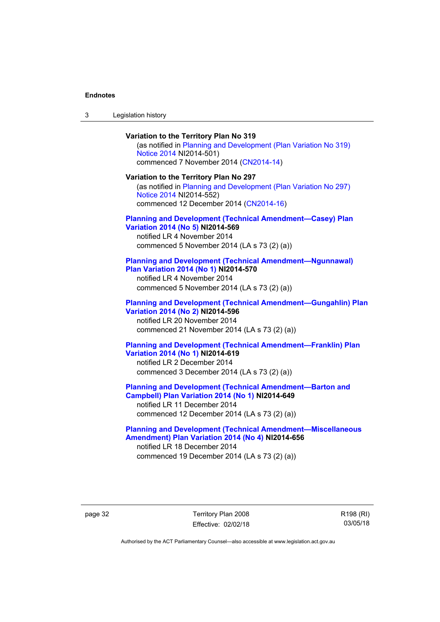| ు | Legislation history |  |
|---|---------------------|--|
|---|---------------------|--|

**Variation to the Territory Plan No 319**  (as notified in [Planning and Development \(Plan Variation No 319\)](http://www.legislation.act.gov.au/ni/2014-501/default.asp)  [Notice 2014](http://www.legislation.act.gov.au/ni/2014-501/default.asp) NI2014-501) commenced 7 November 2014 ([CN2014-14](http://www.legislation.act.gov.au/cn/2014-14/default.asp)) **Variation to the Territory Plan No 297**  (as notified in [Planning and Development \(Plan Variation No 297\)](http://www.legislation.act.gov.au/ni/2014-552/default.asp)  [Notice 2014](http://www.legislation.act.gov.au/ni/2014-552/default.asp) NI2014-552) commenced 12 December 2014 [\(CN2014-16\)](http://www.legislation.act.gov.au/cn/2014-16/default.asp) **[Planning and Development \(Technical Amendment—Casey\) Plan](http://www.legislation.act.gov.au/ni/2014-569/default.asp)  [Variation 2014 \(No 5\)](http://www.legislation.act.gov.au/ni/2014-569/default.asp) NI2014-569**  notified LR 4 November 2014 commenced 5 November 2014 (LA s 73 (2) (a)) **[Planning and Development \(Technical Amendment—Ngunnawal\)](http://www.legislation.act.gov.au/ni/2014-570/default.asp)  [Plan Variation 2014 \(No 1\)](http://www.legislation.act.gov.au/ni/2014-570/default.asp) NI2014-570**  notified LR 4 November 2014 commenced 5 November 2014 (LA s 73 (2) (a)) **[Planning and Development \(Technical Amendment—Gungahlin\) Plan](http://www.legislation.act.gov.au/ni/2014-596/default.asp)  [Variation 2014 \(No 2\)](http://www.legislation.act.gov.au/ni/2014-596/default.asp) NI2014-596**  notified LR 20 November 2014 commenced 21 November 2014 (LA s 73 (2) (a)) **[Planning and Development \(Technical Amendment—Franklin\) Plan](http://www.legislation.act.gov.au/ni/2014-619/default.asp)  [Variation 2014 \(No 1\)](http://www.legislation.act.gov.au/ni/2014-619/default.asp) NI2014-619**  notified LR 2 December 2014 commenced 3 December 2014 (LA s 73 (2) (a)) **[Planning and Development \(Technical Amendment—Barton and](http://www.legislation.act.gov.au/ni/2014-649/default.asp)  [Campbell\) Plan Variation 2014 \(No 1\)](http://www.legislation.act.gov.au/ni/2014-649/default.asp) NI2014-649**  notified LR 11 December 2014 commenced 12 December 2014 (LA s 73 (2) (a))

**[Planning and Development \(Technical Amendment—Miscellaneous](http://www.legislation.act.gov.au/ni/2014-656/default.asp)  [Amendment\) Plan Variation 2014 \(No 4\)](http://www.legislation.act.gov.au/ni/2014-656/default.asp) NI2014-656**  notified LR 18 December 2014 commenced 19 December 2014 (LA s 73 (2) (a))

page 32 Territory Plan 2008 Effective: 02/02/18 R198 (RI) 03/05/18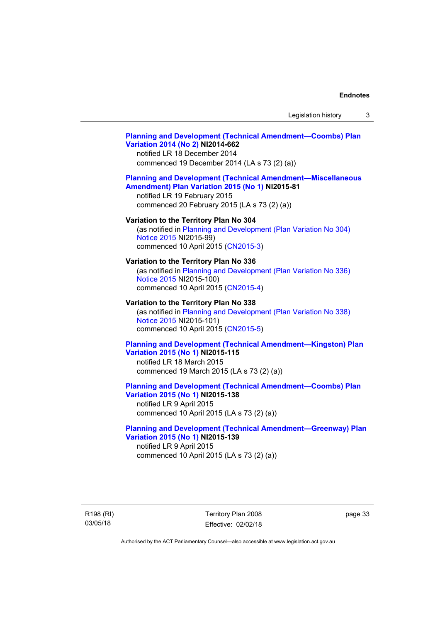## **[Planning and Development \(Technical Amendment—Coombs\) Plan](http://www.legislation.act.gov.au/ni/2014-662/default.asp)  [Variation 2014 \(No 2\)](http://www.legislation.act.gov.au/ni/2014-662/default.asp) NI2014-662**

notified LR 18 December 2014 commenced 19 December 2014 (LA s 73 (2) (a))

## **[Planning and Development \(Technical Amendment—Miscellaneous](http://www.legislation.act.gov.au/ni/2015-81/default.asp)  [Amendment\) Plan Variation 2015 \(No 1\)](http://www.legislation.act.gov.au/ni/2015-81/default.asp) NI2015-81**

notified LR 19 February 2015 commenced 20 February 2015 (LA s 73 (2) (a))

### **Variation to the Territory Plan No 304**

(as notified in [Planning and Development \(Plan Variation No 304\)](http://www.legislation.act.gov.au/ni/2015-99/default.asp)  [Notice 2015](http://www.legislation.act.gov.au/ni/2015-99/default.asp) NI2015-99) commenced 10 April 2015 [\(CN2015-3\)](http://www.legislation.act.gov.au/cn/2015-3/default.asp)

### **Variation to the Territory Plan No 336**

(as notified in [Planning and Development \(Plan Variation No 336\)](http://www.legislation.act.gov.au/ni/2015-100/default.asp)  [Notice 2015](http://www.legislation.act.gov.au/ni/2015-100/default.asp) NI2015-100) commenced 10 April 2015 [\(CN2015-4\)](http://www.legislation.act.gov.au/cn/2015-4/default.asp)

## **Variation to the Territory Plan No 338**

(as notified in [Planning and Development \(Plan Variation No 338\)](http://www.legislation.act.gov.au/ni/2015-101/default.asp)  [Notice 2015](http://www.legislation.act.gov.au/ni/2015-101/default.asp) NI2015-101) commenced 10 April 2015 [\(CN2015-5\)](http://www.legislation.act.gov.au/cn/2015-5/default.asp)

## **[Planning and Development \(Technical Amendment—Kingston\) Plan](http://www.legislation.act.gov.au/ni/2015-115/default.asp)  [Variation 2015 \(No 1\)](http://www.legislation.act.gov.au/ni/2015-115/default.asp) NI2015-115**

notified LR 18 March 2015 commenced 19 March 2015 (LA s 73 (2) (a))

## **[Planning and Development \(Technical Amendment—Coombs\) Plan](http://www.legislation.act.gov.au/ni/2015-138/default.asp)  [Variation 2015 \(No 1\)](http://www.legislation.act.gov.au/ni/2015-138/default.asp) NI2015-138**

notified LR 9 April 2015 commenced 10 April 2015 (LA s 73 (2) (a))

## **[Planning and Development \(Technical Amendment—Greenway\) Plan](http://www.legislation.act.gov.au/ni/2015-139/default.asp)  [Variation 2015 \(No 1\)](http://www.legislation.act.gov.au/ni/2015-139/default.asp) NI2015-139**

notified LR 9 April 2015 commenced 10 April 2015 (LA s 73 (2) (a))

R198 (RI) 03/05/18

Territory Plan 2008 Effective: 02/02/18 page 33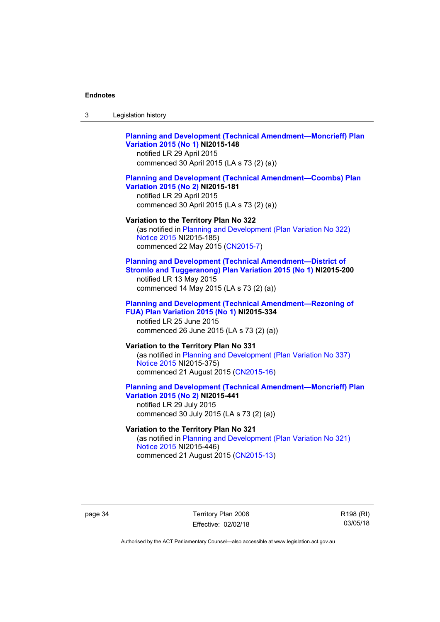| -3 | Legislation history |  |
|----|---------------------|--|
|----|---------------------|--|

## **[Planning and Development \(Technical Amendment—Moncrieff\) Plan](http://www.legislation.act.gov.au/ni/2015-148/default.asp)  [Variation 2015 \(No 1\)](http://www.legislation.act.gov.au/ni/2015-148/default.asp) NI2015-148**  notified LR 29 April 2015

commenced 30 April 2015 (LA s 73 (2) (a))

### **[Planning and Development \(Technical Amendment—Coombs\) Plan](http://www.legislation.act.gov.au/ni/2015-181/default.asp)  [Variation 2015 \(No 2\)](http://www.legislation.act.gov.au/ni/2015-181/default.asp) NI2015-181**

notified LR 29 April 2015 commenced 30 April 2015 (LA s 73 (2) (a))

#### **Variation to the Territory Plan No 322**

(as notified in [Planning and Development \(Plan Variation No 322\)](http://www.legislation.act.gov.au/ni/2015-185/default.asp)  [Notice 2015](http://www.legislation.act.gov.au/ni/2015-185/default.asp) NI2015-185) commenced 22 May 2015 [\(CN2015-7\)](http://www.legislation.act.gov.au/cn/2015-7/default.asp)

## **[Planning and Development \(Technical Amendment—District of](http://www.legislation.act.gov.au/ni/2015-200/default.asp)  [Stromlo and Tuggeranong\) Plan Variation 2015 \(No 1\)](http://www.legislation.act.gov.au/ni/2015-200/default.asp) NI2015-200**

notified LR 13 May 2015 commenced 14 May 2015 (LA s 73 (2) (a))

### **[Planning and Development \(Technical Amendment—Rezoning of](http://www.legislation.act.gov.au/ni/2015-334/default.asp)  [FUA\) Plan Variation 2015 \(No 1\)](http://www.legislation.act.gov.au/ni/2015-334/default.asp) NI2015-334**  notified LR 25 June 2015

commenced 26 June 2015 (LA s 73 (2) (a))

## **Variation to the Territory Plan No 331**

(as notified in [Planning and Development \(Plan Variation No 337\)](http://www.legislation.act.gov.au/ni/2015-375/default.asp)  [Notice 2015](http://www.legislation.act.gov.au/ni/2015-375/default.asp) NI2015-375) commenced 21 August 2015 [\(CN2015-16\)](http://www.legislation.act.gov.au/cn/2015-16/default.asp)

## **[Planning and Development \(Technical Amendment—Moncrieff\) Plan](http://www.legislation.act.gov.au/ni/2015-441/default.asp)  [Variation 2015 \(No 2\)](http://www.legislation.act.gov.au/ni/2015-441/default.asp) NI2015-441**

notified LR 29 July 2015 commenced 30 July 2015 (LA s 73 (2) (a))

## **Variation to the Territory Plan No 321**

(as notified in [Planning and Development \(Plan Variation No 321\)](http://www.legislation.act.gov.au/ni/2015-446/default.asp)  [Notice 2015](http://www.legislation.act.gov.au/ni/2015-446/default.asp) NI2015-446) commenced 21 August 2015 [\(CN2015-13\)](http://www.legislation.act.gov.au/cn/2015-13/default.asp)

page 34 Territory Plan 2008 Effective: 02/02/18 R198 (RI) 03/05/18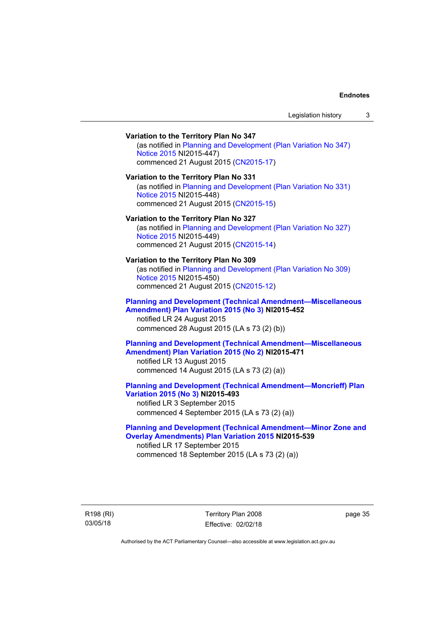## **Variation to the Territory Plan No 347**  (as notified in [Planning and Development \(Plan Variation No 347\)](http://www.legislation.act.gov.au/ni/2015-447/default.asp)  [Notice 2015](http://www.legislation.act.gov.au/ni/2015-447/default.asp) NI2015-447) commenced 21 August 2015 [\(CN2015-17\)](http://www.legislation.act.gov.au/cn/2015-17/default.asp) **Variation to the Territory Plan No 331**  (as notified in [Planning and Development \(Plan Variation No 331\)](http://www.legislation.act.gov.au/ni/2015-448/default.asp)  [Notice 2015](http://www.legislation.act.gov.au/ni/2015-448/default.asp) NI2015-448) commenced 21 August 2015 [\(CN2015-15\)](http://www.legislation.act.gov.au/cn/2015-15/default.asp) **Variation to the Territory Plan No 327**  (as notified in [Planning and Development \(Plan Variation No 327\)](http://www.legislation.act.gov.au/ni/2015-449/default.asp)  [Notice 2015](http://www.legislation.act.gov.au/ni/2015-449/default.asp) NI2015-449) commenced 21 August 2015 [\(CN2015-14\)](http://www.legislation.act.gov.au/cn/2015-14/default.asp) **Variation to the Territory Plan No 309**  (as notified in [Planning and Development \(Plan Variation No 309\)](http://www.legislation.act.gov.au/ni/2015-450/default.asp)  [Notice 2015](http://www.legislation.act.gov.au/ni/2015-450/default.asp) NI2015-450) commenced 21 August 2015 [\(CN2015-12\)](http://www.legislation.act.gov.au/cn/2015-12/default.asp) **[Planning and Development \(Technical Amendment—Miscellaneous](http://www.legislation.act.gov.au/ni/2015-452/default.asp)  [Amendment\) Plan Variation 2015 \(No 3\)](http://www.legislation.act.gov.au/ni/2015-452/default.asp) NI2015-452**  notified LR 24 August 2015 commenced 28 August 2015 (LA s 73 (2) (b)) **[Planning and Development \(Technical Amendment—Miscellaneous](http://www.legislation.act.gov.au/ni/2015-471/default.asp)  [Amendment\) Plan Variation 2015 \(No 2\)](http://www.legislation.act.gov.au/ni/2015-471/default.asp) NI2015-471**  notified LR 13 August 2015 commenced 14 August 2015 (LA s 73 (2) (a)) **[Planning and Development \(Technical Amendment—Moncrieff\) Plan](http://www.legislation.act.gov.au/ni/2015-493/default.asp)  [Variation 2015 \(No 3\)](http://www.legislation.act.gov.au/ni/2015-493/default.asp) NI2015-493**  notified LR 3 September 2015 commenced 4 September 2015 (LA s 73 (2) (a)) **[Planning and Development \(Technical Amendment—Minor Zone and](http://www.legislation.act.gov.au/ni/2015-539/default.asp)**

**[Overlay Amendments\) Plan Variation 2015](http://www.legislation.act.gov.au/ni/2015-539/default.asp) NI2015-539**  notified LR 17 September 2015 commenced 18 September 2015 (LA s 73 (2) (a))

R198 (RI) 03/05/18

Territory Plan 2008 Effective: 02/02/18 page 35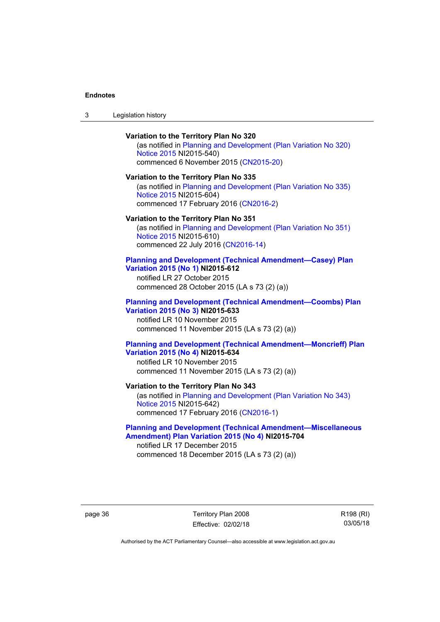## **Variation to the Territory Plan No 320**

(as notified in [Planning and Development \(Plan Variation No 320\)](http://www.legislation.act.gov.au/ni/2015-540/default.asp)  [Notice 2015](http://www.legislation.act.gov.au/ni/2015-540/default.asp) NI2015-540) commenced 6 November 2015 ([CN2015-20](http://www.legislation.act.gov.au/cn/2015-20/default.asp))

#### **Variation to the Territory Plan No 335**

(as notified in [Planning and Development \(Plan Variation No 335\)](http://www.legislation.act.gov.au/ni/2015-604/default.asp)  [Notice 2015](http://www.legislation.act.gov.au/ni/2015-604/default.asp) NI2015-604) commenced 17 February 2016 [\(CN2016-2\)](http://www.legislation.act.gov.au/cn/2016-2/default.asp)

#### **Variation to the Territory Plan No 351**

(as notified in [Planning and Development \(Plan Variation No 351\)](http://www.legislation.act.gov.au/ni/2015-610/default.asp)  [Notice 2015](http://www.legislation.act.gov.au/ni/2015-610/default.asp) NI2015-610) commenced 22 July 2016 [\(CN2016-14](http://www.legislation.act.gov.au/cn/2016-14/default.asp))

## **[Planning and Development \(Technical Amendment—Casey\) Plan](http://www.legislation.act.gov.au/ni/2015-612/default.asp)  [Variation 2015 \(No 1\)](http://www.legislation.act.gov.au/ni/2015-612/default.asp) NI2015-612**

notified LR 27 October 2015 commenced 28 October 2015 (LA s 73 (2) (a))

### **[Planning and Development \(Technical Amendment—Coombs\) Plan](http://www.legislation.act.gov.au/ni/2015-633/default.asp)  [Variation 2015 \(No 3\)](http://www.legislation.act.gov.au/ni/2015-633/default.asp) NI2015-633**

notified LR 10 November 2015 commenced 11 November 2015 (LA s 73 (2) (a))

## **[Planning and Development \(Technical Amendment—Moncrieff\) Plan](http://www.legislation.act.gov.au/ni/2015-634/default.asp)  [Variation 2015 \(No 4\)](http://www.legislation.act.gov.au/ni/2015-634/default.asp) NI2015-634**

notified LR 10 November 2015 commenced 11 November 2015 (LA s 73 (2) (a))

# **Variation to the Territory Plan No 343**

(as notified in [Planning and Development \(Plan Variation No 343\)](http://www.legislation.act.gov.au/ni/2015-642/default.asp)  [Notice 2015](http://www.legislation.act.gov.au/ni/2015-642/default.asp) NI2015-642) commenced 17 February 2016 [\(CN2016-1\)](http://www.legislation.act.gov.au/cn/2016-1/default.asp)

## **[Planning and Development \(Technical Amendment—Miscellaneous](http://www.legislation.act.gov.au/ni/2015-704/default.asp)  [Amendment\) Plan Variation 2015 \(No 4\)](http://www.legislation.act.gov.au/ni/2015-704/default.asp) NI2015-704**

notified LR 17 December 2015 commenced 18 December 2015 (LA s 73 (2) (a))

page 36 Territory Plan 2008 Effective: 02/02/18 R198 (RI) 03/05/18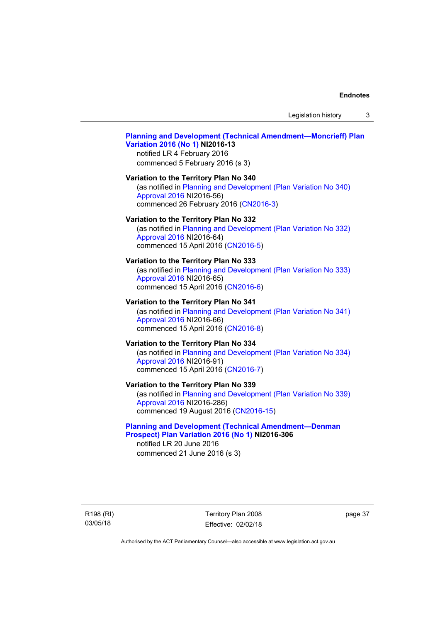Legislation history 3

# **[Planning and Development \(Technical Amendment—Moncrieff\) Plan](http://www.legislation.act.gov.au/ni/2016-13/default.asp)  [Variation 2016 \(No 1\)](http://www.legislation.act.gov.au/ni/2016-13/default.asp) NI2016-13**

notified LR 4 February 2016 commenced 5 February 2016 (s 3)

# **Variation to the Territory Plan No 340**

(as notified in [Planning and Development \(Plan Variation No 340\)](http://www.legislation.act.gov.au/ni/2016-56/default.asp)  [Approval 2016](http://www.legislation.act.gov.au/ni/2016-56/default.asp) NI2016-56) commenced 26 February 2016 [\(CN2016-3\)](http://www.legislation.act.gov.au/cn/2016-3/default.asp)

#### **Variation to the Territory Plan No 332**

(as notified in [Planning and Development \(Plan Variation No 332\)](http://www.legislation.act.gov.au/ni/2016-64/default.asp)  [Approval 2016](http://www.legislation.act.gov.au/ni/2016-64/default.asp) NI2016-64) commenced 15 April 2016 [\(CN2016-5\)](http://www.legislation.act.gov.au/cn/2016-5/default.asp)

#### **Variation to the Territory Plan No 333**

(as notified in [Planning and Development \(Plan Variation No 333\)](http://www.legislation.act.gov.au/ni/2016-65/default.asp)  [Approval 2016](http://www.legislation.act.gov.au/ni/2016-65/default.asp) NI2016-65) commenced 15 April 2016 [\(CN2016-6\)](http://www.legislation.act.gov.au/cn/2016-6/default.asp)

#### **Variation to the Territory Plan No 341**

(as notified in [Planning and Development \(Plan Variation No 341\)](http://www.legislation.act.gov.au/ni/2016-66/default.asp)  [Approval 2016](http://www.legislation.act.gov.au/ni/2016-66/default.asp) NI2016-66) commenced 15 April 2016 [\(CN2016-8\)](http://www.legislation.act.gov.au/cn/2016-8/default.asp)

#### **Variation to the Territory Plan No 334**

(as notified in [Planning and Development \(Plan Variation No 334\)](http://www.legislation.act.gov.au/ni/2016-91/default.asp)  [Approval 2016](http://www.legislation.act.gov.au/ni/2016-91/default.asp) NI2016-91) commenced 15 April 2016 [\(CN2016-7\)](http://www.legislation.act.gov.au/cn/2016-7/default.asp)

#### **Variation to the Territory Plan No 339**

(as notified in [Planning and Development \(Plan Variation No 339\)](http://www.legislation.act.gov.au/ni/2016-286/default.asp)  [Approval 2016](http://www.legislation.act.gov.au/ni/2016-286/default.asp) NI2016-286) commenced 19 August 2016 [\(CN2016-15\)](http://www.legislation.act.gov.au/cn/2016-15/default.asp)

#### **[Planning and Development \(Technical Amendment—Denman](http://www.legislation.act.gov.au/ni/2016-306/default.asp)  [Prospect\) Plan Variation 2016 \(No 1\)](http://www.legislation.act.gov.au/ni/2016-306/default.asp) NI2016-306**

notified LR 20 June 2016 commenced 21 June 2016 (s 3)

R198 (RI) 03/05/18

Territory Plan 2008 Effective: 02/02/18 page 37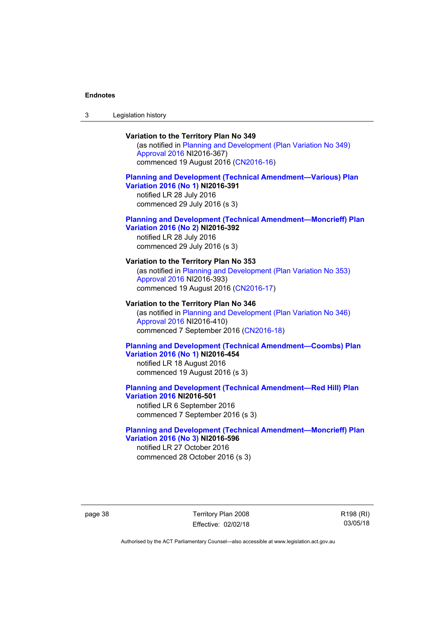3 Legislation history

# **Variation to the Territory Plan No 349**

(as notified in [Planning and Development \(Plan Variation No 349\)](http://www.legislation.act.gov.au/ni/2016-367/default.asp)  [Approval 2016](http://www.legislation.act.gov.au/ni/2016-367/default.asp) NI2016-367) commenced 19 August 2016 [\(CN2016-16\)](http://www.legislation.act.gov.au/cn/2016-16/default.asp)

#### **[Planning and Development \(Technical Amendment—Various\) Plan](http://www.legislation.act.gov.au/ni/2016-391/default.asp)  [Variation 2016 \(No 1\)](http://www.legislation.act.gov.au/ni/2016-391/default.asp) NI2016-391**

notified LR 28 July 2016 commenced 29 July 2016 (s 3)

#### **[Planning and Development \(Technical Amendment—Moncrieff\) Plan](http://www.legislation.act.gov.au/ni/2016-392/default.asp)  [Variation 2016 \(No 2\)](http://www.legislation.act.gov.au/ni/2016-392/default.asp) NI2016-392**

notified LR 28 July 2016 commenced 29 July 2016 (s 3)

# **Variation to the Territory Plan No 353**

(as notified in [Planning and Development \(Plan Variation No 353\)](http://www.legislation.act.gov.au/ni/2016-393/default.asp)  [Approval 2016](http://www.legislation.act.gov.au/ni/2016-393/default.asp) NI2016-393) commenced 19 August 2016 [\(CN2016-17\)](http://www.legislation.act.gov.au/cn/2016-17/default.asp)

#### **Variation to the Territory Plan No 346**

(as notified in [Planning and Development \(Plan Variation No 346\)](http://www.legislation.act.gov.au/ni/2016-410/default.asp)  [Approval 2016](http://www.legislation.act.gov.au/ni/2016-410/default.asp) NI2016-410) commenced 7 September 2016 ([CN2016-18\)](http://www.legislation.act.gov.au/cn/2016-18/default.asp)

#### **[Planning and Development \(Technical Amendment—Coombs\) Plan](http://www.legislation.act.gov.au/ni/2016-454/default.asp)  [Variation 2016 \(No 1\)](http://www.legislation.act.gov.au/ni/2016-454/default.asp) NI2016-454**

notified LR 18 August 2016 commenced 19 August 2016 (s 3)

#### **[Planning and Development \(Technical Amendment—Red Hill\) Plan](http://www.legislation.act.gov.au/ni/2016-501/default.asp)  [Variation 2016](http://www.legislation.act.gov.au/ni/2016-501/default.asp) NI2016-501**

notified LR 6 September 2016 commenced 7 September 2016 (s 3)

#### **[Planning and Development \(Technical Amendment—Moncrieff\) Plan](http://www.legislation.act.gov.au/ni/2016-596/default.asp)  [Variation 2016 \(No 3\)](http://www.legislation.act.gov.au/ni/2016-596/default.asp) NI2016-596**

notified LR 27 October 2016 commenced 28 October 2016 (s 3)

page 38 Territory Plan 2008 Effective: 02/02/18 R198 (RI) 03/05/18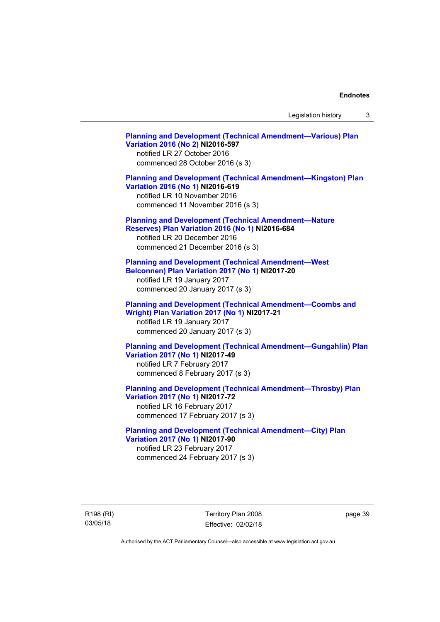Legislation history 3

**[Planning and Development \(Technical Amendment—Various\) Plan](http://www.legislation.act.gov.au/ni/2016-597/default.asp)  [Variation 2016 \(No 2\)](http://www.legislation.act.gov.au/ni/2016-597/default.asp) NI2016-597**  notified LR 27 October 2016 commenced 28 October 2016 (s 3) **[Planning and Development \(Technical Amendment—Kingston\) Plan](http://www.legislation.act.gov.au/ni/2016-619/default.asp)  [Variation 2016 \(No 1\)](http://www.legislation.act.gov.au/ni/2016-619/default.asp) NI2016-619**  notified LR 10 November 2016 commenced 11 November 2016 (s 3) **[Planning and Development \(Technical Amendment—Nature](http://www.legislation.act.gov.au/ni/2016-684/default.asp)  [Reserves\) Plan Variation 2016 \(No 1\)](http://www.legislation.act.gov.au/ni/2016-684/default.asp) NI2016-684**  notified LR 20 December 2016 commenced 21 December 2016 (s 3) **[Planning and Development \(Technical Amendment—West](http://www.legislation.act.gov.au/ni/2017-20/default.asp)  [Belconnen\) Plan Variation 2017 \(No 1\)](http://www.legislation.act.gov.au/ni/2017-20/default.asp) NI2017-20**  notified LR 19 January 2017 commenced 20 January 2017 (s 3) **[Planning and Development \(Technical Amendment—Coombs and](http://www.legislation.act.gov.au/ni/2017-21/default.asp)  [Wright\) Plan Variation 2017 \(No 1\)](http://www.legislation.act.gov.au/ni/2017-21/default.asp) NI2017-21**  notified LR 19 January 2017 commenced 20 January 2017 (s 3) **[Planning and Development \(Technical Amendment—Gungahlin\) Plan](http://www.legislation.act.gov.au/ni/2017-49/default.asp)  [Variation 2017 \(No 1\)](http://www.legislation.act.gov.au/ni/2017-49/default.asp) NI2017-49**  notified LR 7 February 2017 commenced 8 February 2017 (s 3) **[Planning and Development \(Technical Amendment—Throsby\) Plan](http://www.legislation.act.gov.au/ni/2017-72/default.asp)  [Variation 2017 \(No 1\)](http://www.legislation.act.gov.au/ni/2017-72/default.asp) NI2017-72**  notified LR 16 February 2017 commenced 17 February 2017 (s 3) **[Planning and Development \(Technical Amendment—City\) Plan](http://www.legislation.act.gov.au/ni/2017-90/default.asp)  [Variation 2017 \(No 1\)](http://www.legislation.act.gov.au/ni/2017-90/default.asp) NI2017-90**  notified LR 23 February 2017 commenced 24 February 2017 (s 3)

R198 (RI) 03/05/18

Territory Plan 2008 Effective: 02/02/18 page 39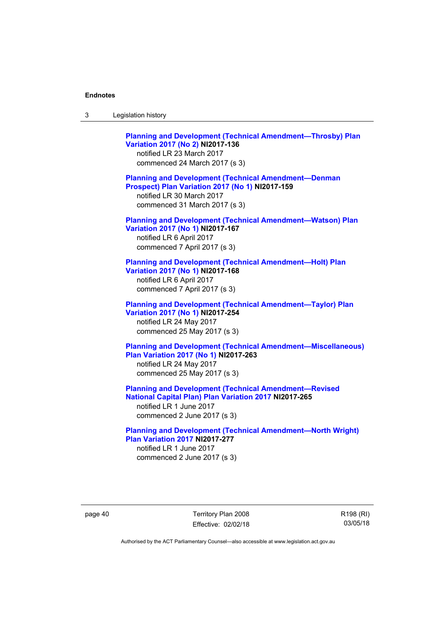| Legislation history<br>-3 |  |
|---------------------------|--|
|---------------------------|--|

**[Planning and Development \(Technical Amendment—Throsby\) Plan](http://www.legislation.act.gov.au/ni/2017-136/default.asp)  [Variation 2017 \(No 2\)](http://www.legislation.act.gov.au/ni/2017-136/default.asp) NI2017-136**  notified LR 23 March 2017 commenced 24 March 2017 (s 3) **[Planning and Development \(Technical Amendment—Denman](http://www.legislation.act.gov.au/ni/2017-159/default.asp)  [Prospect\) Plan Variation 2017 \(No 1\)](http://www.legislation.act.gov.au/ni/2017-159/default.asp) NI2017-159**  notified LR 30 March 2017 commenced 31 March 2017 (s 3) **[Planning and Development \(Technical Amendment—Watson\) Plan](http://www.legislation.act.gov.au/ni/2017-167/default.asp)  [Variation 2017 \(No 1\)](http://www.legislation.act.gov.au/ni/2017-167/default.asp) NI2017-167**  notified LR 6 April 2017 commenced 7 April 2017 (s 3) **[Planning and Development \(Technical Amendment—Holt\) Plan](http://www.legislation.act.gov.au/ni/2017-168/default.asp)  [Variation 2017 \(No 1\)](http://www.legislation.act.gov.au/ni/2017-168/default.asp) NI2017-168**  notified LR 6 April 2017 commenced 7 April 2017 (s 3) **[Planning and Development \(Technical Amendment—Taylor\) Plan](http://www.legislation.act.gov.au/ni/2017-254/default.asp)  [Variation 2017 \(No 1\)](http://www.legislation.act.gov.au/ni/2017-254/default.asp) NI2017-254**  notified LR 24 May 2017 commenced 25 May 2017 (s 3) **[Planning and Development \(Technical Amendment—Miscellaneous\)](http://www.legislation.act.gov.au/ni/2017-263/default.asp)  [Plan Variation 2017 \(No 1\)](http://www.legislation.act.gov.au/ni/2017-263/default.asp) NI2017-263**  notified LR 24 May 2017 commenced 25 May 2017 (s 3) **[Planning and Development \(Technical Amendment—Revised](http://www.legislation.act.gov.au/ni/2017-265/default.asp)  [National Capital Plan\) Plan Variation 2017](http://www.legislation.act.gov.au/ni/2017-265/default.asp) NI2017-265**  notified LR 1 June 2017 commenced 2 June 2017 (s 3)

**[Planning and Development \(Technical Amendment—North Wright\)](http://www.legislation.act.gov.au/ni/2017-277/default.asp)  [Plan Variation 2017](http://www.legislation.act.gov.au/ni/2017-277/default.asp) NI2017-277**  notified LR 1 June 2017 commenced 2 June 2017 (s 3)

page 40 Territory Plan 2008 Effective: 02/02/18 R198 (RI) 03/05/18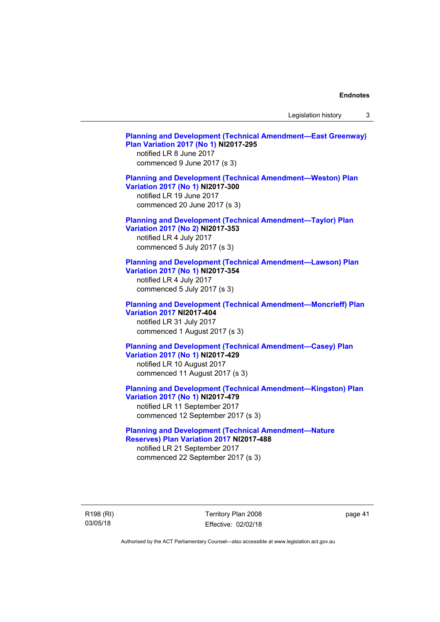Legislation history 3

| <b>Planning and Development (Technical Amendment-East Greenway)</b><br>Plan Variation 2017 (No 1) NI2017-295<br>notified LR 8 June 2017<br>commenced 9 June 2017 (s 3)        |
|-------------------------------------------------------------------------------------------------------------------------------------------------------------------------------|
| <b>Planning and Development (Technical Amendment-Weston) Plan</b><br>Variation 2017 (No 1) NI2017-300<br>notified LR 19 June 2017<br>commenced 20 June 2017 (s 3)             |
| <b>Planning and Development (Technical Amendment-Taylor) Plan</b><br>Variation 2017 (No 2) NI2017-353<br>notified LR 4 July 2017<br>commenced 5 July 2017 (s 3)               |
| <b>Planning and Development (Technical Amendment-Lawson) Plan</b><br>Variation 2017 (No 1) NI2017-354<br>notified LR 4 July 2017<br>commenced 5 July 2017 (s 3)               |
| <b>Planning and Development (Technical Amendment-Moncrieff) Plan</b><br><b>Variation 2017 NI2017-404</b><br>notified LR 31 July 2017<br>commenced 1 August 2017 (s 3)         |
| <b>Planning and Development (Technical Amendment-Casey) Plan</b><br>Variation 2017 (No 1) NI2017-429<br>notified LR 10 August 2017<br>commenced 11 August 2017 (s 3)          |
| <b>Planning and Development (Technical Amendment-Kingston) Plan</b><br>Variation 2017 (No 1) NI2017-479<br>notified LR 11 September 2017<br>commenced 12 September 2017 (s 3) |
| <b>Planning and Development (Technical Amendment-Nature</b><br>Reserves) Plan Variation 2017 NI2017-488<br>notified LR 21 September 2017<br>commenced 22 September 2017 (s 3) |

R198 (RI) 03/05/18

Territory Plan 2008 Effective: 02/02/18 page 41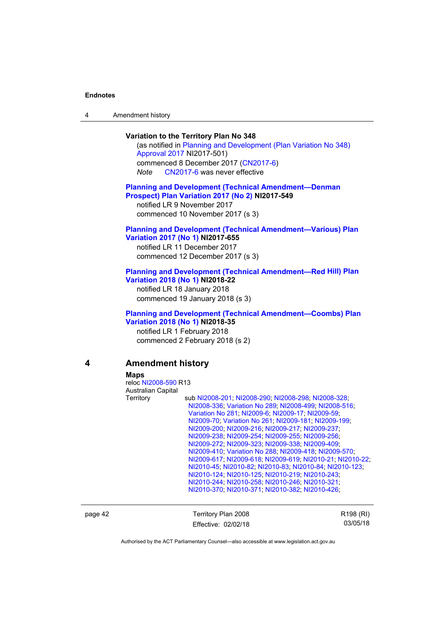|  | Amendment history |
|--|-------------------|
|--|-------------------|

#### **Variation to the Territory Plan No 348**

(as notified in [Planning and Development \(Plan Variation No 348\)](http://www.legislation.act.gov.au/ni/2017-501/default.asp)  [Approval 2017](http://www.legislation.act.gov.au/ni/2017-501/default.asp) NI2017-501) commenced 8 December 2017 ([CN2017-6](http://www.legislation.act.gov.au/cn/2017-6/default.asp)) *Note* [CN2017-6](http://www.legislation.act.gov.au/cn/2017-6/default.asp) was never effective

#### **[Planning and Development \(Technical Amendment—Denman](http://www.legislation.act.gov.au/ni/2017-549/default.asp)  [Prospect\) Plan Variation 2017 \(No 2\)](http://www.legislation.act.gov.au/ni/2017-549/default.asp) NI2017-549**  notified LR 9 November 2017

commenced 10 November 2017 (s 3)

#### **[Planning and Development \(Technical Amendment—Various\) Plan](http://www.legislation.act.gov.au/ni/2017-655/default.asp)  [Variation 2017 \(No 1\)](http://www.legislation.act.gov.au/ni/2017-655/default.asp) NI2017-655**

notified LR 11 December 2017 commenced 12 December 2017 (s 3)

#### **[Planning and Development \(Technical Amendment—Red Hill\) Plan](http://www.legislation.act.gov.au/ni/2018-22/default.asp)  [Variation 2018 \(No 1\)](http://www.legislation.act.gov.au/ni/2018-22/default.asp) NI2018-22**

notified LR 18 January 2018 commenced 19 January 2018 (s 3)

#### **[Planning and Development \(Technical Amendment—Coombs\) Plan](http://www.legislation.act.gov.au/ni/2018-35/default.asp)  [Variation 2018 \(No 1\)](http://www.legislation.act.gov.au/ni/2018-35/default.asp) NI2018-35**

notified LR 1 February 2018 commenced 2 February 2018 (s 2)

# **4 Amendment history**

 **Maps** 

reloc [NI2008-590](http://www.legislation.act.gov.au/ni/2008-590/default.asp) R13 Australian Capital Territory sub [NI2008-201](http://www.legislation.act.gov.au/ni/2008-201/); [NI2008-290](http://www.legislation.act.gov.au/ni/2008-290/); [NI2008-298](http://www.legislation.act.gov.au/ni/2008-298/); [NI2008-328](http://www.legislation.act.gov.au/ni/2008-328/); [NI2008-336](http://www.legislation.act.gov.au/ni/2008-336/); [Variation No 289](http://www.legislation.act.gov.au/ni/2008-339/); [NI2008-499](http://www.legislation.act.gov.au/ni/2008-499/); [NI2008-516](http://www.legislation.act.gov.au/ni/2008-516/); [Variation No 281](http://www.legislation.act.gov.au/ni/2008-352/); [NI2009-6](http://www.legislation.act.gov.au/ni/2009-6/); [NI2009-17](http://www.legislation.act.gov.au/ni/2009-17/); [NI2009-59](http://www.legislation.act.gov.au/ni/2009-59/); [NI2009-70](http://www.legislation.act.gov.au/ni/2009-70/); [Variation No 261](http://www.legislation.act.gov.au/ni/2009-107/); [NI2009-181](http://www.legislation.act.gov.au/ni/2009-181/); [NI2009-199](http://www.legislation.act.gov.au/ni/2009-199/); [NI2009-200](http://www.legislation.act.gov.au/ni/2009-200/); [NI2009-216](http://www.legislation.act.gov.au/ni/2009-216/); [NI2009-217](http://www.legislation.act.gov.au/ni/2009-217/); [NI2009-237](http://www.legislation.act.gov.au/ni/2009-237/); [NI2009-238](http://www.legislation.act.gov.au/ni/2009-238/); [NI2009-254](http://www.legislation.act.gov.au/ni/2009-254/); [NI2009-255](http://www.legislation.act.gov.au/ni/2009-255/); [NI2009-256](http://www.legislation.act.gov.au/ni/2009-256/); [NI2009-272](http://www.legislation.act.gov.au/ni/2009-272/); [NI2009-323](http://www.legislation.act.gov.au/ni/2009-323/); [NI2009-338](http://www.legislation.act.gov.au/ni/2009-338/); [NI2009-409](http://www.legislation.act.gov.au/ni/2009-409/); [NI2009-410](http://www.legislation.act.gov.au/ni/2009-410/); [Variation No 288](http://www.legislation.act.gov.au/ni/2009-391/); [NI2009-418](http://www.legislation.act.gov.au/ni/2009-418/); [NI2009-570](http://www.legislation.act.gov.au/ni/2009-570/); [NI2009-617](http://www.legislation.act.gov.au/ni/2009-617/); [NI2009-618;](http://www.legislation.act.gov.au/ni/2009-618/) [NI2009-619;](http://www.legislation.act.gov.au/ni/2009-619/) [NI2010-21;](http://www.legislation.act.gov.au/ni/2010-21/) [NI2010-22](http://www.legislation.act.gov.au/ni/2010-22/); [NI2010-45](http://www.legislation.act.gov.au/ni/2010-45/); [NI2010-82](http://www.legislation.act.gov.au/ni/2010-82/); [NI2010-83](http://www.legislation.act.gov.au/ni/2010-83/); [NI2010-84](http://www.legislation.act.gov.au/ni/2010-84/); [NI2010-123](http://www.legislation.act.gov.au/ni/2010-123/); [NI2010-124](http://www.legislation.act.gov.au/ni/2010-124/); [NI2010-125](http://www.legislation.act.gov.au/ni/2010-125/); [NI2010-219](http://www.legislation.act.gov.au/ni/2010-219/); [NI2010-243](http://www.legislation.act.gov.au/ni/2010-243/); [NI2010-244](http://www.legislation.act.gov.au/ni/2010-244/); [NI2010-258](http://www.legislation.act.gov.au/ni/2010-258/); [NI2010-246](http://www.legislation.act.gov.au/ni/2010-246/); [NI2010-321](http://www.legislation.act.gov.au/ni/2010-321/); [NI2010-370](http://www.legislation.act.gov.au/ni/2010-370/); [NI2010-371](http://www.legislation.act.gov.au/ni/2010-371/); [NI2010-382](http://www.legislation.act.gov.au/ni/2010-382/); [NI2010-426](http://www.legislation.act.gov.au/ni/2010-426/);

page 42 Territory Plan 2008 Effective: 02/02/18 R198 (RI) 03/05/18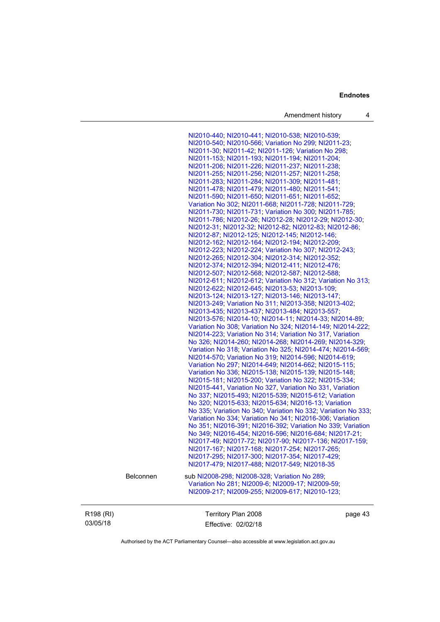Amendment history 4

[NI2010-440](http://www.legislation.act.gov.au/ni/2010-440/); [NI2010-441](http://www.legislation.act.gov.au/ni/2010-441/); [NI2010-538](http://www.legislation.act.gov.au/ni/2010-538/); [NI2010-539](http://www.legislation.act.gov.au/ni/2010-539/); [NI2010-540](http://www.legislation.act.gov.au/ni/2010-540/); [NI2010-566](http://www.legislation.act.gov.au/ni/2010-566/); [Variation No 299](http://www.legislation.act.gov.au/ni/2010-575/); [NI2011-23](http://www.legislation.act.gov.au/ni/2011-23/); [NI2011-30;](http://www.legislation.act.gov.au/ni/2011-30/) [NI2011-42](http://www.legislation.act.gov.au/ni/2011-42/); [NI2011-126](http://www.legislation.act.gov.au/ni/2011-126/); [Variation No 298](http://www.legislation.act.gov.au/ni/2011-152/); [NI2011-153](http://www.legislation.act.gov.au/ni/2011-153/); [NI2011-193](http://www.legislation.act.gov.au/ni/2011-193/); [NI2011-194](http://www.legislation.act.gov.au/ni/2011-194/); [NI2011-204](http://www.legislation.act.gov.au/ni/2011-204/); [NI2011-206](http://www.legislation.act.gov.au/ni/2011-206/); [NI2011-226](http://www.legislation.act.gov.au/ni/2011-226/); [NI2011-237](http://www.legislation.act.gov.au/ni/2011-237/); [NI2011-238](http://www.legislation.act.gov.au/ni/2011-238/); [NI2011-255](http://www.legislation.act.gov.au/ni/2011-255/); [NI2011-256](http://www.legislation.act.gov.au/ni/2011-256/); [NI2011-257](http://www.legislation.act.gov.au/ni/2011-257/); [NI2011-258](http://www.legislation.act.gov.au/ni/2011-258/); [NI2011-283](http://www.legislation.act.gov.au/ni/2011-283/); [NI2011-284](http://www.legislation.act.gov.au/ni/2011-284/); [NI2011-309](http://www.legislation.act.gov.au/ni/2011-309/); [NI2011-481](http://www.legislation.act.gov.au/ni/2011-481/); [NI2011-478](http://www.legislation.act.gov.au/ni/2011-478/); [NI2011-479](http://www.legislation.act.gov.au/ni/2011-479/); [NI2011-480](http://www.legislation.act.gov.au/ni/2011-480/); [NI2011-541](http://www.legislation.act.gov.au/ni/2011-541/); [NI2011-590](http://www.legislation.act.gov.au/ni/2011-590/); [NI2011-650](http://www.legislation.act.gov.au/ni/2011-650/); [NI2011-651](http://www.legislation.act.gov.au/ni/2011-651/); [NI2011-652](http://www.legislation.act.gov.au/ni/2011-652/); [Variation No 302](http://www.legislation.act.gov.au/ni/2011-573/); [NI2011-668](http://www.legislation.act.gov.au/ni/2011-668/); [NI2011-728](http://www.legislation.act.gov.au/ni/2011-728/); [NI2011-729](http://www.legislation.act.gov.au/ni/2011-729/); [NI2011-730](http://www.legislation.act.gov.au/ni/2011-730/); [NI2011-731](http://www.legislation.act.gov.au/ni/2011-731/); [Variation No 300](http://www.legislation.act.gov.au/ni/2011-691/); [NI2011-785](http://www.legislation.act.gov.au/ni/2011-785/); [NI2011-786](http://www.legislation.act.gov.au/ni/2011-786/); [NI2012-26](http://www.legislation.act.gov.au/ni/2012-26/); [NI2012-28](http://www.legislation.act.gov.au/ni/2012-28/); [NI2012-29](http://www.legislation.act.gov.au/ni/2012-29/); [NI2012-30](http://www.legislation.act.gov.au/ni/2012-30/); [NI2012-31](http://www.legislation.act.gov.au/ni/2012-31/); [NI2012-32](http://www.legislation.act.gov.au/ni/2012-32/); [NI2012-82](http://www.legislation.act.gov.au/ni/2012-82/); [NI2012-83](http://www.legislation.act.gov.au/ni/2012-83/); [NI2012-86](http://www.legislation.act.gov.au/ni/2012-86/); [NI2012-87](http://www.legislation.act.gov.au/ni/2012-87/); [NI2012-125](http://www.legislation.act.gov.au/ni/2012-125/); [NI2012-145](http://www.legislation.act.gov.au/ni/2012-145/); [NI2012-146](http://www.legislation.act.gov.au/ni/2012-146/); [NI2012-162](http://www.legislation.act.gov.au/ni/2012-162/); [NI2012-164](http://www.legislation.act.gov.au/ni/2012-164/); [NI2012-194](http://www.legislation.act.gov.au/ni/2012-194/); [NI2012-209](http://www.legislation.act.gov.au/ni/2012-209/); [NI2012-223](http://www.legislation.act.gov.au/ni/2012-223/); [NI2012-224](http://www.legislation.act.gov.au/ni/2012-224/); [Variation No 307](http://www.legislation.act.gov.au/ni/2012-201/); [NI2012-243](http://www.legislation.act.gov.au/ni/2012-243/); [NI2012-265](http://www.legislation.act.gov.au/ni/2012-265/); [NI2012-304](http://www.legislation.act.gov.au/ni/2012-304/); [NI2012-314](http://www.legislation.act.gov.au/ni/2012-314/); [NI2012-352](http://www.legislation.act.gov.au/ni/2012-352/); [NI2012-374](http://www.legislation.act.gov.au/ni/2012-374/); [NI2012-394](http://www.legislation.act.gov.au/ni/2012-394/); [NI2012-411](http://www.legislation.act.gov.au/ni/2012-411/); [NI2012-476](http://www.legislation.act.gov.au/ni/2012-476/default.asp); [NI2012-507](http://www.legislation.act.gov.au/ni/2012-507/); [NI2012-568](http://www.legislation.act.gov.au/ni/2012-568/default.asp); [NI2012-587](http://www.legislation.act.gov.au/ni/2012-587/default.asp); [NI2012-588](http://www.legislation.act.gov.au/ni/2012-588/default.asp); [NI2012-611](http://www.legislation.act.gov.au/ni/2012-611/default.asp); [NI2012-612](http://www.legislation.act.gov.au/ni/2012-612/default.asp); [Variation No 312](http://www.legislation.act.gov.au/ni/2012-366/default.asp); [Variation No 313](http://www.legislation.act.gov.au/ni/2012-287/default.asp); [NI2012-622](http://www.legislation.act.gov.au/ni/2012-622/default.asp); [NI2012-645](http://www.legislation.act.gov.au/ni/2012-645/default.asp); [NI2013-53](http://www.legislation.act.gov.au/ni/2013-53/default.asp); [NI2013-109](http://www.legislation.act.gov.au/ni/2013-109/default.asp); [NI2013-124](http://www.legislation.act.gov.au/ni/2013-124/default.asp); [NI2013-127](http://www.legislation.act.gov.au/ni/2013-127/default.asp); [NI2013-146](http://www.legislation.act.gov.au/ni/2013-146/default.asp); [NI2013-147](http://www.legislation.act.gov.au/ni/2013-147/default.asp); [NI2013-249](http://www.legislation.act.gov.au/ni/2013-248/default.asp); [Variation No 311](http://www.legislation.act.gov.au/ni/2013-208/default.asp); [NI2013-358](http://www.legislation.act.gov.au/ni/2013-358/default.asp); [NI2013-402](http://www.legislation.act.gov.au/ni/2013-402/default.asp); [NI2013-435](http://www.legislation.act.gov.au/ni/2013-435/default.asp); [NI2013-437](http://www.legislation.act.gov.au/ni/2013-437/default.asp); [NI2013-484](http://www.legislation.act.gov.au/ni/2013-484/default.asp); [NI2013-557](http://www.legislation.act.gov.au/ni/2013-557/default.asp); [NI2013-576](http://www.legislation.act.gov.au/ni/2013-576/default.asp); [NI2014-10](http://www.legislation.act.gov.au/ni/2014-10/default.asp); [NI2014-11](http://www.legislation.act.gov.au/ni/2014-11/default.asp); [NI2014-33](http://www.legislation.act.gov.au/ni/2014-33/default.asp); [NI2014-89](http://www.legislation.act.gov.au/ni/2014-89/default.asp); [Variation No 308](http://www.legislation.act.gov.au/ni/2014-60/default.asp); [Variation No 324](http://www.legislation.act.gov.au/ni/2014-20/default.asp); [NI2014-149](http://www.legislation.act.gov.au/ni/2014-149/default.asp); [NI2014-222](http://www.legislation.act.gov.au/ni/2014-222/default.asp); [NI2014-223](http://www.legislation.act.gov.au/ni/2014-223/default.asp); [Variation No 314](http://www.legislation.act.gov.au/ni/2014-187/default.asp); [Variation No 317](http://www.legislation.act.gov.au/ni/2014-137/default.asp), [Variation](http://www.legislation.act.gov.au/ni/2014-189/default.asp)  [No 326](http://www.legislation.act.gov.au/ni/2014-189/default.asp); [NI2014-260](http://www.legislation.act.gov.au/ni/2014-260/default.asp); [NI2014-268](http://www.legislation.act.gov.au/ni/2014-268/default.asp); [NI2014-269](http://www.legislation.act.gov.au/ni/2014-269/default.asp); [NI2014-329](http://www.legislation.act.gov.au/ni/2014-329/default.asp); [Variation No 318](http://www.legislation.act.gov.au/ni/2014-294/default.asp); [Variation No 325](http://www.legislation.act.gov.au/ni/2014-427/default.asp); [NI2014-474](http://www.legislation.act.gov.au/ni/2014-474/default.asp); [NI2014-569](http://www.legislation.act.gov.au/ni/2014-569/default.asp); [NI2014-570](http://www.legislation.act.gov.au/ni/2014-570/default.asp); [Variation No 319](http://www.legislation.act.gov.au/ni/2014-501/default.asp); [NI2014-596](http://www.legislation.act.gov.au/ni/2014-596/default.asp); [NI2014-619](http://www.legislation.act.gov.au/ni/2014-619/default.asp); [Variation No 297](http://www.legislation.act.gov.au/ni/2014-552/default.asp); [NI2014-649](http://www.legislation.act.gov.au/ni/2014-649/default.asp); [NI2014-662](http://www.legislation.act.gov.au/ni/2014-662/default.asp); [NI2015-115](http://www.legislation.act.gov.au/ni/2015-115/default.asp); [Variation No 336](http://www.legislation.act.gov.au/ni/2015-100/default.asp); [NI2015-138](http://www.legislation.act.gov.au/ni/2015-138/default.asp); [NI2015-139](http://www.legislation.act.gov.au/ni/2015-139/default.asp); [NI2015-148](http://www.legislation.act.gov.au/ni/2015-148/default.asp); [NI2015-181](http://www.legislation.act.gov.au/ni/2015-181/default.asp); [NI2015-200](http://www.legislation.act.gov.au/ni/2015-200/default.asp); [Variation No 322](http://www.legislation.act.gov.au/ni/2015-185/default.asp); [NI2015-334](http://www.legislation.act.gov.au/ni/2015-334/default.asp); [NI2015-441](http://www.legislation.act.gov.au/ni/2015-441/default.asp), [Variation No 327](http://www.legislation.act.gov.au/ni/2015-449/default.asp), [Variation No 331](http://www.legislation.act.gov.au/ni/2015-448/default.asp), [Variation](http://www.legislation.act.gov.au/ni/2015-375/default.asp)  [No 337](http://www.legislation.act.gov.au/ni/2015-375/default.asp); [NI2015-493](http://www.legislation.act.gov.au/ni/2015-493/default.asp); [NI2015-539](http://www.legislation.act.gov.au/ni/2015-539/default.asp); [NI2015-612](http://www.legislation.act.gov.au/ni/2015-612/default.asp); [Variation](http://www.legislation.act.gov.au/ni/2015-540/default.asp)  [No 320](http://www.legislation.act.gov.au/ni/2015-540/default.asp); [NI2015-633](http://www.legislation.act.gov.au/ni/2015-633/default.asp); [NI2015-634](http://www.legislation.act.gov.au/ni/2015-634/default.asp); [NI2016-13](http://www.legislation.act.gov.au/ni/2016-13/default.asp); [Variation](http://www.legislation.act.gov.au/ni/2015-604/default.asp)  [No 335](http://www.legislation.act.gov.au/ni/2015-604/default.asp); [Variation No 340](http://www.legislation.act.gov.au/ni/2016-56/default.asp); [Variation No 332](http://www.legislation.act.gov.au/ni/2016-64/default.asp); [Variation No 333](http://www.legislation.act.gov.au/ni/2016-65/default.asp); [Variation No 334](http://www.legislation.act.gov.au/ni/2016-91/default.asp); [Variation No 341](http://www.legislation.act.gov.au/ni/2016-66/default.asp); [NI2016-306](http://www.legislation.act.gov.au/ni/2016-306/default.asp); [Variation](http://www.legislation.act.gov.au/ni/2015-610/default.asp)  [No 351](http://www.legislation.act.gov.au/ni/2015-610/default.asp); [NI2016-391](http://www.legislation.act.gov.au/ni/2016-391/default.asp); [NI2016-392](http://www.legislation.act.gov.au/ni/2016-392/default.asp); [Variation No 339](http://www.legislation.act.gov.au/ni/2016-286/default.asp); [Variation](http://www.legislation.act.gov.au/ni/2016-367/default.asp)  [No 349](http://www.legislation.act.gov.au/ni/2016-367/default.asp); [NI2016-454](http://www.legislation.act.gov.au/ni/2016-454/default.asp); [NI2016-596](http://www.legislation.act.gov.au/ni/2016-596/default.asp); [NI2016-684](http://www.legislation.act.gov.au/ni/2016-684/default.asp); [NI2017-21](http://www.legislation.act.gov.au/ni/2017-21/default.asp); [NI2017-49](http://www.legislation.act.gov.au/ni/2017-49/default.asp); [NI2017-72](http://www.legislation.act.gov.au/ni/2017-72/default.asp); [NI2017-90](http://www.legislation.act.gov.au/ni/2017-90/default.asp); [NI2017-136](http://www.legislation.act.gov.au/ni/2017-136/default.asp); [NI2017-159](http://www.legislation.act.gov.au/ni/2017-159/default.asp); [NI2017-167](http://www.legislation.act.gov.au/ni/2017-167/default.asp); [NI2017-168](http://www.legislation.act.gov.au/ni/2017-168/default.asp); [NI2017-254](http://www.legislation.act.gov.au/ni/2017-254/default.asp); [NI2017-265](http://www.legislation.act.gov.au/ni/2017-265/default.asp); [NI2017-295](http://www.legislation.act.gov.au/ni/2017-295/default.asp); [NI2017-300](http://www.legislation.act.gov.au/ni/2017-300/default.asp); [NI2017-354](http://www.legislation.act.gov.au/ni/2017-354/default.asp); [NI2017-429](http://www.legislation.act.gov.au/ni/2017-429/default.asp); [NI2017-479](http://www.legislation.act.gov.au/ni/2017-479/default.asp); [NI2017-488](http://www.legislation.act.gov.au/ni/2017-488/default.asp); [NI2017-549](http://www.legislation.act.gov.au/ni/2017-549/default.asp); [NI2018-35](http://www.legislation.act.gov.au/ni/2018-35/default.asp) Belconnen sub [NI2008-298](http://www.legislation.act.gov.au/ni/2008-298/); [NI2008-328](http://www.legislation.act.gov.au/ni/2008-328/); [Variation No 289](http://www.legislation.act.gov.au/ni/2008-339/); [Variation No 281](http://www.legislation.act.gov.au/ni/2008-352/); [NI2009-6](http://www.legislation.act.gov.au/ni/2009-6/); [NI2009-17](http://www.legislation.act.gov.au/ni/2009-17/); [NI2009-59](http://www.legislation.act.gov.au/ni/2009-59/); [NI2009-217](http://www.legislation.act.gov.au/ni/2009-217/); [NI2009-255](http://www.legislation.act.gov.au/ni/2009-255/); [NI2009-617](http://www.legislation.act.gov.au/ni/2009-617/); [NI2010-123](http://www.legislation.act.gov.au/ni/2010-123/);

R198 (RI) 03/05/18

Territory Plan 2008 Effective: 02/02/18 page 43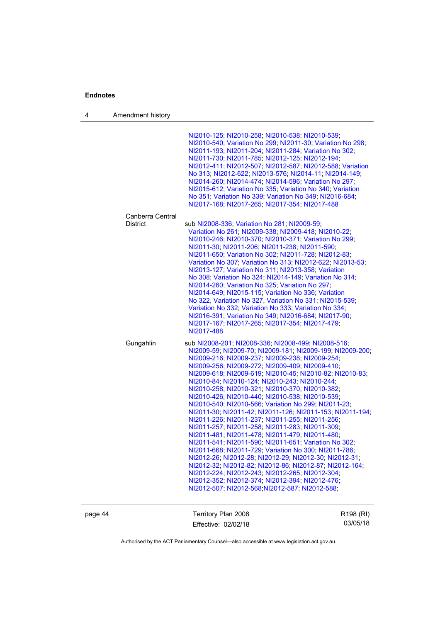4 Amendment history

| NI2010-125; NI2010-258; NI2010-538; NI2010-539;<br>NI2010-540; Variation No 299; NI2011-30; Variation No 298;<br>NI2011-193; NI2011-204; NI2011-284; Variation No 302;<br>NI2011-730; NI2011-785; NI2012-125; NI2012-194;<br>NI2012-411; NI2012-507; NI2012-587; NI2012-588; Variation<br>No 313: NI2012-622; NI2013-576; NI2014-11; NI2014-149;<br>NI2014-260; NI2014-474; NI2014-596; Variation No 297;<br>NI2015-612; Variation No 335; Variation No 340; Variation<br>No 351; Variation No 339; Variation No 349; NI2016-684;<br>NI2017-168; NI2017-265; NI2017-354; NI2017-488                                                                                                                                                                                                                                                                                                                                                                                                                                                                                                                                     |
|-------------------------------------------------------------------------------------------------------------------------------------------------------------------------------------------------------------------------------------------------------------------------------------------------------------------------------------------------------------------------------------------------------------------------------------------------------------------------------------------------------------------------------------------------------------------------------------------------------------------------------------------------------------------------------------------------------------------------------------------------------------------------------------------------------------------------------------------------------------------------------------------------------------------------------------------------------------------------------------------------------------------------------------------------------------------------------------------------------------------------|
|                                                                                                                                                                                                                                                                                                                                                                                                                                                                                                                                                                                                                                                                                                                                                                                                                                                                                                                                                                                                                                                                                                                         |
| sub NI2008-336; Variation No 281; NI2009-59;<br>Variation No 261, NI2009-338, NI2009-418, NI2010-22,<br>NI2010-246: NI2010-370: NI2010-371: Variation No 299:<br>NI2011-30; NI2011-206; NI2011-238; NI2011-590;<br>NI2011-650; Variation No 302; NI2011-728; NI2012-83;<br>Variation No 307: Variation No 313: NI2012-622: NI2013-53:<br>NI2013-127; Variation No 311; NI2013-358; Variation<br>No 308: Variation No 324: NI2014-149: Variation No 314:<br>NI2014-260; Variation No 325; Variation No 297;<br>NI2014-649; NI2015-115; Variation No 336; Variation<br>No 322, Variation No 327, Variation No 331; NI2015-539;<br>Variation No 332; Variation No 333; Variation No 334;<br>NI2016-391; Variation No 349; NI2016-684; NI2017-90;<br>NI2017-167; NI2017-265; NI2017-354; NI2017-479;<br>NI2017-488                                                                                                                                                                                                                                                                                                          |
| sub NI2008-201; NI2008-336; NI2008-499; NI2008-516;<br>NI2009-59; NI2009-70; NI2009-181; NI2009-199; NI2009-200;<br>NI2009-216; NI2009-237; NI2009-238; NI2009-254;<br>NI2009-256; NI2009-272; NI2009-409; NI2009-410;<br>NI2009-618; NI2009-619; NI2010-45; NI2010-82; NI2010-83;<br>NI2010-84: NI2010-124: NI2010-243: NI2010-244:<br>NI2010-258; NI2010-321; NI2010-370; NI2010-382;<br>NI2010-426: NI2010-440: NI2010-538: NI2010-539:<br>NI2010-540; NI2010-566; Variation No 299; NI2011-23;<br>NI2011-30: NI2011-42: NI2011-126: NI2011-153: NI2011-194:<br>NI2011-226; NI2011-237; NI2011-255; NI2011-256;<br>NI2011-257; NI2011-258; NI2011-283; NI2011-309;<br>NI2011-481, NI2011-478, NI2011-479, NI2011-480,<br>NI2011-541; NI2011-590; NI2011-651; Variation No 302;<br>NI2011-668; NI2011-729; Variation No 300; NI2011-786;<br>NI2012-26; NI2012-28; NI2012-29; NI2012-30; NI2012-31;<br>NI2012-32, NI2012-82, NI2012-86, NI2012-87, NI2012-164;<br>NI2012-224; NI2012-243; NI2012-265; NI2012-304;<br>NI2012-352; NI2012-374; NI2012-394; NI2012-476;<br>NI2012-507; NI2012-568 NI2012-587; NI2012-588; |
|                                                                                                                                                                                                                                                                                                                                                                                                                                                                                                                                                                                                                                                                                                                                                                                                                                                                                                                                                                                                                                                                                                                         |

page 44 Territory Plan 2008 Effective: 02/02/18

R198 (RI) 03/05/18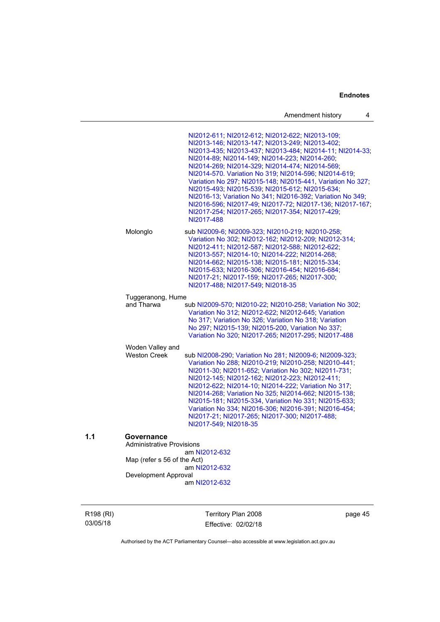| Amendment history |  |  |
|-------------------|--|--|
|-------------------|--|--|

|                                                | NI2012-611; NI2012-612; NI2012-622; NI2013-109;<br>NI2013-146; NI2013-147; NI2013-249; NI2013-402;<br>NI2013-435; NI2013-437; NI2013-484; NI2014-11; NI2014-33;<br>NI2014-89; NI2014-149; NI2014-223; NI2014-260;<br>NI2014-269; NI2014-329; NI2014-474; NI2014-569;<br>NI2014-570. Variation No 319; NI2014-596; NI2014-619;<br>Variation No 297; NI2015-148; NI2015-441, Variation No 327;<br>NI2015-493; NI2015-539; NI2015-612; NI2015-634;<br>NI2016-13; Variation No 341; NI2016-392; Variation No 349;<br>NI2016-596; NI2017-49; NI2017-72; NI2017-136; NI2017-167;<br>NI2017-254; NI2017-265; NI2017-354; NI2017-429;<br>NI2017-488 |
|------------------------------------------------|---------------------------------------------------------------------------------------------------------------------------------------------------------------------------------------------------------------------------------------------------------------------------------------------------------------------------------------------------------------------------------------------------------------------------------------------------------------------------------------------------------------------------------------------------------------------------------------------------------------------------------------------|
| Molonglo                                       | sub NI2009-6; NI2009-323; NI2010-219; NI2010-258;<br>Variation No 302; NI2012-162; NI2012-209; NI2012-314;<br>NI2012-411; NI2012-587; NI2012-588; NI2012-622;<br>NI2013-557; NI2014-10; NI2014-222; NI2014-268;<br>NI2014-662; NI2015-138; NI2015-181; NI2015-334;<br>NI2015-633; NI2016-306; NI2016-454; NI2016-684;<br>NI2017-21; NI2017-159; NI2017-265; NI2017-300;<br>NI2017-488; NI2017-549; NI2018-35                                                                                                                                                                                                                                |
| Tuggeranong, Hume<br>and Tharwa                | sub NI2009-570; NI2010-22; NI2010-258; Variation No 302;<br>Variation No 312; NI2012-622; NI2012-645; Variation<br>No 317; Variation No 326; Variation No 318; Variation<br>No 297; NI2015-139; NI2015-200, Variation No 337;<br>Variation No 320; NI2017-265; NI2017-295; NI2017-488                                                                                                                                                                                                                                                                                                                                                       |
| Woden Valley and<br><b>Weston Creek</b>        | sub NI2008-290; Variation No 281; NI2009-6; NI2009-323;<br>Variation No 288; NI2010-219; NI2010-258; NI2010-441;<br>NI2011-30; NI2011-652; Variation No 302; NI2011-731;<br>NI2012-145; NI2012-162; NI2012-223; NI2012-411;<br>NI2012-622; NI2014-10; NI2014-222; Variation No 317;<br>NI2014-268; Variation No 325; NI2014-662; NI2015-138;<br>NI2015-181; NI2015-334, Variation No 331; NI2015-633;<br>Variation No 334; NI2016-306; NI2016-391; NI2016-454;<br>NI2017-21; NI2017-265; NI2017-300; NI2017-488;<br>NI2017-549; NI2018-35                                                                                                   |
| Governance<br><b>Administrative Provisions</b> | am NI2012-632                                                                                                                                                                                                                                                                                                                                                                                                                                                                                                                                                                                                                               |
| Map (refer s 56 of the Act)                    | am NI2012-632                                                                                                                                                                                                                                                                                                                                                                                                                                                                                                                                                                                                                               |
| Development Approval                           |                                                                                                                                                                                                                                                                                                                                                                                                                                                                                                                                                                                                                                             |
|                                                | am NI2012-632                                                                                                                                                                                                                                                                                                                                                                                                                                                                                                                                                                                                                               |

R198 (RI) 03/05/18

 $1.1$ 

Territory Plan 2008 Effective: 02/02/18

page 45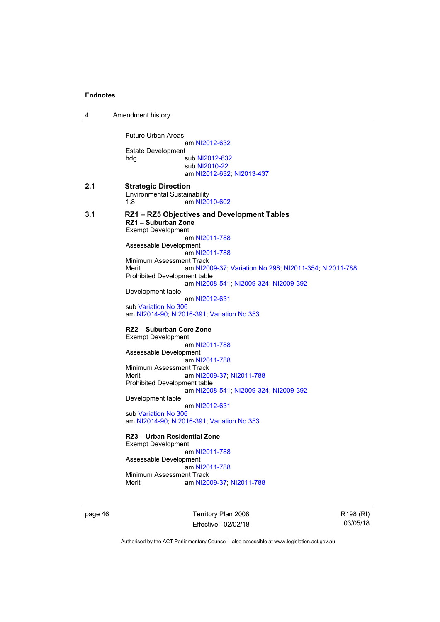| 4   | Amendment history                                                                                                                                                                                                                                                                                                                                                                                                                                                                                                                                                                                                                                                                                                                                                                                                                                                                                                                                                                                                           |
|-----|-----------------------------------------------------------------------------------------------------------------------------------------------------------------------------------------------------------------------------------------------------------------------------------------------------------------------------------------------------------------------------------------------------------------------------------------------------------------------------------------------------------------------------------------------------------------------------------------------------------------------------------------------------------------------------------------------------------------------------------------------------------------------------------------------------------------------------------------------------------------------------------------------------------------------------------------------------------------------------------------------------------------------------|
|     | <b>Future Urban Areas</b><br>am NI2012-632<br><b>Estate Development</b><br>hdg<br>sub NI2012-632<br>sub NI2010-22<br>am NI2012-632; NI2013-437                                                                                                                                                                                                                                                                                                                                                                                                                                                                                                                                                                                                                                                                                                                                                                                                                                                                              |
| 2.1 | <b>Strategic Direction</b><br><b>Environmental Sustainability</b><br>1.8<br>am NI2010-602                                                                                                                                                                                                                                                                                                                                                                                                                                                                                                                                                                                                                                                                                                                                                                                                                                                                                                                                   |
| 3.1 | RZ1 - RZ5 Objectives and Development Tables<br>RZ1 - Suburban Zone<br><b>Exempt Development</b><br>am NI2011-788<br>Assessable Development<br>am NI2011-788<br>Minimum Assessment Track<br>Merit<br>am NI2009-37; Variation No 298; NI2011-354; NI2011-788<br><b>Prohibited Development table</b><br>am NI2008-541; NI2009-324; NI2009-392<br>Development table<br>am NI2012-631<br>sub Variation No 306<br>am NI2014-90; NI2016-391; Variation No 353<br>RZ2 - Suburban Core Zone<br><b>Exempt Development</b><br>am NI2011-788<br>Assessable Development<br>am NI2011-788<br>Minimum Assessment Track<br>Merit<br>am NI2009-37; NI2011-788<br>Prohibited Development table<br>am NI2008-541; NI2009-324; NI2009-392<br>Development table<br>am NI2012-631<br>sub Variation No 306<br>am NI2014-90; NI2016-391; Variation No 353<br>RZ3 - Urban Residential Zone<br><b>Exempt Development</b><br>am NI2011-788<br>Assessable Development<br>am NI2011-788<br>Minimum Assessment Track<br>Merit<br>am NI2009-37; NI2011-788 |

page 46 Territory Plan 2008 Effective: 02/02/18 R198 (RI) 03/05/18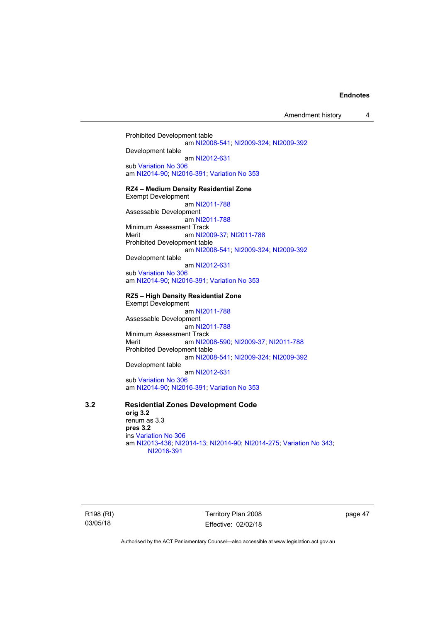Amendment history 4

Prohibited Development table am [NI2008-541](http://www.legislation.act.gov.au/ni/2008-541/); [NI2009-324](http://www.legislation.act.gov.au/ni/2009-324/); [NI2009-392](http://www.legislation.act.gov.au/ni/2009-392/) Development table am [NI2012-631](http://www.legislation.act.gov.au/ni/2012-631/default.asp) sub [Variation No 306](http://www.legislation.act.gov.au/ni/2013-93/default.asp) am [NI2014-90](http://www.legislation.act.gov.au/ni/2014-90/default.asp); [NI2016-391](http://www.legislation.act.gov.au/ni/2016-391/default.asp); [Variation No 353](http://www.legislation.act.gov.au/ni/2016-393/default.asp) **RZ4 – Medium Density Residential Zone**  Exempt Development am [NI2011-788](http://www.legislation.act.gov.au/ni/2011-788/) Assessable Development am [NI2011-788](http://www.legislation.act.gov.au/ni/2011-788/) Minimum Assessment Track Merit am [NI2009-37](http://www.legislation.act.gov.au/ni/2009-37/); [NI2011-788](http://www.legislation.act.gov.au/ni/2011-788/) Prohibited Development table am [NI2008-541](http://www.legislation.act.gov.au/ni/2008-541/); [NI2009-324](http://www.legislation.act.gov.au/ni/2009-324/); [NI2009-392](http://www.legislation.act.gov.au/ni/2009-392/) Development table am [NI2012-631](http://www.legislation.act.gov.au/ni/2012-631/default.asp) sub [Variation No 306](http://www.legislation.act.gov.au/ni/2013-93/default.asp) am [NI2014-90](http://www.legislation.act.gov.au/ni/2014-90/default.asp); [NI2016-391](http://www.legislation.act.gov.au/ni/2016-391/default.asp); [Variation No 353](http://www.legislation.act.gov.au/ni/2016-393/default.asp) **RZ5 – High Density Residential Zone**  Exempt Development am [NI2011-788](http://www.legislation.act.gov.au/ni/2011-788/) Assessable Development

 am [NI2011-788](http://www.legislation.act.gov.au/ni/2011-788/) Minimum Assessment Track Merit am [NI2008-590](http://www.legislation.act.gov.au/ni/2008-590/default.asp); [NI2009-37](http://www.legislation.act.gov.au/ni/2009-37/); [NI2011-788](http://www.legislation.act.gov.au/ni/2011-788/) Prohibited Development table am [NI2008-541](http://www.legislation.act.gov.au/ni/2008-541/); [NI2009-324](http://www.legislation.act.gov.au/ni/2009-324/); [NI2009-392](http://www.legislation.act.gov.au/ni/2009-392/)

Development table

 am [NI2012-631](http://www.legislation.act.gov.au/ni/2012-631/default.asp) sub [Variation No 306](http://www.legislation.act.gov.au/ni/2013-93/default.asp)

am [NI2014-90](http://www.legislation.act.gov.au/ni/2014-90/default.asp); [NI2016-391](http://www.legislation.act.gov.au/ni/2016-391/default.asp); [Variation No 353](http://www.legislation.act.gov.au/ni/2016-393/default.asp)

# **3.2 Residential Zones Development Code**

**orig 3.2**  renum as 3.3 **pres 3.2**  ins [Variation No 306](http://www.legislation.act.gov.au/ni/2013-93/default.asp) am [NI2013-436](http://www.legislation.act.gov.au/ni/2013-436/default.asp); [NI2014-13](http://www.legislation.act.gov.au/ni/2014-13/default.asp); [NI2014-90](http://www.legislation.act.gov.au/ni/2014-90/default.asp); [NI2014-275](http://www.legislation.act.gov.au/ni/2014-275/default.asp); [Variation No 343](http://www.legislation.act.gov.au/ni/2015-642/default.asp); [NI2016-391](http://www.legislation.act.gov.au/ni/2016-391/default.asp)

R198 (RI) 03/05/18

Territory Plan 2008 Effective: 02/02/18 page 47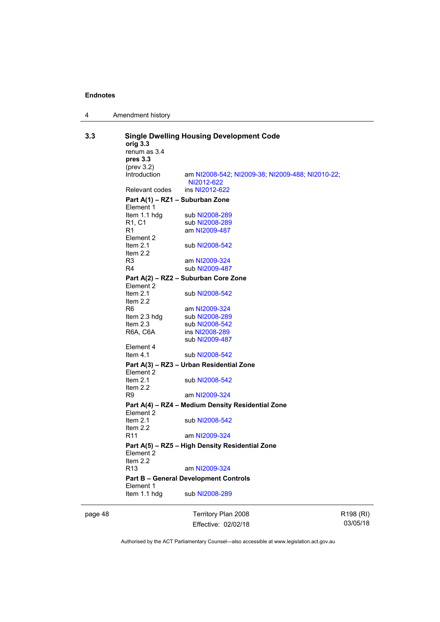| 4 | Amendment history |
|---|-------------------|
|---|-------------------|

| 3.3     | <b>Single Dwelling Housing Development Code</b><br>orig 3.3<br>renum as 3.4<br>pres 3.3<br>$(\text{prev } 3.2)$ |                                                                |                 |  |  |
|---------|-----------------------------------------------------------------------------------------------------------------|----------------------------------------------------------------|-----------------|--|--|
|         | Introduction                                                                                                    | am NI2008-542; NI2009-38; NI2009-488; NI2010-22;<br>NI2012-622 |                 |  |  |
|         | Relevant codes                                                                                                  | ins NI2012-622                                                 |                 |  |  |
|         | Part A(1) - RZ1 - Suburban Zone<br>Element 1<br>Item 1.1 hdg<br>sub NI2008-289                                  |                                                                |                 |  |  |
|         | R1, C1<br>R1<br>Element 2<br>Item $2.1$                                                                         | sub NI2008-289<br>am NI2009-487<br>sub NI2008-542              |                 |  |  |
|         | Item $2.2$<br>R3<br>R4                                                                                          | am NI2009-324<br>sub NI2009-487                                |                 |  |  |
|         | Part A(2) - RZ2 - Suburban Core Zone                                                                            |                                                                |                 |  |  |
|         | Element 2<br>Item $2.1$<br>Item $2.2$                                                                           | sub NI2008-542                                                 |                 |  |  |
|         | R6<br>Item 2.3 hdg<br>Item 2.3                                                                                  | am NI2009-324<br>sub NI2008-289<br>sub NI2008-542              |                 |  |  |
|         | R6A, C6A<br>Element 4                                                                                           | ins NI2008-289<br>sub NI2009-487                               |                 |  |  |
|         | Item $4.1$                                                                                                      | sub NI2008-542                                                 |                 |  |  |
|         | Part A(3) - RZ3 - Urban Residential Zone<br>Element 2                                                           |                                                                |                 |  |  |
|         | Item $2.1$<br>Item $2.2$<br>R9                                                                                  | sub NI2008-542<br>am NI2009-324                                |                 |  |  |
|         |                                                                                                                 | Part A(4) - RZ4 - Medium Density Residential Zone              |                 |  |  |
|         | Element 2<br>Item $2.1$                                                                                         | sub NI2008-542                                                 |                 |  |  |
|         | Item $2.2$<br>R <sub>11</sub>                                                                                   | am NI2009-324                                                  |                 |  |  |
|         | Element 2<br>Item $2.2$                                                                                         | Part A(5) - RZ5 - High Density Residential Zone                |                 |  |  |
|         | R <sub>13</sub>                                                                                                 | am NI2009-324                                                  |                 |  |  |
|         | <b>Part B - General Development Controls</b><br>Element 1                                                       |                                                                |                 |  |  |
|         | Item 1.1 hdg                                                                                                    | sub NI2008-289                                                 |                 |  |  |
| page 48 |                                                                                                                 | Territory Plan 2008                                            | R <sub>19</sub> |  |  |

Effective: 02/02/18

R198 (RI) 03/05/18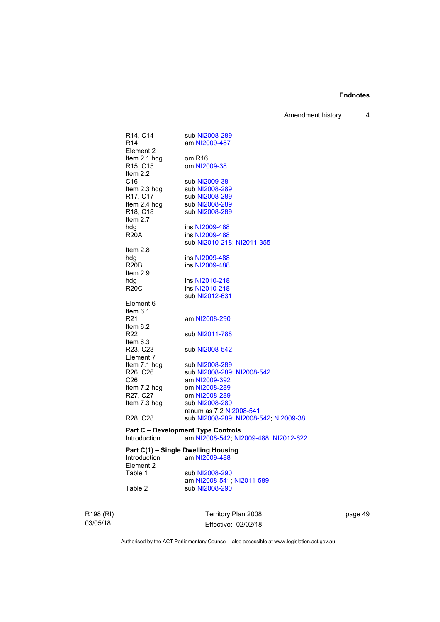Amendment history 4

| R14, C14                                          | sub NI2008-289                               |
|---------------------------------------------------|----------------------------------------------|
| R <sub>14</sub>                                   | am NI2009-487                                |
| Element 2                                         |                                              |
| Item 2.1 hdg                                      | om R16                                       |
| R <sub>15</sub> , C <sub>15</sub>                 | om NI2009-38                                 |
| Item 2.2                                          |                                              |
| C <sub>16</sub>                                   | sub NI2009-38                                |
| Item 2.3 hdg                                      | sub NI2008-289                               |
| R17, C17                                          | sub NI2008-289                               |
| Item 2.4 hdg                                      | sub NI2008-289                               |
| R18, C18                                          | sub NI2008-289                               |
| Item 2.7                                          |                                              |
| hdg                                               | ins NI2009-488                               |
| R20A                                              | ins NI2009-488<br>sub NI2010-218; NI2011-355 |
| Item $2.8$                                        |                                              |
| hdg                                               | ins NI2009-488                               |
| <b>R20B</b>                                       | ins NI2009-488                               |
| Item $2.9$                                        |                                              |
| hdg                                               | ins NI2010-218                               |
| <b>R20C</b>                                       | ins NI2010-218                               |
|                                                   | sub NI2012-631                               |
| Element 6                                         |                                              |
| Item $6.1$                                        |                                              |
| R21                                               | am NI2008-290                                |
| Item $6.2$                                        |                                              |
| R22                                               | sub NI2011-788                               |
| Item $6.3$                                        |                                              |
| R23, C23                                          | sub NI2008-542                               |
| Element 7                                         |                                              |
| Item 7.1 hdg<br>R <sub>26</sub> , C <sub>26</sub> | sub NI2008-289<br>sub NI2008-289; NI2008-542 |
| C <sub>26</sub>                                   | am NI2009-392                                |
| Item 7.2 hdg                                      | om NI2008-289                                |
| R27, C27                                          | om NI2008-289                                |
| Item 7.3 hdg                                      | sub NI2008-289                               |
|                                                   | renum as 7.2 NI2008-541                      |
| R28, C28                                          | sub NI2008-289; NI2008-542; NI2009-38        |
|                                                   | <b>Part C - Development Type Controls</b>    |
| Introduction                                      | am NI2008-542; NI2009-488; NI2012-622        |
|                                                   | Part C(1) - Single Dwelling Housing          |
| Introduction                                      | am NI2009-488                                |
|                                                   |                                              |

Element 2<br>Table 1 Table 1 sub [NI2008-290](http://www.legislation.act.gov.au/ni/2008-290/) am [NI2008-541](http://www.legislation.act.gov.au/ni/2008-541/); [NI2011-589](http://www.legislation.act.gov.au/ni/2011-589/) Table 2 **sub [NI2008-290](http://www.legislation.act.gov.au/ni/2008-290/)** 

R198 (RI) 03/05/18

Territory Plan 2008 Effective: 02/02/18 page 49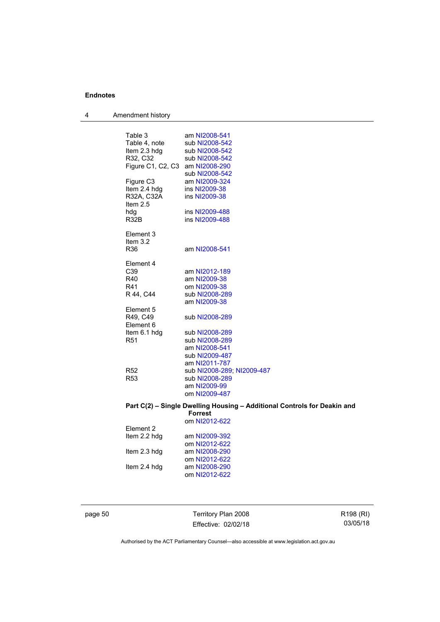4 Amendment history

| Table 3                         | am NI2008-541                                                            |
|---------------------------------|--------------------------------------------------------------------------|
| Table 4, note                   | sub NI2008-542                                                           |
| Item 2.3 hdg                    | sub NI2008-542                                                           |
| R32, C32                        | sub NI2008-542                                                           |
| Figure C1, C2, C3 am NI2008-290 |                                                                          |
|                                 |                                                                          |
| Figure C <sub>3</sub>           | sub NI2008-542                                                           |
|                                 | am NI2009-324                                                            |
| Item 2.4 hdg                    | ins NI2009-38                                                            |
| R32A, C32A                      | ins NI2009-38                                                            |
| Item 2.5                        |                                                                          |
| hdg                             | ins NI2009-488                                                           |
| R32B                            | ins NI2009-488                                                           |
| Element 3                       |                                                                          |
| Item $3.2$                      |                                                                          |
| R36                             | am NI2008-541                                                            |
|                                 |                                                                          |
| Element 4                       |                                                                          |
| C <sub>39</sub>                 | am NI2012-189                                                            |
| R40                             | am NI2009-38                                                             |
| R41                             | om NI2009-38                                                             |
| R 44, C44                       | sub NI2008-289                                                           |
|                                 | am NI2009-38                                                             |
| Element 5                       |                                                                          |
| R49, C49                        | sub NI2008-289                                                           |
| Element 6                       |                                                                          |
| Item 6.1 hdg                    | sub NI2008-289                                                           |
| R <sub>51</sub>                 | sub NI2008-289                                                           |
|                                 | am NI2008-541                                                            |
|                                 | sub NI2009-487                                                           |
|                                 | am NI2011-787                                                            |
| R52                             | sub NI2008-289; NI2009-487                                               |
| R <sub>53</sub>                 | sub NI2008-289                                                           |
|                                 | am NI2009-99                                                             |
|                                 | om NI2009-487                                                            |
|                                 |                                                                          |
|                                 | Part C(2) - Single Dwelling Housing - Additional Controls for Deakin and |
|                                 | <b>Forrest</b>                                                           |
|                                 | om NI2012-622                                                            |
| Element 2                       |                                                                          |
| Item 2.2 hdg                    | am NI2009-392                                                            |
|                                 | om NI2012-622                                                            |
| Item 2.3 hdg                    | am NI2008-290                                                            |
|                                 | om NI2012-622                                                            |
| Item 2.4 hdg                    | am NI2008-290                                                            |
|                                 | om NI2012-622                                                            |
|                                 |                                                                          |
|                                 |                                                                          |

page 50 Territory Plan 2008 Effective: 02/02/18

R198 (RI) 03/05/18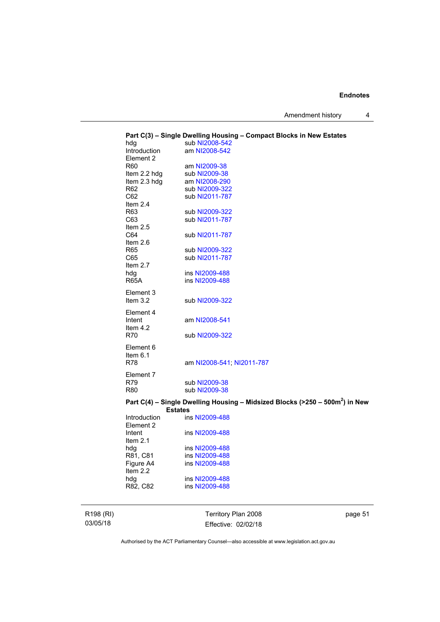Amendment history 4

| hdg                     | Part C(3) - Single Dwelling Housing - Compact Blocks in New Estates<br>sub NI2008-542 |
|-------------------------|---------------------------------------------------------------------------------------|
| Introduction            | am NI2008-542                                                                         |
| Element 2               |                                                                                       |
| R60                     | am NI2009-38                                                                          |
| Item 2.2 hdg            | sub NI2009-38                                                                         |
| Item 2.3 hdg            | am NI2008-290                                                                         |
| R <sub>62</sub>         | sub NI2009-322                                                                        |
| C62                     | sub NI2011-787                                                                        |
| Item $2.4$              |                                                                                       |
| R63                     | sub NI2009-322                                                                        |
| C63                     | sub NI2011-787                                                                        |
| Item $2.5$              |                                                                                       |
| C64                     | sub NI2011-787                                                                        |
| Item $2.6$              |                                                                                       |
| R65                     | sub NI2009-322                                                                        |
| C65                     | sub NI2011-787                                                                        |
| Item $2.7$              |                                                                                       |
| hdg                     | ins NI2009-488                                                                        |
| <b>R65A</b>             | ins NI2009-488                                                                        |
|                         |                                                                                       |
| Element 3<br>Item $3.2$ |                                                                                       |
|                         | sub NI2009-322                                                                        |
| Element 4               |                                                                                       |
| Intent                  | am NI2008-541                                                                         |
| Item 4.2                |                                                                                       |
| <b>R70</b>              | sub NI2009-322                                                                        |
| Element 6               |                                                                                       |
| Item $6.1$              |                                                                                       |
| <b>R78</b>              | am NI2008-541; NI2011-787                                                             |
|                         |                                                                                       |
| Element 7               |                                                                                       |
| R79                     | sub NI2009-38                                                                         |
| R80                     | sub NI2009-38                                                                         |
|                         | Part C(4) – Single Dwelling Housing – Midsized Blocks (>250 – 500 $m2$ ) in New       |
| <b>Estates</b>          |                                                                                       |
| Introduction            | ins NI2009-488                                                                        |
| Element 2               |                                                                                       |
| Intent                  | ins NI2009-488                                                                        |
| Item $2.1$              |                                                                                       |
| hdg                     | ins NI2009-488                                                                        |
| R81, C81                | ins NI2009-488                                                                        |
| Figure A4               | ins NI2009-488                                                                        |
| Item 2.2                |                                                                                       |
| hdg                     | ins NI2009-488                                                                        |
| R82, C82                | ins NI2009-488                                                                        |
|                         |                                                                                       |

R198 (RI) 03/05/18

Territory Plan 2008 Effective: 02/02/18 page 51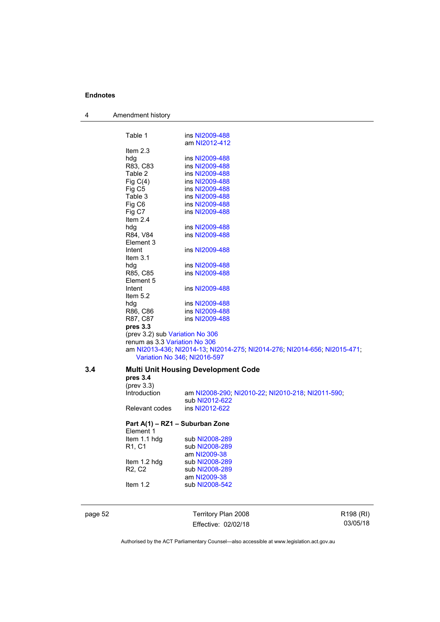| 4       | Amendment history                          |                                                                           |           |
|---------|--------------------------------------------|---------------------------------------------------------------------------|-----------|
|         | Table 1                                    | ins NI2009-488                                                            |           |
|         |                                            | am NI2012-412                                                             |           |
|         | Item $2.3$                                 |                                                                           |           |
|         | hdg                                        | ins NI2009-488                                                            |           |
|         | R83, C83                                   | ins NI2009-488                                                            |           |
|         | Table 2                                    | ins NI2009-488                                                            |           |
|         | Fig $C(4)$                                 | ins NI2009-488                                                            |           |
|         | Fig C <sub>5</sub>                         | ins NI2009-488                                                            |           |
|         | Table 3                                    | ins NI2009-488                                                            |           |
|         | Fig C6                                     | ins NI2009-488                                                            |           |
|         | Fig C7                                     | ins NI2009-488                                                            |           |
|         | Item $2.4$                                 |                                                                           |           |
|         | hdg                                        | ins NI2009-488                                                            |           |
|         | R84, V84                                   | ins NI2009-488                                                            |           |
|         | Element 3                                  |                                                                           |           |
|         | Intent                                     | ins NI2009-488                                                            |           |
|         | Item $3.1$                                 |                                                                           |           |
|         | hdg                                        | ins NI2009-488                                                            |           |
|         | R85, C85                                   | ins NI2009-488                                                            |           |
|         | Element 5                                  |                                                                           |           |
|         | Intent                                     | ins NI2009-488                                                            |           |
|         | Item $5.2$                                 |                                                                           |           |
|         | hdg                                        | ins NI2009-488                                                            |           |
|         | R86, C86                                   | ins NI2009-488                                                            |           |
|         | R87, C87                                   | ins NI2009-488                                                            |           |
|         | pres 3.3                                   |                                                                           |           |
|         | (prev 3.2) sub Variation No 306            |                                                                           |           |
|         | renum as 3.3 Variation No 306              |                                                                           |           |
|         |                                            | am NI2013-436; NI2014-13; NI2014-275; NI2014-276; NI2014-656; NI2015-471; |           |
|         |                                            | Variation No 346; NI2016-597                                              |           |
| 3.4     | <b>Multi Unit Housing Development Code</b> |                                                                           |           |
|         | pres 3.4                                   |                                                                           |           |
|         | $(\text{prev } 3.3)$                       |                                                                           |           |
|         | Introduction                               | am NI2008-290; NI2010-22; NI2010-218; NI2011-590;                         |           |
|         |                                            | sub NI2012-622                                                            |           |
|         | Relevant codes                             | ins NI2012-622                                                            |           |
|         | Element 1                                  | Part A(1) - RZ1 - Suburban Zone                                           |           |
|         | Item 1.1 hdg                               | sub NI2008-289                                                            |           |
|         | R1, C1                                     | sub NI2008-289                                                            |           |
|         |                                            | am NI2009-38                                                              |           |
|         | Item 1.2 hdg                               | sub NI2008-289                                                            |           |
|         | R <sub>2</sub> , C <sub>2</sub>            | sub NI2008-289                                                            |           |
|         |                                            | am NI2009-38                                                              |           |
|         | Item 1.2                                   | sub NI2008-542                                                            |           |
|         |                                            |                                                                           |           |
| page 52 |                                            | Territory Plan 2008                                                       | R198 (RI) |
|         |                                            | Effective: 02/02/18                                                       | 03/05/18  |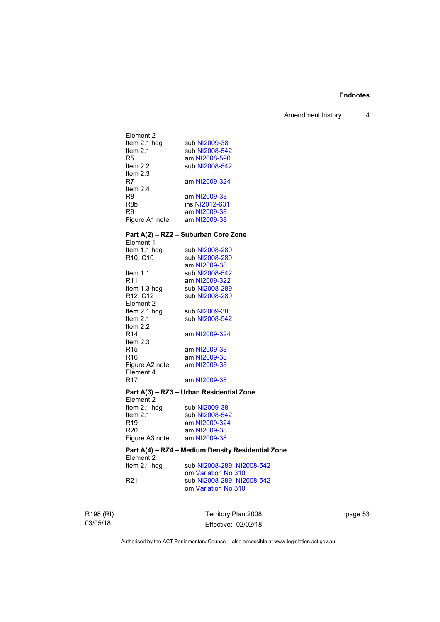Amendment history 4

| Element 2       |                                                   |
|-----------------|---------------------------------------------------|
| Item 2.1 hdg    | sub NI2009-38                                     |
| Item 2.1        | sub NI2008-542                                    |
| R5              | am NI2008-590                                     |
| Item $2.2$      | sub NI2008-542                                    |
| Item 2.3        |                                                   |
| R7.             | am NI2009-324                                     |
| Item 2.4        |                                                   |
| R8              | am NI2009-38                                      |
| R8b             | ins NI2012-631                                    |
| R9              | am NI2009-38                                      |
| Figure A1 note  | am NI2009-38                                      |
|                 |                                                   |
|                 | Part A(2) - RZ2 - Suburban Core Zone              |
| Element 1       |                                                   |
| Item 1.1 hdg    | sub NI2008-289                                    |
| R10, C10        | sub NI2008-289                                    |
|                 | am NI2009-38                                      |
|                 |                                                   |
| Item $1.1$      | sub NI2008-542                                    |
| R11             | am NI2009-322                                     |
| Item 1.3 hdg    | sub NI2008-289                                    |
| R12, C12        | sub NI2008-289                                    |
| Element 2       |                                                   |
| Item 2.1 hdg    | sub NI2009-38                                     |
| Item $2.1$      | sub NI2008-542                                    |
| Item 2.2        |                                                   |
| R14             | am NI2009-324                                     |
| Item 2.3        |                                                   |
| R15             | am NI2009-38                                      |
| R <sub>16</sub> | am NI2009-38                                      |
| Figure A2 note  | am NI2009-38                                      |
| Element 4       |                                                   |
| R <sub>17</sub> | am NI2009-38                                      |
|                 | Part A(3) - RZ3 - Urban Residential Zone          |
| Element 2       |                                                   |
| ltem 2.1 hdg    | sub NI2009-38                                     |
| Item 2.1        | sub NI2008-542                                    |
| R <sub>19</sub> | am NI2009-324                                     |
|                 |                                                   |
| R20             | am NI2009-38                                      |
| Figure A3 note  | am NI2009-38                                      |
|                 | Part A(4) - RZ4 - Medium Density Residential Zone |
| Element 2       |                                                   |
| Item 2.1 hdg    | sub NI2008-289; NI2008-542                        |
|                 | om Variation No 310                               |
| R <sub>21</sub> | sub NI2008-289; NI2008-542                        |
|                 | om Variation No 310                               |
|                 |                                                   |
|                 |                                                   |
|                 |                                                   |

R198 (RI) 03/05/18

Territory Plan 2008 Effective: 02/02/18

page 53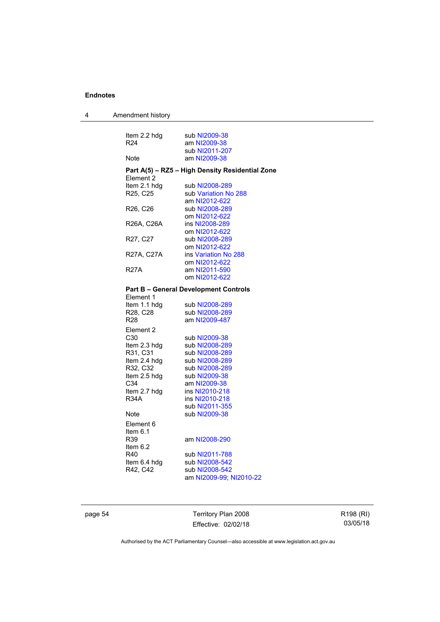| 4 | Amendment history |
|---|-------------------|
|---|-------------------|

| Item 2.2 hdg    | sub NI2009-38                                   |
|-----------------|-------------------------------------------------|
| R <sub>24</sub> | am NI2009-38                                    |
|                 | sub NI2011-207                                  |
| Note            | am NI2009-38                                    |
| Element 2       | Part A(5) - RZ5 - High Density Residential Zone |
| Item 2.1 hdg    | sub NI2008-289                                  |
| R25, C25        | sub Variation No 288                            |
|                 | am NI2012-622                                   |
| R26, C26        | sub NI2008-289                                  |
|                 | om NI2012-622                                   |
| R26A, C26A      | ins NI2008-289                                  |
|                 | om NI2012-622                                   |
| R27, C27        | sub NI2008-289                                  |
|                 | om NI2012-622                                   |
| R27A, C27A      | ins Variation No 288                            |
|                 | om NI2012-622                                   |
| <b>R27A</b>     | am NI2011-590                                   |
|                 | om NI2012-622                                   |
|                 | <b>Part B - General Development Controls</b>    |
| Element 1       |                                                 |
| Item 1.1 hdg    | sub NI2008-289                                  |
| R28, C28        | sub NI2008-289                                  |
| R <sub>28</sub> | am NI2009-487                                   |
| Element 2       |                                                 |
| C30             | sub NI2009-38                                   |
| Item 2.3 hdg    | sub NI2008-289                                  |
| R31, C31        | sub NI2008-289                                  |
| Item 2.4 hdg    | sub NI2008-289                                  |
| R32, C32        | sub NI2008-289                                  |
| Item 2.5 hdg    | sub NI2009-38                                   |
| C34             | am NI2009-38                                    |
| Item 2.7 hdg    | ins NI2010-218                                  |
| R34A            | ins NI2010-218                                  |
|                 | sub NI2011-355                                  |
| Note            | sub NI2009-38                                   |
| Element 6       |                                                 |
| Item 6.1        |                                                 |
| R39             | am NI2008-290                                   |
| Item $6.2$      |                                                 |
| R40             | sub NI2011-788                                  |
| Item 6.4 hdg    | sub NI2008-542                                  |
| R42, C42        | sub NI2008-542                                  |
|                 | am NI2009-99; NI2010-22                         |

page 54 Territory Plan 2008 Effective: 02/02/18

R198 (RI) 03/05/18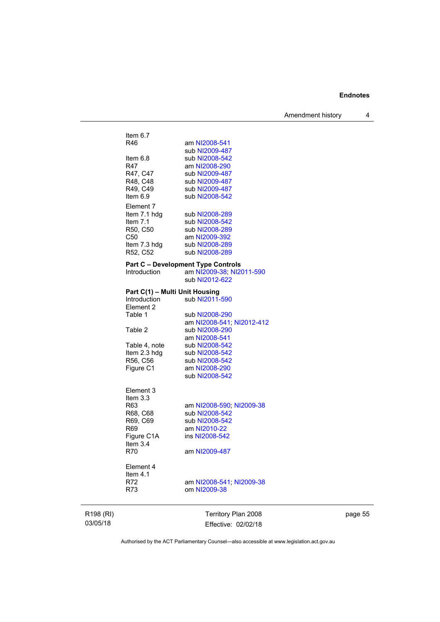Amendment history 4

| R198 (RI) |                                       | Territory Plan 2008                                                                     |
|-----------|---------------------------------------|-----------------------------------------------------------------------------------------|
|           | Element 4<br>Item $4.1$<br>R72<br>R73 | am NI2008-541; NI2009-38<br>om NI2009-38                                                |
|           | R70                                   | am NI2009-487                                                                           |
|           | Figure C1A<br>Item $3.4$              | ins NI2008-542                                                                          |
|           | R69                                   | am NI2010-22                                                                            |
|           | R69, C69                              | sub NI2008-542                                                                          |
|           | R63<br>R68, C68                       | am NI2008-590; NI2009-38<br>sub NI2008-542                                              |
|           | Element 3<br>Item 3.3                 |                                                                                         |
|           |                                       | sub NI2008-542                                                                          |
|           | R56, C56<br>Figure C1                 | sub NI2008-542<br>am NI2008-290                                                         |
|           | Item 2.3 hdg                          | sub NI2008-542                                                                          |
|           | Table 4, note                         | sub NI2008-542                                                                          |
|           |                                       | am NI2008-541                                                                           |
|           | Table 2                               | am NI2008-541; NI2012-412<br>sub NI2008-290                                             |
|           | Table 1                               | sub NI2008-290                                                                          |
|           | Introduction<br>Element 2             | sub NI2011-590                                                                          |
|           | Part C(1) - Multi Unit Housing        |                                                                                         |
|           | Introduction                          | <b>Part C - Development Type Controls</b><br>am NI2009-38; NI2011-590<br>sub NI2012-622 |
|           | R52, C52                              | sub NI2008-289                                                                          |
|           | Item 7.3 hdg                          | sub NI2008-289                                                                          |
|           | C50                                   | am NI2009-392                                                                           |
|           | Item $7.1$<br>R50, C50                | sub NI2008-542<br>sub NI2008-289                                                        |
|           | Item 7.1 hdg                          | sub NI2008-289                                                                          |
|           | Element 7                             |                                                                                         |
|           | R49, C49<br>Item $6.9$                | sub NI2009-487<br>sub NI2008-542                                                        |
|           | R48, C48                              | sub NI2009-487                                                                          |
|           | R47, C47                              | sub NI2009-487                                                                          |
|           | ltem 6.8<br>R47                       | sub NI2008-542<br>am NI2008-290                                                         |
|           |                                       | sub NI2009-487                                                                          |
|           | R46                                   | am NI2008-541                                                                           |
|           | Item $6.7$                            |                                                                                         |

page 55

Authorised by the ACT Parliamentary Counsel—also accessible at www.legislation.act.gov.au

Effective: 02/02/18

03/05/18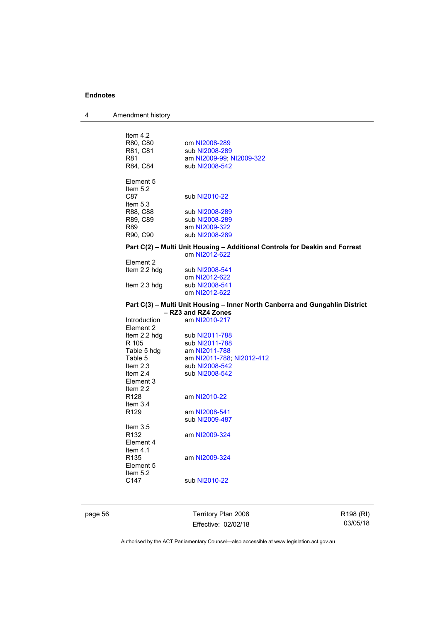4 Amendment history

| Item $4.2$       |                           |                                                                              |
|------------------|---------------------------|------------------------------------------------------------------------------|
| R80, C80         | om NI2008-289             |                                                                              |
| R81, C81         | sub NI2008-289            |                                                                              |
| R81              | am NI2009-99; NI2009-322  |                                                                              |
| R84, C84         | sub NI2008-542            |                                                                              |
| Element 5        |                           |                                                                              |
| Item $5.2$       |                           |                                                                              |
| C87              | sub NI2010-22             |                                                                              |
| Item $5.3$       |                           |                                                                              |
| R88, C88         | sub NI2008-289            |                                                                              |
| R89, C89         | sub NI2008-289            |                                                                              |
| R89              | am NI2009-322             |                                                                              |
| R90, C90         | sub NI2008-289            |                                                                              |
|                  |                           |                                                                              |
|                  | om NI2012-622             | Part C(2) - Multi Unit Housing - Additional Controls for Deakin and Forrest  |
| Element 2        |                           |                                                                              |
| Item 2.2 hdg     | sub NI2008-541            |                                                                              |
|                  | om NI2012-622             |                                                                              |
| Item 2.3 hdg     | sub NI2008-541            |                                                                              |
|                  | om NI2012-622             |                                                                              |
|                  |                           | Part C(3) - Multi Unit Housing - Inner North Canberra and Gungahlin District |
|                  | - RZ3 and RZ4 Zones       |                                                                              |
| Introduction     | am NI2010-217             |                                                                              |
| Element 2        |                           |                                                                              |
| Item 2.2 hdg     | sub NI2011-788            |                                                                              |
| R 105            | sub NI2011-788            |                                                                              |
| Table 5 hdg      | am NI2011-788             |                                                                              |
| Table 5          | am NI2011-788; NI2012-412 |                                                                              |
| Item $2.3$       | sub NI2008-542            |                                                                              |
| Item $2.4$       | sub NI2008-542            |                                                                              |
| Element 3        |                           |                                                                              |
| Item $2.2$       |                           |                                                                              |
| R <sub>128</sub> | am NI2010-22              |                                                                              |
| Item $3.4$       |                           |                                                                              |
| R <sub>129</sub> | am NI2008-541             |                                                                              |
|                  | sub NI2009-487            |                                                                              |
| Item $3.5$       |                           |                                                                              |
| R <sub>132</sub> | am NI2009-324             |                                                                              |
| Element 4        |                           |                                                                              |
| Item $4.1$       |                           |                                                                              |
| R <sub>135</sub> | am NI2009-324             |                                                                              |
| Element 5        |                           |                                                                              |
| Item $5.2$       |                           |                                                                              |
| C147             | sub NI2010-22             |                                                                              |
|                  |                           |                                                                              |
|                  |                           |                                                                              |

page 56 Territory Plan 2008 Effective: 02/02/18

R198 (RI) 03/05/18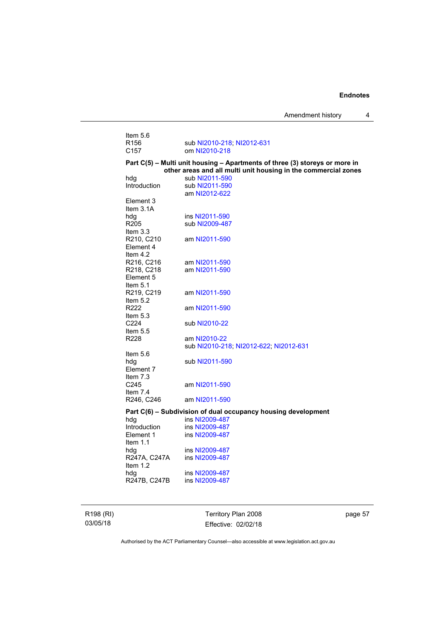| Item 5.6                             |                                                                                                                                               |
|--------------------------------------|-----------------------------------------------------------------------------------------------------------------------------------------------|
| R <sub>156</sub><br>C <sub>157</sub> | sub NI2010-218; NI2012-631<br>om NI2010-218                                                                                                   |
|                                      |                                                                                                                                               |
|                                      | Part C(5) – Multi unit housing – Apartments of three (3) storeys or more in<br>other areas and all multi unit housing in the commercial zones |
| hdg                                  | sub NI2011-590                                                                                                                                |
| Introduction                         | sub NI2011-590                                                                                                                                |
|                                      | am NI2012-622                                                                                                                                 |
| Element 3                            |                                                                                                                                               |
| Item $3.1A$                          |                                                                                                                                               |
| hdg                                  | ins NI2011-590                                                                                                                                |
| R205                                 | sub NI2009-487                                                                                                                                |
| Item $3.3$                           |                                                                                                                                               |
| R210, C210                           | am NI2011-590                                                                                                                                 |
| Element 4                            |                                                                                                                                               |
| Item $4.2$                           |                                                                                                                                               |
| R216, C216                           | am NI2011-590                                                                                                                                 |
| R218, C218                           | am NI2011-590                                                                                                                                 |
| Element 5                            |                                                                                                                                               |
| Item $5.1$                           |                                                                                                                                               |
| R219, C219<br>Item $5.2$             | am NI2011-590                                                                                                                                 |
| R222                                 | am NI2011-590                                                                                                                                 |
| Item $5.3$                           |                                                                                                                                               |
| C <sub>224</sub>                     | sub NI2010-22                                                                                                                                 |
| Item $5.5$                           |                                                                                                                                               |
| R228                                 | am NI2010-22                                                                                                                                  |
|                                      | sub NI2010-218; NI2012-622; NI2012-631                                                                                                        |
| Item $5.6$                           |                                                                                                                                               |
| hdg                                  | sub NI2011-590                                                                                                                                |
| Element 7                            |                                                                                                                                               |
| Item 7.3                             |                                                                                                                                               |
| C245                                 | am NI2011-590                                                                                                                                 |
| Item 7.4                             |                                                                                                                                               |
| R246, C246                           | am NI2011-590                                                                                                                                 |
|                                      | Part C(6) - Subdivision of dual occupancy housing development                                                                                 |
| hdg                                  | ins NI2009-487                                                                                                                                |
| Introduction                         | ins NI2009-487                                                                                                                                |
| Element 1                            | ins NI2009-487                                                                                                                                |
| Item 1.1                             |                                                                                                                                               |
| hdg                                  | ins NI2009-487                                                                                                                                |
| R247A, C247A                         | ins NI2009-487                                                                                                                                |

# **other areas and all multi unit housing in the commercial zones**

R198 (RI) 03/05/18

Item  $1.2$ 

hdg ins [NI2009-487](http://www.legislation.act.gov.au/ni/2009-487/)<br>R247B, C247B ins NI2009-487

ins [NI2009-487](http://www.legislation.act.gov.au/ni/2009-487/)

Territory Plan 2008 Effective: 02/02/18 page 57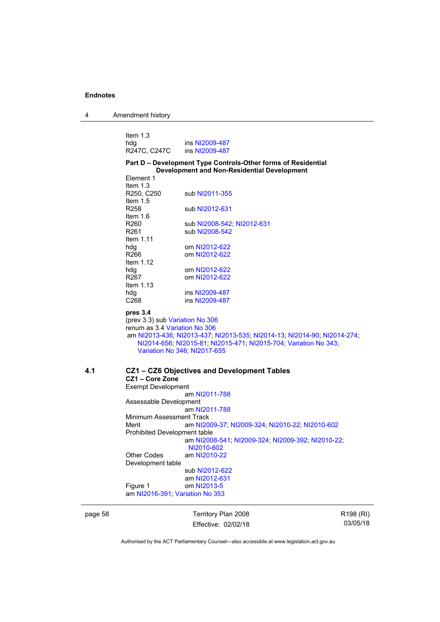| 4 | Amendment history |
|---|-------------------|
|---|-------------------|

| Item $1.3$   |                |
|--------------|----------------|
| hda          | ins NI2009-487 |
| R247C, C247C | ins NI2009-487 |

#### **Part D – Development Type Controls-Other forms of Residential Development and Non-Residential Development**  Element 1

|     | ᆸᇅᇅ<br>Item $1.3$             |                                                                          |
|-----|-------------------------------|--------------------------------------------------------------------------|
|     | R250, C250                    | sub NI2011-355                                                           |
|     | Item $1.5$                    |                                                                          |
|     | R <sub>258</sub>              |                                                                          |
|     |                               | sub NI2012-631                                                           |
|     | Item $1.6$                    |                                                                          |
|     | R260                          | sub NI2008-542; NI2012-631                                               |
|     | R <sub>261</sub>              | sub NI2008-542                                                           |
|     | Item $1.11$                   |                                                                          |
|     | hdg                           | om NI2012-622                                                            |
|     | R <sub>266</sub>              | om NI2012-622                                                            |
|     | Item $1.12$                   |                                                                          |
|     | hdg                           | om NI2012-622                                                            |
|     | R <sub>267</sub>              | om NI2012-622                                                            |
|     | Item $1.13$                   |                                                                          |
|     | hdg                           | ins NI2009-487                                                           |
|     | C <sub>268</sub>              | ins NI2009-487                                                           |
|     |                               |                                                                          |
|     | pres 3.4                      |                                                                          |
|     |                               | (prev 3.3) sub Variation No 306                                          |
|     | renum as 3.4 Variation No 306 |                                                                          |
|     |                               | am NI2013-436, NI2013-437; NI2013-535; NI2014-13; NI2014-90; NI2014-274; |
|     |                               | NI2014-656; NI2015-81; NI2015-471; NI2015-704; Variation No 343;         |
|     |                               | Variation No 346; NI2017-655                                             |
|     |                               |                                                                          |
| 4.1 |                               | CZ1 - CZ6 Objectives and Development Tables                              |
|     | CZ1-Core Zone                 |                                                                          |
|     | <b>Exempt Development</b>     |                                                                          |
|     |                               | am NI2011-788                                                            |
|     | Assessable Development        |                                                                          |
|     |                               | am NI2011-788                                                            |
|     | Minimum Assessment Track      |                                                                          |
|     | Merit                         | am NI2009-37; NI2009-324; NI2010-22; NI2010-602                          |
|     | Prohibited Development table  |                                                                          |
|     |                               | am NI2008-541; NI2009-324; NI2009-392; NI2010-22;                        |
|     |                               | NI2010-602                                                               |
|     | <b>Other Codes</b>            | am NI2010-22                                                             |
|     |                               |                                                                          |
|     | Development table             |                                                                          |
|     |                               | sub NI2012-622                                                           |
|     |                               | am NI2012-631                                                            |
|     | Figure 1                      | om NI2013-5                                                              |
|     |                               | am NI2016-391; Variation No 353                                          |
|     |                               |                                                                          |

page 58 Territory Plan 2008 Effective: 02/02/18 R198 (RI) 03/05/18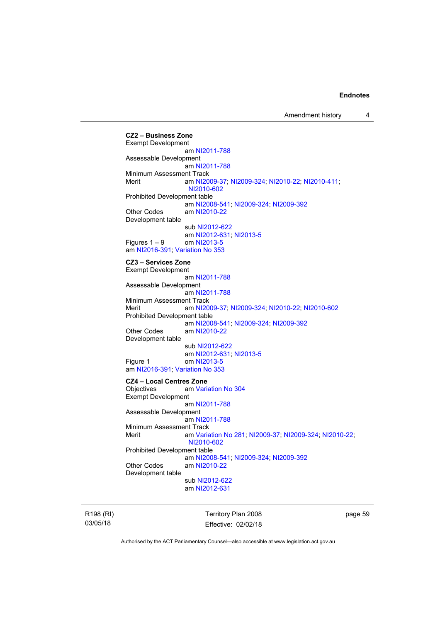**CZ2 – Business Zone**  Exempt Development am [NI2011-788](http://www.legislation.act.gov.au/ni/2011-788/) Assessable Development am [NI2011-788](http://www.legislation.act.gov.au/ni/2011-788/) Minimum Assessment Track Merit am [NI2009-37](http://www.legislation.act.gov.au/ni/2009-37/); [NI2009-324](http://www.legislation.act.gov.au/ni/2009-324/); [NI2010-22](http://www.legislation.act.gov.au/ni/2010-22/); [NI2010-411](http://www.legislation.act.gov.au/ni/2010-411/); [NI2010-602](http://www.legislation.act.gov.au/ni/2010-602/) Prohibited Development table am [NI2008-541](http://www.legislation.act.gov.au/ni/2008-541/); [NI2009-324](http://www.legislation.act.gov.au/ni/2009-324/); [NI2009-392](http://www.legislation.act.gov.au/ni/2009-392/) Other Codes am [NI2010-22](http://www.legislation.act.gov.au/ni/2010-22/) Development table sub [NI2012-622](http://www.legislation.act.gov.au/ni/2012-622/default.asp) am [NI2012-631](http://www.legislation.act.gov.au/ni/2012-631/default.asp); [NI2013-5](http://www.legislation.act.gov.au/ni/2013-5/default.asp) Figures  $1 - 9$  om [NI2013-5](http://www.legislation.act.gov.au/ni/2013-5/default.asp) am [NI2016-391](http://www.legislation.act.gov.au/ni/2016-391/default.asp); [Variation No 353](http://www.legislation.act.gov.au/ni/2016-393/default.asp) **CZ3 – Services Zone**  Exempt Development am [NI2011-788](http://www.legislation.act.gov.au/ni/2011-788/) Assessable Development am [NI2011-788](http://www.legislation.act.gov.au/ni/2011-788/) Minimum Assessment Track Merit am [NI2009-37](http://www.legislation.act.gov.au/ni/2009-37/); [NI2009-324](http://www.legislation.act.gov.au/ni/2009-324/); [NI2010-22](http://www.legislation.act.gov.au/ni/2010-22/); [NI2010-602](http://www.legislation.act.gov.au/ni/2010-602/) Prohibited Development table am [NI2008-541](http://www.legislation.act.gov.au/ni/2008-541/); [NI2009-324](http://www.legislation.act.gov.au/ni/2009-324/); [NI2009-392](http://www.legislation.act.gov.au/ni/2009-392/) Other Codes am [NI2010-22](http://www.legislation.act.gov.au/ni/2010-22/) Development table sub [NI2012-622](http://www.legislation.act.gov.au/ni/2012-622/default.asp) am [NI2012-631](http://www.legislation.act.gov.au/ni/2012-631/default.asp); [NI2013-5](http://www.legislation.act.gov.au/ni/2013-5/default.asp)<br>Figure 1 cm NI2013-5 om [NI2013-5](http://www.legislation.act.gov.au/ni/2013-5/default.asp) am [NI2016-391](http://www.legislation.act.gov.au/ni/2016-391/default.asp); [Variation No 353](http://www.legislation.act.gov.au/ni/2016-393/default.asp) **CZ4 – Local Centres Zone**  Objectives am [Variation No 304](http://www.legislation.act.gov.au/ni/2015-99/default.asp) Exempt Development am [NI2011-788](http://www.legislation.act.gov.au/ni/2011-788/) Assessable Development am [NI2011-788](http://www.legislation.act.gov.au/ni/2011-788/) Minimum Assessment Track Merit am [Variation No 281](http://www.legislation.act.gov.au/ni/2008-352/); [NI2009-37](http://www.legislation.act.gov.au/ni/2009-37/); [NI2009-324](http://www.legislation.act.gov.au/ni/2009-324/); [NI2010-22](http://www.legislation.act.gov.au/ni/2010-22/); [NI2010-602](http://www.legislation.act.gov.au/ni/2010-602/) Prohibited Development table am [NI2008-541](http://www.legislation.act.gov.au/ni/2008-541/); [NI2009-324](http://www.legislation.act.gov.au/ni/2009-324/); [NI2009-392](http://www.legislation.act.gov.au/ni/2009-392/) Other Codes am [NI2010-22](http://www.legislation.act.gov.au/ni/2010-22/) Development table sub [NI2012-622](http://www.legislation.act.gov.au/ni/2012-622/default.asp) am [NI2012-631](http://www.legislation.act.gov.au/ni/2012-631/default.asp)

R198 (RI) 03/05/18

Territory Plan 2008 Effective: 02/02/18 page 59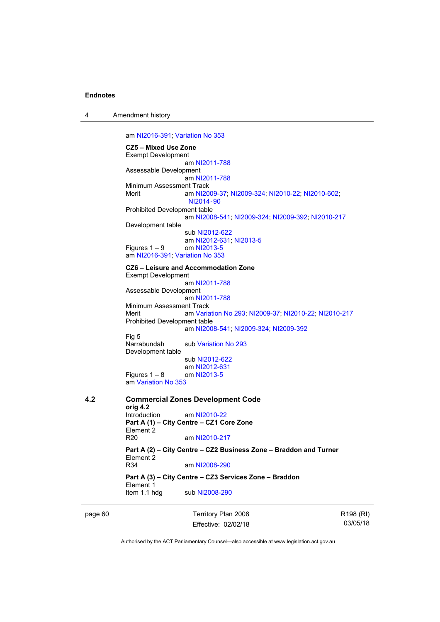4 Amendment history

am [NI2016-391](http://www.legislation.act.gov.au/ni/2016-391/default.asp); [Variation No 353](http://www.legislation.act.gov.au/ni/2016-393/default.asp) **CZ5 – Mixed Use Zone**  Exempt Development am [NI2011-788](http://www.legislation.act.gov.au/ni/2011-788/) Assessable Development am [NI2011-788](http://www.legislation.act.gov.au/ni/2011-788/) Minimum Assessment Track Merit am [NI2009-37](http://www.legislation.act.gov.au/ni/2009-37/); [NI2009-324](http://www.legislation.act.gov.au/ni/2009-324/); [NI2010-22](http://www.legislation.act.gov.au/ni/2010-22/); [NI2010-602](http://www.legislation.act.gov.au/ni/2010-602/); [NI2014](http://www.legislation.act.gov.au/ni/2014-90/default.asp)‑90 Prohibited Development table am [NI2008-541](http://www.legislation.act.gov.au/ni/2008-541/); [NI2009-324](http://www.legislation.act.gov.au/ni/2009-324/); [NI2009-392](http://www.legislation.act.gov.au/ni/2009-392/); [NI2010-217](http://www.legislation.act.gov.au/ni/2010-217/) Development table sub [NI2012-622](http://www.legislation.act.gov.au/ni/2012-622/default.asp) am [NI2012-631](http://www.legislation.act.gov.au/ni/2012-631/default.asp); [NI2013-5](http://www.legislation.act.gov.au/ni/2013-5/default.asp)<br>om NI2013-5 Figures  $1 - 9$ am [NI2016-391](http://www.legislation.act.gov.au/ni/2016-391/default.asp); [Variation No 353](http://www.legislation.act.gov.au/ni/2016-393/default.asp) **CZ6 – Leisure and Accommodation Zone** Exempt Development am [NI2011-788](http://www.legislation.act.gov.au/ni/2011-788/) Assessable Development am [NI2011-788](http://www.legislation.act.gov.au/ni/2011-788/) Minimum Assessment Track Merit am [Variation No 293](http://www.legislation.act.gov.au/ni/2008-219/); [NI2009-37](http://www.legislation.act.gov.au/ni/2009-37/); [NI2010-22](http://www.legislation.act.gov.au/ni/2010-22/); [NI2010-217](http://www.legislation.act.gov.au/ni/2010-217/) Prohibited Development table am [NI2008-541](http://www.legislation.act.gov.au/ni/2008-541/); [NI2009-324](http://www.legislation.act.gov.au/ni/2009-324/); [NI2009-392](http://www.legislation.act.gov.au/ni/2009-392/) Fig 5<br>Narrabundah sub [Variation No 293](http://www.legislation.act.gov.au/ni/2008-219/) Development table sub [NI2012-622](http://www.legislation.act.gov.au/ni/2012-622/default.asp) am [NI2012-631](http://www.legislation.act.gov.au/ni/2012-631/default.asp) Figures  $1 - 8$  om [NI2013-5](http://www.legislation.act.gov.au/ni/2013-5/default.asp) am [Variation No 353](http://www.legislation.act.gov.au/ni/2016-393/default.asp) **4.2 Commercial Zones Development Code orig 4.2**  Introduction am [NI2010-22](http://www.legislation.act.gov.au/ni/2010-22/) **Part A (1) – City Centre – CZ1 Core Zone**  Element 2 R20 am [NI2010-217](http://www.legislation.act.gov.au/ni/2010-217/) **Part A (2) – City Centre – CZ2 Business Zone – Braddon and Turner**  Element 2<br>R34 am [NI2008-290](http://www.legislation.act.gov.au/ni/2008-290/) **Part A (3) – City Centre – CZ3 Services Zone – Braddon**  Element 1 Item 1.1 hdg sub [NI2008-290](http://www.legislation.act.gov.au/ni/2008-290/)

page 60 Territory Plan 2008 Effective: 02/02/18 R198 (RI) 03/05/18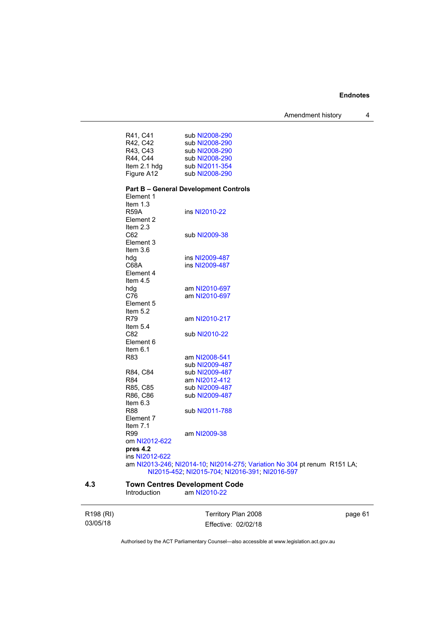Amendment history 4

|     | R41, C41         | sub NI2008-290                                                           |
|-----|------------------|--------------------------------------------------------------------------|
|     | R42, C42         | sub NI2008-290                                                           |
|     | R43, C43         | sub NI2008-290                                                           |
|     | R44, C44         | sub NI2008-290                                                           |
|     | Item 2.1 hdg     | sub NI2011-354                                                           |
|     | Figure A12       | sub NI2008-290                                                           |
|     |                  |                                                                          |
|     |                  | <b>Part B - General Development Controls</b>                             |
|     | Element 1        |                                                                          |
|     | Item $1.3$       |                                                                          |
|     | <b>R59A</b>      | ins NI2010-22                                                            |
|     | Element 2        |                                                                          |
|     | Item $2.3$       |                                                                          |
|     | C62              | sub NI2009-38                                                            |
|     | Element 3        |                                                                          |
|     | Item $3.6$       |                                                                          |
|     | hdg              | ins NI2009-487                                                           |
|     | C68A             | ins NI2009-487                                                           |
|     | Element 4        |                                                                          |
|     | Item $4.5$       |                                                                          |
|     | hdg              | am NI2010-697                                                            |
|     | C76              | am NI2010-697                                                            |
|     | Element 5        |                                                                          |
|     | Item $5.2$       |                                                                          |
|     | R79              | am NI2010-217                                                            |
|     | Item $5.4$       |                                                                          |
|     | C82<br>Element 6 | sub NI2010-22                                                            |
|     | Item $6.1$       |                                                                          |
|     | R83              | am NI2008-541                                                            |
|     |                  | sub NI2009-487                                                           |
|     | R84, C84         | sub NI2009-487                                                           |
|     | R84              | am NI2012-412                                                            |
|     | R85, C85         | sub NI2009-487                                                           |
|     | R86, C86         | sub NI2009-487                                                           |
|     | Item $6.3$       |                                                                          |
|     | R88              | sub NI2011-788                                                           |
|     | Element 7        |                                                                          |
|     | Item $7.1$       |                                                                          |
|     | R99              | am NI2009-38                                                             |
|     | om NI2012-622    |                                                                          |
|     | pres 4.2         |                                                                          |
|     | ins NI2012-622   |                                                                          |
|     |                  | am NI2013-246; NI2014-10; NI2014-275; Variation No 304 pt renum R151 LA; |
|     |                  | NI2015-452; NI2015-704; NI2016-391; NI2016-597                           |
| 4.3 |                  | <b>Town Centres Development Code</b>                                     |

Introduction am [NI2010-22](http://www.legislation.act.gov.au/ni/2010-22/)

| R198 (RI) | Territory Plan 2008 | page 61 |
|-----------|---------------------|---------|
| 03/05/18  | Effective: 02/02/18 |         |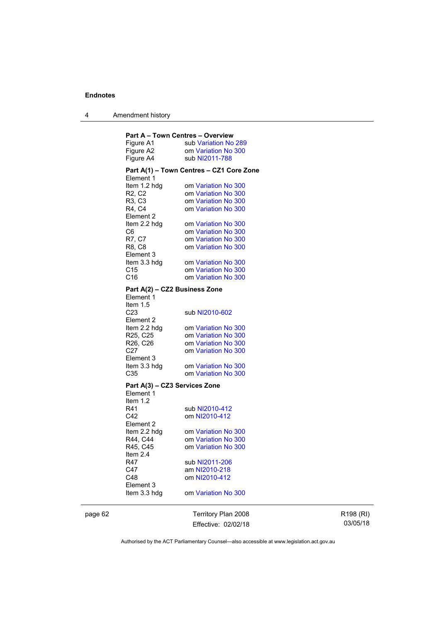4 Amendment history

|                                         | <b>Part A - Town Centres - Overview</b>    |
|-----------------------------------------|--------------------------------------------|
| Figure A1                               | sub Variation No 289                       |
| Figure A2                               | om Variation No 300                        |
| Figure A4                               | sub NI2011-788                             |
|                                         | Part A(1) - Town Centres - CZ1 Core Zone   |
| Element 1                               |                                            |
| Item 1.2 hdg                            | om Variation No 300                        |
| R2, C2                                  | om Variation No 300                        |
| R3, C3                                  | om Variation No 300                        |
| R4, C4                                  | om Variation No 300                        |
| Element 2                               |                                            |
| Item 2.2 hdg<br>C6                      | om Variation No 300<br>om Variation No 300 |
| R7, C7                                  | om Variation No 300                        |
| R8, C8                                  | om Variation No 300                        |
| Element 3                               |                                            |
| Item 3.3 hdg                            | om Variation No 300                        |
| C <sub>15</sub>                         | om Variation No 300                        |
| C <sub>16</sub>                         | om Variation No 300                        |
| Part A(2) - CZ2 Business Zone           |                                            |
| Element 1                               |                                            |
| Item 1.5                                |                                            |
| C <sub>23</sub>                         | sub NI2010-602                             |
| Element 2                               |                                            |
| Item 2.2 hdg                            | om Variation No 300                        |
| R25, C25                                | om Variation No 300                        |
| R26, C26                                | om Variation No 300                        |
| C <sub>27</sub>                         | om Variation No 300                        |
| Element 3                               |                                            |
| Item 3.3 hdg                            | om Variation No 300                        |
| C <sub>35</sub>                         | om Variation No 300                        |
| Part A(3) - CZ3 Services Zone           |                                            |
| Element 1                               |                                            |
| Item 1.2                                |                                            |
| R41                                     | sub NI2010-412                             |
| C <sub>42</sub><br>Element <sub>2</sub> | om NI2010-412                              |
| Item 2.2 hdg                            | om Variation No 300                        |
| R44, C44                                | om Variation No 300                        |
| R45, C45                                | om Variation No 300                        |
| Item 2.4                                |                                            |
| R47                                     | sub NI2011-206                             |
| C47                                     | am NI2010-218                              |
| C48                                     | om NI2010-412                              |
| Element 3                               |                                            |
| Item 3.3 hdg                            | om Variation No 300                        |
|                                         |                                            |

page 62 Territory Plan 2008 Effective: 02/02/18

R198 (RI) 03/05/18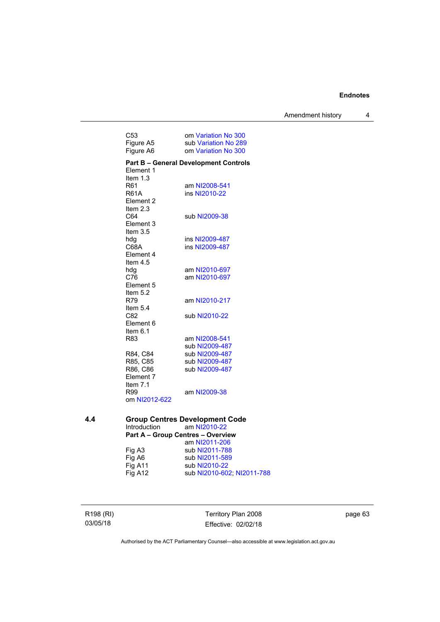Amendment history 4

| C <sub>53</sub>         | om Variation No 300                          |
|-------------------------|----------------------------------------------|
| Figure A5               | sub Variation No 289                         |
| Figure A6               | om Variation No 300                          |
|                         | <b>Part B - General Development Controls</b> |
| Element 1               |                                              |
| Item $1.3$              |                                              |
| R61                     | am NI2008-541                                |
| <b>R61A</b>             | ins NI2010-22                                |
| Element <sub>2</sub>    |                                              |
| Item $2.3$              |                                              |
| C64                     | sub NI2009-38                                |
| Element 3               |                                              |
| Item $3.5$              |                                              |
| hdg                     | ins NI2009-487                               |
| C68A                    | ins NI2009-487                               |
| Element 4<br>Item $4.5$ |                                              |
|                         | am NI2010-697                                |
| hdg<br>C76              | am NI2010-697                                |
| Element 5               |                                              |
| Item $5.2$              |                                              |
| R79                     | am NI2010-217                                |
| Item 5.4                |                                              |
| C82                     | sub NI2010-22                                |
| Element 6               |                                              |
| Item $6.1$              |                                              |
| R83                     | am NI2008-541                                |
|                         | sub NI2009-487                               |
| R84, C84                | sub NI2009-487                               |
| R85, C85                | sub NI2009-487                               |
| R86, C86                | sub NI2009-487                               |
| Element 7               |                                              |
| Item 7.1                |                                              |
| R99                     | am NI2009-38                                 |
| om NI2012-622           |                                              |
|                         |                                              |
|                         | Group Centres Development Code               |

#### **4.4 Group Centres Development Code**  Introduction am [NI2010-22](http://www.legislation.act.gov.au/ni/2010-22/) **Part A – Group Centres – Overview**

|                     | am NI2011-206              |
|---------------------|----------------------------|
| Fig A3              | sub NI2011-788             |
| Fig A6              | sub NI2011-589             |
| Fig A <sub>11</sub> | sub NI2010-22              |
| Fig A12             | sub NI2010-602; NI2011-788 |

R198 (RI) 03/05/18

Territory Plan 2008 Effective: 02/02/18 page 63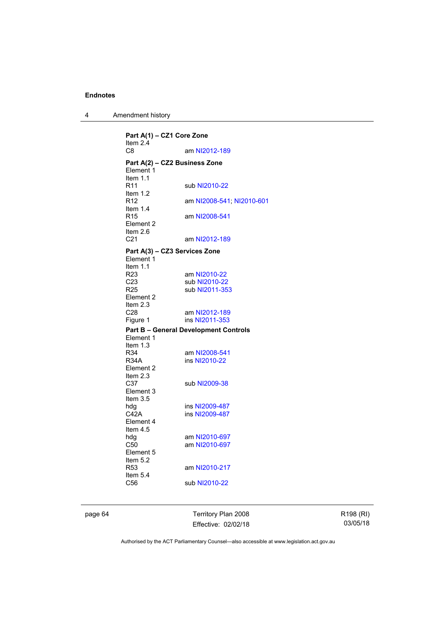4 Amendment history

**Part A(1) – CZ1 Core Zone**  Item 2.4 C8 am [NI2012-189](http://www.legislation.act.gov.au/ni/2012-189/) **Part A(2) – CZ2 Business Zone**  Element 1 Item 1.1 R11 sub [NI2010-22](http://www.legislation.act.gov.au/ni/2010-22/) Item 1.2 R12 am [NI2008-541](http://www.legislation.act.gov.au/ni/2008-541/); [NI2010-601](http://www.legislation.act.gov.au/ni/2010-601/) Item  $1.4$ <br>R<sub>15</sub> am [NI2008-541](http://www.legislation.act.gov.au/ni/2008-541/) Element 2 Item  $2.6$ <br>C<sub>21</sub> am [NI2012-189](http://www.legislation.act.gov.au/ni/2012-189/) **Part A(3) – CZ3 Services Zone**  Element 1 Item  $1.1$ <br>R23 R23 am [NI2010-22](http://www.legislation.act.gov.au/ni/2010-22/)<br>C23 sub NI2010-22 C23 sub [NI2010-22](http://www.legislation.act.gov.au/ni/2010-22/)<br>R25 sub NI2011-35 sub [NI2011-353](http://www.legislation.act.gov.au/ni/2011-353/) Element 2 Item  $2.3$ <br>C<sub>28</sub> C28 am [NI2012-189](http://www.legislation.act.gov.au/ni/2012-189/)<br>
Figure 1 ins NI2011-353 ins [NI2011-353](http://www.legislation.act.gov.au/ni/2011-353/) **Part B – General Development Controls**  Element 1 Item  $1.3$ <br>R34 R34 am [NI2008-541](http://www.legislation.act.gov.au/ni/2008-541/)<br>R34A ins NI2010-22 ins [NI2010-22](http://www.legislation.act.gov.au/ni/2010-22/) Element 2 Item  $2.3$ <br>C37 sub [NI2009-38](http://www.legislation.act.gov.au/ni/2009-38/) Element 3 Item 3.5 hdg ins [NI2009-487](http://www.legislation.act.gov.au/ni/2009-487/)<br>C42A ins NI2009-487 ins [NI2009-487](http://www.legislation.act.gov.au/ni/2009-487/) Element 4 Item 4.5 hdg am [NI2010-697](http://www.legislation.act.gov.au/ni/2010-697/)<br>C50 am NI2010-697 am [NI2010-697](http://www.legislation.act.gov.au/ni/2010-697/) Element 5 Item 5.2<br>R53 am [NI2010-217](http://www.legislation.act.gov.au/ni/2010-217/) Item 5.4 C56 sub [NI2010-22](http://www.legislation.act.gov.au/ni/2010-22/)

page 64 Territory Plan 2008 Effective: 02/02/18 R198 (RI) 03/05/18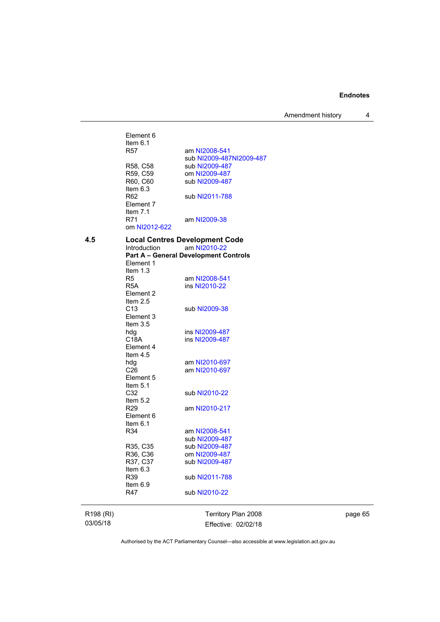Amendment history 4

|           | Element 6<br>Item $6.1$<br>R57 | am NI2008-541                                |
|-----------|--------------------------------|----------------------------------------------|
|           | R58, C58                       | sub NI2009-487NI2009-487<br>sub NI2009-487   |
|           | R59, C59                       | om NI2009-487                                |
|           | R60, C60                       | sub NI2009-487                               |
|           | Item $6.3$                     |                                              |
|           | R <sub>62</sub>                | sub NI2011-788                               |
|           | Element 7                      |                                              |
|           | Item $7.1$                     |                                              |
|           | R71                            | am NI2009-38                                 |
|           | om NI2012-622                  |                                              |
| 4.5       |                                | <b>Local Centres Development Code</b>        |
|           | Introduction                   | am NI2010-22                                 |
|           |                                | <b>Part A - General Development Controls</b> |
|           | Element 1                      |                                              |
|           | Item $1.3$                     |                                              |
|           | R5                             | am NI2008-541                                |
|           | R <sub>5</sub> A               | ins NI2010-22                                |
|           | Element 2                      |                                              |
|           | Item $2.5$                     |                                              |
|           | C <sub>13</sub>                | sub NI2009-38                                |
|           | Element 3                      |                                              |
|           | Item $3.5$                     |                                              |
|           | hdg                            | ins NI2009-487                               |
|           | C18A                           | ins NI2009-487                               |
|           | Element 4<br>Item 4.5          |                                              |
|           |                                | am NI2010-697                                |
|           | hdg<br>C <sub>26</sub>         | am NI2010-697                                |
|           | Element 5                      |                                              |
|           | Item $5.1$                     |                                              |
|           | C32                            | sub NI2010-22                                |
|           | Item $5.2$                     |                                              |
|           | R <sub>29</sub>                | am NI2010-217                                |
|           | Element 6                      |                                              |
|           | Item $6.1$                     |                                              |
|           | R34                            | am NI2008-541                                |
|           |                                | sub NI2009-487                               |
|           | R35, C35                       | sub NI2009-487                               |
|           | R36, C36                       | om NI2009-487                                |
|           | R37, C37                       | sub NI2009-487                               |
|           | Item 6.3                       |                                              |
|           | R39                            | sub NI2011-788                               |
|           | ltem 6.9                       |                                              |
|           | R47                            | sub NI2010-22                                |
|           |                                |                                              |
| R198 (RI) |                                | Territory Plan 2008                          |

03/05/18

page 65

Authorised by the ACT Parliamentary Counsel—also accessible at www.legislation.act.gov.au

Effective: 02/02/18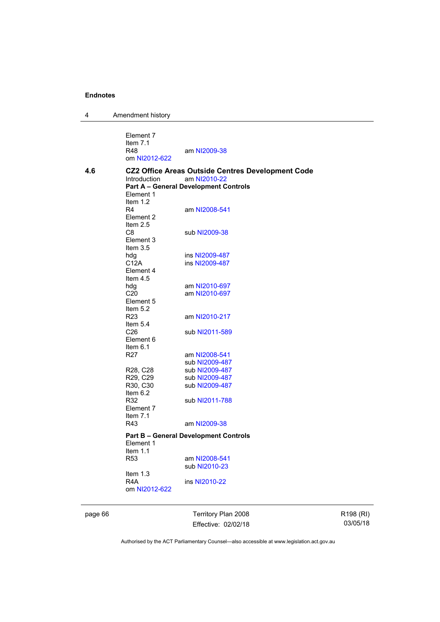4 Amendment history

|     | Element 7<br>Item $7.1$<br>R48<br>om NI2012-622 | am NI2009-38                                                                                                             |
|-----|-------------------------------------------------|--------------------------------------------------------------------------------------------------------------------------|
| 4.6 | <b>Introduction</b><br>Element 1                | <b>CZ2 Office Areas Outside Centres Development Code</b><br>am NI2010-22<br><b>Part A - General Development Controls</b> |
|     | Item $1.2$<br>R4<br>Element 2<br>Item $2.5$     | am NI2008-541                                                                                                            |
|     | C8<br>Element 3<br>Item $3.5$                   | sub NI2009-38                                                                                                            |
|     | hdg                                             | ins NI2009-487                                                                                                           |
|     | C12A<br>Element 4<br>Item $4.5$                 | ins NI2009-487                                                                                                           |
|     | hdg                                             | am NI2010-697                                                                                                            |
|     | C <sub>20</sub><br>Element 5<br>Item $5.2$      | am NI2010-697                                                                                                            |
|     | R <sub>23</sub><br>Item $5.4$                   | am NI2010-217                                                                                                            |
|     | C <sub>26</sub><br>Element 6<br>Item $6.1$      | sub NI2011-589                                                                                                           |
|     | R <sub>27</sub>                                 | am NI2008-541                                                                                                            |
|     |                                                 | sub NI2009-487                                                                                                           |
|     | R28, C28                                        | sub NI2009-487                                                                                                           |
|     | R29, C29<br>R30, C30<br>Item $6.2$              | sub NI2009-487<br>sub NI2009-487                                                                                         |
|     | R32<br>Element 7<br>Item $7.1$                  | sub NI2011-788                                                                                                           |
|     | R43                                             | am NI2009-38                                                                                                             |
|     | Element 1<br>Item $1.1$                         | <b>Part B – General Development Controls</b>                                                                             |
|     | R <sub>53</sub>                                 | am NI2008-541<br>sub NI2010-23                                                                                           |
|     | Item $1.3$<br>R4A<br>om NI2012-622              | ins NI2010-22                                                                                                            |
|     |                                                 |                                                                                                                          |

page 66 Territory Plan 2008 Effective: 02/02/18

R198 (RI) 03/05/18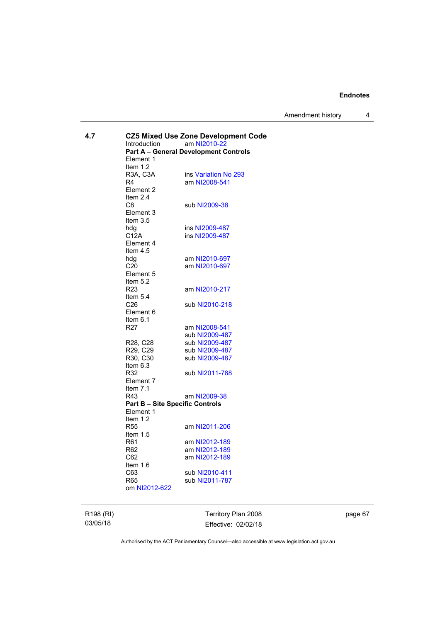Amendment history 4

| 4.7 | <b>CZ5 Mixed Use Zone Development Code</b><br>Introduction<br>am NI2010-22<br><b>Part A - General Development Controls</b><br>Element 1<br>Item $1.2$ |                                       |  |
|-----|-------------------------------------------------------------------------------------------------------------------------------------------------------|---------------------------------------|--|
|     | R3A, C3A<br>R4<br>Element 2<br>Item $2.4$                                                                                                             | ins Variation No 293<br>am NI2008-541 |  |
|     | C8<br>Element 3<br>Item $3.5$                                                                                                                         | sub NI2009-38                         |  |
|     | hdg                                                                                                                                                   | ins NI2009-487                        |  |
|     | C12A<br>Element 4<br>Item $4.5$                                                                                                                       | ins NI2009-487                        |  |
|     | hdg                                                                                                                                                   | am NI2010-697                         |  |
|     | C <sub>20</sub><br>Element 5<br>Item $5.2$                                                                                                            | am NI2010-697                         |  |
|     | R <sub>23</sub><br>Item 5.4                                                                                                                           | am NI2010-217                         |  |
|     | C <sub>26</sub><br>Element 6<br>Item $6.1$                                                                                                            | sub NI2010-218                        |  |
|     | R <sub>27</sub>                                                                                                                                       | am NI2008-541                         |  |
|     |                                                                                                                                                       | sub NI2009-487                        |  |
|     | R28, C28                                                                                                                                              | sub NI2009-487                        |  |
|     | R29, C29                                                                                                                                              | sub NI2009-487                        |  |
|     | R30, C30<br>Item $6.3$                                                                                                                                | sub NI2009-487                        |  |
|     | R32<br>Element 7<br>Item $7.1$                                                                                                                        | sub NI2011-788                        |  |
|     | R43                                                                                                                                                   | am NI2009-38                          |  |
|     | <b>Part B - Site Specific Controls</b>                                                                                                                |                                       |  |
|     | Element 1                                                                                                                                             |                                       |  |
|     | Item $1.2$                                                                                                                                            |                                       |  |
|     | <b>R55</b>                                                                                                                                            | am NI2011-206                         |  |
|     | Item $1.5$                                                                                                                                            |                                       |  |
|     | R <sub>61</sub>                                                                                                                                       | am NI2012-189                         |  |
|     | R <sub>62</sub>                                                                                                                                       | am NI2012-189                         |  |
|     | C62                                                                                                                                                   | am NI2012-189                         |  |
|     | Item $1.6$<br>C63                                                                                                                                     | sub NI2010-411                        |  |
|     | R65                                                                                                                                                   | sub NI2011-787                        |  |
|     | om NI2012-622                                                                                                                                         |                                       |  |
|     |                                                                                                                                                       |                                       |  |

R198 (RI) 03/05/18

Territory Plan 2008 Effective: 02/02/18 page 67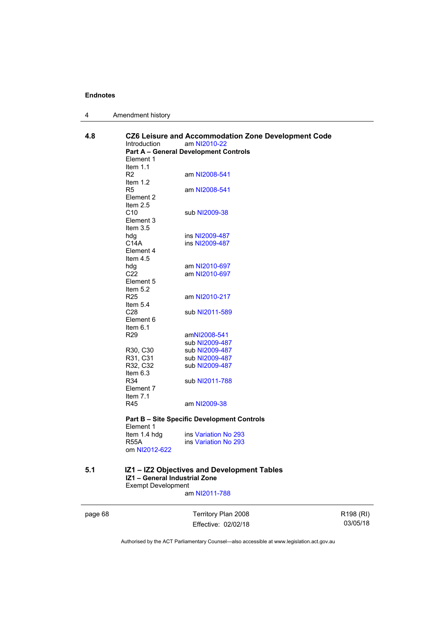| 4 | Amendment history |  |
|---|-------------------|--|
|---|-------------------|--|

| 4.8     | CZ6 Leisure and Accommodation Zone Development Code<br><b>Introduction</b><br>am NI2010-22<br><b>Part A - General Development Controls</b><br>Element 1<br>Item $1.1$ |                                                                    |                       |  |
|---------|-----------------------------------------------------------------------------------------------------------------------------------------------------------------------|--------------------------------------------------------------------|-----------------------|--|
|         | R <sub>2</sub><br>Item $1.2$                                                                                                                                          | am NI2008-541                                                      |                       |  |
|         | R <sub>5</sub><br>Element 2<br>Item $2.5$                                                                                                                             | am NI2008-541                                                      |                       |  |
|         | C10<br>Element 3<br>Item $3.5$<br>hdg<br>C <sub>14</sub> A<br>Element 4<br>Item $4.5$<br>hdg<br>C <sub>22</sub><br>Element 5<br>Item $5.2$                            | sub NI2009-38                                                      |                       |  |
|         |                                                                                                                                                                       | ins NI2009-487<br>ins NI2009-487                                   |                       |  |
|         |                                                                                                                                                                       | am NI2010-697<br>am NI2010-697                                     |                       |  |
|         | R <sub>25</sub><br>Item $5.4$                                                                                                                                         | am NI2010-217                                                      |                       |  |
|         | C <sub>28</sub><br>Element 6<br>Item $6.1$                                                                                                                            | sub NI2011-589                                                     |                       |  |
|         | R <sub>29</sub><br>R30, C30<br>R31, C31                                                                                                                               | amNI2008-541<br>sub NI2009-487<br>sub NI2009-487<br>sub NI2009-487 |                       |  |
|         |                                                                                                                                                                       |                                                                    |                       |  |
|         |                                                                                                                                                                       |                                                                    |                       |  |
|         | R32, C32<br>Item $6.3$                                                                                                                                                | sub NI2009-487                                                     |                       |  |
|         | R34<br>Element 7<br>Item $7.1$                                                                                                                                        | sub NI2011-788                                                     |                       |  |
|         | R45                                                                                                                                                                   | am NI2009-38                                                       |                       |  |
|         | <b>Part B - Site Specific Development Controls</b><br>Element 1                                                                                                       |                                                                    |                       |  |
|         | Item 1.4 hdg<br><b>R55A</b><br>om NI2012-622                                                                                                                          | ins Variation No 293<br>ins Variation No 293                       |                       |  |
| 5.1     | IZ1 - General Industrial Zone<br><b>Exempt Development</b>                                                                                                            | IZ1 - IZ2 Objectives and Development Tables                        |                       |  |
|         |                                                                                                                                                                       | am NI2011-788                                                      |                       |  |
| page 68 |                                                                                                                                                                       | Territory Plan 2008                                                | R <sub>198</sub> (RI) |  |
|         |                                                                                                                                                                       | Effective: 02/02/18                                                | 03/05/18              |  |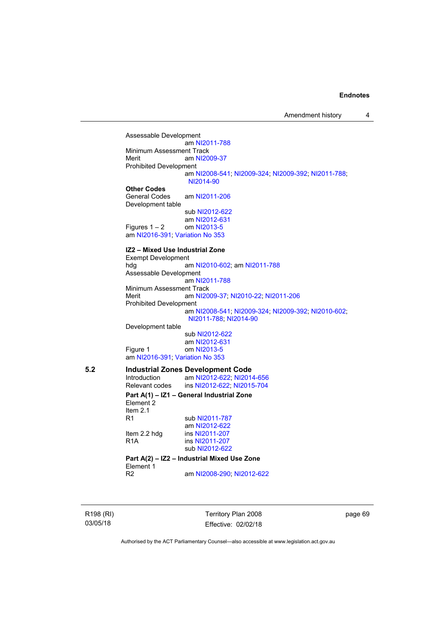Assessable Development am [NI2011-788](http://www.legislation.act.gov.au/ni/2011-788/) Minimum Assessment Track<br>Merit am NI20 am [NI2009-37](http://www.legislation.act.gov.au/ni/2009-37/) Prohibited Development am [NI2008-541](http://www.legislation.act.gov.au/ni/2008-541/); [NI2009-324](http://www.legislation.act.gov.au/ni/2009-324/); [NI2009-392](http://www.legislation.act.gov.au/ni/2009-392/); [NI2011-788](http://www.legislation.act.gov.au/ni/2011-788/); [NI2014-90](http://www.legislation.act.gov.au/ni/2014-90/default.asp) **Other Codes**  General Codes am [NI2011-206](http://www.legislation.act.gov.au/ni/2011-206/) Development table sub [NI2012-622](http://www.legislation.act.gov.au/ni/2012-622/default.asp) am [NI2012-631](http://www.legislation.act.gov.au/ni/2012-631/default.asp) Figures  $1 - 2$  om [NI2013-5](http://www.legislation.act.gov.au/ni/2013-5/default.asp) am [NI2016-391](http://www.legislation.act.gov.au/ni/2016-391/default.asp); [Variation No 353](http://www.legislation.act.gov.au/ni/2016-393/default.asp) **IZ2 – Mixed Use Industrial Zone**  Exempt Development hdg am [NI2010-602](http://www.legislation.act.gov.au/ni/2010-602/); am [NI2011-788](http://www.legislation.act.gov.au/ni/2011-788/) Assessable Development am [NI2011-788](http://www.legislation.act.gov.au/ni/2011-788/) Minimum Assessment Track Merit am [NI2009-37](http://www.legislation.act.gov.au/ni/2009-37/); [NI2010-22](http://www.legislation.act.gov.au/ni/2010-22/); [NI2011-206](http://www.legislation.act.gov.au/ni/2011-206/) Prohibited Development am [NI2008-541](http://www.legislation.act.gov.au/ni/2008-541/); [NI2009-324](http://www.legislation.act.gov.au/ni/2009-324/); [NI2009-392](http://www.legislation.act.gov.au/ni/2009-392/); [NI2010-602](http://www.legislation.act.gov.au/ni/2010-602/); [NI2011-788](http://www.legislation.act.gov.au/ni/2011-788/); [NI2014-90](http://www.legislation.act.gov.au/ni/2014-90/default.asp) Development table sub [NI2012-622](http://www.legislation.act.gov.au/ni/2012-622/default.asp) am [NI2012-631](http://www.legislation.act.gov.au/ni/2012-631/default.asp) Figure 1 om [NI2013-5](http://www.legislation.act.gov.au/ni/2013-5/default.asp) am [NI2016-391](http://www.legislation.act.gov.au/ni/2016-391/default.asp); [Variation No 353](http://www.legislation.act.gov.au/ni/2016-393/default.asp) **5.2 Industrial Zones Development Code**  am [NI2012-622](http://www.legislation.act.gov.au/ni/2012-622/default.asp); [NI2014-656](http://www.legislation.act.gov.au/ni/2014-656/default.asp) Relevant codes ins [NI2012-622](http://www.legislation.act.gov.au/ni/2012-622/default.asp); [NI2015-704](http://www.legislation.act.gov.au/ni/2015-704/default.asp) **Part A(1) – IZ1 – General Industrial Zone**  Element 2 Item  $2.1$ <br>R<sub>1</sub> sub [NI2011-787](http://www.legislation.act.gov.au/ni/2011-787/) am [NI2012-622](http://www.legislation.act.gov.au/ni/2012-622/default.asp)<br>Item 2.2 hdg ins NI2011-207 ins [NI2011-207](http://www.legislation.act.gov.au/ni/2011-207/) R1A ins [NI2011-207](http://www.legislation.act.gov.au/ni/2011-207/) sub [NI2012-622](http://www.legislation.act.gov.au/ni/2012-622/default.asp) **Part A(2) – IZ2 – Industrial Mixed Use Zone**  Element 1<br>R2 am [NI2008-290](http://www.legislation.act.gov.au/ni/2008-290/); [NI2012-622](http://www.legislation.act.gov.au/ni/2012-622/default.asp)

R198 (RI) 03/05/18

Territory Plan 2008 Effective: 02/02/18 page 69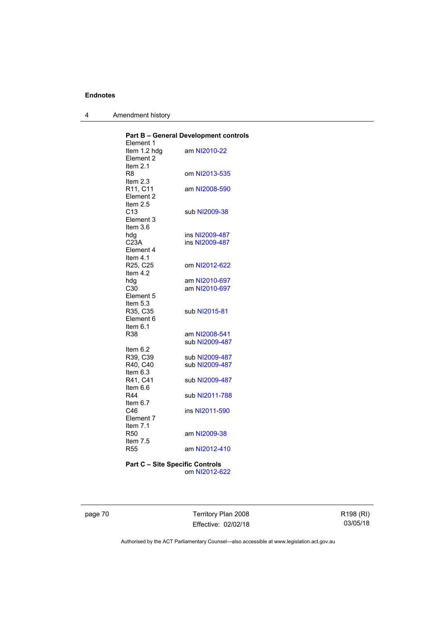4 Amendment history

| <b>Part B - General Development controls</b> |
|----------------------------------------------|
|                                              |
| am NI2010-22                                 |
|                                              |
|                                              |
| om NI2013-535                                |
|                                              |
| am NI2008-590                                |
|                                              |
|                                              |
| sub NI2009-38                                |
|                                              |
|                                              |
| ins NI2009-487                               |
| ins NI2009-487                               |
|                                              |
|                                              |
| om NI2012-622                                |
|                                              |
| am NI2010-697                                |
| am NI2010-697                                |
|                                              |
|                                              |
| sub NI2015-81                                |
|                                              |
|                                              |
| am NI2008-541                                |
| sub NI2009-487                               |
|                                              |
| sub NI2009-487                               |
| sub NI2009-487                               |
|                                              |
| sub NI2009-487                               |
|                                              |
| sub NI2011-788                               |
|                                              |
| ins NI2011-590                               |
|                                              |
|                                              |
| am NI2009-38                                 |
|                                              |
| am NI2012-410                                |
|                                              |

**Part C – Site Specific Controls**  om [NI2012-622](http://www.legislation.act.gov.au/ni/2012-622/default.asp)

page 70 Territory Plan 2008 Effective: 02/02/18 R198 (RI) 03/05/18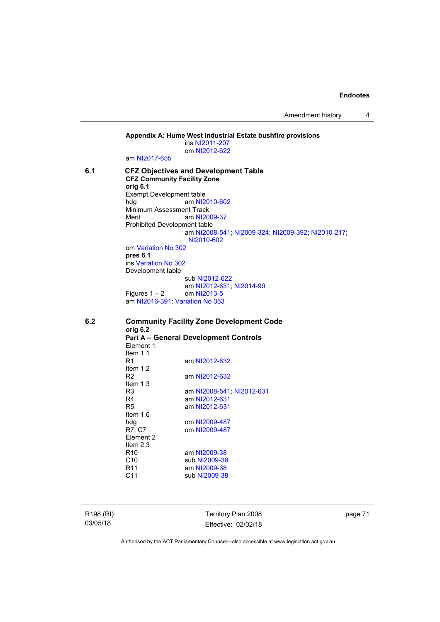Amendment history 4

**Appendix A: Hume West Industrial Estate bushfire provisions**  ins [NI2011-207](http://www.legislation.act.gov.au/ni/2011-207/) om [NI2012-622](http://www.legislation.act.gov.au/ni/2012-622/default.asp) am [NI2017-655](http://www.legislation.act.gov.au/ni/2017-655/default.asp) **6.1 CFZ Objectives and Development Table CFZ Community Facility Zone orig 6.1**  Exempt Development table<br>hdq am NI2 am [NI2010-602](http://www.legislation.act.gov.au/ni/2010-602/) Minimum Assessment Track Merit am [NI2009-37](http://www.legislation.act.gov.au/ni/2009-37/) Prohibited Development table am [NI2008-541](http://www.legislation.act.gov.au/ni/2008-541/); [NI2009-324](http://www.legislation.act.gov.au/ni/2009-324/); [NI2009-392](http://www.legislation.act.gov.au/ni/2009-392/); [NI2010-217](http://www.legislation.act.gov.au/ni/2010-217/); [NI2010-602](http://www.legislation.act.gov.au/ni/2010-602/) om [Variation No 302](http://www.legislation.act.gov.au/ni/2011-573/) **pres 6.1** ins [Variation No 302](http://www.legislation.act.gov.au/ni/2011-573/) Development table sub [NI2012-622](http://www.legislation.act.gov.au/ni/2012-622/default.asp) am [NI2012-631](http://www.legislation.act.gov.au/ni/2012-631/default.asp); [NI2014-90](http://www.legislation.act.gov.au/ni/2014-90/default.asp) Figures  $1 - 2$  om [NI2013-5](http://www.legislation.act.gov.au/ni/2013-5/default.asp) am [NI2016-391](http://www.legislation.act.gov.au/ni/2016-391/default.asp); [Variation No 353](http://www.legislation.act.gov.au/ni/2016-393/default.asp) **6.2 Community Facility Zone Development Code orig 6.2 Part A – General Development Controls**  Element 1

Item 1.1 am [NI2012-632](http://www.legislation.act.gov.au/ni/2012-632/default.asp) Item 1.2 R2 am [NI2012-632](http://www.legislation.act.gov.au/ni/2012-632/default.asp) Item 1.3 R3 am [NI2008-541](http://www.legislation.act.gov.au/ni/2008-541/); [NI2012-631](http://www.legislation.act.gov.au/ni/2012-631/default.asp) R4 am [NI2012-631](http://www.legislation.act.gov.au/ni/2012-631/default.asp)<br>R5 am NI2012-631 am [NI2012-631](http://www.legislation.act.gov.au/ni/2012-631/default.asp) Item 1.6 hdg om [NI2009-487](http://www.legislation.act.gov.au/ni/2009-487/)<br>R7, C7 om NI2009-487 om [NI2009-487](http://www.legislation.act.gov.au/ni/2009-487/) Element 2 Item 2.3 R10 am [NI2009-38](http://www.legislation.act.gov.au/ni/2009-38/) C10 sub [NI2009-38](http://www.legislation.act.gov.au/ni/2009-38/) R11 am [NI2009-38](http://www.legislation.act.gov.au/ni/2009-38/)<br>C11 sub NI2009-38 sub [NI2009-38](http://www.legislation.act.gov.au/ni/2009-38/)

R198 (RI) 03/05/18

Territory Plan 2008 Effective: 02/02/18 page 71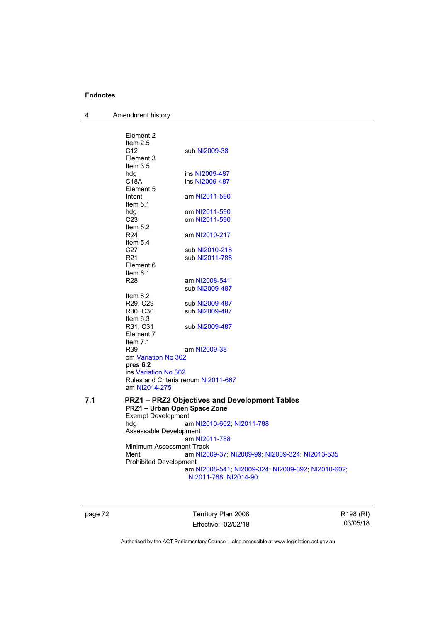4 Amendment history

|     | Element 2<br>Item $2.5$<br>C <sub>12</sub><br>Element 3<br>Item 3.5          | sub NI2009-38                                                                                                                  |
|-----|------------------------------------------------------------------------------|--------------------------------------------------------------------------------------------------------------------------------|
|     | hdg<br>C18A<br>Element 5                                                     | ins NI2009-487<br>ins NI2009-487                                                                                               |
|     | Intent<br>Item $5.1$                                                         | am NI2011-590                                                                                                                  |
|     | hda<br>C <sub>23</sub><br>Item $5.2$                                         | om NI2011-590<br>om NI2011-590                                                                                                 |
|     | R <sub>24</sub><br>Item $5.4$                                                | am NI2010-217                                                                                                                  |
|     | C27<br>R <sub>21</sub><br>Element 6                                          | sub NI2010-218<br>sub NI2011-788                                                                                               |
|     | Item 6.1<br>R <sub>28</sub>                                                  | am NI2008-541<br>sub NI2009-487                                                                                                |
|     | Item $6.2$<br>R29, C29<br>R30, C30                                           | sub NI2009-487<br>sub NI2009-487                                                                                               |
|     | Item $6.3$<br>R31, C31<br>Element 7                                          | sub NI2009-487                                                                                                                 |
|     | Item $7.1$<br>R39<br>om Variation No 302<br>pres 6.2                         | am NI2009-38                                                                                                                   |
|     | ins Variation No 302<br>Rules and Criteria renum NI2011-667<br>am NI2014-275 |                                                                                                                                |
| 7.1 | PRZ1 - Urban Open Space Zone<br><b>Exempt Development</b>                    | <b>PRZ1-PRZ2 Objectives and Development Tables</b>                                                                             |
|     | hdg<br>Assessable Development                                                | am NI2010-602; NI2011-788<br>am NI2011-788                                                                                     |
|     | Minimum Assessment Track<br>Merit<br><b>Prohibited Development</b>           | am NI2009-37; NI2009-99; NI2009-324; NI2013-535<br>am NI2008-541; NI2009-324; NI2009-392; NI2010-602;<br>NI2011-788; NI2014-90 |
|     |                                                                              |                                                                                                                                |

page 72 Territory Plan 2008 Effective: 02/02/18

R198 (RI) 03/05/18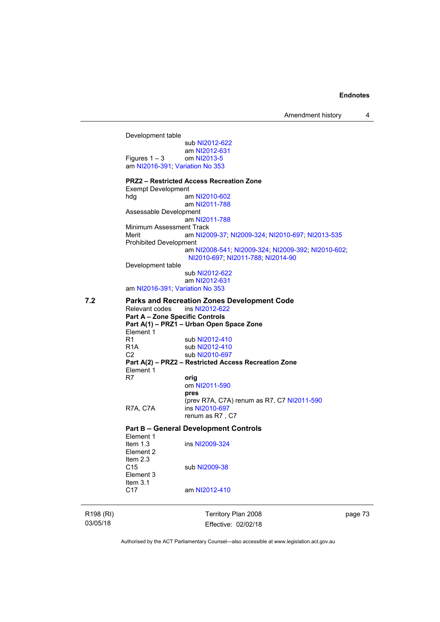Amendment history 4

R198 (RI) Territory Plan 2008 Development table sub [NI2012-622](http://www.legislation.act.gov.au/ni/2012-622/default.asp) am [NI2012-631](http://www.legislation.act.gov.au/ni/2012-631/default.asp)<br>om NI2013-5 Figures  $1 - 3$ am [NI2016-391](http://www.legislation.act.gov.au/ni/2016-391/default.asp); [Variation No 353](http://www.legislation.act.gov.au/ni/2016-393/default.asp) **PRZ2 – Restricted Access Recreation Zone**  Exempt Development hdg am [NI2010-602](http://www.legislation.act.gov.au/ni/2010-602/) am [NI2011-788](http://www.legislation.act.gov.au/ni/2011-788/) Assessable Development am [NI2011-788](http://www.legislation.act.gov.au/ni/2011-788/) Minimum Assessment Track Merit am [NI2009-37](http://www.legislation.act.gov.au/ni/2009-37/); [NI2009-324](http://www.legislation.act.gov.au/ni/2009-324/); [NI2010-697](http://www.legislation.act.gov.au/ni/2010-697/); [NI2013-535](http://www.legislation.act.gov.au/ni/2013-535/) Prohibited Development am [NI2008-541](http://www.legislation.act.gov.au/ni/2008-541/); [NI2009-324](http://www.legislation.act.gov.au/ni/2009-324/); [NI2009-392](http://www.legislation.act.gov.au/ni/2009-392/); [NI2010-602](http://www.legislation.act.gov.au/ni/2010-602/); [NI2010-697](http://www.legislation.act.gov.au/ni/2010-697/); [NI2011-788](http://www.legislation.act.gov.au/ni/2011-788/); [NI2014-90](http://www.legislation.act.gov.au/ni/2014-90/default.asp) Development table sub [NI2012-622](http://www.legislation.act.gov.au/ni/2012-622/default.asp) am [NI2012-631](http://www.legislation.act.gov.au/ni/2012-631/default.asp) am [NI2016-391](http://www.legislation.act.gov.au/ni/2016-391/default.asp); [Variation No 353](http://www.legislation.act.gov.au/ni/2016-393/default.asp) **7.2 Parks and Recreation Zones Development Code**  Relevant codes ins [NI2012-622](http://www.legislation.act.gov.au/ni/2012-622/default.asp) **Part A – Zone Specific Controls Part A(1) – PRZ1 – Urban Open Space Zone**  Element 1<br>R1 R1 sub [NI2012-410](http://www.legislation.act.gov.au/ni/2012-410/)<br>R1A sub NI2012-410 R1A sub [NI2012-410](http://www.legislation.act.gov.au/ni/2012-410/)<br>C2 sub NI2010-697 sub [NI2010-697](http://www.legislation.act.gov.au/ni/2010-697/) **Part A(2) – PRZ2 – Restricted Access Recreation Zone**  Element 1<br>R7 orig om [NI2011-590](http://www.legislation.act.gov.au/ni/2011-590/) **pres** (prev R7A, C7A) renum as R7, C7 [NI2011-590](http://www.legislation.act.gov.au/ni/2011-590/) R7A, C7A ins [NI2010-697](http://www.legislation.act.gov.au/ni/2010-697/) renum as R7 , C7 **Part B – General Development Controls**  Element 1<br>Item 1.3 ins [NI2009-324](http://www.legislation.act.gov.au/ni/2009-324/) Element 2 Item  $2.3$ <br>C<sub>15</sub> sub [NI2009-38](http://www.legislation.act.gov.au/ni/2009-38/) Element 3 Item  $3.1$ <br>C<sub>17</sub> am [NI2012-410](http://www.legislation.act.gov.au/ni/2012-410/)

03/05/18

Effective: 02/02/18

page 73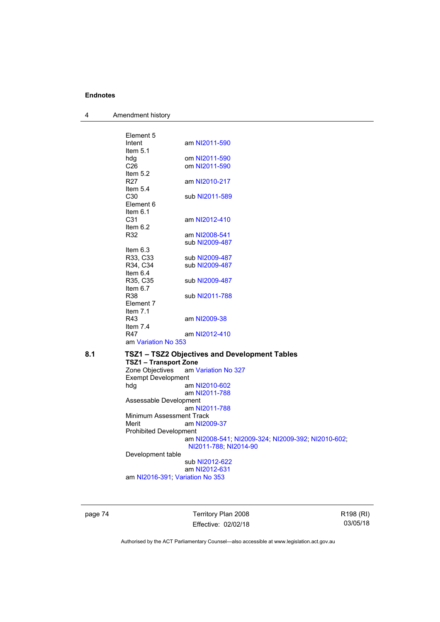| 4 | Amendment history |
|---|-------------------|
|---|-------------------|

| Element 5           |                |
|---------------------|----------------|
| Intent              | am NI2011-590  |
| Item $5.1$          |                |
| hdg                 | om NI2011-590  |
| C <sub>26</sub>     | om NI2011-590  |
| Item $5.2$          |                |
| R27                 | am NI2010-217  |
| Item $5.4$          |                |
| C30                 | sub NI2011-589 |
| Flement 6           |                |
| Item $6.1$          |                |
| C <sub>31</sub>     | am NI2012-410  |
| Item $6.2$          |                |
| R32                 | am NI2008-541  |
|                     | sub NI2009-487 |
| Item $6.3$          |                |
| R33, C33            | sub NI2009-487 |
| R34, C34            | sub NI2009-487 |
| Item $6.4$          |                |
| R35, C35            | sub NI2009-487 |
| Item $6.7$          |                |
| R38                 | sub NI2011-788 |
| Flement 7           |                |
| Item $7.1$          |                |
| R43                 | am NI2009-38   |
| Item $7.4$          |                |
| R47                 | am NI2012-410  |
| am Variation No 353 |                |

**8.1 TSZ1 – TSZ2 Objectives and Development Tables** 

## **TSZ1 – Transport Zone**  am [Variation No 327](http://www.legislation.act.gov.au/ni/2015-449/default.asp) Exempt Development<br>hdg an am [NI2010-602](http://www.legislation.act.gov.au/ni/2010-602/) am [NI2011-788](http://www.legislation.act.gov.au/ni/2011-788/) Assessable Development am [NI2011-788](http://www.legislation.act.gov.au/ni/2011-788/) Minimum Assessment Track<br>Merit am NI20

am [NI2009-37](http://www.legislation.act.gov.au/ni/2009-37/) Prohibited Development am [NI2008-541](http://www.legislation.act.gov.au/ni/2008-541/); [NI2009-324](http://www.legislation.act.gov.au/ni/2009-324/); [NI2009-392](http://www.legislation.act.gov.au/ni/2009-392/); [NI2010-602](http://www.legislation.act.gov.au/ni/2010-602/); [NI2011-788](http://www.legislation.act.gov.au/ni/2011-788/); [NI2014-90](http://www.legislation.act.gov.au/ni/2014-90/default.asp)

Development table

 sub [NI2012-622](http://www.legislation.act.gov.au/ni/2012-622/default.asp) am [NI2012-631](http://www.legislation.act.gov.au/ni/2012-631/default.asp) am [NI2016-391](http://www.legislation.act.gov.au/ni/2016-391/default.asp); [Variation No 353](http://www.legislation.act.gov.au/ni/2016-393/default.asp)

page 74 Territory Plan 2008 Effective: 02/02/18 R198 (RI) 03/05/18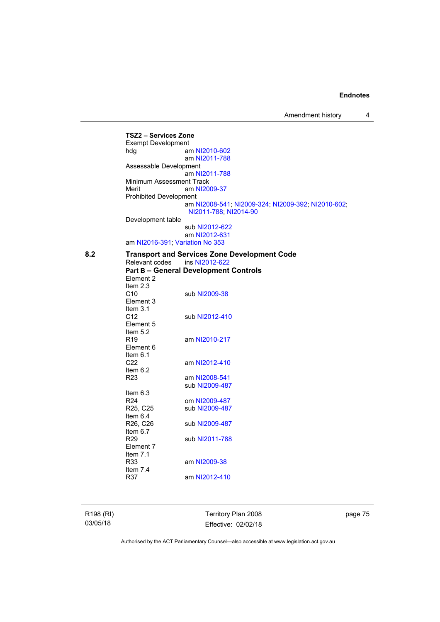Amendment history 4

**TSZ2 – Services Zone**  Exempt Development hdg am [NI2010-602](http://www.legislation.act.gov.au/ni/2010-602/) am [NI2011-788](http://www.legislation.act.gov.au/ni/2011-788/) Assessable Development am [NI2011-788](http://www.legislation.act.gov.au/ni/2011-788/) Minimum Assessment Track Merit am [NI2009-37](http://www.legislation.act.gov.au/ni/2009-37/) Prohibited Development am [NI2008-541](http://www.legislation.act.gov.au/ni/2008-541/); [NI2009-324](http://www.legislation.act.gov.au/ni/2009-324/); [NI2009-392](http://www.legislation.act.gov.au/ni/2009-392/); [NI2010-602](http://www.legislation.act.gov.au/ni/2010-602/); [NI2011-788](http://www.legislation.act.gov.au/ni/2011-788/); [NI2014-90](http://www.legislation.act.gov.au/ni/2014-90/default.asp) Development table sub [NI2012-622](http://www.legislation.act.gov.au/ni/2012-622/default.asp) am [NI2012-631](http://www.legislation.act.gov.au/ni/2012-631/default.asp) am [NI2016-391](http://www.legislation.act.gov.au/ni/2016-391/default.asp); [Variation No 353](http://www.legislation.act.gov.au/ni/2016-393/default.asp) 8.2 **Transport and Services Zone Development Code**<br>Relevant codes ins NI2012-622 Relevant codes **Part B – General Development Controls**  Element 2 Item 2.3 C10 sub [NI2009-38](http://www.legislation.act.gov.au/ni/2009-38/) Element 3 Item 3.1 C12 sub [NI2012-410](http://www.legislation.act.gov.au/ni/2012-410/) Element 5 Item 5.2 R19 am [NI2010-217](http://www.legislation.act.gov.au/ni/2010-217/) Element 6 Item 6.1 C22 am [NI2012-410](http://www.legislation.act.gov.au/ni/2012-410/) Item  $6.2$ <br>R23 am [NI2008-541](http://www.legislation.act.gov.au/ni/2008-541/) sub [NI2009-487](http://www.legislation.act.gov.au/ni/2009-487/) Item  $6.3$ <br>R24 R24 om [NI2009-487](http://www.legislation.act.gov.au/ni/2009-487/)<br>R25, C25 sub NI2009-487 sub [NI2009-487](http://www.legislation.act.gov.au/ni/2009-487/) Item 6.4<br>R26, C26 sub [NI2009-487](http://www.legislation.act.gov.au/ni/2009-487/) Item 6.7 R29 sub [NI2011-788](http://www.legislation.act.gov.au/ni/2011-788/) Element 7 Item 7.1 R33 am [NI2009-38](http://www.legislation.act.gov.au/ni/2009-38/) Item  $7.4$ <br>R37 am [NI2012-410](http://www.legislation.act.gov.au/ni/2012-410/)

R198 (RI) 03/05/18

Territory Plan 2008 Effective: 02/02/18 page 75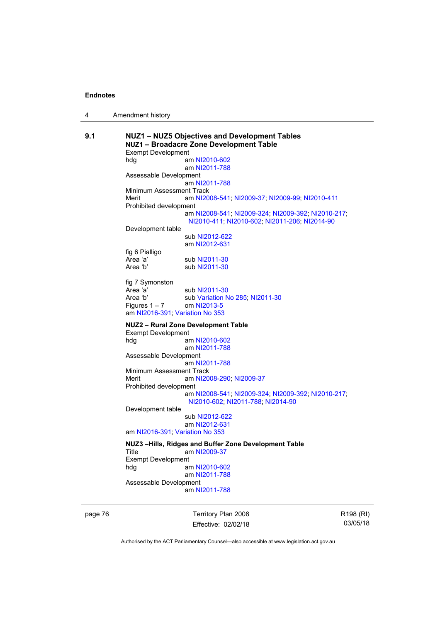| 4 | Amendment history |
|---|-------------------|
|---|-------------------|

| am NI2008-541; NI2009-37; NI2009-99; NI2010-411    |
|----------------------------------------------------|
|                                                    |
| am NI2008-541; NI2009-324; NI2009-392; NI2010-217; |
|                                                    |
|                                                    |
|                                                    |
|                                                    |
|                                                    |
|                                                    |
|                                                    |
|                                                    |
|                                                    |
|                                                    |
|                                                    |
|                                                    |
|                                                    |
|                                                    |
|                                                    |
|                                                    |
|                                                    |
|                                                    |
|                                                    |
|                                                    |
|                                                    |
| am NI2008-541; NI2009-324; NI2009-392; NI2010-217; |
|                                                    |
|                                                    |
|                                                    |
|                                                    |
|                                                    |
|                                                    |
|                                                    |
|                                                    |
|                                                    |
|                                                    |
|                                                    |
|                                                    |

page 76 **Territory Plan 2008** Effective: 02/02/18 R198 (RI) 03/05/18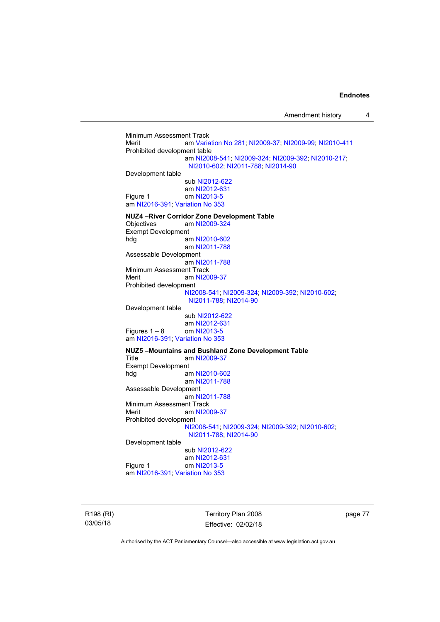Minimum Assessment Track Merit am [Variation No 281](http://www.legislation.act.gov.au/ni/2008-352/); [NI2009-37](http://www.legislation.act.gov.au/ni/2009-37/); [NI2009-99](http://www.legislation.act.gov.au/ni/2009-99/); [NI2010-411](http://www.legislation.act.gov.au/ni/2010-411/) Prohibited development table am [NI2008-541](http://www.legislation.act.gov.au/ni/2008-541/); [NI2009-324](http://www.legislation.act.gov.au/ni/2009-324/); [NI2009-392](http://www.legislation.act.gov.au/ni/2009-392/); [NI2010-217](http://www.legislation.act.gov.au/ni/2010-217/); [NI2010-602](http://www.legislation.act.gov.au/ni/2010-602/); [NI2011-788](http://www.legislation.act.gov.au/ni/2011-788/); [NI2014-90](http://www.legislation.act.gov.au/ni/2014-90/default.asp) Development table sub [NI2012-622](http://www.legislation.act.gov.au/ni/2012-622/default.asp) am [NI2012-631](http://www.legislation.act.gov.au/ni/2012-631/default.asp) Figure 1 om [NI2013-5](http://www.legislation.act.gov.au/ni/2013-5/default.asp) am [NI2016-391](http://www.legislation.act.gov.au/ni/2016-391/default.asp); [Variation No 353](http://www.legislation.act.gov.au/ni/2016-393/default.asp) **NUZ4 –River Corridor Zone Development Table**  Objectives am [NI2009-324](http://www.legislation.act.gov.au/ni/2009-324/) Exempt Development<br>hdg ar am [NI2010-602](http://www.legislation.act.gov.au/ni/2010-602/) am [NI2011-788](http://www.legislation.act.gov.au/ni/2011-788/) Assessable Development am [NI2011-788](http://www.legislation.act.gov.au/ni/2011-788/) Minimum Assessment Track Merit am [NI2009-37](http://www.legislation.act.gov.au/ni/2009-37/) Prohibited development [NI2008-541](http://www.legislation.act.gov.au/ni/2008-541/); [NI2009-324](http://www.legislation.act.gov.au/ni/2009-324/); [NI2009-392](http://www.legislation.act.gov.au/ni/2009-392/); [NI2010-602](http://www.legislation.act.gov.au/ni/2010-602/); [NI2011-788](http://www.legislation.act.gov.au/ni/2011-788/); [NI2014-90](http://www.legislation.act.gov.au/ni/2014-90/default.asp) Development table sub [NI2012-622](http://www.legislation.act.gov.au/ni/2012-622/default.asp) am [NI2012-631](http://www.legislation.act.gov.au/ni/2012-631/default.asp) Figures  $1 - 8$  om [NI2013-5](http://www.legislation.act.gov.au/ni/2013-5/default.asp) am [NI2016-391](http://www.legislation.act.gov.au/ni/2016-391/default.asp); [Variation No 353](http://www.legislation.act.gov.au/ni/2016-393/default.asp) **NUZ5 –Mountains and Bushland Zone Development Table**  Title am [NI2009-37](http://www.legislation.act.gov.au/ni/2009-37/) Exempt Development hdg am [NI2010-602](http://www.legislation.act.gov.au/ni/2010-602/) am [NI2011-788](http://www.legislation.act.gov.au/ni/2011-788/) Assessable Development am [NI2011-788](http://www.legislation.act.gov.au/ni/2011-788/) Minimum Assessment Track Merit am [NI2009-37](http://www.legislation.act.gov.au/ni/2009-37/) Prohibited development [NI2008-541](http://www.legislation.act.gov.au/ni/2008-541/); [NI2009-324](http://www.legislation.act.gov.au/ni/2009-324/); [NI2009-392](http://www.legislation.act.gov.au/ni/2009-392/); [NI2010-602](http://www.legislation.act.gov.au/ni/2010-602/); [NI2011-788](http://www.legislation.act.gov.au/ni/2011-788/); [NI2014-90](http://www.legislation.act.gov.au/ni/2014-90/default.asp) Development table sub [NI2012-622](http://www.legislation.act.gov.au/ni/2012-622/default.asp) am [NI2012-631](http://www.legislation.act.gov.au/ni/2012-631/default.asp) Figure 1 om [NI2013-5](http://www.legislation.act.gov.au/ni/2013-5/default.asp) am [NI2016-391](http://www.legislation.act.gov.au/ni/2016-391/default.asp); [Variation No 353](http://www.legislation.act.gov.au/ni/2016-393/default.asp)

R198 (RI) 03/05/18

Territory Plan 2008 Effective: 02/02/18 page 77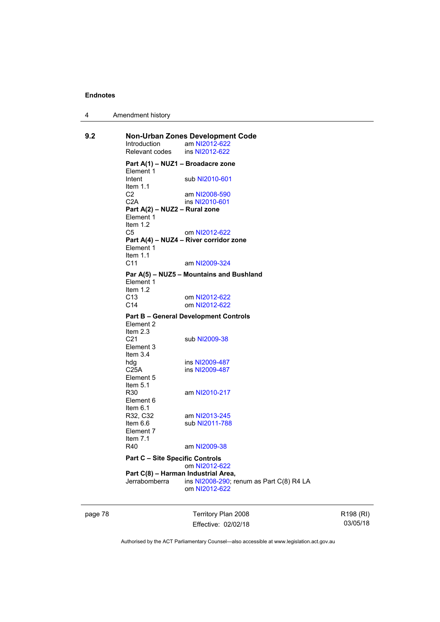| 4 | Amendment history |
|---|-------------------|
|---|-------------------|

| 9.2 | Introduction<br>Relevant codes                           | Non-Urban Zones Development Code<br>am NI2012-622<br>ins NI2012-622 |
|-----|----------------------------------------------------------|---------------------------------------------------------------------|
|     | Part A(1) – NUZ1 – Broadacre zone                        |                                                                     |
|     | Element 1<br>Intent<br>Item $1.1$                        | sub NI2010-601                                                      |
|     | C <sub>2</sub><br>C2A                                    | am NI2008-590<br>ins NI2010-601                                     |
|     | Part A(2) - NUZ2 - Rural zone<br>Element 1<br>Item $1.2$ |                                                                     |
|     | C5                                                       | om NI2012-622                                                       |
|     | Element 1<br>Item $1.1$                                  | Part A(4) - NUZ4 - River corridor zone                              |
|     | C <sub>11</sub>                                          | am NI2009-324                                                       |
|     | Element 1<br>Item $1.2$                                  | Par A(5) - NUZ5 - Mountains and Bushland                            |
|     | C <sub>13</sub><br>C <sub>14</sub>                       | om NI2012-622<br>om NI2012-622                                      |
|     | Element 2                                                | <b>Part B - General Development Controls</b>                        |
|     | Item 2.3<br>C21<br>Element 3<br>Item $3.4$               | sub NI2009-38                                                       |
|     | hdg                                                      | ins NI2009-487                                                      |
|     | C <sub>25A</sub><br>Element 5<br>Item $5.1$              | ins NI2009-487                                                      |
|     | R <sub>30</sub><br>Element 6<br>Item $6.1$               | am NI2010-217                                                       |
|     | R32, C32<br>Item 6.6                                     | am NI2013-245<br>sub NI2011-788                                     |
|     | Element 7<br>Item $7.1$<br>R40                           | am NI2009-38                                                        |
|     | <b>Part C - Site Specific Controls</b>                   |                                                                     |
|     | Part C(8) - Harman Industrial Area,<br>Jerrabomberra     | om NI2012-622<br>ins NI2008-290; renum as Part C(8) R4 LA           |
|     |                                                          | om NI2012-622                                                       |

page 78 Territory Plan 2008 Effective: 02/02/18

R198 (RI) 03/05/18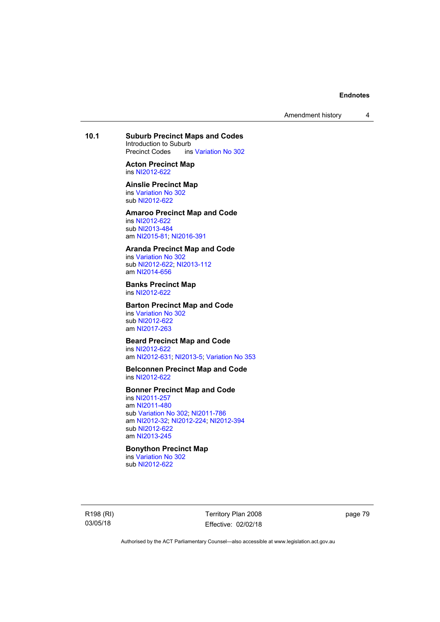Amendment history 4

# **10.1 Suburb Precinct Maps and Codes**

Introduction to Suburb<br>Precinct Codes ins ins [Variation No 302](http://www.legislation.act.gov.au/ni/2011-573/)

**Acton Precinct Map**  ins [NI2012-622](http://www.legislation.act.gov.au/ni/2012-622/default.asp)

**Ainslie Precinct Map**  ins [Variation No 302](http://www.legislation.act.gov.au/ni/2011-573/)

sub [NI2012-622](http://www.legislation.act.gov.au/ni/2012-622/default.asp)

# **Amaroo Precinct Map and Code**

ins [NI2012-622](http://www.legislation.act.gov.au/ni/2012-622/default.asp) sub [NI2013-484](http://www.legislation.act.gov.au/ni/2013-484/default.asp) am [NI2015-81](http://www.legislation.act.gov.au/ni/2015-81/default.asp); [NI2016-391](http://www.legislation.act.gov.au/ni/2016-391/default.asp)

## **Aranda Precinct Map and Code**

ins [Variation No 302](http://www.legislation.act.gov.au/ni/2011-573/) sub [NI2012-622](http://www.legislation.act.gov.au/ni/2012-622/default.asp); [NI2013-112](http://www.legislation.act.gov.au/ni/2013-112/default.asp) am [NI2014-656](http://www.legislation.act.gov.au/ni/2014-656/default.asp)

#### **Banks Precinct Map**  ins [NI2012-622](http://www.legislation.act.gov.au/ni/2012-622/default.asp)

**Barton Precinct Map and Code**  ins [Variation No 302](http://www.legislation.act.gov.au/ni/2011-573/) sub [NI2012-622](http://www.legislation.act.gov.au/ni/2012-622/default.asp) am [NI2017-263](http://www.legislation.act.gov.au/ni/2017-263/default.asp)

## **Beard Precinct Map and Code**

ins [NI2012-622](http://www.legislation.act.gov.au/ni/2012-622/default.asp) am [NI2012-631](http://www.legislation.act.gov.au/ni/2012-631/default.asp); [NI2013-5](http://www.legislation.act.gov.au/ni/2013-5/default.asp); [Variation No 353](http://www.legislation.act.gov.au/ni/2016-393/default.asp)

#### **Belconnen Precinct Map and Code**  ins [NI2012-622](http://www.legislation.act.gov.au/ni/2012-622/default.asp)

## **Bonner Precinct Map and Code**

ins [NI2011-257](http://www.legislation.act.gov.au/ni/2011-257/) am [NI2011-480](http://www.legislation.act.gov.au/ni/2011-480/) sub [Variation No 302](http://www.legislation.act.gov.au/ni/2011-573/); [NI2011-786](http://www.legislation.act.gov.au/ni/2011-786/) am [NI2012-32](http://www.legislation.act.gov.au/ni/2012-32/); [NI2012-224](http://www.legislation.act.gov.au/ni/2012-224/); [NI2012-394](http://www.legislation.act.gov.au/ni/2012-394/) sub [NI2012-622](http://www.legislation.act.gov.au/ni/2012-622/default.asp) am [NI2013-245](http://www.legislation.act.gov.au/ni/2013-245/default.asp)

# **Bonython Precinct Map**

ins [Variation No 302](http://www.legislation.act.gov.au/ni/2011-573/) sub [NI2012-622](http://www.legislation.act.gov.au/ni/2012-622/default.asp)

R198 (RI) 03/05/18

Territory Plan 2008 Effective: 02/02/18 page 79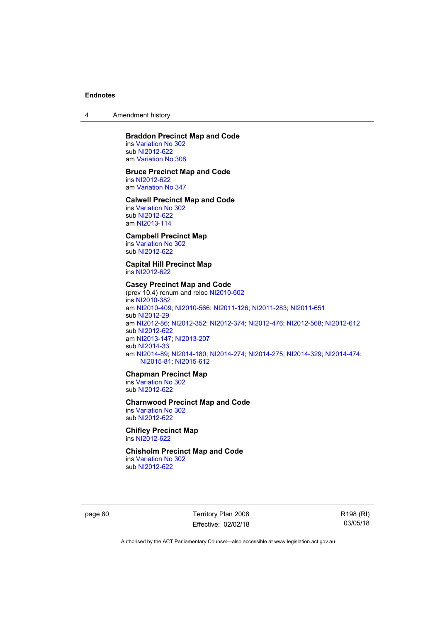4 Amendment history

### **Braddon Precinct Map and Code**

ins [Variation No 302](http://www.legislation.act.gov.au/ni/2011-573/) sub [NI2012-622](http://www.legislation.act.gov.au/ni/2012-622/default.asp) am [Variation No 308](http://www.legislation.act.gov.au/ni/2014-60/default.asp)

#### **Bruce Precinct Map and Code**

ins [NI2012-622](http://www.legislation.act.gov.au/ni/2012-622/default.asp) am [Variation No 347](http://www.legislation.act.gov.au/ni/2015-449/default.asp)

#### **Calwell Precinct Map and Code**

ins [Variation No 302](http://www.legislation.act.gov.au/ni/2011-573/) sub [NI2012-622](http://www.legislation.act.gov.au/ni/2012-622/default.asp) am [NI2013-114](http://www.legislation.act.gov.au/ni/2013-114/default.asp)

## **Campbell Precinct Map**

ins [Variation No 302](http://www.legislation.act.gov.au/ni/2011-573/) sub [NI2012-622](http://www.legislation.act.gov.au/ni/2012-622/default.asp)

## **Capital Hill Precinct Map**  ins [NI2012-622](http://www.legislation.act.gov.au/ni/2012-622/default.asp)

#### **Casey Precinct Map and Code**  (prev 10.4) renum and reloc [NI2010-602](http://www.legislation.act.gov.au/ni/2010-602/)

ins [NI2010-382](http://www.legislation.act.gov.au/ni/2010-382/) am [NI2010-409](http://www.legislation.act.gov.au/ni/2010-409/); [NI2010-566](http://www.legislation.act.gov.au/ni/2010-566/); [NI2011-126](http://www.legislation.act.gov.au/ni/2011-126/); [NI2011-283](http://www.legislation.act.gov.au/ni/2011-283/); [NI2011-651](http://www.legislation.act.gov.au/ni/2011-651/) sub [NI2012-29](http://www.legislation.act.gov.au/ni/2012-29/) am [NI2012-86](http://www.legislation.act.gov.au/ni/2012-86/); [NI2012-352](http://www.legislation.act.gov.au/ni/2012-352/); [NI2012-374](http://www.legislation.act.gov.au/ni/2012-374/); [NI2012-476](http://www.legislation.act.gov.au/ni/2012-476/); [NI2012-568](http://www.legislation.act.gov.au/ni/2012-568/default.asp); [NI2012-612](http://www.legislation.act.gov.au/ni/2012-612/default.asp) sub [NI2012-622](http://www.legislation.act.gov.au/ni/2012-622/default.asp) am [NI2013-147](http://www.legislation.act.gov.au/ni/2013-147/default.asp); [NI2013-207](http://www.legislation.act.gov.au/ni/2013-207/default.asp) sub [NI2014-33](http://www.legislation.act.gov.au/ni/2014-33/default.asp) am [NI2014-89](http://www.legislation.act.gov.au/ni/2014-89/default.asp); [NI2014-180](http://www.legislation.act.gov.au/ni/2014-180/default.asp); [NI2014-274](http://www.legislation.act.gov.au/ni/2014-274/default.asp); [NI2014-275](http://www.legislation.act.gov.au/ni/2014-275/default.asp); [NI2014-329](http://www.legislation.act.gov.au/ni/2014-329/default.asp); [NI2014-474](http://www.legislation.act.gov.au/ni/2014-474/default.asp); [NI2015-81;](http://www.legislation.act.gov.au/ni/2015-81/default.asp) [NI2015-612](http://www.legislation.act.gov.au/ni/2015-612/default.asp)

## **Chapman Precinct Map**

ins [Variation No 302](http://www.legislation.act.gov.au/ni/2011-573/) sub [NI2012-622](http://www.legislation.act.gov.au/ni/2012-622/default.asp)

#### **Charnwood Precinct Map and Code**

ins [Variation No 302](http://www.legislation.act.gov.au/ni/2011-573/) sub [NI2012-622](http://www.legislation.act.gov.au/ni/2012-622/default.asp)

## **Chifley Precinct Map**  ins [NI2012-622](http://www.legislation.act.gov.au/ni/2012-622/default.asp)

#### **Chisholm Precinct Map and Code**  ins [Variation No 302](http://www.legislation.act.gov.au/ni/2011-573/)

sub [NI2012-622](http://www.legislation.act.gov.au/ni/2012-622/default.asp)

page 80 Territory Plan 2008 Effective: 02/02/18 R198 (RI) 03/05/18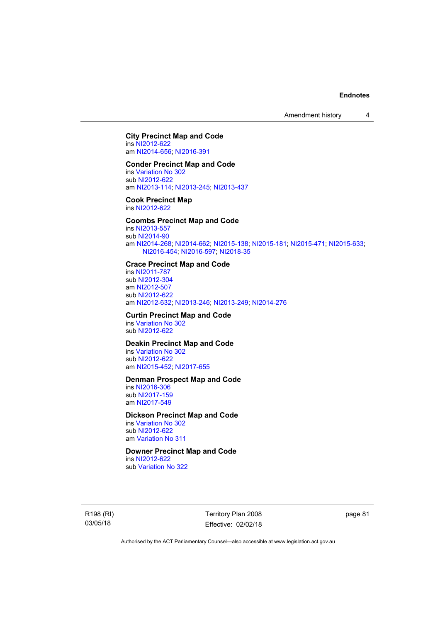Amendment history 4

## **City Precinct Map and Code**  ins [NI2012-622](http://www.legislation.act.gov.au/ni/2012-622/default.asp)

am [NI2014-656](http://www.legislation.act.gov.au/ni/2014-656/default.asp); [NI2016-391](http://www.legislation.act.gov.au/ni/2016-391/default.asp)

# **Conder Precinct Map and Code**

ins [Variation No 302](http://www.legislation.act.gov.au/ni/2011-573/) sub [NI2012-622](http://www.legislation.act.gov.au/ni/2012-622/default.asp) am [NI2013-114](http://www.legislation.act.gov.au/ni/2013-114/default.asp); [NI2013-245](http://www.legislation.act.gov.au/ni/2013-245/default.asp); [NI2013-437](http://www.legislation.act.gov.au/ni/2013-437/default.asp)

#### **Cook Precinct Map**  ins [NI2012-622](http://www.legislation.act.gov.au/ni/2012-622/default.asp)

## **Coombs Precinct Map and Code**

ins [NI2013-557](http://www.legislation.act.gov.au/ni/2013-557/default.asp) sub [NI2014-90](http://www.legislation.act.gov.au/ni/2014-90/default.asp) am [NI2014-268](http://www.legislation.act.gov.au/ni/2014-268/default.asp); [NI2014-662](http://www.legislation.act.gov.au/ni/2014-662/default.asp); [NI2015-138](http://www.legislation.act.gov.au/ni/2015-138/default.asp); [NI2015-181](http://www.legislation.act.gov.au/ni/2015-181/default.asp); [NI2015-471](http://www.legislation.act.gov.au/ni/2015-471/default.asp); [NI2015-633](http://www.legislation.act.gov.au/ni/2015-633/default.asp); [NI2016-454](http://www.legislation.act.gov.au/ni/2016-454/default.asp); [NI2016-597](http://www.legislation.act.gov.au/ni/2016-597/default.asp); [NI2018-35](http://www.legislation.act.gov.au/ni/2018-35/default.asp)

## **Crace Precinct Map and Code**

ins [NI2011-787](http://www.legislation.act.gov.au/ni/2011-787/) sub [NI2012-304](http://www.legislation.act.gov.au/ni/2012-304/) am [NI2012-507](http://www.legislation.act.gov.au/ni/2012-507/) sub [NI2012-622](http://www.legislation.act.gov.au/ni/2012-622/default.asp) am [NI2012-632](http://www.legislation.act.gov.au/ni/2012-632/default.asp); [NI2013-246](http://www.legislation.act.gov.au/ni/2013-246/default.asp); [NI2013-249](http://www.legislation.act.gov.au/ni/2013-248/default.asp); [NI2014-276](http://www.legislation.act.gov.au/ni/2014-276/default.asp)

# **Curtin Precinct Map and Code**  ins [Variation No 302](http://www.legislation.act.gov.au/ni/2011-573/)

sub [NI2012-622](http://www.legislation.act.gov.au/ni/2012-622/default.asp)

# **Deakin Precinct Map and Code**

ins [Variation No 302](http://www.legislation.act.gov.au/ni/2011-573/) sub [NI2012-622](http://www.legislation.act.gov.au/ni/2012-622/default.asp) am [NI2015-452](http://www.legislation.act.gov.au/ni/2015-452/default.asp); [NI2017-655](http://www.legislation.act.gov.au/ni/2017-655/default.asp)

## **Denman Prospect Map and Code**

ins [NI2016-306](http://www.legislation.act.gov.au/ni/2016-306/default.asp) sub [NI2017-159](http://www.legislation.act.gov.au/ni/2017-159/default.asp) am [NI2017-549](http://www.legislation.act.gov.au/ni/2017-549/default.asp)

## **Dickson Precinct Map and Code**

ins [Variation No 302](http://www.legislation.act.gov.au/ni/2011-573/) sub [NI2012-622](http://www.legislation.act.gov.au/ni/2012-622/default.asp) am [Variation No 311](http://www.legislation.act.gov.au/ni/2013-208/default.asp)

# **Downer Precinct Map and Code**

ins [NI2012-622](http://www.legislation.act.gov.au/ni/2012-622/default.asp) sub [Variation No 322](http://www.legislation.act.gov.au/ni/2015-185/default.asp)

R198 (RI) 03/05/18

Territory Plan 2008 Effective: 02/02/18 page 81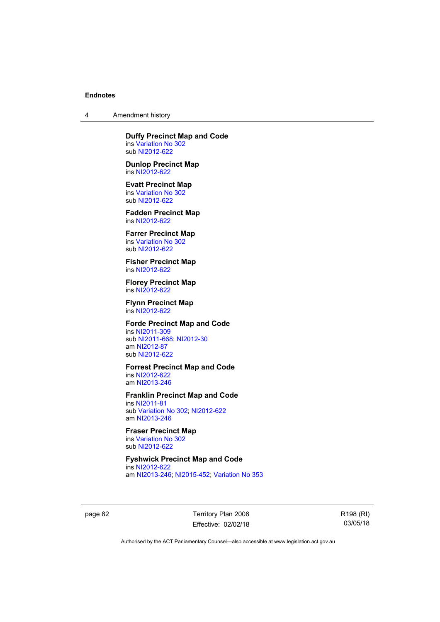4 Amendment history

## **Duffy Precinct Map and Code**  ins [Variation No 302](http://www.legislation.act.gov.au/ni/2011-573/)

sub [NI2012-622](http://www.legislation.act.gov.au/ni/2012-622/default.asp)

**Dunlop Precinct Map**  ins [NI2012-622](http://www.legislation.act.gov.au/ni/2012-622/default.asp)

**Evatt Precinct Map**  ins [Variation No 302](http://www.legislation.act.gov.au/ni/2011-573/) sub [NI2012-622](http://www.legislation.act.gov.au/ni/2012-622/default.asp)

**Fadden Precinct Map**  ins [NI2012-622](http://www.legislation.act.gov.au/ni/2012-622/default.asp)

**Farrer Precinct Map**  ins [Variation No 302](http://www.legislation.act.gov.au/ni/2011-573/) sub [NI2012-622](http://www.legislation.act.gov.au/ni/2012-622/default.asp)

**Fisher Precinct Map**  ins [NI2012-622](http://www.legislation.act.gov.au/ni/2012-622/default.asp)

**Florey Precinct Map**  ins [NI2012-622](http://www.legislation.act.gov.au/ni/2012-622/default.asp)

**Flynn Precinct Map**  ins [NI2012-622](http://www.legislation.act.gov.au/ni/2012-622/default.asp)

## **Forde Precinct Map and Code**

ins [NI2011-309](http://www.legislation.act.gov.au/ni/2011-309/) sub [NI2011-668](http://www.legislation.act.gov.au/ni/2011-668/); [NI2012-30](http://www.legislation.act.gov.au/ni/2012-30/) am [NI2012-87](http://www.legislation.act.gov.au/ni/2012-87/) sub [NI2012-622](http://www.legislation.act.gov.au/ni/2012-622/default.asp)

## **Forrest Precinct Map and Code**

ins [NI2012-622](http://www.legislation.act.gov.au/ni/2012-622/default.asp) am [NI2013-246](http://www.legislation.act.gov.au/ni/2013-246/default.asp)

## **Franklin Precinct Map and Code**

ins [NI2011-81](http://www.legislation.act.gov.au/ni/2011-81/) sub [Variation No 302](http://www.legislation.act.gov.au/ni/2011-573/); [NI2012-622](http://www.legislation.act.gov.au/ni/2012-622/default.asp) am [NI2013-246](http://www.legislation.act.gov.au/ni/2013-246/default.asp)

#### **Fraser Precinct Map**  ins [Variation No 302](http://www.legislation.act.gov.au/ni/2011-573/)

sub [NI2012-622](http://www.legislation.act.gov.au/ni/2012-622/default.asp)

#### **Fyshwick Precinct Map and Code**  ins [NI2012-622](http://www.legislation.act.gov.au/ni/2012-622/default.asp)

am [NI2013-246](http://www.legislation.act.gov.au/ni/2013-246/default.asp); [NI2015-452](http://www.legislation.act.gov.au/ni/2015-452/default.asp); [Variation No 353](http://www.legislation.act.gov.au/ni/2016-393/default.asp)

page 82 Territory Plan 2008 Effective: 02/02/18 R198 (RI) 03/05/18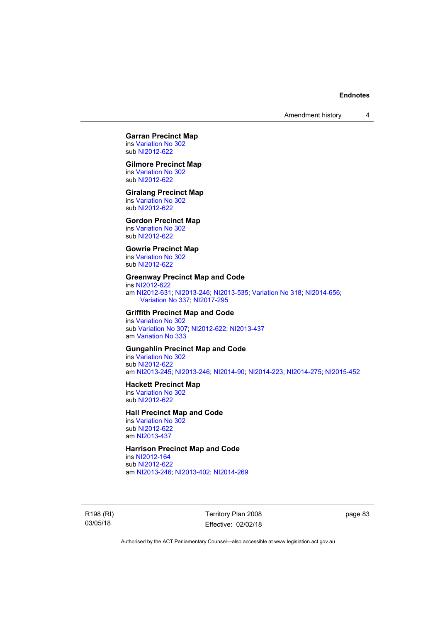# **Garran Precinct Map**

ins [Variation No 302](http://www.legislation.act.gov.au/ni/2011-573/) sub [NI2012-622](http://www.legislation.act.gov.au/ni/2012-622/default.asp)

## **Gilmore Precinct Map**

ins [Variation No 302](http://www.legislation.act.gov.au/ni/2011-573/) sub [NI2012-622](http://www.legislation.act.gov.au/ni/2012-622/default.asp)

#### **Giralang Precinct Map**

ins [Variation No 302](http://www.legislation.act.gov.au/ni/2011-573/) sub [NI2012-622](http://www.legislation.act.gov.au/ni/2012-622/default.asp)

## **Gordon Precinct Map**

ins [Variation No 302](http://www.legislation.act.gov.au/ni/2011-573/) sub [NI2012-622](http://www.legislation.act.gov.au/ni/2012-622/default.asp)

## **Gowrie Precinct Map**

ins [Variation No 302](http://www.legislation.act.gov.au/ni/2011-573/) sub [NI2012-622](http://www.legislation.act.gov.au/ni/2012-622/default.asp)

#### **Greenway Precinct Map and Code**

ins [NI2012-622](http://www.legislation.act.gov.au/ni/2012-622/default.asp) am [NI2012-631](http://www.legislation.act.gov.au/ni/2012-631/default.asp); [NI2013-246](http://www.legislation.act.gov.au/ni/2013-246/default.asp); [NI2013-535](http://www.legislation.act.gov.au/ni/2013-535/); [Variation No 318](http://www.legislation.act.gov.au/ni/2014-294/default.asp); [NI2014-656](http://www.legislation.act.gov.au/ni/2014-656/default.asp); [Variation No 337;](http://www.legislation.act.gov.au/ni/2015-375/default.asp) [NI2017-295](http://www.legislation.act.gov.au/ni/2017-295/default.asp)

## **Griffith Precinct Map and Code**

ins [Variation No 302](http://www.legislation.act.gov.au/ni/2011-573/) sub [Variation No 307](http://www.legislation.act.gov.au/ni/2012-201/); [NI2012-622](http://www.legislation.act.gov.au/ni/2012-622/default.asp); [NI2013-437](http://www.legislation.act.gov.au/ni/2013-437/default.asp) am [Variation No 333](http://www.legislation.act.gov.au/ni/2016-65/default.asp)

## **Gungahlin Precinct Map and Code**

ins [Variation No 302](http://www.legislation.act.gov.au/ni/2011-573/) sub [NI2012-622](http://www.legislation.act.gov.au/ni/2012-622/default.asp) am [NI2013-245](http://www.legislation.act.gov.au/ni/2013-245/default.asp); [NI2013-246](http://www.legislation.act.gov.au/ni/2013-246/default.asp); [NI2014-90](http://www.legislation.act.gov.au/ni/2014-90/default.asp); [NI2014-223](http://www.legislation.act.gov.au/ni/2014-223/default.asp); [NI2014-275](http://www.legislation.act.gov.au/ni/2014-275/default.asp); [NI2015-452](http://www.legislation.act.gov.au/ni/2015-452/default.asp)

#### **Hackett Precinct Map**

ins [Variation No 302](http://www.legislation.act.gov.au/ni/2011-573/) sub [NI2012-622](http://www.legislation.act.gov.au/ni/2012-622/default.asp)

## **Hall Precinct Map and Code**

ins [Variation No 302](http://www.legislation.act.gov.au/ni/2011-573/) sub [NI2012-622](http://www.legislation.act.gov.au/ni/2012-622/default.asp) am [NI2013-437](http://www.legislation.act.gov.au/ni/2013-437/default.asp)

## **Harrison Precinct Map and Code**

ins [NI2012-164](http://www.legislation.act.gov.au/ni/2012-164/) sub [NI2012-622](http://www.legislation.act.gov.au/ni/2012-622/default.asp) am [NI2013-246](http://www.legislation.act.gov.au/ni/2013-246/default.asp); [NI2013-402](http://www.legislation.act.gov.au/ni/2013-402/default.asp); [NI2014-269](http://www.legislation.act.gov.au/ni/2014-269/default.asp)

R198 (RI) 03/05/18

Territory Plan 2008 Effective: 02/02/18 page 83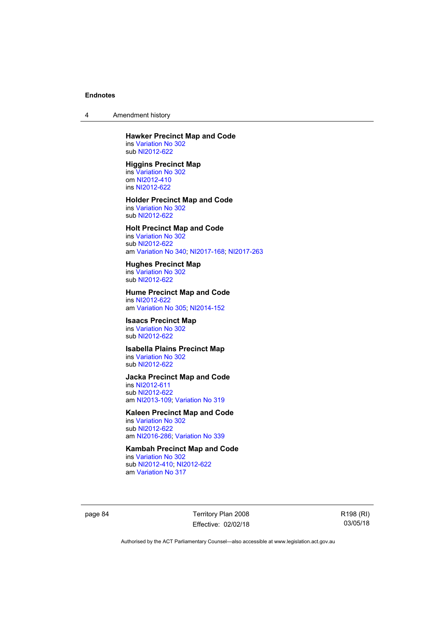4 Amendment history

## **Hawker Precinct Map and Code**  ins [Variation No 302](http://www.legislation.act.gov.au/ni/2011-573/)

sub [NI2012-622](http://www.legislation.act.gov.au/ni/2012-622/default.asp)

# **Higgins Precinct Map**

ins [Variation No 302](http://www.legislation.act.gov.au/ni/2011-573/) om [NI2012-410](http://www.legislation.act.gov.au/ni/2012-410/) ins [NI2012-622](http://www.legislation.act.gov.au/ni/2012-622/default.asp)

#### **Holder Precinct Map and Code**  ins [Variation No 302](http://www.legislation.act.gov.au/ni/2011-573/)

sub [NI2012-622](http://www.legislation.act.gov.au/ni/2012-622/default.asp)

# **Holt Precinct Map and Code**

ins [Variation No 302](http://www.legislation.act.gov.au/ni/2011-573/) sub [NI2012-622](http://www.legislation.act.gov.au/ni/2012-622/default.asp) am [Variation No 340](http://www.legislation.act.gov.au/ni/2016-56/default.asp); [NI2017-168](http://www.legislation.act.gov.au/ni/2017-168/default.asp); [NI2017-263](http://www.legislation.act.gov.au/ni/2017-263/default.asp)

## **Hughes Precinct Map**

ins [Variation No 302](http://www.legislation.act.gov.au/ni/2011-573/) sub [NI2012-622](http://www.legislation.act.gov.au/ni/2012-622/default.asp)

#### **Hume Precinct Map and Code**  ins [NI2012-622](http://www.legislation.act.gov.au/ni/2012-622/default.asp)

am [Variation No 305](http://www.legislation.act.gov.au/ni/2013-530/default.asp); [NI2014-152](http://www.legislation.act.gov.au/ni/2014-152/default.asp)

## **Isaacs Precinct Map**

ins [Variation No 302](http://www.legislation.act.gov.au/ni/2011-573/) sub [NI2012-622](http://www.legislation.act.gov.au/ni/2012-622/default.asp)

# **Isabella Plains Precinct Map**

ins [Variation No 302](http://www.legislation.act.gov.au/ni/2011-573/) sub [NI2012-622](http://www.legislation.act.gov.au/ni/2012-622/default.asp)

## **Jacka Precinct Map and Code**

ins [NI2012-611](http://www.legislation.act.gov.au/ni/2012-611/default.asp) sub [NI2012-622](http://www.legislation.act.gov.au/ni/2012-622/default.asp) am [NI2013-109](http://www.legislation.act.gov.au/ni/2013-109/default.asp); [Variation No 319](http://www.legislation.act.gov.au/ni/2014-501/default.asp)

## **Kaleen Precinct Map and Code**

ins [Variation No 302](http://www.legislation.act.gov.au/ni/2011-573/) sub [NI2012-622](http://www.legislation.act.gov.au/ni/2012-622/default.asp) am [NI2016-286](http://www.legislation.act.gov.au/ni/2016-286/default.asp); [Variation No 339](http://www.legislation.act.gov.au/ni/2016-286/default.asp)

# **Kambah Precinct Map and Code**

ins [Variation No 302](http://www.legislation.act.gov.au/ni/2011-573/) sub [NI2012-410](http://www.legislation.act.gov.au/ni/2012-410/); [NI2012-622](http://www.legislation.act.gov.au/ni/2012-622/default.asp) am [Variation No 317](http://www.legislation.act.gov.au/ni/2014-137/default.asp)

page 84 Territory Plan 2008 Effective: 02/02/18 R198 (RI) 03/05/18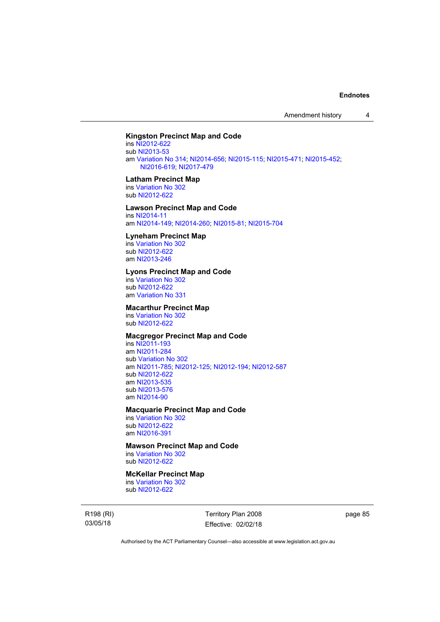Amendment history 4

## **Kingston Precinct Map and Code**

ins [NI2012-622](http://www.legislation.act.gov.au/ni/2012-622/default.asp) sub [NI2013-53](http://www.legislation.act.gov.au/ni/2013-53/default.asp) am [Variation No 314](http://www.legislation.act.gov.au/ni/2014-187/default.asp); [NI2014-656](http://www.legislation.act.gov.au/ni/2014-656/default.asp); [NI2015-115](http://www.legislation.act.gov.au/ni/2015-115/default.asp); [NI2015-471](http://www.legislation.act.gov.au/ni/2015-471/default.asp); [NI2015-452](http://www.legislation.act.gov.au/ni/2015-452/default.asp); [NI2016-619;](http://www.legislation.act.gov.au/ni/2016-619/default.asp) [NI2017-479](http://www.legislation.act.gov.au/ni/2017-479/default.asp)

#### **Latham Precinct Map**

ins [Variation No 302](http://www.legislation.act.gov.au/ni/2011-573/) sub [NI2012-622](http://www.legislation.act.gov.au/ni/2012-622/default.asp)

## **Lawson Precinct Map and Code**

ins [NI2014-11](http://www.legislation.act.gov.au/ni/2014-11/default.asp) am [NI2014-149](http://www.legislation.act.gov.au/ni/2014-149/default.asp); [NI2014-260](http://www.legislation.act.gov.au/ni/2014-260/default.asp); [NI2015-81](http://www.legislation.act.gov.au/ni/2015-81/default.asp); [NI2015-704](http://www.legislation.act.gov.au/ni/2015-704/default.asp)

#### **Lyneham Precinct Map**

ins [Variation No 302](http://www.legislation.act.gov.au/ni/2011-573/) sub [NI2012-622](http://www.legislation.act.gov.au/ni/2012-622/default.asp) am [NI2013-246](http://www.legislation.act.gov.au/ni/2013-246/default.asp)

#### **Lyons Precinct Map and Code**

ins [Variation No 302](http://www.legislation.act.gov.au/ni/2011-573/) sub [NI2012-622](http://www.legislation.act.gov.au/ni/2012-622/default.asp) am [Variation No 331](http://www.legislation.act.gov.au/ni/2015-448/default.asp)

## **Macarthur Precinct Map**

ins [Variation No 302](http://www.legislation.act.gov.au/ni/2011-573/) sub [NI2012-622](http://www.legislation.act.gov.au/ni/2012-622/default.asp)

## **Macgregor Precinct Map and Code**

ins [NI2011-193](http://www.legislation.act.gov.au/ni/2011-193/) am [NI2011-284](http://www.legislation.act.gov.au/ni/2011-284/) sub [Variation No 302](http://www.legislation.act.gov.au/ni/2011-573/) am [NI2011-785](http://www.legislation.act.gov.au/ni/2011-785/); [NI2012-125](http://www.legislation.act.gov.au/ni/2012-125/); [NI2012-194](http://www.legislation.act.gov.au/ni/2012-194/); [NI2012-587](http://www.legislation.act.gov.au/ni/2012-587/default.asp) sub [NI2012-622](http://www.legislation.act.gov.au/ni/2012-622/default.asp) am [NI2013-535](http://www.legislation.act.gov.au/ni/2013-535/) sub [NI2013-576](http://www.legislation.act.gov.au/ni/2013-576/default.asp) am [NI2014-90](http://www.legislation.act.gov.au/ni/2014-90/default.asp)

### **Macquarie Precinct Map and Code**

ins [Variation No 302](http://www.legislation.act.gov.au/ni/2011-573/) sub [NI2012-622](http://www.legislation.act.gov.au/ni/2012-622/default.asp) am [NI2016-391](http://www.legislation.act.gov.au/ni/2016-391/default.asp)

## **Mawson Precinct Map and Code**

ins [Variation No 302](http://www.legislation.act.gov.au/ni/2011-573/) sub [NI2012-622](http://www.legislation.act.gov.au/ni/2012-622/default.asp)

## **McKellar Precinct Map**

ins [Variation No 302](http://www.legislation.act.gov.au/ni/2011-573/) sub [NI2012-622](http://www.legislation.act.gov.au/ni/2012-622/default.asp)

R198 (RI) 03/05/18

Territory Plan 2008 Effective: 02/02/18 page 85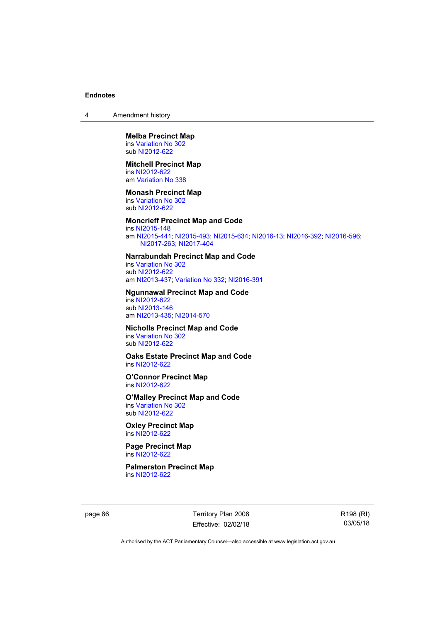4 Amendment history

#### **Melba Precinct Map**  ins [Variation No 302](http://www.legislation.act.gov.au/ni/2011-573/) sub [NI2012-622](http://www.legislation.act.gov.au/ni/2012-622/default.asp)

# **Mitchell Precinct Map**

ins [NI2012-622](http://www.legislation.act.gov.au/ni/2012-622/default.asp) am [Variation No 338](http://www.legislation.act.gov.au/ni/2015-101/default.asp)

#### **Monash Precinct Map**

ins [Variation No 302](http://www.legislation.act.gov.au/ni/2011-573/) sub [NI2012-622](http://www.legislation.act.gov.au/ni/2012-622/default.asp)

## **Moncrieff Precinct Map and Code**

ins [NI2015-148](http://www.legislation.act.gov.au/ni/2015-148/default.asp) am [NI2015-441](http://www.legislation.act.gov.au/ni/2015-441/default.asp); [NI2015-493](http://www.legislation.act.gov.au/ni/2015-493/default.asp); [NI2015-634](http://www.legislation.act.gov.au/ni/2015-634/default.asp); [NI2016-13](http://www.legislation.act.gov.au/ni/2016-13/default.asp); [NI2016-392](http://www.legislation.act.gov.au/ni/2016-392/default.asp); [NI2016-596](http://www.legislation.act.gov.au/ni/2016-596/default.asp); [NI2017-263;](http://www.legislation.act.gov.au/ni/2017-263/default.asp) [NI2017-404](http://www.legislation.act.gov.au/ni/2017-404/default.asp)

#### **Narrabundah Precinct Map and Code**

ins [Variation No 302](http://www.legislation.act.gov.au/ni/2011-573/) sub [NI2012-622](http://www.legislation.act.gov.au/ni/2012-622/default.asp) am [NI2013-437](http://www.legislation.act.gov.au/ni/2013-437/default.asp); [Variation No 332](http://www.legislation.act.gov.au/ni/2016-64/default.asp); [NI2016-391](http://www.legislation.act.gov.au/ni/2016-391/default.asp)

#### **Ngunnawal Precinct Map and Code**

ins [NI2012-622](http://www.legislation.act.gov.au/ni/2012-622/default.asp) sub [NI2013-146](http://www.legislation.act.gov.au/ni/2013-146/default.asp) am [NI2013-435](http://www.legislation.act.gov.au/ni/2013-435/default.asp); [NI2014-570](http://www.legislation.act.gov.au/ni/2014-570/default.asp)

# **Nicholls Precinct Map and Code**

ins [Variation No 302](http://www.legislation.act.gov.au/ni/2011-573/) sub [NI2012-622](http://www.legislation.act.gov.au/ni/2012-622/default.asp)

# **Oaks Estate Precinct Map and Code**

ins [NI2012-622](http://www.legislation.act.gov.au/ni/2012-622/default.asp)

#### **O'Connor Precinct Map**  ins [NI2012-622](http://www.legislation.act.gov.au/ni/2012-622/default.asp)

#### **O'Malley Precinct Map and Code**

ins [Variation No 302](http://www.legislation.act.gov.au/ni/2011-573/) sub [NI2012-622](http://www.legislation.act.gov.au/ni/2012-622/default.asp)

**Oxley Precinct Map**  ins [NI2012-622](http://www.legislation.act.gov.au/ni/2012-622/default.asp)

#### **Page Precinct Map**  ins [NI2012-622](http://www.legislation.act.gov.au/ni/2012-622/default.asp)

**Palmerston Precinct Map**  ins [NI2012-622](http://www.legislation.act.gov.au/ni/2012-622/default.asp)

page 86 Territory Plan 2008 Effective: 02/02/18 R198 (RI) 03/05/18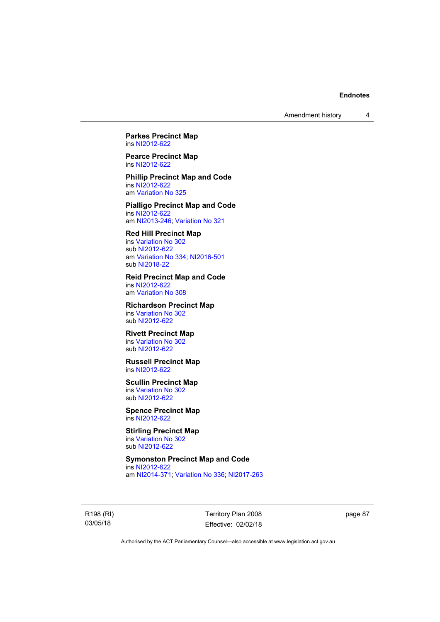**Parkes Precinct Map**  ins [NI2012-622](http://www.legislation.act.gov.au/ni/2012-622/default.asp)

**Pearce Precinct Map**  ins [NI2012-622](http://www.legislation.act.gov.au/ni/2012-622/default.asp)

**Phillip Precinct Map and Code**  ins [NI2012-622](http://www.legislation.act.gov.au/ni/2012-622/default.asp) am [Variation No 325](http://www.legislation.act.gov.au/ni/2014-427/default.asp)

**Pialligo Precinct Map and Code**  ins [NI2012-622](http://www.legislation.act.gov.au/ni/2012-622/default.asp) am [NI2013-246](http://www.legislation.act.gov.au/ni/2013-246/default.asp); [Variation No 321](http://www.legislation.act.gov.au/ni/2015-446/default.asp)

## **Red Hill Precinct Map**

ins [Variation No 302](http://www.legislation.act.gov.au/ni/2011-573/) sub [NI2012-622](http://www.legislation.act.gov.au/ni/2012-622/default.asp) am [Variation No 334](http://www.legislation.act.gov.au/ni/2016-91/default.asp); [NI2016-501](http://www.legislation.act.gov.au/ni/2016-501/default.asp) sub [NI2018-22](http://www.legislation.act.gov.au/ni/2018-22/default.asp)

**Reid Precinct Map and Code**  ins [NI2012-622](http://www.legislation.act.gov.au/ni/2012-622/default.asp) am [Variation No 308](http://www.legislation.act.gov.au/ni/2014-60/default.asp)

**Richardson Precinct Map**  ins [Variation No 302](http://www.legislation.act.gov.au/ni/2011-573/) sub [NI2012-622](http://www.legislation.act.gov.au/ni/2012-622/default.asp)

## **Rivett Precinct Map**

ins [Variation No 302](http://www.legislation.act.gov.au/ni/2011-573/) sub [NI2012-622](http://www.legislation.act.gov.au/ni/2012-622/default.asp)

## **Russell Precinct Map**  ins [NI2012-622](http://www.legislation.act.gov.au/ni/2012-622/default.asp)

**Scullin Precinct Map**  ins [Variation No 302](http://www.legislation.act.gov.au/ni/2011-573/)

sub [NI2012-622](http://www.legislation.act.gov.au/ni/2012-622/default.asp) **Spence Precinct Map** 

ins [NI2012-622](http://www.legislation.act.gov.au/ni/2012-622/default.asp)

#### **Stirling Precinct Map**  ins [Variation No 302](http://www.legislation.act.gov.au/ni/2011-573/) sub [NI2012-622](http://www.legislation.act.gov.au/ni/2012-622/default.asp)

**Symonston Precinct Map and Code**  ins [NI2012-622](http://www.legislation.act.gov.au/ni/2012-622/default.asp) am [NI2014-371](http://www.legislation.act.gov.au/ni/2014-371/default.asp); [Variation No 336](http://www.legislation.act.gov.au/ni/2015-100/default.asp); [NI2017-263](http://www.legislation.act.gov.au/ni/2017-263/default.asp)

R198 (RI) 03/05/18

Territory Plan 2008 Effective: 02/02/18 page 87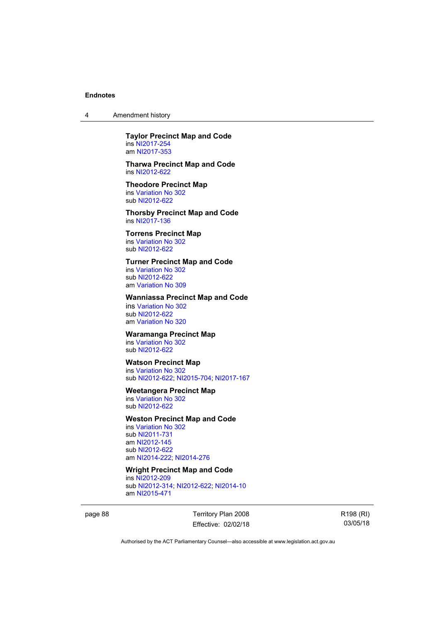4 Amendment history

**Taylor Precinct Map and Code**  ins [NI2017-254](http://www.legislation.act.gov.au/ni/2017-254/default.asp) am [NI2017-353](http://www.legislation.act.gov.au/ni/2017-353/default.asp)

**Tharwa Precinct Map and Code**  ins [NI2012-622](http://www.legislation.act.gov.au/ni/2012-622/default.asp)

**Theodore Precinct Map**  ins [Variation No 302](http://www.legislation.act.gov.au/ni/2011-573/) sub [NI2012-622](http://www.legislation.act.gov.au/ni/2012-622/default.asp)

**Thorsby Precinct Map and Code**  ins [NI2017-136](http://www.legislation.act.gov.au/ni/2017-136/default.asp)

**Torrens Precinct Map**  ins [Variation No 302](http://www.legislation.act.gov.au/ni/2011-573/) sub [NI2012-622](http://www.legislation.act.gov.au/ni/2012-622/default.asp)

## **Turner Precinct Map and Code**

ins [Variation No 302](http://www.legislation.act.gov.au/ni/2011-573/) sub [NI2012-622](http://www.legislation.act.gov.au/ni/2012-622/default.asp) am [Variation No 309](http://www.legislation.act.gov.au/ni/2015-450/default.asp)

## **Wanniassa Precinct Map and Code**

ins [Variation No 302](http://www.legislation.act.gov.au/ni/2011-573/) sub [NI2012-622](http://www.legislation.act.gov.au/ni/2012-622/default.asp) am [Variation No 320](http://www.legislation.act.gov.au/ni/2015-540/default.asp)

## **Waramanga Precinct Map**

ins [Variation No 302](http://www.legislation.act.gov.au/ni/2011-573/) sub [NI2012-622](http://www.legislation.act.gov.au/ni/2012-622/default.asp)

## **Watson Precinct Map**

ins [Variation No 302](http://www.legislation.act.gov.au/ni/2011-573/) sub [NI2012-622](http://www.legislation.act.gov.au/ni/2012-622/default.asp); [NI2015-704](http://www.legislation.act.gov.au/ni/2015-704/default.asp); [NI2017-167](http://www.legislation.act.gov.au/ni/2017-167/default.asp)

## **Weetangera Precinct Map**

ins [Variation No 302](http://www.legislation.act.gov.au/ni/2011-573/) sub [NI2012-622](http://www.legislation.act.gov.au/ni/2012-622/default.asp)

## **Weston Precinct Map and Code**

ins [Variation No 302](http://www.legislation.act.gov.au/ni/2011-573/) sub [NI2011-731](http://www.legislation.act.gov.au/ni/2011-731/) am [NI2012-145](http://www.legislation.act.gov.au/ni/2012-145/) sub [NI2012-622](http://www.legislation.act.gov.au/ni/2012-622/default.asp) am [NI2014-222](http://www.legislation.act.gov.au/ni/2014-222/default.asp); [NI2014-276](http://www.legislation.act.gov.au/ni/2014-276/default.asp)

#### **Wright Precinct Map and Code**

ins [NI2012-209](http://www.legislation.act.gov.au/ni/2012-209/) sub [NI2012-314](http://www.legislation.act.gov.au/ni/2012-314/); [NI2012-622](http://www.legislation.act.gov.au/ni/2012-622/default.asp); [NI2014-10](http://www.legislation.act.gov.au/ni/2014-10/default.asp) am [NI2015-471](http://www.legislation.act.gov.au/ni/2015-471/default.asp)

page 88 Territory Plan 2008 Effective: 02/02/18 R198 (RI) 03/05/18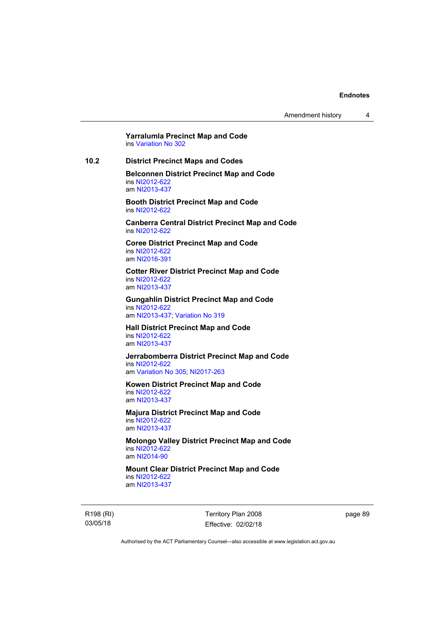**Yarralumla Precinct Map and Code**  ins [Variation No 302](http://www.legislation.act.gov.au/ni/2011-573/)

**10.2 District Precinct Maps and Codes** 

**Belconnen District Precinct Map and Code**  ins [NI2012-622](http://www.legislation.act.gov.au/ni/2012-622/default.asp) am [NI2013-437](http://www.legislation.act.gov.au/ni/2013-437/default.asp)

**Booth District Precinct Map and Code**  ins [NI2012-622](http://www.legislation.act.gov.au/ni/2012-622/default.asp)

**Canberra Central District Precinct Map and Code**  ins [NI2012-622](http://www.legislation.act.gov.au/ni/2012-622/default.asp)

**Coree District Precinct Map and Code**  ins [NI2012-622](http://www.legislation.act.gov.au/ni/2012-622/default.asp) am [NI2016-391](http://www.legislation.act.gov.au/ni/2016-391/default.asp)

**Cotter River District Precinct Map and Code**  ins [NI2012-622](http://www.legislation.act.gov.au/ni/2012-622/default.asp) am [NI2013-437](http://www.legislation.act.gov.au/ni/2013-437/default.asp)

**Gungahlin District Precinct Map and Code**  ins [NI2012-622](http://www.legislation.act.gov.au/ni/2012-622/default.asp) am [NI2013-437](http://www.legislation.act.gov.au/ni/2013-437/default.asp); [Variation No 319](http://www.legislation.act.gov.au/ni/2014-501/default.asp)

**Hall District Precinct Map and Code**  ins [NI2012-622](http://www.legislation.act.gov.au/ni/2012-622/default.asp) am [NI2013-437](http://www.legislation.act.gov.au/ni/2013-437/default.asp)

**Jerrabomberra District Precinct Map and Code**  ins [NI2012-622](http://www.legislation.act.gov.au/ni/2012-622/default.asp) am [Variation No 305](http://www.legislation.act.gov.au/ni/2013-530/default.asp); [NI2017-263](http://www.legislation.act.gov.au/ni/2017-263/default.asp)

**Kowen District Precinct Map and Code**  ins [NI2012-622](http://www.legislation.act.gov.au/ni/2012-622/default.asp)

am [NI2013-437](http://www.legislation.act.gov.au/ni/2013-437/default.asp)

**Majura District Precinct Map and Code**  ins [NI2012-622](http://www.legislation.act.gov.au/ni/2012-622/default.asp) am [NI2013-437](http://www.legislation.act.gov.au/ni/2013-437/default.asp)

**Molongo Valley District Precinct Map and Code**  ins [NI2012-622](http://www.legislation.act.gov.au/ni/2012-622/default.asp) am [NI2014-90](http://www.legislation.act.gov.au/ni/2014-90/default.asp)

**Mount Clear District Precinct Map and Code**  ins [NI2012-622](http://www.legislation.act.gov.au/ni/2012-622/default.asp)

am [NI2013-437](http://www.legislation.act.gov.au/ni/2013-437/default.asp)

R198 (RI) 03/05/18

Territory Plan 2008 Effective: 02/02/18 page 89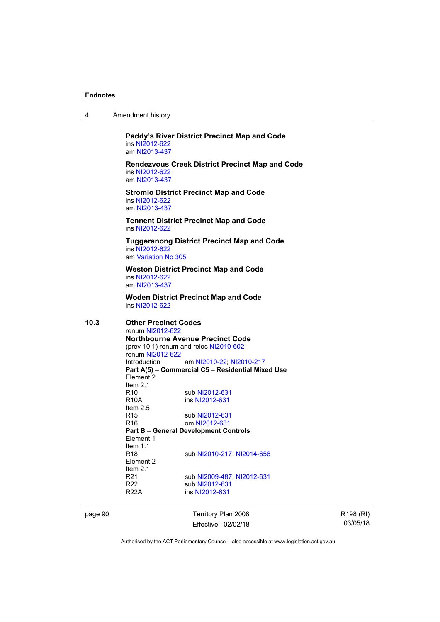| 4 | Amendment history |
|---|-------------------|
|---|-------------------|

**Paddy's River District Precinct Map and Code**  ins [NI2012-622](http://www.legislation.act.gov.au/ni/2012-622/default.asp) am [NI2013-437](http://www.legislation.act.gov.au/ni/2013-437/default.asp)

**Rendezvous Creek District Precinct Map and Code**  ins [NI2012-622](http://www.legislation.act.gov.au/ni/2012-622/default.asp) am [NI2013-437](http://www.legislation.act.gov.au/ni/2013-437/default.asp)

**Stromlo District Precinct Map and Code**  ins [NI2012-622](http://www.legislation.act.gov.au/ni/2012-622/default.asp) am [NI2013-437](http://www.legislation.act.gov.au/ni/2013-437/default.asp)

**Tennent District Precinct Map and Code**  ins [NI2012-622](http://www.legislation.act.gov.au/ni/2012-622/default.asp)

**Tuggeranong District Precinct Map and Code**  ins [NI2012-622](http://www.legislation.act.gov.au/ni/2012-622/default.asp) am [Variation No 305](http://www.legislation.act.gov.au/ni/2013-530/default.asp)

**Weston District Precinct Map and Code**  ins [NI2012-622](http://www.legislation.act.gov.au/ni/2012-622/default.asp) am [NI2013-437](http://www.legislation.act.gov.au/ni/2013-437/default.asp)

**Woden District Precinct Map and Code**  ins [NI2012-622](http://www.legislation.act.gov.au/ni/2012-622/default.asp)

**10.3 Other Precinct Codes**  renum [NI2012-622](http://www.legislation.act.gov.au/ni/2012-622/default.asp) **Northbourne Avenue Precinct Code**  (prev 10.1) renum and reloc [NI2010-602](http://www.legislation.act.gov.au/ni/2010-602/) renum [NI2012-622](http://www.legislation.act.gov.au/ni/2012-622/default.asp) Introduction am [NI2010-22](http://www.legislation.act.gov.au/ni/2010-22/); [NI2010-217](http://www.legislation.act.gov.au/ni/2010-217/) **Part A(5) – Commercial C5 – Residential Mixed Use**  Element 2 Item  $2.1$ <br>R<sub>10</sub> R10 sub [NI2012-631](http://www.legislation.act.gov.au/ni/2012-631/default.asp)<br>R10A ins NI2012-631 ins [NI2012-631](http://www.legislation.act.gov.au/ni/2012-631/default.asp) Item 2.5 R15 sub [NI2012-631](http://www.legislation.act.gov.au/ni/2012-631/default.asp) R16 om [NI2012-631](http://www.legislation.act.gov.au/ni/2012-631/default.asp) **Part B – General Development Controls**  Element 1 Item 1.1 R18 sub [NI2010-217](http://www.legislation.act.gov.au/ni/2010-217/); [NI2014-656](http://www.legislation.act.gov.au/ni/2014-656/default.asp) Element 2 Item 2.1 R21 sub [NI2009-487](http://www.legislation.act.gov.au/ni/2009-487/); [NI2012-631](http://www.legislation.act.gov.au/ni/2012-631/default.asp) R22 sub [NI2012-631](http://www.legislation.act.gov.au/ni/2012-631/default.asp)<br>R22A ins NI2012-631 ins [NI2012-631](http://www.legislation.act.gov.au/ni/2012-631/default.asp)

page 90 Territory Plan 2008 Effective: 02/02/18 R198 (RI) 03/05/18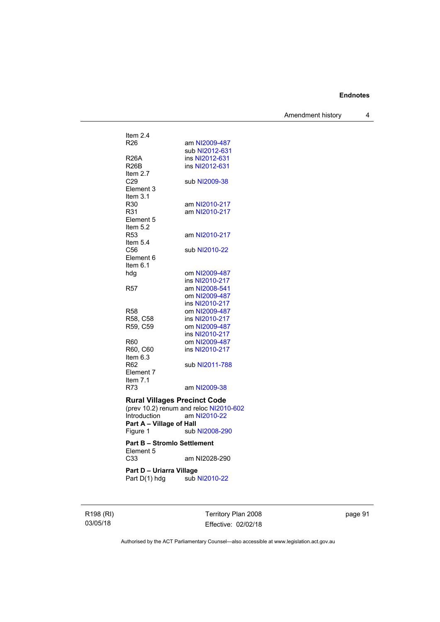Amendment history 4

| Item $2.4$<br>R <sub>26</sub>                   | am NI2009-487                          |
|-------------------------------------------------|----------------------------------------|
|                                                 | sub NI2012-631                         |
| <b>R26A</b>                                     | ins NI2012-631                         |
| <b>R26B</b>                                     | ins NI2012-631                         |
| Item $2.7$                                      |                                        |
| C29                                             | sub NI2009-38                          |
| Element 3                                       |                                        |
| Item 3.1                                        |                                        |
| R30                                             | am NI2010-217                          |
| R31                                             | am NI2010-217                          |
| Element 5                                       |                                        |
| Item 5.2                                        |                                        |
| R <sub>53</sub>                                 | am NI2010-217                          |
| Item 5.4                                        |                                        |
| C56                                             | sub NI2010-22                          |
| Element 6                                       |                                        |
| Item $6.1$                                      |                                        |
| hdg                                             | om NI2009-487                          |
|                                                 | ins NI2010-217                         |
| R57                                             | am NI2008-541                          |
|                                                 | om NI2009-487                          |
|                                                 | ins NI2010-217                         |
| R58                                             | om NI2009-487                          |
| R58, C58                                        | ins NI2010-217                         |
| R59, C59                                        | om NI2009-487                          |
|                                                 | ins NI2010-217                         |
| R60                                             | om NI2009-487                          |
| R60, C60                                        | ins NI2010-217                         |
| Item 6.3                                        |                                        |
| R62                                             | sub NI2011-788                         |
| Element 7                                       |                                        |
| Item $7.1$                                      |                                        |
| R73                                             | am NI2009-38                           |
| <b>Rural Villages Precinct Code</b>             |                                        |
|                                                 | (prev 10.2) renum and reloc NI2010-602 |
| Introduction am NI2010-22                       |                                        |
| Part A - Village of Hall                        |                                        |
| Figure 1                                        | sub NI2008-290                         |
|                                                 |                                        |
| <b>Part B - Stromlo Settlement</b><br>Element 5 |                                        |
| C33                                             | am NI2028-290                          |
|                                                 |                                        |
| Part D - Uriarra Village                        |                                        |
| Part D(1) hdg                                   | sub NI2010-22                          |
|                                                 |                                        |
|                                                 |                                        |

R198 (RI) 03/05/18

Territory Plan 2008 Effective: 02/02/18

page 91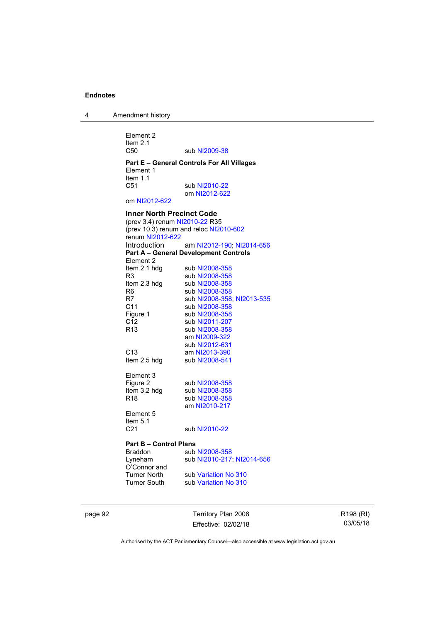4 Amendment history

Element 2 Item 2.1<br>C50 sub [NI2009-38](http://www.legislation.act.gov.au/ni/2009-38/) **Part E – General Controls For All Villages**  Element 1 Item 1.1<br>C51 sub [NI2010-22](http://www.legislation.act.gov.au/ni/2010-22/) om [NI2012-622](http://www.legislation.act.gov.au/ni/2012-622/default.asp) om [NI2012-622](http://www.legislation.act.gov.au/ni/2012-622/default.asp) **Inner North Precinct Code**  (prev 3.4) renum [NI2010-22](http://www.legislation.act.gov.au/ni/2010-22/) R35 (prev 10.3) renum and reloc [NI2010-602](http://www.legislation.act.gov.au/ni/2010-602/) renum [NI2012-622](http://www.legislation.act.gov.au/ni/2012-622/default.asp) Introduction am [NI2012-190;](http://www.legislation.act.gov.au/ni/2012-190/) [NI2014-656](http://www.legislation.act.gov.au/ni/2014-656/default.asp) **Part A – General Development Controls**  Element 2<br>Item 2.1 hdg sub [NI2008-358](http://www.legislation.act.gov.au/ni/2008-358/) R3 sub [NI2008-358](http://www.legislation.act.gov.au/ni/2008-358/) Item 2.3 hdg sub [NI2008-358](http://www.legislation.act.gov.au/ni/2008-358/)<br>R6 sub NI2008-358 R6 sub [NI2008-358](http://www.legislation.act.gov.au/ni/2008-358/)<br>R7 sub NI2008-358 sub [NI2008-358](http://www.legislation.act.gov.au/ni/2008-358/); [NI2013-535](http://www.legislation.act.gov.au/ni/2013-535/) C11 sub [NI2008-358](http://www.legislation.act.gov.au/ni/2008-358/) Figure 1 sub [NI2008-358](http://www.legislation.act.gov.au/ni/2008-358/)<br>C12 sub NI2011-207 sub [NI2011-207](http://www.legislation.act.gov.au/ni/2011-207/) R13 sub [NI2008-358](http://www.legislation.act.gov.au/ni/2008-358/) am [NI2009-322](http://www.legislation.act.gov.au/ni/2009-322/) sub [NI2012-631](http://www.legislation.act.gov.au/ni/2012-631/default.asp)<br>C13 **am NI2013-390** C13 am [NI2013-390](http://www.legislation.act.gov.au/ni/2013-390/default.asp)<br>Item 2.5 hdg sub NI2008-541 sub [NI2008-541](http://www.legislation.act.gov.au/ni/2008-541/) Element 3<br>Figure 2 sub [NI2008-358](http://www.legislation.act.gov.au/ni/2008-358/) Item 3.2 hdg sub [NI2008-358](http://www.legislation.act.gov.au/ni/2008-358/) R18 sub [NI2008-358](http://www.legislation.act.gov.au/ni/2008-358/) am [NI2010-217](http://www.legislation.act.gov.au/ni/2010-217/) Element 5 Item 5.1 C21 sub [NI2010-22](http://www.legislation.act.gov.au/ni/2010-22/) **Part B – Control Plans** Braddon sub [NI2008-358](http://www.legislation.act.gov.au/ni/2008-358/) Lyneham sub [NI2010-217](http://www.legislation.act.gov.au/ni/2010-217/); [NI2014-656](http://www.legislation.act.gov.au/ni/2014-656/default.asp) O'Connor and

Turner North sub [Variation No 310](http://www.legislation.act.gov.au/ni/2011-688/)<br>Turner South sub Variation No 310 sub [Variation No 310](http://www.legislation.act.gov.au/ni/2011-688/)

page 92 Territory Plan 2008 Effective: 02/02/18 R198 (RI) 03/05/18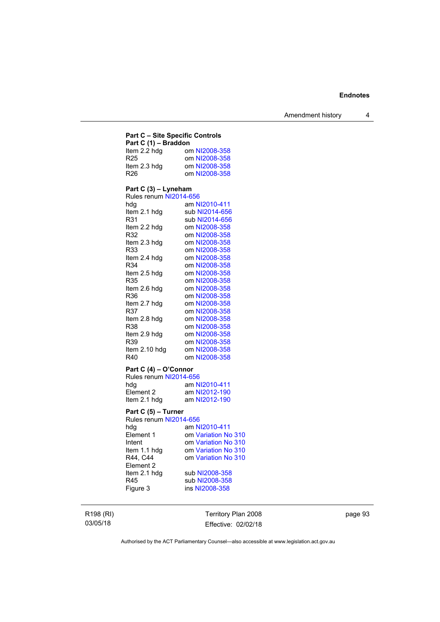## **Part C – Site Specific Controls**

| Part C (1) - Braddon |               |  |
|----------------------|---------------|--|
| Item 2.2 hdg         | om NI2008-358 |  |
| R <sub>25</sub>      | om NI2008-358 |  |
| Item 2.3 hdg         | om NI2008-358 |  |
| R <sub>26</sub>      | om NI2008-358 |  |

## **Part C (3) – Lyneham**

| Rules renum NI2014-656 |                |
|------------------------|----------------|
| hdg                    | am NI2010-411  |
| ltem 2.1 hdg           | sub NI2014-656 |
| R31                    | sub NI2014-656 |
| Item 2.2 hdg           | om NI2008-358  |
| R32                    | om NI2008-358  |
| ltem 2.3 hdg           | om NI2008-358  |
| R33                    | om NI2008-358  |
| ltem 2.4 hdg           | om NI2008-358  |
| R34                    | om NI2008-358  |
| ltem 2.5 hdq           | om NI2008-358  |
| R35                    | om NI2008-358  |
| Item 2.6 hdg           | om NI2008-358  |
| R36                    | om NI2008-358  |
| ltem 2.7 hdq           | om NI2008-358  |
| R37                    | om NI2008-358  |
| Item 2.8 hdg           | om NI2008-358  |
| R38                    | om NI2008-358  |
| ltem 2.9 hdq           | om NI2008-358  |
| R39                    | om NI2008-358  |
| ltem 2.10 hdq          | om NI2008-358  |
| R40                    | om NI2008-358  |

# **Part C (4) – O'Connor**

| Rules renum NI2014-656 |               |
|------------------------|---------------|
| hda                    | am NI2010-411 |
| Element 2              | am NI2012-190 |
| Item 2.1 hdg           | am NI2012-190 |

# **Part C (5) – Turner**

| Rules renum NI2014-656 |                     |  |
|------------------------|---------------------|--|
| hdg                    | am NI2010-411       |  |
| Element 1              | om Variation No 310 |  |
| Intent                 | om Variation No 310 |  |
| Item 1.1 hdg           | om Variation No 310 |  |
| R44, C44               | om Variation No 310 |  |
| Element 2              |                     |  |
| Item 2.1 hdg           | sub NI2008-358      |  |
| R45                    | sub NI2008-358      |  |
| Figure 3               | ins NI2008-358      |  |
|                        |                     |  |

R198 (RI) 03/05/18

Territory Plan 2008 Effective: 02/02/18 page 93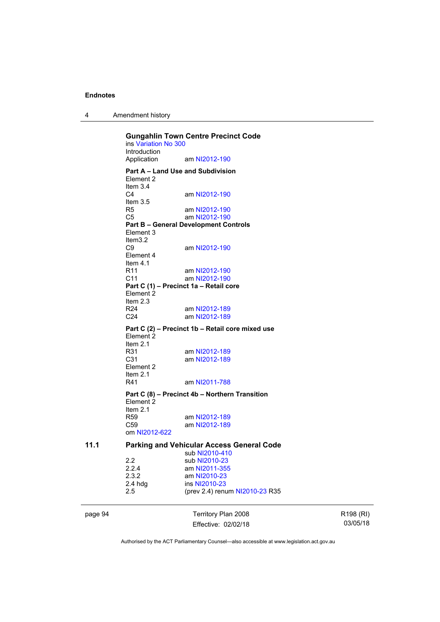4 Amendment history

**Gungahlin Town Centre Precinct Code**  ins [Variation No 300](http://www.legislation.act.gov.au/ni/2011-691/) Introduction<br>Application am [NI2012-190](http://www.legislation.act.gov.au/ni/2012-190/) **Part A – Land Use and Subdivision**  Element 2 Item 3.4<br>C4 am [NI2012-190](http://www.legislation.act.gov.au/ni/2012-190/) Item 3.5<br>R5 am [NI2012-190](http://www.legislation.act.gov.au/ni/2012-190/) C5 am [NI2012-190](http://www.legislation.act.gov.au/ni/2012-190/) **Part B – General Development Controls**  Element 3 Item3.2<br>C9 am [NI2012-190](http://www.legislation.act.gov.au/ni/2012-190/) Element 4 Item 4.1<br>R11 R11 am [NI2012-190](http://www.legislation.act.gov.au/ni/2012-190/)<br>C11 am NI2012-190 am [NI2012-190](http://www.legislation.act.gov.au/ni/2012-190/) **Part C (1) – Precinct 1a – Retail core**  Element 2 Item 2.3 R24 am [NI2012-189](http://www.legislation.act.gov.au/ni/2012-189/) C24 am [NI2012-189](http://www.legislation.act.gov.au/ni/2012-189/) **Part C (2) – Precinct 1b – Retail core mixed use**  Element 2 Item  $2.1$ <br>R $31$ R31 am [NI2012-189](http://www.legislation.act.gov.au/ni/2012-189/)<br>C31 am NI2012-189 am [NI2012-189](http://www.legislation.act.gov.au/ni/2012-189/) Element 2 Item 2.1<br>R41 am [NI2011-788](http://www.legislation.act.gov.au/ni/2011-788/) **Part C (8) – Precinct 4b – Northern Transition**  Element 2 Item 2.1<br>R59 am [NI2012-189](http://www.legislation.act.gov.au/ni/2012-189/) C59 am [NI2012-189](http://www.legislation.act.gov.au/ni/2012-189/) om [NI2012-622](http://www.legislation.act.gov.au/ni/2012-622/default.asp) **11.1 Parking and Vehicular Access General Code**  sub [NI2010-410](http://www.legislation.act.gov.au/ni/2010-410/) 2.2 sub [NI2010-23](http://www.legislation.act.gov.au/ni/2010-23/)<br>2.2.4 am NI2011-355 2.2.4 am [NI2011-355](http://www.legislation.act.gov.au/ni/2011-355/)<br>2.3.2 am NI2010-23 2.3.2 am [NI2010-23](http://www.legislation.act.gov.au/ni/2010-23/)<br>2.4 hdg ins NI2010-23 ins [NI2010-23](http://www.legislation.act.gov.au/ni/2010-23/) 2.5 (prev 2.4) renum [NI2010-23](http://www.legislation.act.gov.au/ni/2010-23/) R35

page 94 Territory Plan 2008 Effective: 02/02/18 R198 (RI) 03/05/18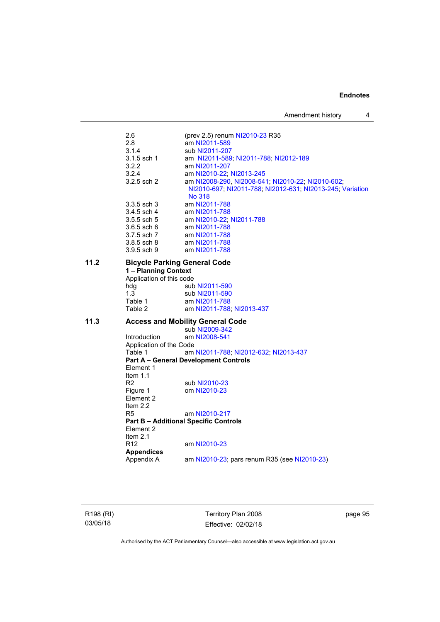Amendment history 4

2.6 (prev 2.5) renum [NI2010-23](http://www.legislation.act.gov.au/ni/2010-23/) R35<br>2.8 am NI2011-589 2.8 am [NI2011-589](http://www.legislation.act.gov.au/ni/2011-589/)<br>3.1.4 sub NI2011-207 3.1.4 sub [NI2011-207](http://www.legislation.act.gov.au/ni/2011-207/)<br>3.1.5 sch 1 am NI2011-589 3.1.5 sch 1 am [NI2011-589;](http://www.legislation.act.gov.au/ni/2011-589/) [NI2011-788;](http://www.legislation.act.gov.au/ni/2011-788/) [NI2012-189](http://www.legislation.act.gov.au/ni/2012-189/) 3.2.2 am [NI2011-207](http://www.legislation.act.gov.au/ni/2011-207/)<br>3.2.4 am NI2010-22: 3.2.4 am [NI2010-22](http://www.legislation.act.gov.au/ni/2010-22/); [NI2013-245](http://www.legislation.act.gov.au/ni/2013-245/default.asp)<br>3.2.5 sch 2 am NI2008-290, NI2008-54 am [NI2008-290](http://www.legislation.act.gov.au/ni/2008-290/), [NI2008-541](http://www.legislation.act.gov.au/ni/2008-541/); [NI2010-22](http://www.legislation.act.gov.au/ni/2010-22/); [NI2010-602](http://www.legislation.act.gov.au/ni/2010-602/); [NI2010-697](http://www.legislation.act.gov.au/ni/2010-697/); [NI2011-788](http://www.legislation.act.gov.au/ni/2011-788/); [NI2012-631](http://www.legislation.act.gov.au/ni/2012-631/default.asp); [NI2013-245](http://www.legislation.act.gov.au/ni/2013-245/default.asp); [Variation](http://www.legislation.act.gov.au/ni/2014-294/default.asp)  [No 318](http://www.legislation.act.gov.au/ni/2014-294/default.asp) 3.3.5 sch 3 am [NI2011-788](http://www.legislation.act.gov.au/ni/2011-788/) 3.4.5 sch 4 am [NI2011-788](http://www.legislation.act.gov.au/ni/2011-788/) 3.5.5 sch 5 am [NI2010-22](http://www.legislation.act.gov.au/ni/2010-22/); [NI2011-788](http://www.legislation.act.gov.au/ni/2011-788/) 3.6.5 sch 6 am [NI2011-788](http://www.legislation.act.gov.au/ni/2011-788/)<br>3.7.5 sch 7 am NI2011-788 am [NI2011-788](http://www.legislation.act.gov.au/ni/2011-788/) 3.8.5 sch 8 am [NI2011-788](http://www.legislation.act.gov.au/ni/2011-788/) 3.9.5 sch 9 am [NI2011-788](http://www.legislation.act.gov.au/ni/2011-788/) **11.2 Bicycle Parking General Code 1 – Planning Context**  Application of this code<br>hdg sub sub [NI2011-590](http://www.legislation.act.gov.au/ni/2011-590/) 1.3 sub [NI2011-590](http://www.legislation.act.gov.au/ni/2011-590/)<br>Table 1 am NI2011-788 am [NI2011-788](http://www.legislation.act.gov.au/ni/2011-788/) Table 2 am [NI2011-788](http://www.legislation.act.gov.au/ni/2011-788/); [NI2013-437](http://www.legislation.act.gov.au/ni/2013-437/default.asp) **11.3 Access and Mobility General Code**  sub [NI2009-342](http://www.legislation.act.gov.au/ni/2009-342/) Introduction am [NI2008-541](http://www.legislation.act.gov.au/ni/2008-541/) Application of the Code<br>Table 1 am am [NI2011-788](http://www.legislation.act.gov.au/ni/2011-788/); [NI2012-632](http://www.legislation.act.gov.au/ni/2012-632/default.asp); [NI2013-437](http://www.legislation.act.gov.au/ni/2013-437/default.asp) **Part A – General Development Controls**  Element 1 Item 1.1 R2 sub [NI2010-23](http://www.legislation.act.gov.au/ni/2010-23/) Figure 1 om [NI2010-23](http://www.legislation.act.gov.au/ni/2010-23/) Element 2 Item 2.2 R5 am [NI2010-217](http://www.legislation.act.gov.au/ni/2010-217/) **Part B – Additional Specific Controls**  Element 2 Item  $2.1$ <br>R<sub>12</sub> am [NI2010-23](http://www.legislation.act.gov.au/ni/2010-23/) **Appendices**  am [NI2010-23](http://www.legislation.act.gov.au/ni/2010-23/); pars renum R35 (see NI2010-23)

R198 (RI) 03/05/18

Territory Plan 2008 Effective: 02/02/18 page 95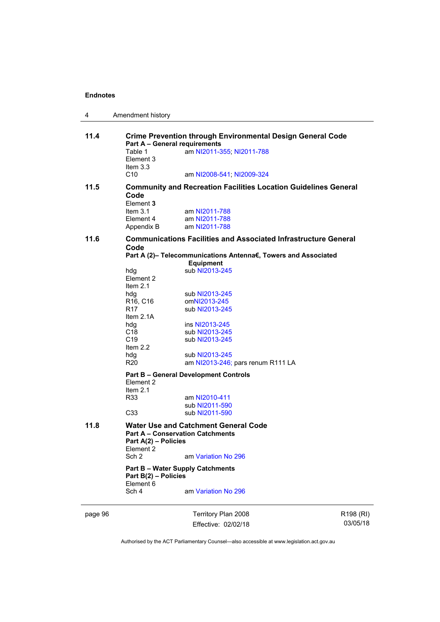| 4                                                                                                                 | Amendment history                                                              |                                                                                        |                      |  |  |
|-------------------------------------------------------------------------------------------------------------------|--------------------------------------------------------------------------------|----------------------------------------------------------------------------------------|----------------------|--|--|
| 11.4<br><b>Crime Prevention through Environmental Design General Code</b><br><b>Part A - General requirements</b> |                                                                                |                                                                                        |                      |  |  |
|                                                                                                                   | Table 1<br>Element 3<br>Item $3.3$                                             | am NI2011-355; NI2011-788                                                              |                      |  |  |
|                                                                                                                   | C10                                                                            | am NI2008-541; NI2009-324                                                              |                      |  |  |
| 11.5                                                                                                              | <b>Community and Recreation Facilities Location Guidelines General</b><br>Code |                                                                                        |                      |  |  |
|                                                                                                                   | Element 3<br>Item $3.1$                                                        | am NI2011-788                                                                          |                      |  |  |
|                                                                                                                   | Element 4                                                                      | am NI2011-788                                                                          |                      |  |  |
|                                                                                                                   | Appendix B                                                                     | am NI2011-788                                                                          |                      |  |  |
| 11.6                                                                                                              | Code                                                                           | <b>Communications Facilities and Associated Infrastructure General</b>                 |                      |  |  |
|                                                                                                                   |                                                                                | Part A (2)- Telecommunications Antenna€, Towers and Associated                         |                      |  |  |
|                                                                                                                   |                                                                                | <b>Equipment</b>                                                                       |                      |  |  |
|                                                                                                                   | hdg<br>Element 2                                                               | sub NI2013-245                                                                         |                      |  |  |
|                                                                                                                   | Item $2.1$                                                                     |                                                                                        |                      |  |  |
|                                                                                                                   | hdg                                                                            | sub NI2013-245                                                                         |                      |  |  |
|                                                                                                                   | R <sub>16</sub> , C <sub>16</sub><br>R <sub>17</sub>                           | omNI2013-245<br>sub NI2013-245                                                         |                      |  |  |
|                                                                                                                   | Item $2.1A$                                                                    |                                                                                        |                      |  |  |
|                                                                                                                   | hdg                                                                            | ins NI2013-245                                                                         |                      |  |  |
|                                                                                                                   | C <sub>18</sub><br>C <sub>19</sub>                                             | sub NI2013-245<br>sub NI2013-245                                                       |                      |  |  |
|                                                                                                                   | Item $2.2$                                                                     |                                                                                        |                      |  |  |
|                                                                                                                   | hdg                                                                            | sub NI2013-245                                                                         |                      |  |  |
|                                                                                                                   | <b>R20</b>                                                                     | am NI2013-246; pars renum R111 LA                                                      |                      |  |  |
|                                                                                                                   | Element 2<br>Item $2.1$                                                        | <b>Part B - General Development Controls</b>                                           |                      |  |  |
|                                                                                                                   | R33                                                                            | am NI2010-411                                                                          |                      |  |  |
|                                                                                                                   |                                                                                | sub NI2011-590                                                                         |                      |  |  |
|                                                                                                                   | C <sub>33</sub>                                                                | sub NI2011-590                                                                         |                      |  |  |
| 11.8                                                                                                              | Part A(2) - Policies<br>Element 2                                              | <b>Water Use and Catchment General Code</b><br><b>Part A - Conservation Catchments</b> |                      |  |  |
|                                                                                                                   | Sch <sub>2</sub>                                                               | am Variation No 296                                                                    |                      |  |  |
|                                                                                                                   | Part B(2) - Policies                                                           | <b>Part B - Water Supply Catchments</b>                                                |                      |  |  |
|                                                                                                                   | Element 6<br>Sch 4                                                             | am Variation No 296                                                                    |                      |  |  |
| page 96                                                                                                           |                                                                                | Territory Plan 2008                                                                    | R <sub>198</sub> (RI |  |  |

Effective: 02/02/18

R198 (RI) 03/05/18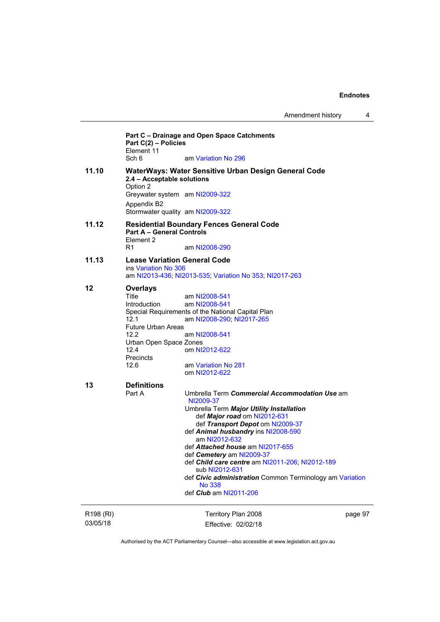|                                   | Part C(2) - Policies<br>Element 11<br>Sch 6                                                                                                         | Part C - Drainage and Open Space Catchments<br>am Variation No 296                                                                                                                                                                                                                                                                                                                                                                                                                     |         |
|-----------------------------------|-----------------------------------------------------------------------------------------------------------------------------------------------------|----------------------------------------------------------------------------------------------------------------------------------------------------------------------------------------------------------------------------------------------------------------------------------------------------------------------------------------------------------------------------------------------------------------------------------------------------------------------------------------|---------|
| 11.10                             | 2.4 - Acceptable solutions<br>Option 2<br>Greywater system am NI2009-322                                                                            | WaterWays: Water Sensitive Urban Design General Code                                                                                                                                                                                                                                                                                                                                                                                                                                   |         |
|                                   | Appendix B2<br>Stormwater quality am NI2009-322                                                                                                     |                                                                                                                                                                                                                                                                                                                                                                                                                                                                                        |         |
| 11.12                             | <b>Part A - General Controls</b><br>Element 2                                                                                                       | <b>Residential Boundary Fences General Code</b>                                                                                                                                                                                                                                                                                                                                                                                                                                        |         |
|                                   | R1                                                                                                                                                  | am NI2008-290                                                                                                                                                                                                                                                                                                                                                                                                                                                                          |         |
| 11.13                             | <b>Lease Variation General Code</b><br>ins Variation No 306                                                                                         | am NI2013-436; NI2013-535; Variation No 353; NI2017-263                                                                                                                                                                                                                                                                                                                                                                                                                                |         |
| 12                                | <b>Overlays</b><br>Title<br>Introduction<br>12.1<br><b>Future Urban Areas</b><br>12.2<br>Urban Open Space Zones<br>12.4<br><b>Precincts</b><br>12.6 | am NI2008-541<br>am NI2008-541<br>Special Requirements of the National Capital Plan<br>am NI2008-290; NI2017-265<br>am NI2008-541<br>om NI2012-622<br>am Variation No 281<br>om NI2012-622                                                                                                                                                                                                                                                                                             |         |
| 13                                | <b>Definitions</b><br>Part A                                                                                                                        | Umbrella Term Commercial Accommodation Use am<br>NI2009-37<br>Umbrella Term Major Utility Installation<br>def Major road om NI2012-631<br>def Transport Depot om NI2009-37<br>def Animal husbandry ins NI2008-590<br>am NI2012-632<br>def Attached house am NI2017-655<br>def Cemetery am NI2009-37<br>def Child care centre am NI2011-206; NI2012-189<br>sub NI2012-631<br>def Civic administration Common Terminology am Variation<br><b>No 338</b><br>def <i>Club</i> am NI2011-206 |         |
| R <sub>198</sub> (RI)<br>03/05/18 |                                                                                                                                                     | Territory Plan 2008<br>Effective: 02/02/18                                                                                                                                                                                                                                                                                                                                                                                                                                             | page 97 |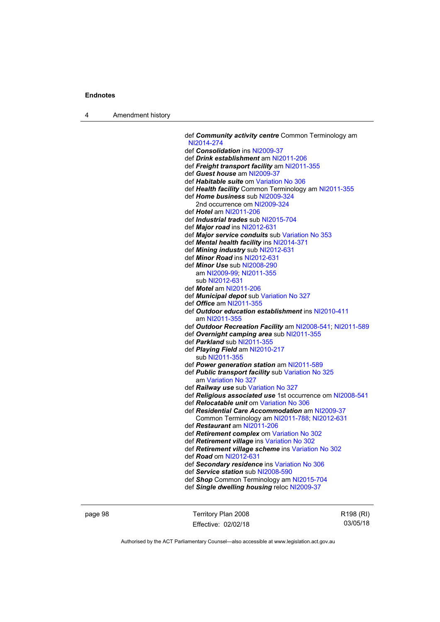4 Amendment history

 def *Community activity centre* Common Terminology am [NI2014-274](http://www.legislation.act.gov.au/ni/2014-274/default.asp) def *Consolidation* ins [NI2009-37](http://www.legislation.act.gov.au/ni/2009-37/) def *Drink establishment* am [NI2011-206](http://www.legislation.act.gov.au/ni/2011-206/) def *Freight transport facility* am [NI2011-355](http://www.legislation.act.gov.au/ni/2011-355/) def *Guest house* am [NI2009-37](http://www.legislation.act.gov.au/ni/2009-37/) def *Habitable suite* om [Variation No 306](http://www.legislation.act.gov.au/ni/2013-93/default.asp) def *Health facility* Common Terminology am [NI2011-355](http://www.legislation.act.gov.au/ni/2011-355/) def *Home business* sub [NI2009-324](http://www.legislation.act.gov.au/ni/2009-324/) 2nd occurrence om [NI2009-324](http://www.legislation.act.gov.au/ni/2009-324/) def *Hotel* am [NI2011-206](http://www.legislation.act.gov.au/ni/2011-206/) def *Industrial trades* sub [NI2015-704](http://www.legislation.act.gov.au/ni/2015-704/default.asp) def *Major road* ins [NI2012-631](http://www.legislation.act.gov.au/ni/2012-631/default.asp) def *Major service conduits* sub [Variation No 353](http://www.legislation.act.gov.au/ni/2016-393/default.asp) def *Mental health facility* ins [NI2014-371](http://www.legislation.act.gov.au/ni/2014-371/default.asp) def *Mining industry* sub [NI2012-631](http://www.legislation.act.gov.au/ni/2012-631/default.asp) def *Minor Road* ins [NI2012-631](http://www.legislation.act.gov.au/ni/2012-631/default.asp) def *Minor Use* sub [NI2008-290](http://www.legislation.act.gov.au/ni/2008-290/) am [NI2009-99](http://www.legislation.act.gov.au/ni/2009-99/); [NI2011-355](http://www.legislation.act.gov.au/ni/2011-355/) sub [NI2012-631](http://www.legislation.act.gov.au/ni/2012-631/default.asp) def *Motel* am [NI2011-206](http://www.legislation.act.gov.au/ni/2011-206/) def *Municipal depot* sub [Variation No 327](http://www.legislation.act.gov.au/ni/2015-449/default.asp) def *Office* am [NI2011-355](http://www.legislation.act.gov.au/ni/2011-355/) def *Outdoor education establishment* ins [NI2010-411](http://www.legislation.act.gov.au/ni/2010-411/) am [NI2011-355](http://www.legislation.act.gov.au/ni/2011-355/) def *Outdoor Recreation Facility* am [NI2008-541;](http://www.legislation.act.gov.au/ni/2008-541/) [NI2011-589](http://www.legislation.act.gov.au/ni/2011-589/) def *Overnight camping area* sub [NI2011-355](http://www.legislation.act.gov.au/ni/2011-355/) def *Parkland* sub [NI2011-355](http://www.legislation.act.gov.au/ni/2011-355/) def *Playing Field* am [NI2010-217](http://www.legislation.act.gov.au/ni/2010-217/) sub [NI2011-355](http://www.legislation.act.gov.au/ni/2011-355/) def *Power generation station* am [NI2011-589](http://www.legislation.act.gov.au/ni/2011-589/) def *Public transport facility* sub [Variation No 325](http://www.legislation.act.gov.au/ni/2014-427/default.asp) am [Variation No 327](http://www.legislation.act.gov.au/ni/2015-449/default.asp) def *Railway use* sub [Variation No 327](http://www.legislation.act.gov.au/ni/2015-449/default.asp) def *Religious associated use* 1st occurrence om [NI2008-541](http://www.legislation.act.gov.au/ni/2008-541/) def *Relocatable unit* om [Variation No 306](http://www.legislation.act.gov.au/ni/2013-93/default.asp) def *Residential Care Accommodation* am [NI2009-37](http://www.legislation.act.gov.au/ni/2009-37/) Common Terminology am [NI2011-788](http://www.legislation.act.gov.au/ni/2011-788/); [NI2012-631](http://www.legislation.act.gov.au/ni/2012-631/default.asp) def *Restaurant* am [NI2011-206](http://www.legislation.act.gov.au/ni/2011-206/) def *Retirement complex* om [Variation No 302](http://www.legislation.act.gov.au/ni/2011-573/) def *Retirement village* ins [Variation No 302](http://www.legislation.act.gov.au/ni/2011-573/) def *Retirement village scheme* ins [Variation No 302](http://www.legislation.act.gov.au/ni/2011-573/) def *Road* om [NI2012-631](http://www.legislation.act.gov.au/ni/2012-631/default.asp) def *Secondary residence* ins [Variation No 306](http://www.legislation.act.gov.au/ni/2013-93/default.asp) def *Service station* sub [NI2008-590](http://www.legislation.act.gov.au/ni/2008-590/default.asp) def *Shop* Common Terminology am [NI2015-704](http://www.legislation.act.gov.au/ni/2015-704/default.asp) def *Single dwelling housing* reloc [NI2009-37](http://www.legislation.act.gov.au/ni/2009-37/)

page 98 Territory Plan 2008 Effective: 02/02/18 R198 (RI) 03/05/18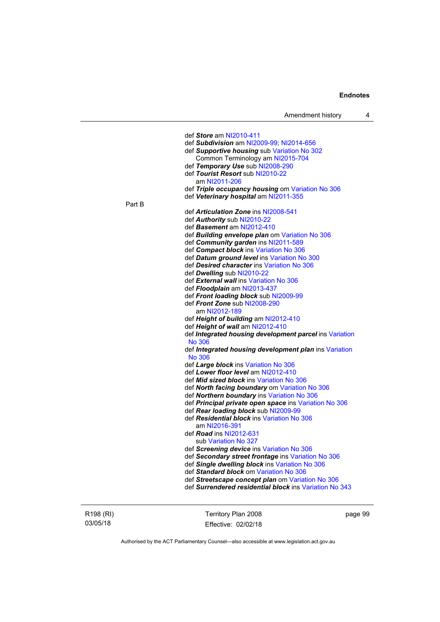| Amendment history |  |  |
|-------------------|--|--|
|-------------------|--|--|

|        | def Store am NI2010-411                                 |
|--------|---------------------------------------------------------|
|        | def Subdivision am NI2009-99; NI2014-656                |
|        | def Supportive housing sub Variation No 302             |
|        | Common Terminology am NI2015-704                        |
|        | def Temporary Use sub NI2008-290                        |
|        | def Tourist Resort sub NI2010-22                        |
|        | am NI2011-206                                           |
|        | def Triple occupancy housing om Variation No 306        |
|        | def Veterinary hospital am NI2011-355                   |
| Part B |                                                         |
|        | def <b>Articulation Zone</b> ins NI2008-541             |
|        | def Authority sub NI2010-22                             |
|        |                                                         |
|        | def Basement am NI2012-410                              |
|        | def Building envelope plan om Variation No 306          |
|        | def Community garden ins NI2011-589                     |
|        | def Compact block ins Variation No 306                  |
|        | def Datum ground level ins Variation No 300             |
|        | def Desired character ins Variation No 306              |
|        | def Dwelling sub NI2010-22                              |
|        | def External wall ins Variation No 306                  |
|        | def Floodplain am NI2013-437                            |
|        | def Front loading block sub NI2009-99                   |
|        | def Front Zone sub NI2008-290                           |
|        | am NI2012-189                                           |
|        | def Height of building am NI2012-410                    |
|        | def Height of wall am NI2012-410                        |
|        | def Integrated housing development parcel ins Variation |
|        | <b>No 306</b>                                           |
|        | def Integrated housing development plan ins Variation   |
|        | <b>No 306</b>                                           |
|        | def Large block ins Variation No 306                    |
|        | def Lower floor level am NI2012-410                     |
|        | def <i>Mid sized block</i> ins Variation No 306         |
|        | def North facing boundary om Variation No 306           |
|        | def Northern boundary ins Variation No 306              |
|        | def Principal private open space ins Variation No 306   |
|        | def Rear loading block sub NI2009-99                    |
|        | def Residential block ins Variation No 306              |
|        | am NI2016-391                                           |
|        | def <b>Road</b> ins NI2012-631                          |
|        | sub Variation No 327                                    |
|        |                                                         |
|        | def Screening device ins Variation No 306               |
|        | def Secondary street frontage ins Variation No 306      |
|        | def Single dwelling block ins Variation No 306          |
|        | def Standard block om Variation No 306                  |
|        | def Streetscape concept plan om Variation No 306        |
|        | def Surrendered residential block ins Variation No 343  |
|        |                                                         |
|        |                                                         |

R198 (RI) 03/05/18

Territory Plan 2008 Effective: 02/02/18 page 99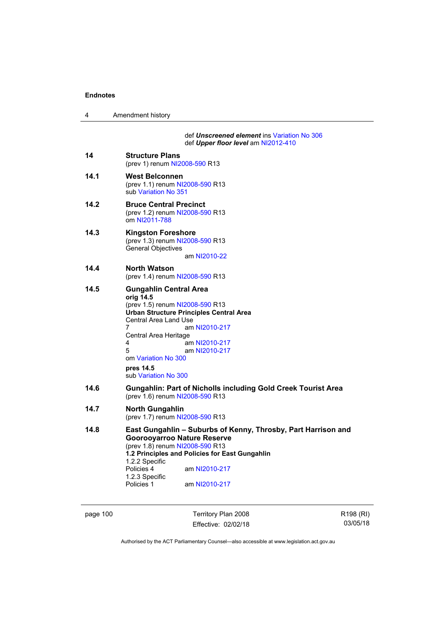| 4    | Amendment history                                                                                                                                                                                                                                                                                               |
|------|-----------------------------------------------------------------------------------------------------------------------------------------------------------------------------------------------------------------------------------------------------------------------------------------------------------------|
|      | def Unscreened element ins Variation No 306<br>def Upper floor level am NI2012-410                                                                                                                                                                                                                              |
| 14   | <b>Structure Plans</b><br>(prev 1) renum NI2008-590 R13                                                                                                                                                                                                                                                         |
| 14.1 | <b>West Belconnen</b><br>(prev 1.1) renum NI2008-590 R13<br>sub Variation No 351                                                                                                                                                                                                                                |
| 14.2 | <b>Bruce Central Precinct</b><br>(prev 1.2) renum NI2008-590 R13<br>om NI2011-788                                                                                                                                                                                                                               |
| 14.3 | <b>Kingston Foreshore</b><br>(prev 1.3) renum NI2008-590 R13<br>General Objectives<br>am NI2010-22                                                                                                                                                                                                              |
| 14.4 | North Watson<br>(prev 1.4) renum NI2008-590 R13                                                                                                                                                                                                                                                                 |
| 14.5 | <b>Gungahlin Central Area</b><br>orig 14.5<br>(prev 1.5) renum NI2008-590 R13<br><b>Urban Structure Principles Central Area</b><br>Central Area Land Use<br>7<br>am NI2010-217<br>Central Area Heritage<br>am NI2010-217<br>4<br>5<br>am NI2010-217<br>om Variation No 300<br>pres 14.5<br>sub Variation No 300 |
| 14.6 | <b>Gungahlin: Part of Nicholls including Gold Creek Tourist Area</b><br>(prev 1.6) renum NI2008-590 R13                                                                                                                                                                                                         |
| 14.7 | <b>North Gungahlin</b><br>(prev 1.7) renum NI2008-590 R13                                                                                                                                                                                                                                                       |
| 14.8 | East Gungahlin - Suburbs of Kenny, Throsby, Part Harrison and<br>Goorooyarroo Nature Reserve<br>(prev 1.8) renum NI2008-590 R13<br>1.2 Principles and Policies for East Gungahlin<br>1.2.2 Specific<br>Policies 4<br>am NI2010-217<br>1.2.3 Specific<br>Policies 1<br>am NI2010-217                             |

page 100 Territory Plan 2008 Effective: 02/02/18 R198 (RI) 03/05/18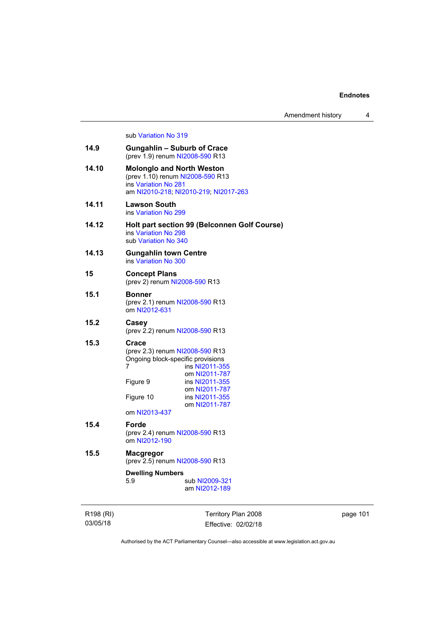Amendment history 4

## sub [Variation No 319](http://www.legislation.act.gov.au/ni/2014-501/default.asp)

| 14.9  | <b>Gungahlin - Suburb of Crace</b><br>(prev 1.9) renum NI2008-590 R13                                                                                                                                                                 |  |  |
|-------|---------------------------------------------------------------------------------------------------------------------------------------------------------------------------------------------------------------------------------------|--|--|
| 14.10 | <b>Molonglo and North Weston</b><br>(prev 1.10) renum NI2008-590 R13<br>ins Variation No 281<br>am NI2010-218; NI2010-219; NI2017-263                                                                                                 |  |  |
| 14.11 | Lawson South<br>ins Variation No 299                                                                                                                                                                                                  |  |  |
| 14.12 | Holt part section 99 (Belconnen Golf Course)<br>ins Variation No 298<br>sub Variation No 340                                                                                                                                          |  |  |
| 14.13 | <b>Gungahlin town Centre</b><br>ins Variation No 300                                                                                                                                                                                  |  |  |
| 15    | <b>Concept Plans</b><br>(prev 2) renum NI2008-590 R13                                                                                                                                                                                 |  |  |
| 15.1  | <b>Bonner</b><br>(prev 2.1) renum NI2008-590 R13<br>om NI2012-631                                                                                                                                                                     |  |  |
| 15.2  | Casey<br>(prev 2.2) renum NI2008-590 R13                                                                                                                                                                                              |  |  |
| 15.3  | Crace<br>(prev 2.3) renum NI2008-590 R13<br>Ongoing block-specific provisions<br>7<br>ins NI2011-355<br>om NI2011-787<br>ins NI2011-355<br>Figure 9<br>om NI2011-787<br>ins NI2011-355<br>Figure 10<br>om NI2011-787<br>om NI2013-437 |  |  |
| 15.4  | <b>Forde</b><br>(prev 2.4) renum NI2008-590 R13<br>om NI2012-190                                                                                                                                                                      |  |  |
| 15.5  | <b>Macgregor</b><br>(prev 2.5) renum NI2008-590 R13                                                                                                                                                                                   |  |  |
|       | <b>Dwelling Numbers</b><br>5.9<br>sub NI2009-321<br>am NI2012-189                                                                                                                                                                     |  |  |

R198 (RI) 03/05/18

Territory Plan 2008 Effective: 02/02/18 page 101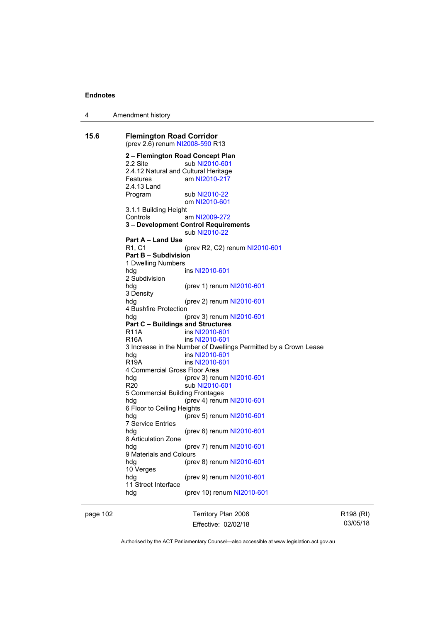4 Amendment history

**15.6 Flemington Road Corridor**  (prev 2.6) renum [NI2008-590](http://www.legislation.act.gov.au/ni/2008-590/default.asp) R13 **2 – Flemington Road Concept Plan**  2.2 Site sub [NI2010-601](http://www.legislation.act.gov.au/ni/2010-601/) 2.4.12 Natural and Cultural Heritage Features am [NI2010-217](http://www.legislation.act.gov.au/ni/2010-217/) 2.4.13 Land Program sub [NI2010-22](http://www.legislation.act.gov.au/ni/2010-22/) om [NI2010-601](http://www.legislation.act.gov.au/ni/2010-601/) 3.1.1 Building Height Controls am [NI2009-272](http://www.legislation.act.gov.au/ni/2009-272/) **3 – Development Control Requirements**  sub [NI2010-22](http://www.legislation.act.gov.au/ni/2010-22/) **Part A – Land Use**  R1, C1 (prev R2, C2) renum [NI2010-601](http://www.legislation.act.gov.au/ni/2010-601/) **Part B – Subdivision**  1 Dwelling Numbers hdg ins [NI2010-601](http://www.legislation.act.gov.au/ni/2010-601/) 2 Subdivision (prev 1) renum [NI2010-601](http://www.legislation.act.gov.au/ni/2010-601/) 3 Density hdg (prev 2) renum [NI2010-601](http://www.legislation.act.gov.au/ni/2010-601/) 4 Bushfire Protection hdg (prev 3) renum [NI2010-601](http://www.legislation.act.gov.au/ni/2010-601/) **Part C – Buildings and Structures**  R11A ins [NI2010-601](http://www.legislation.act.gov.au/ni/2010-601/) R16A ins [NI2010-601](http://www.legislation.act.gov.au/ni/2010-601/) 3 Increase in the Number of Dwellings Permitted by a Crown Lease hdg ins [NI2010-601](http://www.legislation.act.gov.au/ni/2010-601/) R19A ins [NI2010-601](http://www.legislation.act.gov.au/ni/2010-601/) 4 Commercial Gross Floor Area hdg (prev 3) renum [NI2010-601](http://www.legislation.act.gov.au/ni/2010-601/) R20 sub [NI2010-601](http://www.legislation.act.gov.au/ni/2010-601/) 5 Commercial Building Frontages hdg (prev 4) renum [NI2010-601](http://www.legislation.act.gov.au/ni/2010-601/) 6 Floor to Ceiling Heights hdg (prev 5) renum [NI2010-601](http://www.legislation.act.gov.au/ni/2010-601/) 7 Service Entries<br>hdg (prev 6) renum [NI2010-601](http://www.legislation.act.gov.au/ni/2010-601/) 8 Articulation Zone hdg (prev 7) renum [NI2010-601](http://www.legislation.act.gov.au/ni/2010-601/) 9 Materials and Colours hdg (prev 8) renum [NI2010-601](http://www.legislation.act.gov.au/ni/2010-601/) 10 Verges hdg (prev 9) renum [NI2010-601](http://www.legislation.act.gov.au/ni/2010-601/) 11 Street Interface hdg (prev 10) renum [NI2010-601](http://www.legislation.act.gov.au/ni/2010-601/)

page 102 Territory Plan 2008 Effective: 02/02/18 R198 (RI) 03/05/18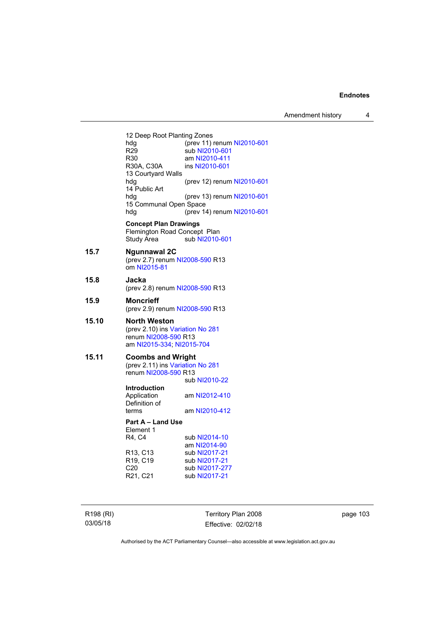Amendment history 4

12 Deep Root Planting Zones<br>hdg (prev 11) hdg (prev 11) renum [NI2010-601](http://www.legislation.act.gov.au/ni/2010-601/)<br>R29 sub NI2010-601 R29 sub [NI2010-601](http://www.legislation.act.gov.au/ni/2010-601/)<br>R30 am NI2010-411 R30 am [NI2010-411](http://www.legislation.act.gov.au/ni/2010-411/)<br>R30A, C30A ins NI2010-601 ins [NI2010-601](http://www.legislation.act.gov.au/ni/2010-601/) 13 Courtyard Walls hdg (prev 12) renum [NI2010-601](http://www.legislation.act.gov.au/ni/2010-601/) 14 Public Art hdg (prev 13) renum [NI2010-601](http://www.legislation.act.gov.au/ni/2010-601/) 15 Communal Open Space hdg (prev 14) renum [NI2010-601](http://www.legislation.act.gov.au/ni/2010-601/) **Concept Plan Drawings**  Flemington Road Concept Plan<br>Study Area sub NI2010-sub [NI2010-601](http://www.legislation.act.gov.au/ni/2010-601/) **15.7 Ngunnawal 2C**  (prev 2.7) renum [NI2008-590](http://www.legislation.act.gov.au/ni/2008-590/default.asp) R13 om [NI2015-81](http://www.legislation.act.gov.au/ni/2015-81/default.asp) **15.8 Jacka**  (prev 2.8) renum [NI2008-590](http://www.legislation.act.gov.au/ni/2008-590/default.asp) R13 **15.9 Moncrieff**  (prev 2.9) renum [NI2008-590](http://www.legislation.act.gov.au/ni/2008-590/default.asp) R13 **15.10 North Weston**  (prev 2.10) ins [Variation No 281](http://www.legislation.act.gov.au/ni/2008-352/) renum [NI2008-590](http://www.legislation.act.gov.au/ni/2008-590/default.asp) R13 am [NI2015-334](http://www.legislation.act.gov.au/ni/2015-334/default.asp); [NI2015-704](http://www.legislation.act.gov.au/ni/2015-704/default.asp) **15.11 Coombs and Wright**  (prev 2.11) ins [Variation No 281](http://www.legislation.act.gov.au/ni/2008-352/) renum [NI2008-590](http://www.legislation.act.gov.au/ni/2008-590/default.asp) R13 sub [NI2010-22](http://www.legislation.act.gov.au/ni/2010-22/) **Introduction**  Application am [NI2012-410](http://www.legislation.act.gov.au/ni/2012-410/) Definition of<br>terms am [NI2010-412](http://www.legislation.act.gov.au/ni/2010-412/) **Part A – Land Use**  Element 1 R4, C4 sub [NI2014-10](http://www.legislation.act.gov.au/ni/2014-10/default.asp) am [NI2014-90](http://www.legislation.act.gov.au/ni/2014-90/default.asp)<br>R13, C13 sub NI2017-21 R13, C13 sub [NI2017-21](http://www.legislation.act.gov.au/ni/2017-21/default.asp)<br>R19, C19 sub NI2017-21 sub [NI2017-21](http://www.legislation.act.gov.au/ni/2017-21/default.asp) C20 sub [NI2017-277](http://www.legislation.act.gov.au/ni/2017-277/default.asp)<br>R21, C21 sub NI2017-21 sub [NI2017-21](http://www.legislation.act.gov.au/ni/2017-21/default.asp)

R198 (RI) 03/05/18

Territory Plan 2008 Effective: 02/02/18 page 103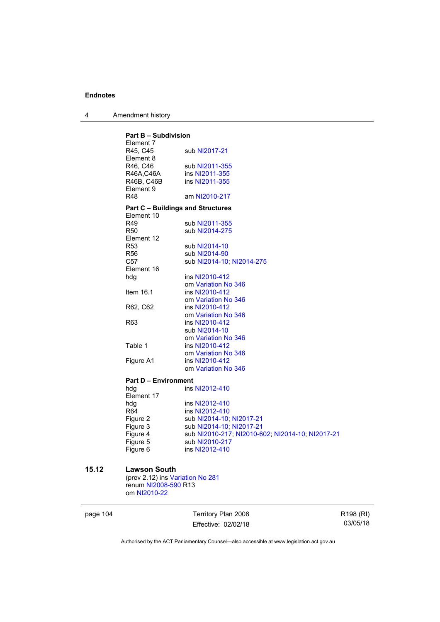|  | Amendment history |
|--|-------------------|
|--|-------------------|

| <b>Part B - Subdivision</b><br>Element 7 |                                          |                                                  |
|------------------------------------------|------------------------------------------|--------------------------------------------------|
|                                          | R45, C45<br>Element 8                    | sub NI2017-21                                    |
|                                          | R46, C46                                 | sub NI2011-355                                   |
|                                          | R46A,C46A                                | ins NI2011-355                                   |
|                                          | R46B, C46B                               | ins NI2011-355                                   |
|                                          | Element 9                                |                                                  |
|                                          | <b>R48</b>                               | am NI2010-217                                    |
|                                          | <b>Part C - Buildings and Structures</b> |                                                  |
|                                          | Element 10                               |                                                  |
|                                          | R49                                      | sub NI2011-355                                   |
|                                          | <b>R50</b>                               | sub NI2014-275                                   |
|                                          | Element 12                               |                                                  |
|                                          | <b>R53</b>                               | sub NI2014-10                                    |
|                                          | <b>R56</b>                               | sub NI2014-90                                    |
|                                          | C57                                      | sub NI2014-10; NI2014-275                        |
|                                          | Element 16                               |                                                  |
|                                          | hdg                                      | ins NI2010-412                                   |
|                                          |                                          | om Variation No 346                              |
|                                          | Item 16.1                                | ins NI2010-412                                   |
|                                          |                                          | om Variation No 346                              |
|                                          | R62, C62                                 | ins NI2010-412                                   |
|                                          |                                          | om Variation No 346                              |
|                                          | R63                                      | ins NI2010-412                                   |
|                                          |                                          | sub NI2014-10                                    |
|                                          |                                          | om Variation No 346                              |
|                                          | Table 1                                  | ins NI2010-412                                   |
|                                          |                                          | om Variation No 346                              |
|                                          | Figure A1                                | ins NI2010-412                                   |
|                                          |                                          | om Variation No 346                              |
|                                          | <b>Part D - Environment</b>              |                                                  |
|                                          | hda                                      | ins NI2012-410                                   |
|                                          | Element 17                               |                                                  |
|                                          | hdg                                      | ins NI2012-410                                   |
|                                          | R <sub>64</sub>                          | ins NI2012-410                                   |
|                                          | Figure 2                                 | sub NI2014-10; NI2017-21                         |
|                                          | Figure 3                                 | sub NI2014-10; NI2017-21                         |
|                                          | Figure 4                                 | sub NI2010-217; NI2010-602; NI2014-10; NI2017-21 |
|                                          | Figure 5                                 | sub NI2010-217                                   |
|                                          | Figure 6                                 | ins NI2012-410                                   |
|                                          |                                          |                                                  |

# **15.12 Lawson South**

(prev 2.12) ins [Variation No 281](http://www.legislation.act.gov.au/ni/2008-352/) renum [NI2008-590](http://www.legislation.act.gov.au/ni/2008-590/default.asp) R13 om [NI2010-22](http://www.legislation.act.gov.au/ni/2010-22/)

| page 104 |  |
|----------|--|
|----------|--|

104 Territory Plan 2008 Effective: 02/02/18

R198 (RI) 03/05/18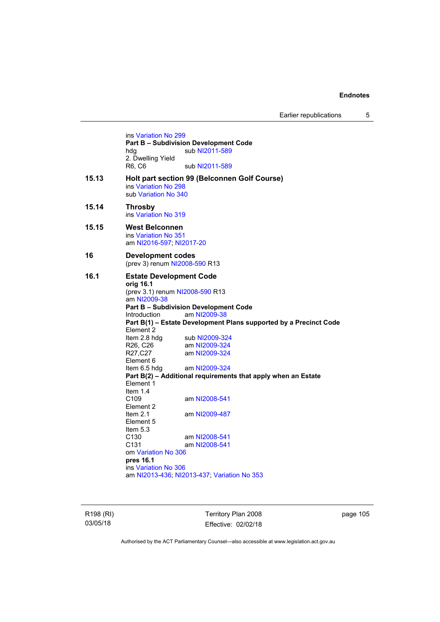Earlier republications 5

ins [Variation No 299](http://www.legislation.act.gov.au/ni/2010-575/) **Part B – Subdivision Development Code**  hdg sub [NI2011-589](http://www.legislation.act.gov.au/ni/2011-589/) 2. Dwelling Yield<br>R6, C6 sub [NI2011-589](http://www.legislation.act.gov.au/ni/2011-589/) **15.13 Holt part section 99 (Belconnen Golf Course)**  ins [Variation No 298](http://www.legislation.act.gov.au/ni/2011-152/) sub [Variation No 340](http://www.legislation.act.gov.au/ni/2016-56/default.asp) **15.14 Throsby**  ins [Variation No 319](http://www.legislation.act.gov.au/ni/2014-501/default.asp) **15.15 West Belconnen**  ins [Variation No 351](http://www.legislation.act.gov.au/ni/2015-610/default.asp) am [NI2016-597](http://www.legislation.act.gov.au/ni/2016-597/default.asp); [NI2017-20](http://www.legislation.act.gov.au/ni/2017-20/default.asp) **16 Development codes**  (prev 3) renum [NI2008-590](http://www.legislation.act.gov.au/ni/2008-590/default.asp) R13 **16.1 Estate Development Code orig 16.1**  (prev 3.1) renum [NI2008-590](http://www.legislation.act.gov.au/ni/2008-590/default.asp) R13 am [NI2009-38](http://www.legislation.act.gov.au/ni/2009-38/) **Part B – Subdivision Development Code**  Introduction am [NI2009-38](http://www.legislation.act.gov.au/ni/2009-38/) **Part B(1) – Estate Development Plans supported by a Precinct Code**  Element 2 Item 2.8 hdg sub [NI2009-324](http://www.legislation.act.gov.au/ni/2009-324/) R26, C26 am [NI2009-324](http://www.legislation.act.gov.au/ni/2009-324/)<br>R27.C27 am NI2009-324 am [NI2009-324](http://www.legislation.act.gov.au/ni/2009-324/) Element 6 Item 6.5 hdg am [NI2009-324](http://www.legislation.act.gov.au/ni/2009-324/) **Part B(2) – Additional requirements that apply when an Estate**  Element 1 Item  $1.4$ <br>C<sub>109</sub> am [NI2008-541](http://www.legislation.act.gov.au/ni/2008-541/) Element 2 Item 2.1 am [NI2009-487](http://www.legislation.act.gov.au/ni/2009-487/) Element 5 Item 5.3 C130 am [NI2008-541](http://www.legislation.act.gov.au/ni/2008-541/)<br>C131 am NI2008-541 am [NI2008-541](http://www.legislation.act.gov.au/ni/2008-541/) om [Variation No 306](http://www.legislation.act.gov.au/ni/2013-93/default.asp) **pres 16.1** ins [Variation No 306](http://www.legislation.act.gov.au/ni/2013-93/default.asp) am [NI2013-436](http://www.legislation.act.gov.au/ni/2013-436/default.asp); [NI2013-437](http://www.legislation.act.gov.au/ni/2013-437/default.asp); [Variation No 353](http://www.legislation.act.gov.au/ni/2016-393/default.asp)

R198 (RI) 03/05/18

Territory Plan 2008 Effective: 02/02/18 page 105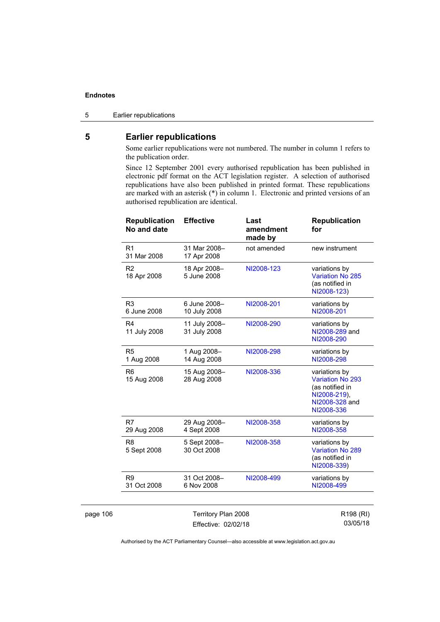page 106

5 Earlier republications

# **5 Earlier republications**

Some earlier republications were not numbered. The number in column 1 refers to the publication order.

Since 12 September 2001 every authorised republication has been published in electronic pdf format on the ACT legislation register. A selection of authorised republications have also been published in printed format. These republications are marked with an asterisk (\*) in column 1. Electronic and printed versions of an authorised republication are identical.

| <b>Republication</b><br>No and date | <b>Effective</b>              | Last<br>amendment<br>made by | <b>Republication</b><br>for                                                                          |
|-------------------------------------|-------------------------------|------------------------------|------------------------------------------------------------------------------------------------------|
| R <sub>1</sub><br>31 Mar 2008       | 31 Mar 2008-<br>17 Apr 2008   | not amended                  | new instrument                                                                                       |
| R <sub>2</sub><br>18 Apr 2008       | 18 Apr 2008-<br>5 June 2008   | NI2008-123                   | variations by<br><b>Variation No 285</b><br>(as notified in<br>NI2008-123)                           |
| R <sub>3</sub><br>6 June 2008       | 6 June 2008-<br>10 July 2008  | NI2008-201                   | variations by<br>NI2008-201                                                                          |
| R <sub>4</sub><br>11 July 2008      | 11 July 2008-<br>31 July 2008 | NI2008-290                   | variations by<br>NI2008-289 and<br>NI2008-290                                                        |
| R <sub>5</sub><br>1 Aug 2008        | 1 Aug 2008-<br>14 Aug 2008    | NI2008-298                   | variations by<br>NI2008-298                                                                          |
| R <sub>6</sub><br>15 Aug 2008       | 15 Aug 2008-<br>28 Aug 2008   | NI2008-336                   | variations by<br>Variation No 293<br>(as notified in<br>NI2008-219),<br>NI2008-328 and<br>NI2008-336 |
| R7<br>29 Aug 2008                   | 29 Aug 2008-<br>4 Sept 2008   | NI2008-358                   | variations by<br>NI2008-358                                                                          |
| R <sub>8</sub><br>5 Sept 2008       | 5 Sept 2008-<br>30 Oct 2008   | NI2008-358                   | variations by<br><b>Variation No 289</b><br>(as notified in<br>NI2008-339)                           |
| R <sub>9</sub><br>31 Oct 2008       | 31 Oct 2008-<br>6 Nov 2008    | NI2008-499                   | variations by<br>NI2008-499                                                                          |
|                                     |                               |                              |                                                                                                      |
| Territory Plan 2008                 |                               |                              | R198 (RI)                                                                                            |

|                     | <b>I CITILOI Y FIAIT ZUUO</b> |
|---------------------|-------------------------------|
| Effective: 02/02/18 |                               |

R198 (RI) 03/05/18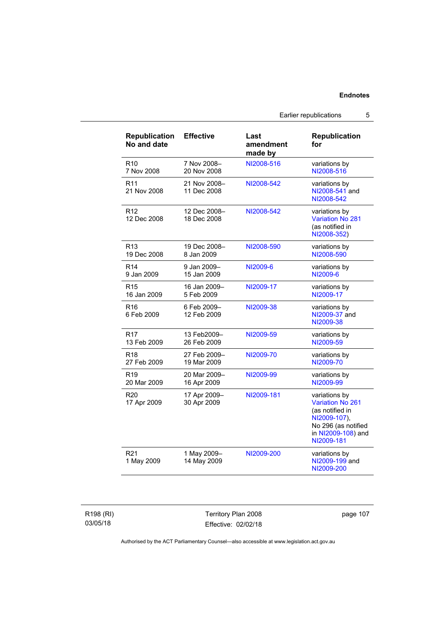| <b>Republication</b><br>No and date | <b>Effective</b>            | Last<br>amendment<br>made by | <b>Republication</b><br>for                                                                                                     |
|-------------------------------------|-----------------------------|------------------------------|---------------------------------------------------------------------------------------------------------------------------------|
| R <sub>10</sub>                     | 7 Nov 2008-                 | NI2008-516                   | variations by                                                                                                                   |
| 7 Nov 2008                          | 20 Nov 2008                 |                              | NI2008-516                                                                                                                      |
| R <sub>11</sub><br>21 Nov 2008      | 21 Nov 2008-<br>11 Dec 2008 | NI2008-542                   | variations by<br>NI2008-541 and<br>NI2008-542                                                                                   |
| R <sub>12</sub><br>12 Dec 2008      | 12 Dec 2008-<br>18 Dec 2008 | NI2008-542                   | variations by<br><b>Variation No 281</b><br>(as notified in<br>NI2008-352)                                                      |
| R <sub>13</sub>                     | 19 Dec 2008-                | NI2008-590                   | variations by                                                                                                                   |
| 19 Dec 2008                         | 8 Jan 2009                  |                              | NI2008-590                                                                                                                      |
| R <sub>14</sub>                     | 9 Jan 2009-                 | NI2009-6                     | variations by                                                                                                                   |
| 9 Jan 2009                          | 15 Jan 2009                 |                              | NI2009-6                                                                                                                        |
| R <sub>15</sub>                     | 16 Jan 2009-                | NI2009-17                    | variations by                                                                                                                   |
| 16 Jan 2009                         | 5 Feb 2009                  |                              | NI2009-17                                                                                                                       |
| R <sub>16</sub><br>6 Feb 2009       | 6 Feb 2009-<br>12 Feb 2009  | NI2009-38                    | variations by<br>NI2009-37 and<br>NI2009-38                                                                                     |
| R <sub>17</sub>                     | 13 Feb2009-                 | NI2009-59                    | variations by                                                                                                                   |
| 13 Feb 2009                         | 26 Feb 2009                 |                              | NI2009-59                                                                                                                       |
| R <sub>18</sub>                     | 27 Feb 2009-                | NI2009-70                    | variations by                                                                                                                   |
| 27 Feb 2009                         | 19 Mar 2009                 |                              | NI2009-70                                                                                                                       |
| R <sub>19</sub>                     | 20 Mar 2009-                | NI2009-99                    | variations by                                                                                                                   |
| 20 Mar 2009                         | 16 Apr 2009                 |                              | NI2009-99                                                                                                                       |
| R <sub>20</sub><br>17 Apr 2009      | 17 Apr 2009-<br>30 Apr 2009 | NI2009-181                   | variations by<br>Variation No 261<br>(as notified in<br>NI2009-107),<br>No 296 (as notified<br>in NI2009-108) and<br>NI2009-181 |
| R <sub>21</sub><br>1 May 2009       | 1 May 2009-<br>14 May 2009  | NI2009-200                   | variations by<br>NI2009-199 and<br>NI2009-200                                                                                   |

R198 (RI) 03/05/18

Territory Plan 2008 Effective: 02/02/18

page 107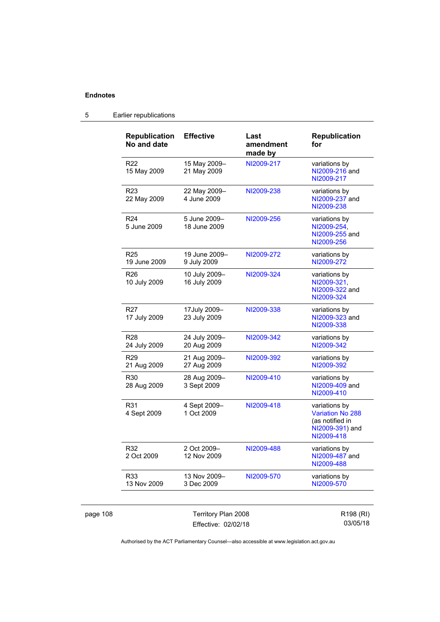| <b>Republication</b><br>No and date | <b>Effective</b>              | Last<br>amendment<br>made by | <b>Republication</b><br>for                                                                  |
|-------------------------------------|-------------------------------|------------------------------|----------------------------------------------------------------------------------------------|
| R <sub>22</sub><br>15 May 2009      | 15 May 2009-<br>21 May 2009   | NI2009-217                   | variations by<br>NI2009-216 and<br>NI2009-217                                                |
| R <sub>23</sub><br>22 May 2009      | 22 May 2009-<br>4 June 2009   | NI2009-238                   | variations by<br>NI2009-237 and<br>NI2009-238                                                |
| R <sub>24</sub><br>5 June 2009      | 5 June 2009-<br>18 June 2009  | NI2009-256                   | variations by<br>NI2009-254,<br>NI2009-255 and<br>NI2009-256                                 |
| R25<br>19 June 2009                 | 19 June 2009-<br>9 July 2009  | NI2009-272                   | variations by<br>NI2009-272                                                                  |
| R26<br>10 July 2009                 | 10 July 2009-<br>16 July 2009 | NI2009-324                   | variations by<br>NI2009-321.<br>NI2009-322 and<br>NI2009-324                                 |
| R <sub>27</sub><br>17 July 2009     | 17July 2009-<br>23 July 2009  | NI2009-338                   | variations by<br>NI2009-323 and<br>NI2009-338                                                |
| R <sub>28</sub><br>24 July 2009     | 24 July 2009-<br>20 Aug 2009  | NI2009-342                   | variations by<br>NI2009-342                                                                  |
| R <sub>29</sub><br>21 Aug 2009      | 21 Aug 2009-<br>27 Aug 2009   | NI2009-392                   | variations by<br>NI2009-392                                                                  |
| R30<br>28 Aug 2009                  | 28 Aug 2009-<br>3 Sept 2009   | NI2009-410                   | variations by<br>NI2009-409 and<br>NI2009-410                                                |
| R31<br>4 Sept 2009                  | 4 Sept 2009-<br>1 Oct 2009    | NI2009-418                   | variations by<br><b>Variation No 288</b><br>(as notified in<br>NI2009-391) and<br>NI2009-418 |
| R32<br>2 Oct 2009                   | 2 Oct 2009-<br>12 Nov 2009    | NI2009-488                   | variations by<br>NI2009-487 and<br>NI2009-488                                                |
| R33<br>13 Nov 2009                  | 13 Nov 2009-<br>3 Dec 2009    | NI2009-570                   | variations by<br>NI2009-570                                                                  |

# 5 Earlier republications

page 108 Territory Plan 2008 Effective: 02/02/18

R198 (RI) 03/05/18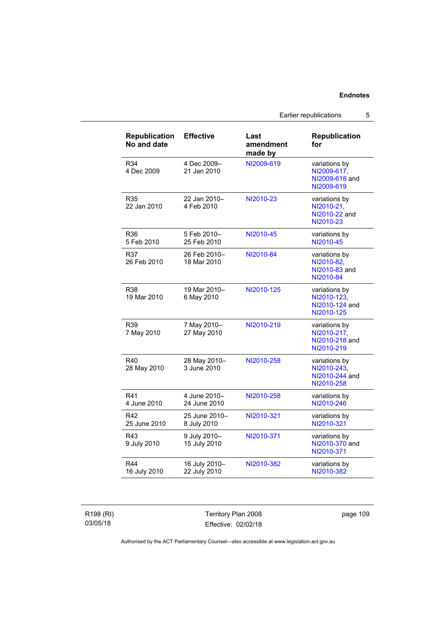Earlier republications 5

| <b>Republication</b><br>No and date | <b>Effective</b>              | Last<br>amendment<br>made by | <b>Republication</b><br>for                                  |
|-------------------------------------|-------------------------------|------------------------------|--------------------------------------------------------------|
| R34<br>4 Dec 2009                   | 4 Dec 2009-<br>21 Jan 2010    | NI2009-619                   | variations by<br>NI2009-617,<br>NI2009-618 and<br>NI2009-619 |
| R35<br>22 Jan 2010                  | 22 Jan 2010-<br>4 Feb 2010    | NI2010-23                    | variations by<br>NI2010-21.<br>NI2010-22 and<br>NI2010-23    |
| R36<br>5 Feb 2010                   | 5 Feb 2010-<br>25 Feb 2010    | NI2010-45                    | variations by<br>NI2010-45                                   |
| R37<br>26 Feb 2010                  | 26 Feb 2010–<br>18 Mar 2010   | NI2010-84                    | variations by<br>NI2010-82,<br>NI2010-83 and<br>NI2010-84    |
| <b>R38</b><br>19 Mar 2010           | 19 Mar 2010-<br>6 May 2010    | NI2010-125                   | variations by<br>NI2010-123.<br>NI2010-124 and<br>NI2010-125 |
| R39<br>7 May 2010                   | 7 May 2010-<br>27 May 2010    | NI2010-219                   | variations by<br>NI2010-217,<br>NI2010-218 and<br>NI2010-219 |
| R40<br>28 May 2010                  | 28 May 2010-<br>3 June 2010   | NI2010-258                   | variations by<br>NI2010-243,<br>NI2010-244 and<br>NI2010-258 |
| R41<br>4 June 2010                  | 4 June 2010-<br>24 June 2010  | NI2010-258                   | variations by<br>NI2010-246                                  |
| R42<br>25 June 2010                 | 25 June 2010-<br>8 July 2010  | NI2010-321                   | variations by<br>NI2010-321                                  |
| R43<br>9 July 2010                  | 9 July 2010-<br>15 July 2010  | NI2010-371                   | variations by<br>NI2010-370 and<br>NI2010-371                |
| <b>R44</b><br>16 July 2010          | 16 July 2010-<br>22 July 2010 | NI2010-382                   | variations by<br>NI2010-382                                  |

R198 (RI) 03/05/18

Territory Plan 2008 Effective: 02/02/18

page 109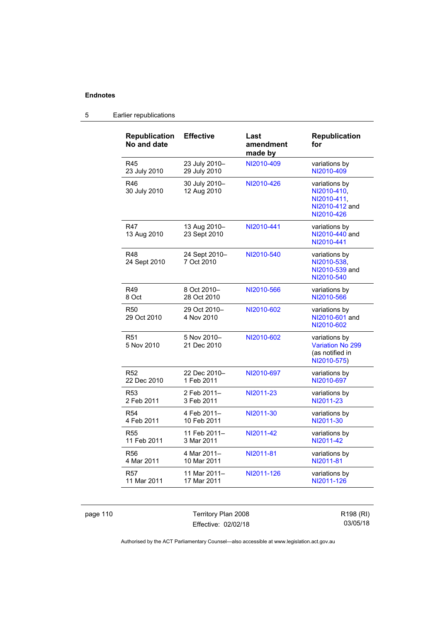| <b>Republication</b><br>No and date | <b>Effective</b>             | Last<br>amendment<br>made by | <b>Republication</b><br>for                                                 |
|-------------------------------------|------------------------------|------------------------------|-----------------------------------------------------------------------------|
| R45                                 | 23 July 2010-                | NI2010-409                   | variations by                                                               |
| 23 July 2010                        | 29 July 2010                 |                              | NI2010-409                                                                  |
| R46<br>30 July 2010                 | 30 July 2010-<br>12 Aug 2010 | NI2010-426                   | variations by<br>NI2010-410,<br>NI2010-411.<br>NI2010-412 and<br>NI2010-426 |
| <b>R47</b><br>13 Aug 2010           | 13 Aug 2010-<br>23 Sept 2010 | NI2010-441                   | variations by<br>NI2010-440 and<br>NI2010-441                               |
| R48<br>24 Sept 2010                 | 24 Sept 2010-<br>7 Oct 2010  | NI2010-540                   | variations by<br>NI2010-538,<br>NI2010-539 and<br>NI2010-540                |
| R49                                 | 8 Oct 2010-                  | NI2010-566                   | variations by                                                               |
| 8 Oct                               | 28 Oct 2010                  |                              | NI2010-566                                                                  |
| R50<br>29 Oct 2010                  | 29 Oct 2010-<br>4 Nov 2010   | NI2010-602                   | variations by<br>NI2010-601 and<br>NI2010-602                               |
| R <sub>51</sub><br>5 Nov 2010       | 5 Nov 2010-<br>21 Dec 2010   | NI2010-602                   | variations by<br><b>Variation No 299</b><br>(as notified in<br>NI2010-575)  |
| R <sub>52</sub>                     | 22 Dec 2010-                 | NI2010-697                   | variations by                                                               |
| 22 Dec 2010                         | 1 Feb 2011                   |                              | NI2010-697                                                                  |
| R <sub>53</sub>                     | 2 Feb 2011-                  | NI2011-23                    | variations by                                                               |
| 2 Feb 2011                          | 3 Feb 2011                   |                              | NI2011-23                                                                   |
| R <sub>54</sub>                     | 4 Feb 2011-                  | NI2011-30                    | variations by                                                               |
| 4 Feb 2011                          | 10 Feb 2011                  |                              | NI2011-30                                                                   |
| <b>R55</b>                          | 11 Feb 2011-                 | NI2011-42                    | variations by                                                               |
| 11 Feb 2011                         | 3 Mar 2011                   |                              | NI2011-42                                                                   |
| <b>R56</b>                          | 4 Mar 2011-                  | NI2011-81                    | variations by                                                               |
| 4 Mar 2011                          | 10 Mar 2011                  |                              | NI2011-81                                                                   |
| <b>R57</b>                          | 11 Mar 2011-                 | NI2011-126                   | variations by                                                               |
| 11 Mar 2011                         | 17 Mar 2011                  |                              | NI2011-126                                                                  |

# 5 Earlier republications

page 110 Territory Plan 2008 Effective: 02/02/18

R198 (RI) 03/05/18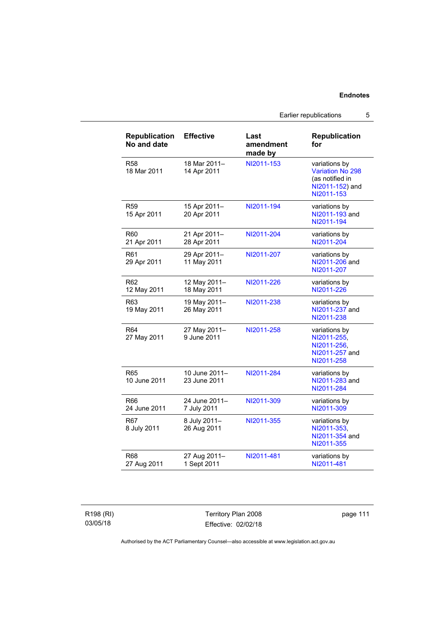Earlier republications 5

| <b>Republication</b><br>No and date | <b>Effective</b>              | Last<br>amendment<br>made by | <b>Republication</b><br>for                                                           |
|-------------------------------------|-------------------------------|------------------------------|---------------------------------------------------------------------------------------|
| <b>R58</b><br>18 Mar 2011           | 18 Mar 2011-<br>14 Apr 2011   | NI2011-153                   | variations by<br>Variation No 298<br>(as notified in<br>NI2011-152) and<br>NI2011-153 |
| <b>R59</b><br>15 Apr 2011           | 15 Apr 2011-<br>20 Apr 2011   | NI2011-194                   | variations by<br>NI2011-193 and<br>NI2011-194                                         |
| R60<br>21 Apr 2011                  | 21 Apr 2011-<br>28 Apr 2011   | NI2011-204                   | variations by<br>NI2011-204                                                           |
| R61<br>29 Apr 2011                  | 29 Apr 2011-<br>11 May 2011   | NI2011-207                   | variations by<br>NI2011-206 and<br>NI2011-207                                         |
| R62<br>12 May 2011                  | 12 May 2011-<br>18 May 2011   | NI2011-226                   | variations by<br>NI2011-226                                                           |
| R63<br>19 May 2011                  | 19 May 2011-<br>26 May 2011   | NI2011-238                   | variations by<br>NI2011-237 and<br>NI2011-238                                         |
| R <sub>64</sub><br>27 May 2011      | 27 May 2011-<br>9 June 2011   | NI2011-258                   | variations by<br>NI2011-255,<br>NI2011-256,<br>NI2011-257 and<br>NI2011-258           |
| R65<br>10 June 2011                 | 10 June 2011-<br>23 June 2011 | NI2011-284                   | variations by<br>NI2011-283 and<br>NI2011-284                                         |
| R66<br>24 June 2011                 | 24 June 2011-<br>7 July 2011  | NI2011-309                   | variations by<br>NI2011-309                                                           |
| R67<br>8 July 2011                  | 8 July 2011-<br>26 Aug 2011   | NI2011-355                   | variations by<br>NI2011-353,<br>NI2011-354 and<br>NI2011-355                          |
| R68<br>27 Aug 2011                  | 27 Aug 2011-<br>1 Sept 2011   | NI2011-481                   | variations by<br>NI2011-481                                                           |

R198 (RI) 03/05/18

Territory Plan 2008 Effective: 02/02/18

page 111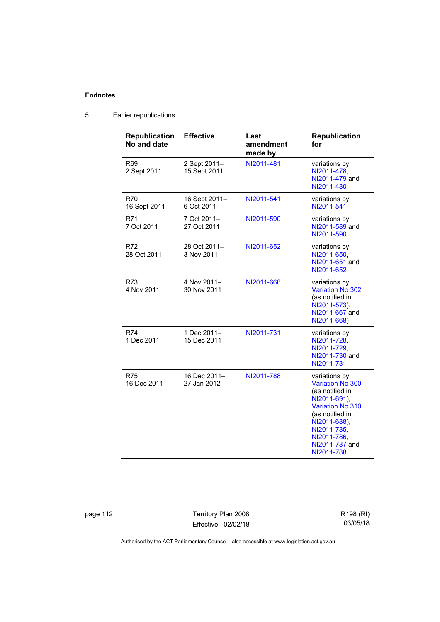| <b>Republication</b><br>No and date | <b>Effective</b>             | Last<br>amendment<br>made by | <b>Republication</b><br>for                                                                                                                                                                             |
|-------------------------------------|------------------------------|------------------------------|---------------------------------------------------------------------------------------------------------------------------------------------------------------------------------------------------------|
| R69<br>2 Sept 2011                  | 2 Sept 2011-<br>15 Sept 2011 | NI2011-481                   | variations by<br>NI2011-478,<br>NI2011-479 and<br>NI2011-480                                                                                                                                            |
| R70<br>16 Sept 2011                 | 16 Sept 2011-<br>6 Oct 2011  | NI2011-541                   | variations by<br>NI2011-541                                                                                                                                                                             |
| R71<br>7 Oct 2011                   | 7 Oct 2011-<br>27 Oct 2011   | NI2011-590                   | variations by<br>NI2011-589 and<br>NI2011-590                                                                                                                                                           |
| R72<br>28 Oct 2011                  | 28 Oct 2011-<br>3 Nov 2011   | NI2011-652                   | variations by<br>NI2011-650,<br>NI2011-651 and<br>NI2011-652                                                                                                                                            |
| R73<br>4 Nov 2011                   | 4 Nov 2011-<br>30 Nov 2011   | NI2011-668                   | variations by<br>Variation No 302<br>(as notified in<br>NI2011-573),<br>NI2011-667 and<br>NI2011-668)                                                                                                   |
| R74<br>1 Dec 2011                   | 1 Dec 2011-<br>15 Dec 2011   | NI2011-731                   | variations by<br>NI2011-728,<br>NI2011-729.<br>NI2011-730 and<br>NI2011-731                                                                                                                             |
| <b>R75</b><br>16 Dec 2011           | 16 Dec 2011-<br>27 Jan 2012  | NI2011-788                   | variations by<br><b>Variation No 300</b><br>(as notified in<br>NI2011-691),<br><b>Variation No 310</b><br>(as notified in<br>NI2011-688),<br>NI2011-785,<br>NI2011-786,<br>NI2011-787 and<br>NI2011-788 |

# 5 Earlier republications

page 112 Territory Plan 2008 Effective: 02/02/18 R198 (RI) 03/05/18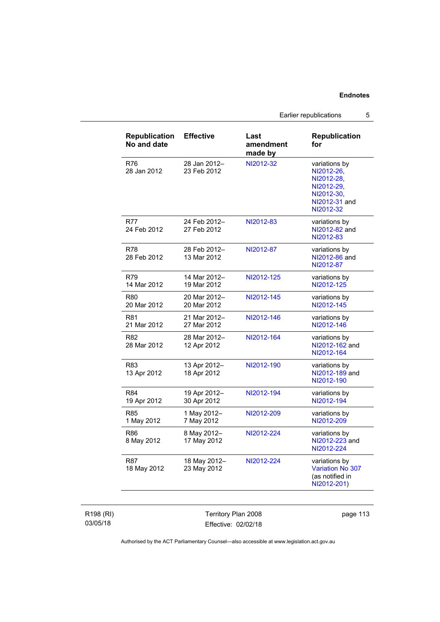Earlier republications 5

| <b>Republication</b><br>No and date | <b>Effective</b>            | Last<br>amendment<br>made by | <b>Republication</b><br>for                                                                         |
|-------------------------------------|-----------------------------|------------------------------|-----------------------------------------------------------------------------------------------------|
| <b>R76</b><br>28 Jan 2012           | 28 Jan 2012-<br>23 Feb 2012 | NI2012-32                    | variations by<br>NI2012-26,<br>NI2012-28,<br>NI2012-29,<br>NI2012-30,<br>NI2012-31 and<br>NI2012-32 |
| <b>R77</b><br>24 Feb 2012           | 24 Feb 2012-<br>27 Feb 2012 | NI2012-83                    | variations by<br>NI2012-82 and<br>NI2012-83                                                         |
| R78<br>28 Feb 2012                  | 28 Feb 2012-<br>13 Mar 2012 | NI2012-87                    | variations by<br>NI2012-86 and<br>NI2012-87                                                         |
| R79<br>14 Mar 2012                  | 14 Mar 2012-<br>19 Mar 2012 | NI2012-125                   | variations by<br>NI2012-125                                                                         |
| <b>R80</b><br>20 Mar 2012           | 20 Mar 2012-<br>20 Mar 2012 | NI2012-145                   | variations by<br>NI2012-145                                                                         |
| R81<br>21 Mar 2012                  | 21 Mar 2012-<br>27 Mar 2012 | NI2012-146                   | variations by<br>NI2012-146                                                                         |
| R82<br>28 Mar 2012                  | 28 Mar 2012-<br>12 Apr 2012 | NI2012-164                   | variations by<br>NI2012-162 and<br>NI2012-164                                                       |
| R83<br>13 Apr 2012                  | 13 Apr 2012-<br>18 Apr 2012 | NI2012-190                   | variations by<br>NI2012-189 and<br>NI2012-190                                                       |
| <b>R84</b><br>19 Apr 2012           | 19 Apr 2012-<br>30 Apr 2012 | NI2012-194                   | variations by<br>NI2012-194                                                                         |
| <b>R85</b><br>1 May 2012            | 1 May 2012-<br>7 May 2012   | NI2012-209                   | variations by<br>NI2012-209                                                                         |
| <b>R86</b><br>8 May 2012            | 8 May 2012-<br>17 May 2012  | NI2012-224                   | variations by<br>NI2012-223 and<br>NI2012-224                                                       |
| <b>R87</b><br>18 May 2012           | 18 May 2012-<br>23 May 2012 | NI2012-224                   | variations by<br><b>Variation No 307</b><br>(as notified in<br>NI2012-201)                          |

R198 (RI) 03/05/18

Territory Plan 2008 Effective: 02/02/18 page 113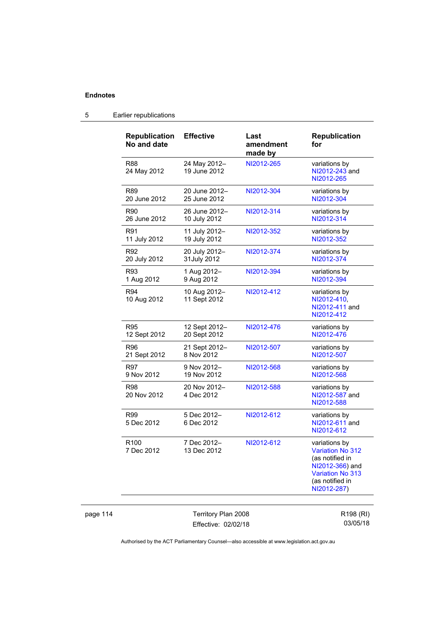| <b>Republication</b><br>No and date | <b>Effective</b>             | Last<br>amendment<br>made by | <b>Republication</b><br>for                                                                                                          |
|-------------------------------------|------------------------------|------------------------------|--------------------------------------------------------------------------------------------------------------------------------------|
| R88<br>24 May 2012                  | 24 May 2012-<br>19 June 2012 | NI2012-265                   | variations by<br>NI2012-243 and<br>NI2012-265                                                                                        |
| R89                                 | 20 June 2012-                | NI2012-304                   | variations by                                                                                                                        |
| 20 June 2012                        | 25 June 2012                 |                              | NI2012-304                                                                                                                           |
| R90                                 | 26 June 2012-                | NI2012-314                   | variations by                                                                                                                        |
| 26 June 2012                        | 10 July 2012                 |                              | NI2012-314                                                                                                                           |
| R91                                 | 11 July 2012-                | NI2012-352                   | variations by                                                                                                                        |
| 11 July 2012                        | 19 July 2012                 |                              | NI2012-352                                                                                                                           |
| R92                                 | 20 July 2012-                | NI2012-374                   | variations by                                                                                                                        |
| 20 July 2012                        | 31July 2012                  |                              | NI2012-374                                                                                                                           |
| R93                                 | 1 Aug 2012-                  | NI2012-394                   | variations by                                                                                                                        |
| 1 Aug 2012                          | 9 Aug 2012                   |                              | NI2012-394                                                                                                                           |
| R94<br>10 Aug 2012                  | 10 Aug 2012-<br>11 Sept 2012 | NI2012-412                   | variations by<br>NI2012-410.<br>NI2012-411 and<br>NI2012-412                                                                         |
| R95                                 | 12 Sept 2012-                | NI2012-476                   | variations by                                                                                                                        |
| 12 Sept 2012                        | 20 Sept 2012                 |                              | NI2012-476                                                                                                                           |
| R96                                 | 21 Sept 2012-                | NI2012-507                   | variations by                                                                                                                        |
| 21 Sept 2012                        | 8 Nov 2012                   |                              | NI2012-507                                                                                                                           |
| R97                                 | 9 Nov 2012-                  | NI2012-568                   | variations by                                                                                                                        |
| 9 Nov 2012                          | 19 Nov 2012                  |                              | NI2012-568                                                                                                                           |
| R98<br>20 Nov 2012                  | 20 Nov 2012-<br>4 Dec 2012   | NI2012-588                   | variations by<br>NI2012-587 and<br>NI2012-588                                                                                        |
| R99<br>5 Dec 2012                   | 5 Dec 2012-<br>6 Dec 2012    | NI2012-612                   | variations by<br>NI2012-611 and<br>NI2012-612                                                                                        |
| R100<br>7 Dec 2012                  | 7 Dec 2012-<br>13 Dec 2012   | NI2012-612                   | variations by<br><b>Variation No 312</b><br>(as notified in<br>NI2012-366) and<br>Variation No 313<br>(as notified in<br>NI2012-287) |

# 5 Earlier republications

page 114 Territory Plan 2008 Effective: 02/02/18

R198 (RI) 03/05/18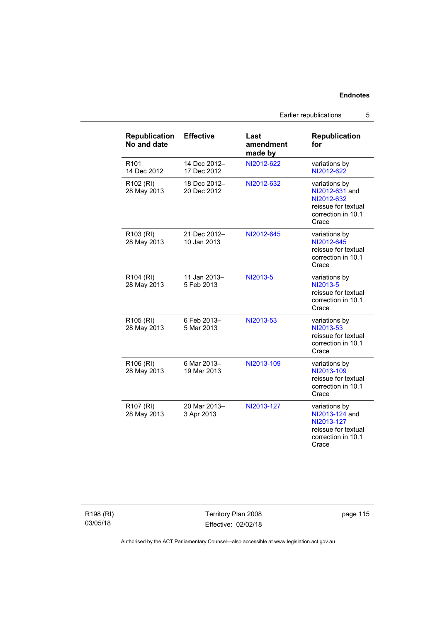Earlier republications 5

| <b>Republication</b><br>No and date  | <b>Effective</b>            | Last<br>amendment<br>made by | <b>Republication</b><br>for                                                                         |
|--------------------------------------|-----------------------------|------------------------------|-----------------------------------------------------------------------------------------------------|
| R <sub>101</sub><br>14 Dec 2012      | 14 Dec 2012-<br>17 Dec 2012 | NI2012-622                   | variations by<br>NI2012-622                                                                         |
| R <sub>102</sub> (RI)<br>28 May 2013 | 18 Dec 2012-<br>20 Dec 2012 | NI2012-632                   | variations by<br>NI2012-631 and<br>NI2012-632<br>reissue for textual<br>correction in 10.1<br>Crace |
| R103 (RI)<br>28 May 2013             | 21 Dec 2012-<br>10 Jan 2013 | NI2012-645                   | variations by<br>NI2012-645<br>reissue for textual<br>correction in 10.1<br>Crace                   |
| R104 (RI)<br>28 May 2013             | 11 Jan 2013-<br>5 Feb 2013  | NI2013-5                     | variations by<br>NI2013-5<br>reissue for textual<br>correction in 10.1<br>Crace                     |
| R <sub>105</sub> (RI)<br>28 May 2013 | 6 Feb 2013-<br>5 Mar 2013   | NI2013-53                    | variations by<br>NI2013-53<br>reissue for textual<br>correction in 10.1<br>Crace                    |
| R <sub>106</sub> (RI)<br>28 May 2013 | 6 Mar 2013-<br>19 Mar 2013  | NI2013-109                   | variations by<br>NI2013-109<br>reissue for textual<br>correction in 10.1<br>Crace                   |
| R <sub>107</sub> (RI)<br>28 May 2013 | 20 Mar 2013-<br>3 Apr 2013  | NI2013-127                   | variations by<br>NI2013-124 and<br>NI2013-127<br>reissue for textual<br>correction in 10.1<br>Crace |

R198 (RI) 03/05/18

Territory Plan 2008 Effective: 02/02/18 page 115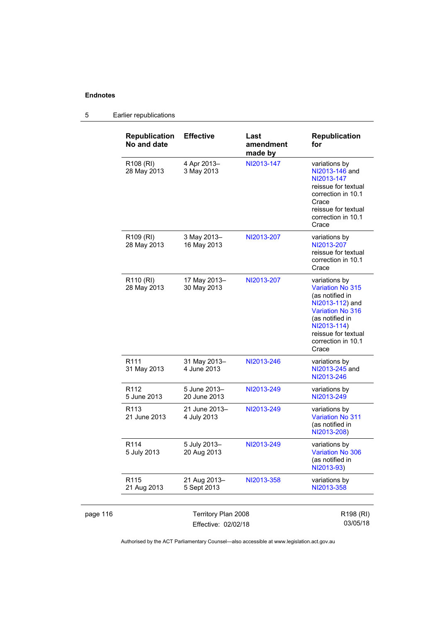#### page 116 Territory Plan 2008 Effective: 02/02/18 R198 (RI) 03/05/18 **Republication No and date Effective Last amendment made by Republication for**  R108 (RI) 28 May 2013 4 Apr 2013– 3 May 2013 [NI2013-147](http://www.legislation.act.gov.au/ni/2013-147/default.asp) variations by [NI2013-146](http://www.legislation.act.gov.au/ni/2013-146/) and [NI2013-147](http://www.legislation.act.gov.au/ni/2013-147/default.asp) reissue for textual correction in 10.1 **Crace** reissue for textual correction in 10.1 **Crace** R109 (RI) 28 May 2013 3 May 2013– 16 May 2013 [NI2013-207](http://www.legislation.act.gov.au/ni/2013-207/default.asp) variations by [NI2013-207](http://www.legislation.act.gov.au/ni/2013-207/default.asp) reissue for textual correction in 10.1 **Crace** R110 (RI) 28 May 2013 17 May 2013– 30 May 2013 [NI2013-207](http://www.legislation.act.gov.au/ni/2013-207/default.asp) variations by [Variation No 315](http://www.legislation.act.gov.au/ni/2013-112/default.asp) (as notified in [NI2013-112](http://www.legislation.act.gov.au/ni/2013-112/)) and [Variation No 316](http://www.legislation.act.gov.au/ni/2013-114/default.asp) (as notified in [NI2013-114](http://www.legislation.act.gov.au/ni/2013-114/)) reissue for textual correction in 10.1 **Crace** R111 31 May 2013 31 May 2013– 4 June 2013 [NI2013-246](http://www.legislation.act.gov.au/ni/2013-246/default.asp) variations by [NI2013-245](http://www.legislation.act.gov.au/ni/2013-245/default.asp) and [NI2013-246](http://www.legislation.act.gov.au/ni/2013-246/default.asp) R112 5 June 2013 5 June 2013– 20 June 2013 [NI2013-249](http://www.legislation.act.gov.au/ni/2013-249/) variations by [NI2013-249](http://www.legislation.act.gov.au/ni/2013-249/) R113 21 June 2013 21 June 2013– 4 July 2013 [NI2013-249](http://www.legislation.act.gov.au/ni/2013-249/) variations by [Variation No 311](http://www.legislation.act.gov.au/ni/2013-208/default.asp) (as notified in [NI2013-208](http://www.legislation.act.gov.au/ni/2013-208/default.asp)) R114 5 July 2013 5 July 2013– 20 Aug 2013 [NI2013-249](http://www.legislation.act.gov.au/ni/2013-249/default.asp) variations by [Variation No 306](http://www.legislation.act.gov.au/ni/2013-93/default.asp) (as notified in [NI2013-93](http://www.legislation.act.gov.au/ni/2013-93/)) R115 21 Aug 2013 21 Aug 2013– 5 Sept 2013 [NI2013-358](http://www.legislation.act.gov.au/ni/2013-358/default.asp) variations by [NI2013-358](http://www.legislation.act.gov.au/ni/2013-358/default.asp)

5 Earlier republications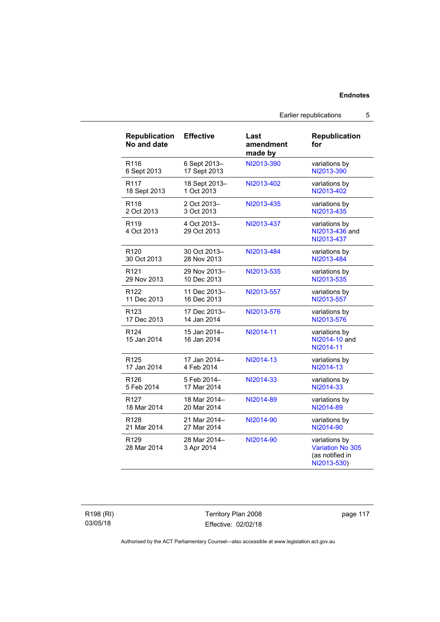Earlier republications 5

| <b>Republication</b><br>No and date | <b>Effective</b>            | Last<br>amendment<br>made by | <b>Republication</b><br>for                                                |
|-------------------------------------|-----------------------------|------------------------------|----------------------------------------------------------------------------|
| R <sub>116</sub>                    | 6 Sept 2013-                | NI2013-390                   | variations by                                                              |
| 6 Sept 2013                         | 17 Sept 2013                |                              | NI2013-390                                                                 |
| R <sub>117</sub>                    | 18 Sept 2013-               | NI2013-402                   | variations by                                                              |
| 18 Sept 2013                        | 1 Oct 2013                  |                              | NI2013-402                                                                 |
| R <sub>118</sub>                    | 2 Oct 2013-                 | NI2013-435                   | variations by                                                              |
| 2 Oct 2013                          | 3 Oct 2013                  |                              | NI2013-435                                                                 |
| R <sub>119</sub><br>4 Oct 2013      | 4 Oct 2013-<br>29 Oct 2013  | NI2013-437                   | variations by<br>NI2013-436 and<br>NI2013-437                              |
| R <sub>120</sub>                    | 30 Oct 2013-                | NI2013-484                   | variations by                                                              |
| 30 Oct 2013                         | 28 Nov 2013                 |                              | NI2013-484                                                                 |
| R <sub>121</sub>                    | 29 Nov 2013-                | NI2013-535                   | variations by                                                              |
| 29 Nov 2013                         | 10 Dec 2013                 |                              | NI2013-535                                                                 |
| R <sub>122</sub>                    | 11 Dec 2013-                | NI2013-557                   | variations by                                                              |
| 11 Dec 2013                         | 16 Dec 2013                 |                              | NI2013-557                                                                 |
| R <sub>123</sub>                    | 17 Dec 2013-                | NI2013-576                   | variations by                                                              |
| 17 Dec 2013                         | 14 Jan 2014                 |                              | NI2013-576                                                                 |
| R <sub>124</sub><br>15 Jan 2014     | 15 Jan 2014-<br>16 Jan 2014 | NI2014-11                    | variations by<br>NI2014-10 and<br>NI2014-11                                |
| R <sub>125</sub>                    | 17 Jan 2014-                | NI2014-13                    | variations by                                                              |
| 17 Jan 2014                         | 4 Feb 2014                  |                              | NI2014-13                                                                  |
| R <sub>126</sub>                    | 5 Feb 2014-                 | NI2014-33                    | variations by                                                              |
| 5 Feb 2014                          | 17 Mar 2014                 |                              | NI2014-33                                                                  |
| R <sub>127</sub>                    | 18 Mar 2014-                | NI2014-89                    | variations by                                                              |
| 18 Mar 2014                         | 20 Mar 2014                 |                              | NI2014-89                                                                  |
| R <sub>128</sub>                    | 21 Mar 2014-                | NI2014-90                    | variations by                                                              |
| 21 Mar 2014                         | 27 Mar 2014                 |                              | NI2014-90                                                                  |
| R <sub>129</sub><br>28 Mar 2014     | 28 Mar 2014-<br>3 Apr 2014  | NI2014-90                    | variations by<br><b>Variation No 305</b><br>(as notified in<br>NI2013-530) |

R198 (RI) 03/05/18

Territory Plan 2008 Effective: 02/02/18 page 117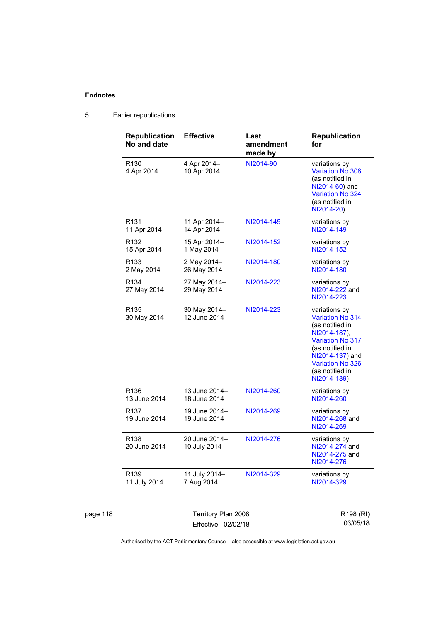| <b>Republication</b><br>No and date | <b>Effective</b>              | Last<br>amendment<br>made by | <b>Republication</b><br>for                                                                                                                                                                               |
|-------------------------------------|-------------------------------|------------------------------|-----------------------------------------------------------------------------------------------------------------------------------------------------------------------------------------------------------|
| R <sub>130</sub><br>4 Apr 2014      | 4 Apr 2014-<br>10 Apr 2014    | NI2014-90                    | variations by<br><b>Variation No 308</b><br>(as notified in<br>NI2014-60) and<br>Variation No 324<br>(as notified in<br>NI2014-20)                                                                        |
| R <sub>131</sub><br>11 Apr 2014     | 11 Apr 2014-<br>14 Apr 2014   | NI2014-149                   | variations by<br>NI2014-149                                                                                                                                                                               |
| R <sub>132</sub><br>15 Apr 2014     | 15 Apr 2014-<br>1 May 2014    | NI2014-152                   | variations by<br>NI2014-152                                                                                                                                                                               |
| R <sub>133</sub><br>2 May 2014      | 2 May 2014-<br>26 May 2014    | NI2014-180                   | variations by<br>NI2014-180                                                                                                                                                                               |
| R <sub>134</sub><br>27 May 2014     | 27 May 2014-<br>29 May 2014   | NI2014-223                   | variations by<br>NI2014-222 and<br>NI2014-223                                                                                                                                                             |
| R <sub>135</sub><br>30 May 2014     | 30 May 2014-<br>12 June 2014  | NI2014-223                   | variations by<br><b>Variation No 314</b><br>(as notified in<br>NI2014-187).<br><b>Variation No 317</b><br>(as notified in<br>NI2014-137) and<br><b>Variation No 326</b><br>(as notified in<br>NI2014-189) |
| R <sub>136</sub><br>13 June 2014    | 13 June 2014-<br>18 June 2014 | NI2014-260                   | variations by<br>NI2014-260                                                                                                                                                                               |
| R <sub>137</sub><br>19 June 2014    | 19 June 2014-<br>19 June 2014 | NI2014-269                   | variations by<br>NI2014-268 and<br>NI2014-269                                                                                                                                                             |
| R <sub>138</sub><br>20 June 2014    | 20 June 2014-<br>10 July 2014 | NI2014-276                   | variations by<br>NI2014-274 and<br>NI2014-275 and<br>NI2014-276                                                                                                                                           |
| R <sub>139</sub><br>11 July 2014    | 11 July 2014-<br>7 Aug 2014   | NI2014-329                   | variations by<br>NI2014-329                                                                                                                                                                               |

# 5 Earlier republications

page 118 Territory Plan 2008 Effective: 02/02/18

R198 (RI) 03/05/18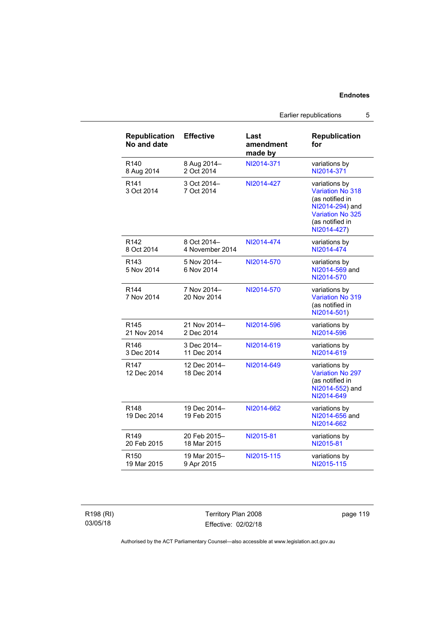Earlier republications 5

| <b>Republication</b><br>No and date | <b>Effective</b>            | Last<br>amendment<br>made by | <b>Republication</b><br>for                                                                                                                 |
|-------------------------------------|-----------------------------|------------------------------|---------------------------------------------------------------------------------------------------------------------------------------------|
| R <sub>140</sub>                    | 8 Aug 2014-                 | NI2014-371                   | variations by                                                                                                                               |
| 8 Aug 2014                          | 2 Oct 2014                  |                              | NI2014-371                                                                                                                                  |
| R <sub>141</sub><br>3 Oct 2014      | 3 Oct 2014-<br>7 Oct 2014   | NI2014-427                   | variations by<br><b>Variation No 318</b><br>(as notified in<br>NI2014-294) and<br><b>Variation No 325</b><br>(as notified in<br>NI2014-427) |
| R <sub>142</sub>                    | 8 Oct 2014-                 | NI2014-474                   | variations by                                                                                                                               |
| 8 Oct 2014                          | 4 November 2014             |                              | NI2014-474                                                                                                                                  |
| R <sub>143</sub><br>5 Nov 2014      | 5 Nov 2014-<br>6 Nov 2014   | NI2014-570                   | variations by<br>NI2014-569 and<br>NI2014-570                                                                                               |
| R <sub>144</sub><br>7 Nov 2014      | 7 Nov 2014-<br>20 Nov 2014  | NI2014-570                   | variations by<br>Variation No 319<br>(as notified in<br>NI2014-501)                                                                         |
| R <sub>145</sub>                    | 21 Nov 2014-                | NI2014-596                   | variations by                                                                                                                               |
| 21 Nov 2014                         | 2 Dec 2014                  |                              | NI2014-596                                                                                                                                  |
| R <sub>146</sub>                    | 3 Dec 2014-                 | NI2014-619                   | variations by                                                                                                                               |
| 3 Dec 2014                          | 11 Dec 2014                 |                              | NI2014-619                                                                                                                                  |
| R <sub>147</sub><br>12 Dec 2014     | 12 Dec 2014-<br>18 Dec 2014 | NI2014-649                   | variations by<br><b>Variation No 297</b><br>(as notified in<br>NI2014-552) and<br>NI2014-649                                                |
| R <sub>148</sub><br>19 Dec 2014     | 19 Dec 2014-<br>19 Feb 2015 | NI2014-662                   | variations by<br>NI2014-656 and<br>NI2014-662                                                                                               |
| R <sub>149</sub>                    | 20 Feb 2015-                | NI2015-81                    | variations by                                                                                                                               |
| 20 Feb 2015                         | 18 Mar 2015                 |                              | NI2015-81                                                                                                                                   |
| R <sub>150</sub>                    | 19 Mar 2015-                | NI2015-115                   | variations by                                                                                                                               |
| 19 Mar 2015                         | 9 Apr 2015                  |                              | NI2015-115                                                                                                                                  |

R198 (RI) 03/05/18

Territory Plan 2008 Effective: 02/02/18 page 119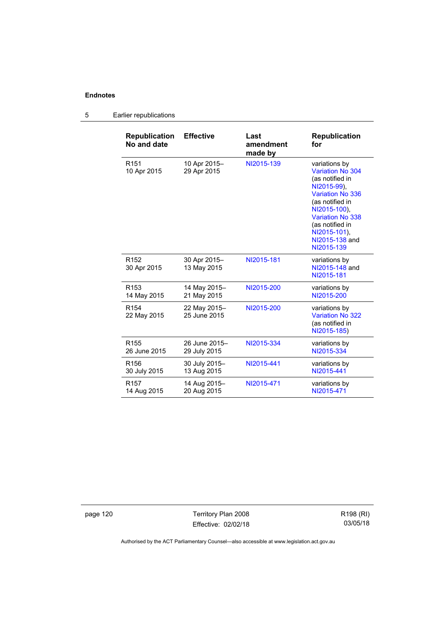# 5 Earlier republications

| <b>Republication</b><br>No and date | <b>Effective</b>             | Last<br>amendment<br>made by | <b>Republication</b><br>for                                                                                                                                                                                                     |
|-------------------------------------|------------------------------|------------------------------|---------------------------------------------------------------------------------------------------------------------------------------------------------------------------------------------------------------------------------|
| R <sub>151</sub><br>10 Apr 2015     | 10 Apr 2015-<br>29 Apr 2015  | NI2015-139                   | variations by<br>Variation No 304<br>(as notified in<br>NI2015-99),<br><b>Variation No 336</b><br>(as notified in<br>NI2015-100).<br><b>Variation No 338</b><br>(as notified in<br>NI2015-101),<br>NI2015-138 and<br>NI2015-139 |
| R <sub>152</sub><br>30 Apr 2015     | 30 Apr 2015-<br>13 May 2015  | NI2015-181                   | variations by<br>NI2015-148 and<br>NI2015-181                                                                                                                                                                                   |
| R <sub>153</sub>                    | 14 May 2015-                 | NI2015-200                   | variations by                                                                                                                                                                                                                   |
| 14 May 2015                         | 21 May 2015                  |                              | NI2015-200                                                                                                                                                                                                                      |
| R <sub>154</sub><br>22 May 2015     | 22 May 2015-<br>25 June 2015 | NI2015-200                   | variations by<br><b>Variation No 322</b><br>(as notified in<br>NI2015-185)                                                                                                                                                      |
| R <sub>155</sub>                    | 26 June 2015-                | NI2015-334                   | variations by                                                                                                                                                                                                                   |
| 26 June 2015                        | 29 July 2015                 |                              | NI2015-334                                                                                                                                                                                                                      |
| R <sub>156</sub>                    | 30 July 2015-                | NI2015-441                   | variations by                                                                                                                                                                                                                   |
| 30 July 2015                        | 13 Aug 2015                  |                              | NI2015-441                                                                                                                                                                                                                      |
| R <sub>157</sub>                    | 14 Aug 2015-                 | NI2015-471                   | variations by                                                                                                                                                                                                                   |
| 14 Aug 2015                         | 20 Aug 2015                  |                              | NI2015-471                                                                                                                                                                                                                      |

page 120 **Territory Plan 2008** Effective: 02/02/18 R198 (RI) 03/05/18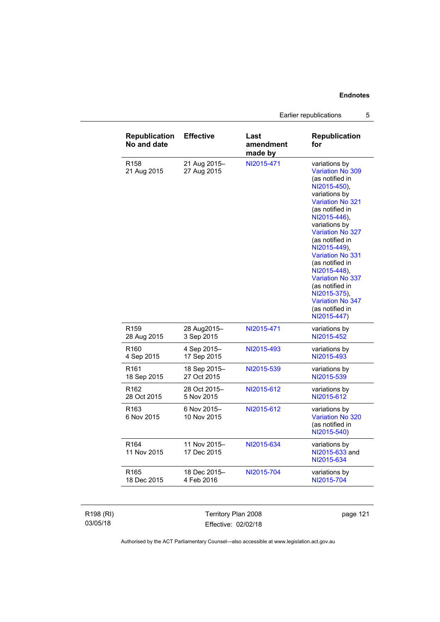Earlier republications 5

| <b>Republication</b><br>No and date | <b>Effective</b>            | Last<br>amendment<br>made by | <b>Republication</b><br>for                                                                                                                                                                                                                                                                                                                                                                                          |
|-------------------------------------|-----------------------------|------------------------------|----------------------------------------------------------------------------------------------------------------------------------------------------------------------------------------------------------------------------------------------------------------------------------------------------------------------------------------------------------------------------------------------------------------------|
| R <sub>158</sub><br>21 Aug 2015     | 21 Aug 2015-<br>27 Aug 2015 | NI2015-471                   | variations by<br>Variation No 309<br>(as notified in<br>NI2015-450),<br>variations by<br><b>Variation No 321</b><br>(as notified in<br>NI2015-446),<br>variations by<br><b>Variation No 327</b><br>(as notified in<br>NI2015-449),<br><b>Variation No 331</b><br>(as notified in<br>NI2015-448),<br>Variation No 337<br>(as notified in<br>NI2015-375),<br><b>Variation No 347</b><br>(as notified in<br>NI2015-447) |
| R <sub>159</sub>                    | 28 Aug2015-                 | NI2015-471                   | variations by                                                                                                                                                                                                                                                                                                                                                                                                        |
| 28 Aug 2015                         | 3 Sep 2015                  |                              | NI2015-452                                                                                                                                                                                                                                                                                                                                                                                                           |
| R <sub>160</sub>                    | 4 Sep 2015-                 | NI2015-493                   | variations by                                                                                                                                                                                                                                                                                                                                                                                                        |
| 4 Sep 2015                          | 17 Sep 2015                 |                              | NI2015-493                                                                                                                                                                                                                                                                                                                                                                                                           |
| R <sub>161</sub>                    | 18 Sep 2015-                | NI2015-539                   | variations by                                                                                                                                                                                                                                                                                                                                                                                                        |
| 18 Sep 2015                         | 27 Oct 2015                 |                              | NI2015-539                                                                                                                                                                                                                                                                                                                                                                                                           |
| R <sub>162</sub>                    | 28 Oct 2015-                | NI2015-612                   | variations by                                                                                                                                                                                                                                                                                                                                                                                                        |
| 28 Oct 2015                         | 5 Nov 2015                  |                              | NI2015-612                                                                                                                                                                                                                                                                                                                                                                                                           |
| R <sub>163</sub><br>6 Nov 2015      | 6 Nov 2015-<br>10 Nov 2015  | NI2015-612                   | variations by<br><b>Variation No 320</b><br>(as notified in<br>NI2015-540)                                                                                                                                                                                                                                                                                                                                           |
| R <sub>164</sub><br>11 Nov 2015     | 11 Nov 2015-<br>17 Dec 2015 | NI2015-634                   | variations by<br>NI2015-633 and<br>NI2015-634                                                                                                                                                                                                                                                                                                                                                                        |
| R <sub>165</sub>                    | 18 Dec 2015-                | NI2015-704                   | variations by                                                                                                                                                                                                                                                                                                                                                                                                        |
| 18 Dec 2015                         | 4 Feb 2016                  |                              | NI2015-704                                                                                                                                                                                                                                                                                                                                                                                                           |

| R198 (RI) |
|-----------|
| 03/05/18  |

Territory Plan 2008 Effective: 02/02/18

page 121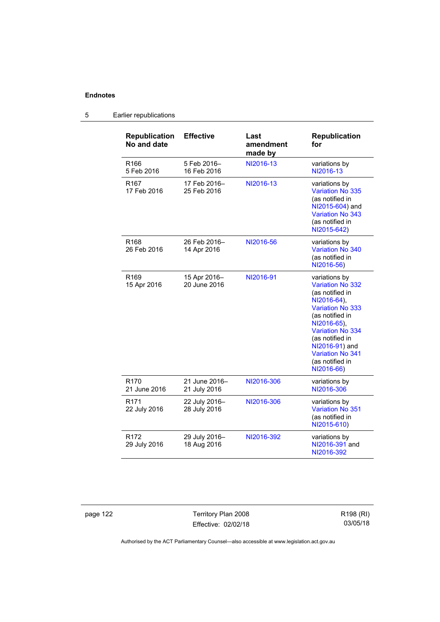| <b>Republication</b><br>No and date | <b>Effective</b>              | Last<br>amendment<br>made by | <b>Republication</b><br>for                                                                                                                                                                                                                                         |
|-------------------------------------|-------------------------------|------------------------------|---------------------------------------------------------------------------------------------------------------------------------------------------------------------------------------------------------------------------------------------------------------------|
| R <sub>166</sub><br>5 Feb 2016      | 5 Feb 2016-<br>16 Feb 2016    | NI2016-13                    | variations by<br>NI2016-13                                                                                                                                                                                                                                          |
| R <sub>167</sub><br>17 Feb 2016     | 17 Feb 2016-<br>25 Feb 2016   | NI2016-13                    | variations by<br>Variation No 335<br>(as notified in<br>NI2015-604) and<br>Variation No 343<br>(as notified in<br>NI2015-642)                                                                                                                                       |
| R <sub>168</sub><br>26 Feb 2016     | 26 Feb 2016-<br>14 Apr 2016   | NI2016-56                    | variations by<br>Variation No 340<br>(as notified in<br>NI2016-56)                                                                                                                                                                                                  |
| R <sub>169</sub><br>15 Apr 2016     | 15 Apr 2016-<br>20 June 2016  | NI2016-91                    | variations by<br><b>Variation No 332</b><br>(as notified in<br>NI2016-64),<br><b>Variation No 333</b><br>(as notified in<br>NI2016-65),<br><b>Variation No 334</b><br>(as notified in<br>NI2016-91) and<br><b>Variation No 341</b><br>(as notified in<br>NI2016-66) |
| R <sub>170</sub><br>21 June 2016    | 21 June 2016-<br>21 July 2016 | NI2016-306                   | variations by<br>NI2016-306                                                                                                                                                                                                                                         |
| R <sub>171</sub><br>22 July 2016    | 22 July 2016-<br>28 July 2016 | NI2016-306                   | variations by<br><b>Variation No 351</b><br>(as notified in<br>NI2015-610)                                                                                                                                                                                          |
| R <sub>172</sub><br>29 July 2016    | 29 July 2016-<br>18 Aug 2016  | NI2016-392                   | variations by<br>NI2016-391 and<br>NI2016-392                                                                                                                                                                                                                       |

# 5 Earlier republications

page 122 Territory Plan 2008 Effective: 02/02/18 R198 (RI) 03/05/18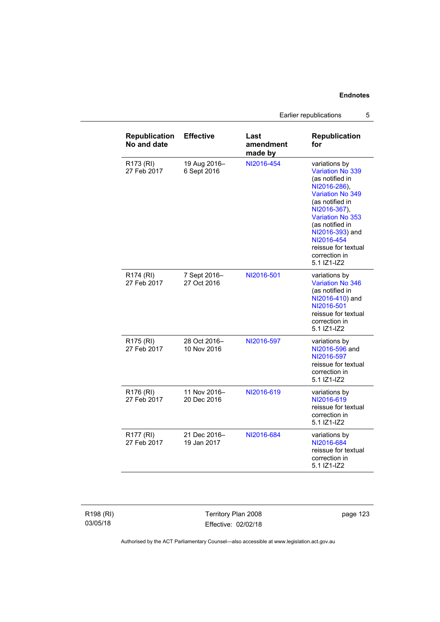Earlier republications 5

| <b>Republication</b><br>No and date  | <b>Effective</b>            | Last<br>amendment<br>made by | <b>Republication</b><br>for                                                                                                                                                                                                                                                     |
|--------------------------------------|-----------------------------|------------------------------|---------------------------------------------------------------------------------------------------------------------------------------------------------------------------------------------------------------------------------------------------------------------------------|
| R173 (RI)<br>27 Feb 2017             | 19 Aug 2016-<br>6 Sept 2016 | NI2016-454                   | variations by<br><b>Variation No 339</b><br>(as notified in<br>NI2016-286).<br><b>Variation No 349</b><br>(as notified in<br>NI2016-367),<br><b>Variation No 353</b><br>(as notified in<br>NI2016-393) and<br>NI2016-454<br>reissue for textual<br>correction in<br>5.1 IZ1-IZ2 |
| R <sub>174</sub> (RI)<br>27 Feb 2017 | 7 Sept 2016-<br>27 Oct 2016 | NI2016-501                   | variations by<br>Variation No 346<br>(as notified in<br>NI2016-410) and<br>NI2016-501<br>reissue for textual<br>correction in<br>5.1 IZ1-IZ2                                                                                                                                    |
| R <sub>175</sub> (RI)<br>27 Feb 2017 | 28 Oct 2016-<br>10 Nov 2016 | NI2016-597                   | variations by<br>NI2016-596 and<br>NI2016-597<br>reissue for textual<br>correction in<br>5.1 IZ1-IZ2                                                                                                                                                                            |
| R176 (RI)<br>27 Feb 2017             | 11 Nov 2016-<br>20 Dec 2016 | NI2016-619                   | variations by<br>NI2016-619<br>reissue for textual<br>correction in<br>5.1 IZ1-IZ2                                                                                                                                                                                              |
| R177 (RI)<br>27 Feb 2017             | 21 Dec 2016-<br>19 Jan 2017 | NI2016-684                   | variations by<br>NI2016-684<br>reissue for textual<br>correction in<br>5.1 IZ1-IZ2                                                                                                                                                                                              |

R198 (RI) 03/05/18

Territory Plan 2008 Effective: 02/02/18 page 123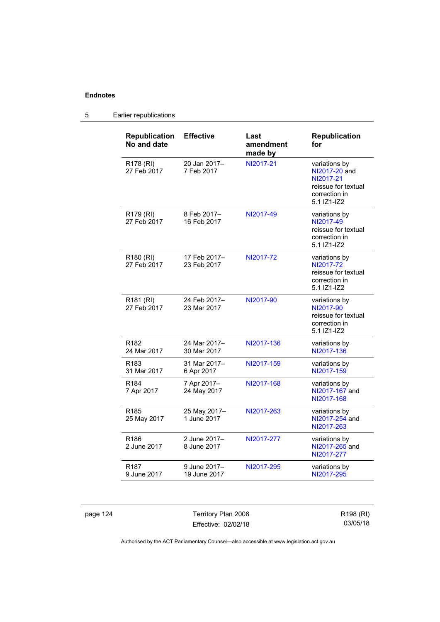| <b>Republication</b><br>No and date  | <b>Effective</b>             | Last<br>amendment<br>made by | <b>Republication</b><br>for                                                                        |
|--------------------------------------|------------------------------|------------------------------|----------------------------------------------------------------------------------------------------|
| R178 (RI)<br>27 Feb 2017             | 20 Jan 2017-<br>7 Feb 2017   | NI2017-21                    | variations by<br>NI2017-20 and<br>NI2017-21<br>reissue for textual<br>correction in<br>5.1 IZ1-IZ2 |
| R179 (RI)<br>27 Feb 2017             | 8 Feb 2017-<br>16 Feb 2017   | NI2017-49                    | variations by<br>NI2017-49<br>reissue for textual<br>correction in<br>5.1 IZ1-IZ2                  |
| R <sub>180</sub> (RI)<br>27 Feb 2017 | 17 Feb 2017-<br>23 Feb 2017  | NI2017-72                    | variations by<br>NI2017-72<br>reissue for textual<br>correction in<br>5.1 IZ1-IZ2                  |
| R <sub>181</sub> (RI)<br>27 Feb 2017 | 24 Feb 2017-<br>23 Mar 2017  | NI2017-90                    | variations by<br>NI2017-90<br>reissue for textual<br>correction in<br>5.1 IZ1-IZ2                  |
| R <sub>182</sub><br>24 Mar 2017      | 24 Mar 2017-<br>30 Mar 2017  | NI2017-136                   | variations by<br>NI2017-136                                                                        |
| R <sub>183</sub><br>31 Mar 2017      | 31 Mar 2017-<br>6 Apr 2017   | NI2017-159                   | variations by<br>NI2017-159                                                                        |
| R <sub>184</sub><br>7 Apr 2017       | 7 Apr 2017-<br>24 May 2017   | NI2017-168                   | variations by<br>NI2017-167 and<br>NI2017-168                                                      |
| R <sub>185</sub><br>25 May 2017      | 25 May 2017-<br>1 June 2017  | NI2017-263                   | variations by<br>NI2017-254 and<br>NI2017-263                                                      |
| R <sub>186</sub><br>2 June 2017      | 2 June 2017-<br>8 June 2017  | NI2017-277                   | variations by<br>NI2017-265 and<br>NI2017-277                                                      |
| R <sub>187</sub><br>9 June 2017      | 9 June 2017-<br>19 June 2017 | NI2017-295                   | variations by<br>NI2017-295                                                                        |

# 5 Earlier republications

page 124 Territory Plan 2008 Effective: 02/02/18

R198 (RI) 03/05/18